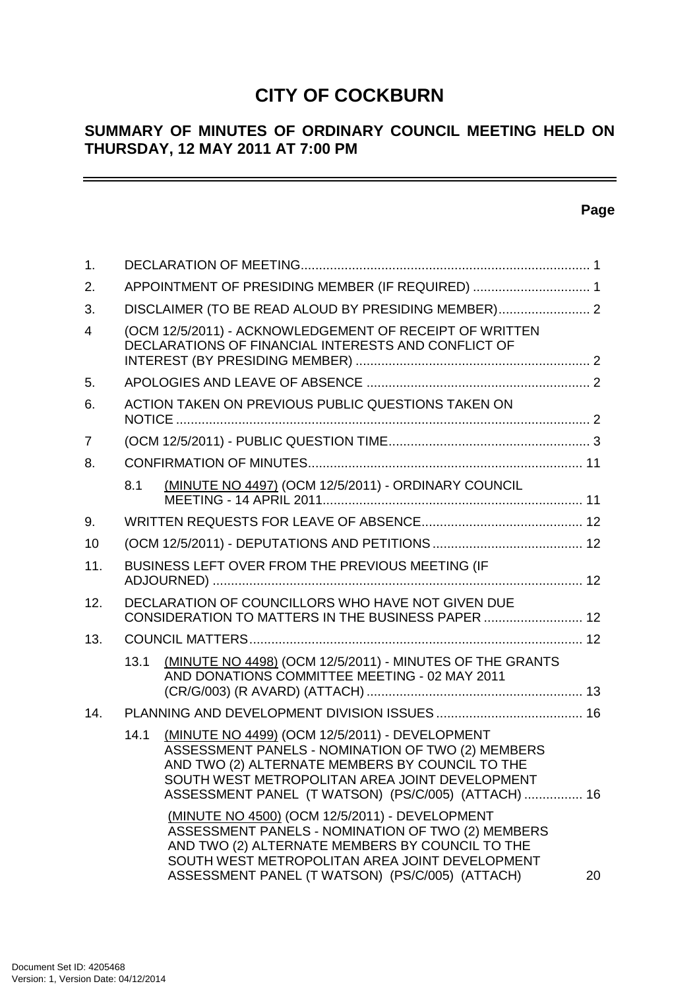## **CITY OF COCKBURN**

## **SUMMARY OF MINUTES OF ORDINARY COUNCIL MEETING HELD ON THURSDAY, 12 MAY 2011 AT 7:00 PM**

## **Page**

 $\equiv$ 

| $\mathbf{1}$ . |      |                                                                                                                                                                                                                                                                 |    |
|----------------|------|-----------------------------------------------------------------------------------------------------------------------------------------------------------------------------------------------------------------------------------------------------------------|----|
| 2.             |      | APPOINTMENT OF PRESIDING MEMBER (IF REQUIRED)  1                                                                                                                                                                                                                |    |
| 3.             |      | DISCLAIMER (TO BE READ ALOUD BY PRESIDING MEMBER) 2                                                                                                                                                                                                             |    |
| 4              |      | (OCM 12/5/2011) - ACKNOWLEDGEMENT OF RECEIPT OF WRITTEN<br>DECLARATIONS OF FINANCIAL INTERESTS AND CONFLICT OF                                                                                                                                                  |    |
| 5.             |      |                                                                                                                                                                                                                                                                 |    |
| 6.             |      | ACTION TAKEN ON PREVIOUS PUBLIC QUESTIONS TAKEN ON                                                                                                                                                                                                              |    |
| 7              |      |                                                                                                                                                                                                                                                                 |    |
| 8.             |      |                                                                                                                                                                                                                                                                 |    |
|                | 8.1  | (MINUTE NO 4497) (OCM 12/5/2011) - ORDINARY COUNCIL                                                                                                                                                                                                             |    |
| 9.             |      |                                                                                                                                                                                                                                                                 |    |
| 10             |      |                                                                                                                                                                                                                                                                 |    |
| 11.            |      | BUSINESS LEFT OVER FROM THE PREVIOUS MEETING (IF                                                                                                                                                                                                                |    |
| 12.            |      | DECLARATION OF COUNCILLORS WHO HAVE NOT GIVEN DUE<br>CONSIDERATION TO MATTERS IN THE BUSINESS PAPER  12                                                                                                                                                         |    |
| 13.            |      |                                                                                                                                                                                                                                                                 |    |
|                | 13.1 | (MINUTE NO 4498) (OCM 12/5/2011) - MINUTES OF THE GRANTS<br>AND DONATIONS COMMITTEE MEETING - 02 MAY 2011                                                                                                                                                       |    |
| 14.            |      |                                                                                                                                                                                                                                                                 |    |
|                | 14.1 | (MINUTE NO 4499) (OCM 12/5/2011) - DEVELOPMENT<br>ASSESSMENT PANELS - NOMINATION OF TWO (2) MEMBERS<br>AND TWO (2) ALTERNATE MEMBERS BY COUNCIL TO THE<br>SOUTH WEST METROPOLITAN AREA JOINT DEVELOPMENT<br>ASSESSMENT PANEL (T WATSON) (PS/C/005) (ATTACH)  16 |    |
|                |      | (MINUTE NO 4500) (OCM 12/5/2011) - DEVELOPMENT<br>ASSESSMENT PANELS - NOMINATION OF TWO (2) MEMBERS<br>AND TWO (2) ALTERNATE MEMBERS BY COUNCIL TO THE<br>SOUTH WEST METROPOLITAN AREA JOINT DEVELOPMENT<br>ASSESSMENT PANEL (T WATSON) (PS/C/005) (ATTACH)     | 20 |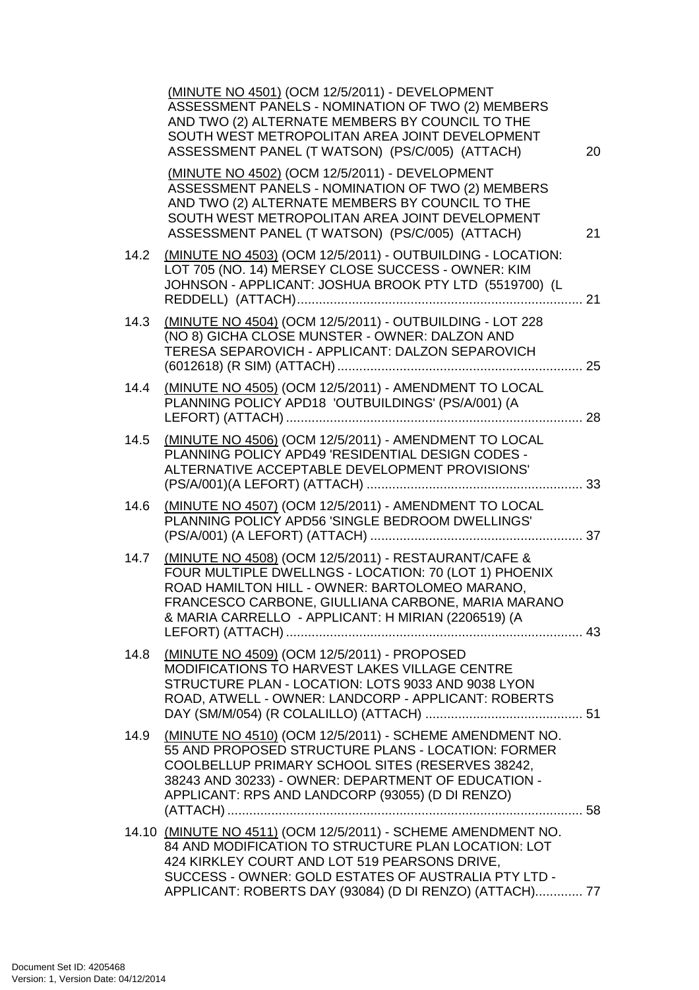|      | (MINUTE NO 4501) (OCM 12/5/2011) - DEVELOPMENT<br>ASSESSMENT PANELS - NOMINATION OF TWO (2) MEMBERS<br>AND TWO (2) ALTERNATE MEMBERS BY COUNCIL TO THE<br>SOUTH WEST METROPOLITAN AREA JOINT DEVELOPMENT<br>ASSESSMENT PANEL (T WATSON) (PS/C/005) (ATTACH)                              | 20 |
|------|------------------------------------------------------------------------------------------------------------------------------------------------------------------------------------------------------------------------------------------------------------------------------------------|----|
|      | (MINUTE NO 4502) (OCM 12/5/2011) - DEVELOPMENT<br>ASSESSMENT PANELS - NOMINATION OF TWO (2) MEMBERS<br>AND TWO (2) ALTERNATE MEMBERS BY COUNCIL TO THE<br>SOUTH WEST METROPOLITAN AREA JOINT DEVELOPMENT<br>ASSESSMENT PANEL (T WATSON) (PS/C/005) (ATTACH)                              | 21 |
| 14.2 | (MINUTE NO 4503) (OCM 12/5/2011) - OUTBUILDING - LOCATION:<br>LOT 705 (NO. 14) MERSEY CLOSE SUCCESS - OWNER: KIM<br>JOHNSON - APPLICANT: JOSHUA BROOK PTY LTD (5519700) (L<br>. 21                                                                                                       |    |
| 14.3 | (MINUTE NO 4504) (OCM 12/5/2011) - OUTBUILDING - LOT 228<br>(NO 8) GICHA CLOSE MUNSTER - OWNER: DALZON AND<br>TERESA SEPAROVICH - APPLICANT: DALZON SEPAROVICH                                                                                                                           |    |
| 14.4 | (MINUTE NO 4505) (OCM 12/5/2011) - AMENDMENT TO LOCAL<br>PLANNING POLICY APD18 'OUTBUILDINGS' (PS/A/001) (A                                                                                                                                                                              |    |
| 14.5 | (MINUTE NO 4506) (OCM 12/5/2011) - AMENDMENT TO LOCAL<br>PLANNING POLICY APD49 'RESIDENTIAL DESIGN CODES -<br>ALTERNATIVE ACCEPTABLE DEVELOPMENT PROVISIONS'                                                                                                                             |    |
| 14.6 | (MINUTE NO 4507) (OCM 12/5/2011) - AMENDMENT TO LOCAL<br>PLANNING POLICY APD56 'SINGLE BEDROOM DWELLINGS'                                                                                                                                                                                |    |
| 14.7 | (MINUTE NO 4508) (OCM 12/5/2011) - RESTAURANT/CAFE &<br>FOUR MULTIPLE DWELLNGS - LOCATION: 70 (LOT 1) PHOENIX<br>ROAD HAMILTON HILL - OWNER: BARTOLOMEO MARANO,<br>FRANCESCO CARBONE, GIULLIANA CARBONE, MARIA MARANO<br>& MARIA CARRELLO - APPLICANT: H MIRIAN (2206519) (A             |    |
| 14.8 | (MINUTE NO 4509) (OCM 12/5/2011) - PROPOSED<br>MODIFICATIONS TO HARVEST LAKES VILLAGE CENTRE<br>STRUCTURE PLAN - LOCATION: LOTS 9033 AND 9038 LYON<br>ROAD, ATWELL - OWNER: LANDCORP - APPLICANT: ROBERTS                                                                                |    |
| 14.9 | (MINUTE NO 4510) (OCM 12/5/2011) - SCHEME AMENDMENT NO.<br>55 AND PROPOSED STRUCTURE PLANS - LOCATION: FORMER<br>COOLBELLUP PRIMARY SCHOOL SITES (RESERVES 38242,<br>38243 AND 30233) - OWNER: DEPARTMENT OF EDUCATION -<br>APPLICANT: RPS AND LANDCORP (93055) (D DI RENZO)             |    |
|      | 14.10 (MINUTE NO 4511) (OCM 12/5/2011) - SCHEME AMENDMENT NO.<br>84 AND MODIFICATION TO STRUCTURE PLAN LOCATION: LOT<br>424 KIRKLEY COURT AND LOT 519 PEARSONS DRIVE,<br>SUCCESS - OWNER: GOLD ESTATES OF AUSTRALIA PTY LTD -<br>APPLICANT: ROBERTS DAY (93084) (D DI RENZO) (ATTACH) 77 |    |
|      |                                                                                                                                                                                                                                                                                          |    |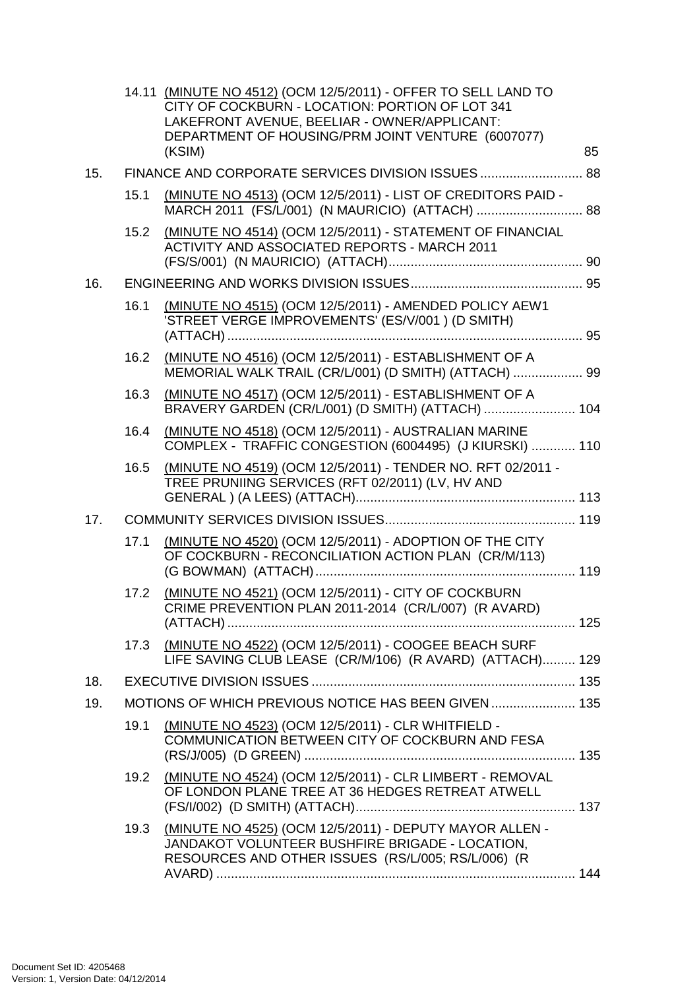|     |      | 14.11 (MINUTE NO 4512) (OCM 12/5/2011) - OFFER TO SELL LAND TO<br>CITY OF COCKBURN - LOCATION: PORTION OF LOT 341<br>LAKEFRONT AVENUE, BEELIAR - OWNER/APPLICANT:<br>DEPARTMENT OF HOUSING/PRM JOINT VENTURE (6007077)<br>(KSIM) | 85 |
|-----|------|----------------------------------------------------------------------------------------------------------------------------------------------------------------------------------------------------------------------------------|----|
| 15. |      | FINANCE AND CORPORATE SERVICES DIVISION ISSUES  88                                                                                                                                                                               |    |
|     | 15.1 | (MINUTE NO 4513) (OCM 12/5/2011) - LIST OF CREDITORS PAID -                                                                                                                                                                      |    |
|     | 15.2 | (MINUTE NO 4514) (OCM 12/5/2011) - STATEMENT OF FINANCIAL<br><b>ACTIVITY AND ASSOCIATED REPORTS - MARCH 2011</b>                                                                                                                 |    |
| 16. |      |                                                                                                                                                                                                                                  |    |
|     | 16.1 | (MINUTE NO 4515) (OCM 12/5/2011) - AMENDED POLICY AEW1<br>'STREET VERGE IMPROVEMENTS' (ES/V/001) (D SMITH)                                                                                                                       |    |
|     | 16.2 | (MINUTE NO 4516) (OCM 12/5/2011) - ESTABLISHMENT OF A<br>MEMORIAL WALK TRAIL (CR/L/001) (D SMITH) (ATTACH)  99                                                                                                                   |    |
|     | 16.3 | (MINUTE NO 4517) (OCM 12/5/2011) - ESTABLISHMENT OF A<br>BRAVERY GARDEN (CR/L/001) (D SMITH) (ATTACH)  104                                                                                                                       |    |
|     | 16.4 | (MINUTE NO 4518) (OCM 12/5/2011) - AUSTRALIAN MARINE<br>COMPLEX - TRAFFIC CONGESTION (6004495) (J KIURSKI)  110                                                                                                                  |    |
|     | 16.5 | (MINUTE NO 4519) (OCM 12/5/2011) - TENDER NO. RFT 02/2011 -<br>TREE PRUNIING SERVICES (RFT 02/2011) (LV, HV AND                                                                                                                  |    |
| 17. |      |                                                                                                                                                                                                                                  |    |
|     | 17.1 | (MINUTE NO 4520) (OCM 12/5/2011) - ADOPTION OF THE CITY<br>OF COCKBURN - RECONCILIATION ACTION PLAN (CR/M/113)                                                                                                                   |    |
|     | 17.2 | (MINUTE NO 4521) (OCM 12/5/2011) - CITY OF COCKBURN<br>CRIME PREVENTION PLAN 2011-2014 (CR/L/007) (R AVARD)                                                                                                                      |    |
|     |      | 17.3 (MINUTE NO 4522) (OCM 12/5/2011) - COOGEE BEACH SURF<br>LIFE SAVING CLUB LEASE (CR/M/106) (R AVARD) (ATTACH) 129                                                                                                            |    |
| 18. |      |                                                                                                                                                                                                                                  |    |
| 19. |      | MOTIONS OF WHICH PREVIOUS NOTICE HAS BEEN GIVEN  135                                                                                                                                                                             |    |
|     | 19.1 | (MINUTE NO 4523) (OCM 12/5/2011) - CLR WHITFIELD -<br>COMMUNICATION BETWEEN CITY OF COCKBURN AND FESA                                                                                                                            |    |
|     | 19.2 | (MINUTE NO 4524) (OCM 12/5/2011) - CLR LIMBERT - REMOVAL<br>OF LONDON PLANE TREE AT 36 HEDGES RETREAT ATWELL                                                                                                                     |    |
|     | 19.3 | (MINUTE NO 4525) (OCM 12/5/2011) - DEPUTY MAYOR ALLEN -<br>JANDAKOT VOLUNTEER BUSHFIRE BRIGADE - LOCATION,<br>RESOURCES AND OTHER ISSUES (RS/L/005; RS/L/006) (R                                                                 |    |
|     |      |                                                                                                                                                                                                                                  |    |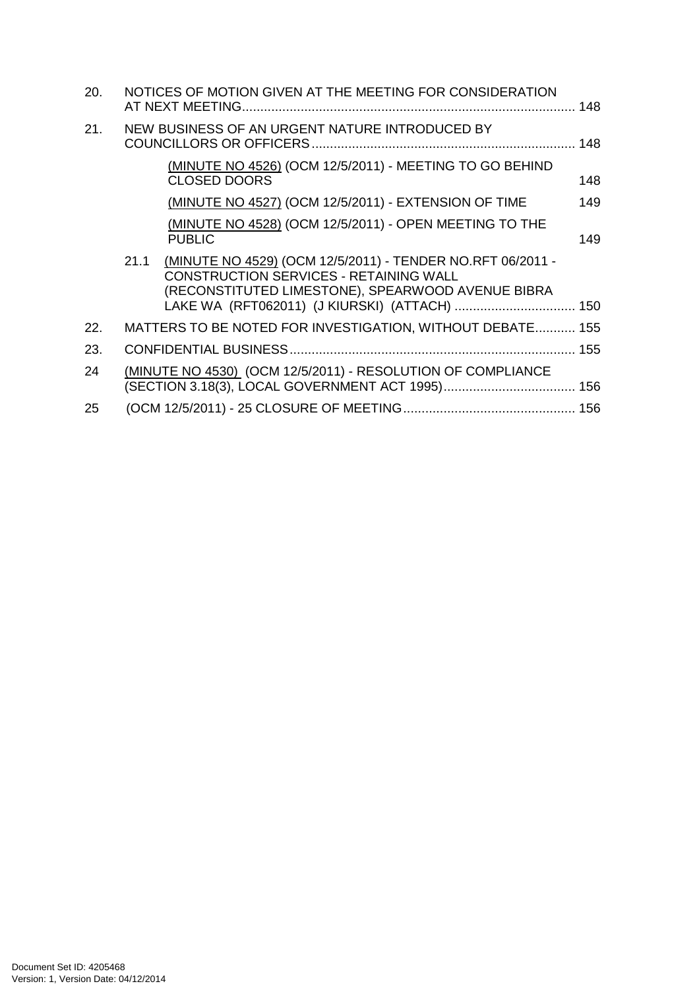| 20. |      | NOTICES OF MOTION GIVEN AT THE MEETING FOR CONSIDERATION                                                                                                                                                   |     |
|-----|------|------------------------------------------------------------------------------------------------------------------------------------------------------------------------------------------------------------|-----|
| 21. |      | NEW BUSINESS OF AN URGENT NATURE INTRODUCED BY                                                                                                                                                             |     |
|     |      | (MINUTE NO 4526) (OCM 12/5/2011) - MEETING TO GO BEHIND<br><b>CLOSED DOORS</b>                                                                                                                             | 148 |
|     |      | (MINUTE NO 4527) (OCM 12/5/2011) - EXTENSION OF TIME                                                                                                                                                       | 149 |
|     |      | (MINUTE NO 4528) (OCM 12/5/2011) - OPEN MEETING TO THE<br><b>PUBLIC</b>                                                                                                                                    | 149 |
|     | 21.1 | (MINUTE NO 4529) (OCM 12/5/2011) - TENDER NO.RFT 06/2011 -<br>CONSTRUCTION SERVICES - RETAINING WALL<br>(RECONSTITUTED LIMESTONE), SPEARWOOD AVENUE BIBRA<br>LAKE WA (RFT062011) (J KIURSKI) (ATTACH)  150 |     |
| 22. |      | MATTERS TO BE NOTED FOR INVESTIGATION, WITHOUT DEBATE 155                                                                                                                                                  |     |
| 23. |      |                                                                                                                                                                                                            |     |
| 24  |      | (MINUTE NO 4530) (OCM 12/5/2011) - RESOLUTION OF COMPLIANCE                                                                                                                                                |     |
| 25  |      |                                                                                                                                                                                                            |     |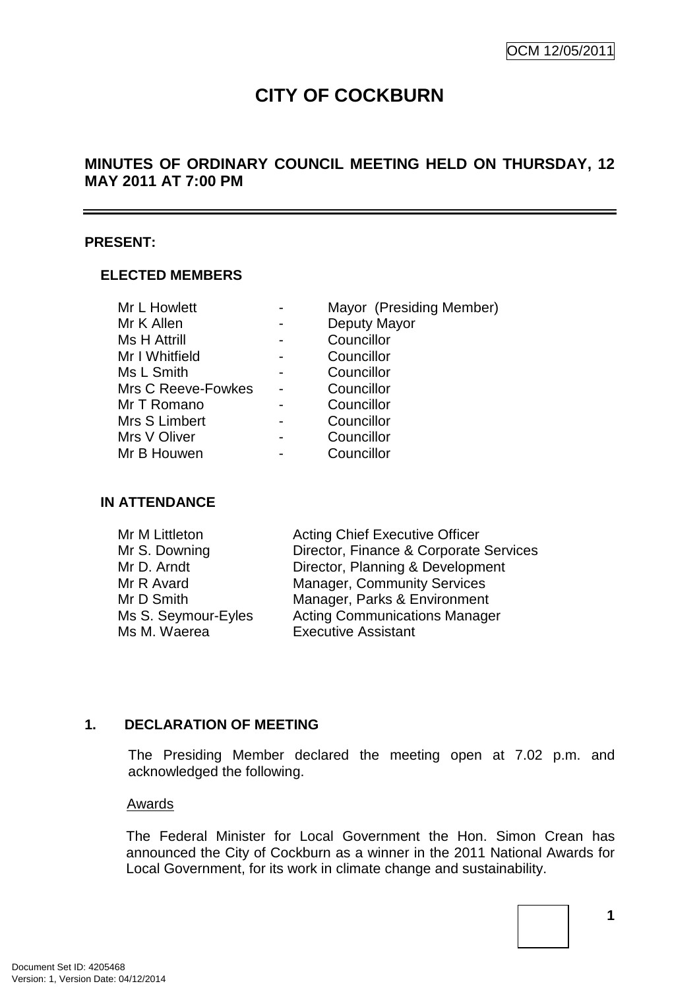# **CITY OF COCKBURN**

## **MINUTES OF ORDINARY COUNCIL MEETING HELD ON THURSDAY, 12 MAY 2011 AT 7:00 PM**

#### **PRESENT:**

#### **ELECTED MEMBERS**

| Mr L Howlett        | Mayor (Presiding Member) |
|---------------------|--------------------------|
| Mr K Allen          | Deputy Mayor             |
| <b>Ms H Attrill</b> | Councillor               |
| Mr I Whitfield      | Councillor               |
| Ms L Smith          | Councillor               |
| Mrs C Reeve-Fowkes  | Councillor               |
| Mr T Romano         | Councillor               |
| Mrs S Limbert       | Councillor               |
| Mrs V Oliver        | Councillor               |
| Mr B Houwen         | Councillor               |

#### **IN ATTENDANCE**

| Mr M Littleton      | <b>Acting Chief Executive Officer</b>  |
|---------------------|----------------------------------------|
| Mr S. Downing       | Director, Finance & Corporate Services |
| Mr D. Arndt         | Director, Planning & Development       |
| Mr R Avard          | <b>Manager, Community Services</b>     |
| Mr D Smith          | Manager, Parks & Environment           |
| Ms S. Seymour-Eyles | <b>Acting Communications Manager</b>   |
| Ms M. Waerea        | <b>Executive Assistant</b>             |

#### **1. DECLARATION OF MEETING**

The Presiding Member declared the meeting open at 7.02 p.m. and acknowledged the following.

#### Awards

The Federal Minister for Local Government the Hon. Simon Crean has announced the City of Cockburn as a winner in the 2011 National Awards for Local Government, for its work in climate change and sustainability.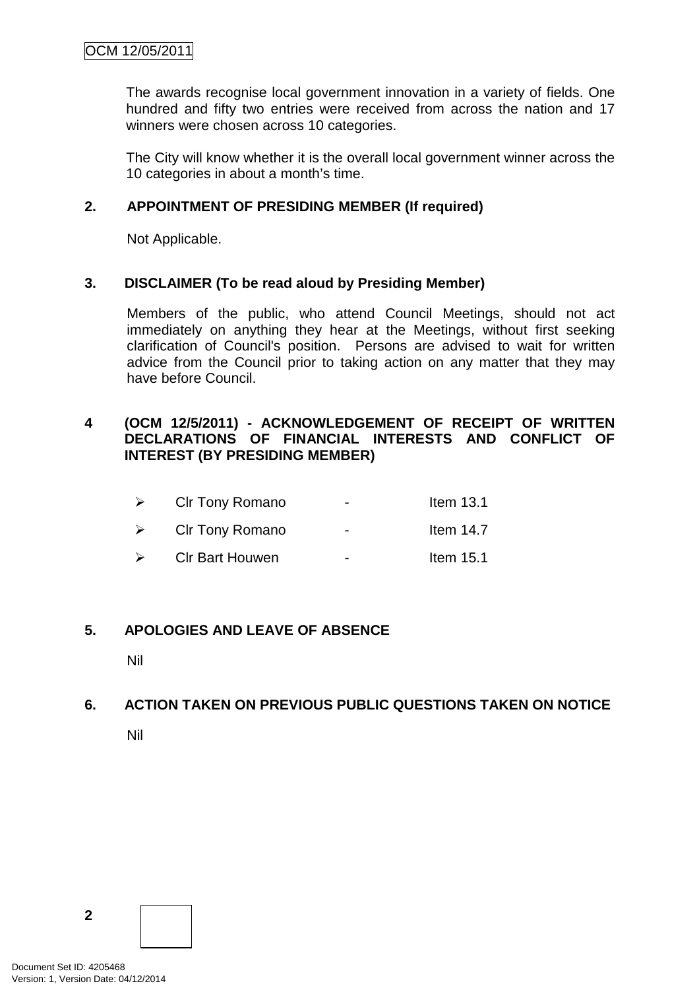The awards recognise local government innovation in a variety of fields. One hundred and fifty two entries were received from across the nation and 17 winners were chosen across 10 categories.

The City will know whether it is the overall local government winner across the 10 categories in about a month's time.

#### **2. APPOINTMENT OF PRESIDING MEMBER (If required)**

Not Applicable.

#### **3. DISCLAIMER (To be read aloud by Presiding Member)**

Members of the public, who attend Council Meetings, should not act immediately on anything they hear at the Meetings, without first seeking clarification of Council's position. Persons are advised to wait for written advice from the Council prior to taking action on any matter that they may have before Council.

#### **4 (OCM 12/5/2011) - ACKNOWLEDGEMENT OF RECEIPT OF WRITTEN DECLARATIONS OF FINANCIAL INTERESTS AND CONFLICT OF INTEREST (BY PRESIDING MEMBER)**

| $\triangleright$ | <b>CIr Tony Romano</b> | $\overline{\phantom{0}}$ | Item $13.1$ |
|------------------|------------------------|--------------------------|-------------|
| $\triangleright$ | CIr Tony Romano        | $\blacksquare$           | Item $14.7$ |
| $\rightarrow$    | <b>CIr Bart Houwen</b> | $\overline{\phantom{0}}$ | Item $15.1$ |

#### **5. APOLOGIES AND LEAVE OF ABSENCE**

Nil

## **6. ACTION TAKEN ON PREVIOUS PUBLIC QUESTIONS TAKEN ON NOTICE**

Nil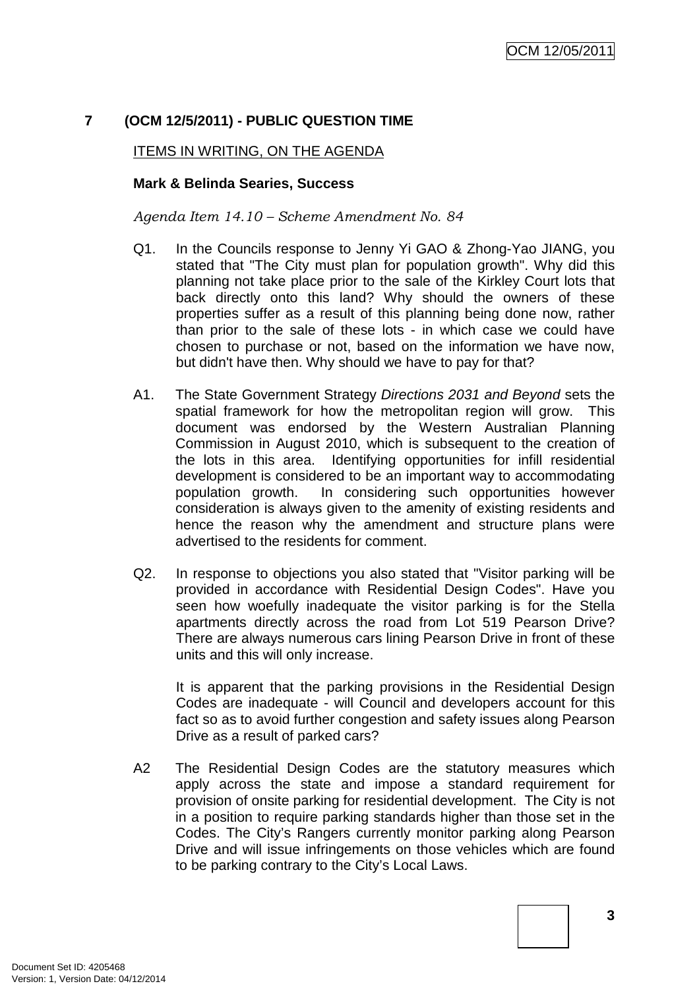## **7 (OCM 12/5/2011) - PUBLIC QUESTION TIME**

#### ITEMS IN WRITING, ON THE AGENDA

#### **Mark & Belinda Searies, Success**

*Agenda Item 14.10 – Scheme Amendment No. 84* 

- Q1. In the Councils response to Jenny Yi GAO & Zhong-Yao JIANG, you stated that "The City must plan for population growth". Why did this planning not take place prior to the sale of the Kirkley Court lots that back directly onto this land? Why should the owners of these properties suffer as a result of this planning being done now, rather than prior to the sale of these lots - in which case we could have chosen to purchase or not, based on the information we have now, but didn't have then. Why should we have to pay for that?
- A1. The State Government Strategy Directions 2031 and Beyond sets the spatial framework for how the metropolitan region will grow. This document was endorsed by the Western Australian Planning Commission in August 2010, which is subsequent to the creation of the lots in this area. Identifying opportunities for infill residential development is considered to be an important way to accommodating population growth. In considering such opportunities however consideration is always given to the amenity of existing residents and hence the reason why the amendment and structure plans were advertised to the residents for comment.
- Q2. In response to objections you also stated that "Visitor parking will be provided in accordance with Residential Design Codes". Have you seen how woefully inadequate the visitor parking is for the Stella apartments directly across the road from Lot 519 Pearson Drive? There are always numerous cars lining Pearson Drive in front of these units and this will only increase.

It is apparent that the parking provisions in the Residential Design Codes are inadequate - will Council and developers account for this fact so as to avoid further congestion and safety issues along Pearson Drive as a result of parked cars?

A2 The Residential Design Codes are the statutory measures which apply across the state and impose a standard requirement for provision of onsite parking for residential development. The City is not in a position to require parking standards higher than those set in the Codes. The City's Rangers currently monitor parking along Pearson Drive and will issue infringements on those vehicles which are found to be parking contrary to the City's Local Laws.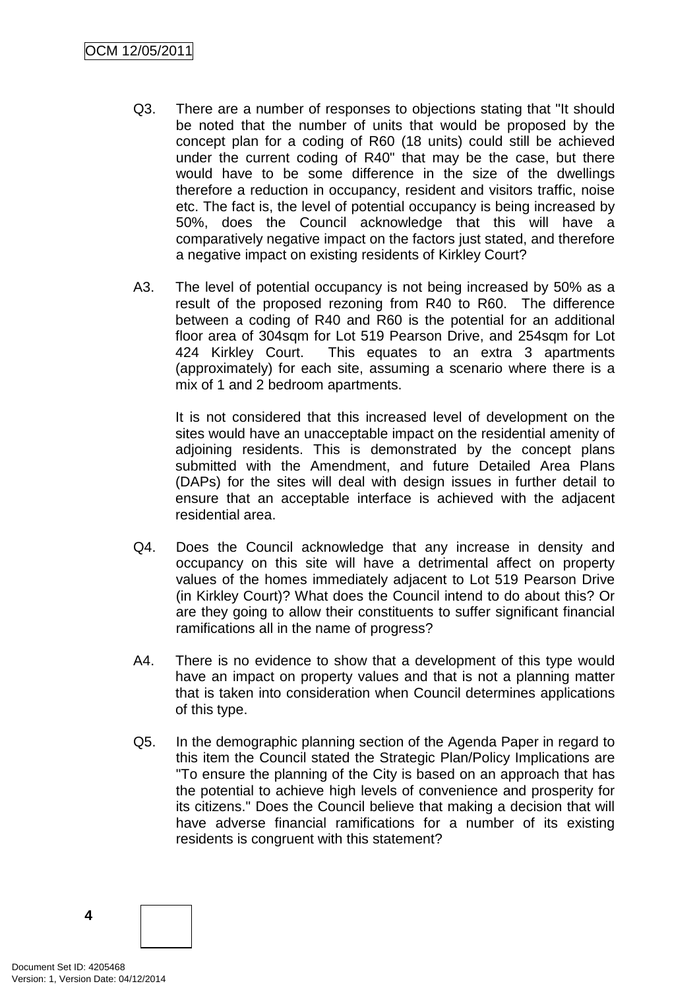- Q3. There are a number of responses to objections stating that "It should be noted that the number of units that would be proposed by the concept plan for a coding of R60 (18 units) could still be achieved under the current coding of R40" that may be the case, but there would have to be some difference in the size of the dwellings therefore a reduction in occupancy, resident and visitors traffic, noise etc. The fact is, the level of potential occupancy is being increased by 50%, does the Council acknowledge that this will have a comparatively negative impact on the factors just stated, and therefore a negative impact on existing residents of Kirkley Court?
- A3. The level of potential occupancy is not being increased by 50% as a result of the proposed rezoning from R40 to R60. The difference between a coding of R40 and R60 is the potential for an additional floor area of 304sqm for Lot 519 Pearson Drive, and 254sqm for Lot 424 Kirkley Court. This equates to an extra 3 apartments (approximately) for each site, assuming a scenario where there is a mix of 1 and 2 bedroom apartments.

 It is not considered that this increased level of development on the sites would have an unacceptable impact on the residential amenity of adjoining residents. This is demonstrated by the concept plans submitted with the Amendment, and future Detailed Area Plans (DAPs) for the sites will deal with design issues in further detail to ensure that an acceptable interface is achieved with the adjacent residential area.

- Q4. Does the Council acknowledge that any increase in density and occupancy on this site will have a detrimental affect on property values of the homes immediately adjacent to Lot 519 Pearson Drive (in Kirkley Court)? What does the Council intend to do about this? Or are they going to allow their constituents to suffer significant financial ramifications all in the name of progress?
- A4. There is no evidence to show that a development of this type would have an impact on property values and that is not a planning matter that is taken into consideration when Council determines applications of this type.
- Q5. In the demographic planning section of the Agenda Paper in regard to this item the Council stated the Strategic Plan/Policy Implications are "To ensure the planning of the City is based on an approach that has the potential to achieve high levels of convenience and prosperity for its citizens." Does the Council believe that making a decision that will have adverse financial ramifications for a number of its existing residents is congruent with this statement?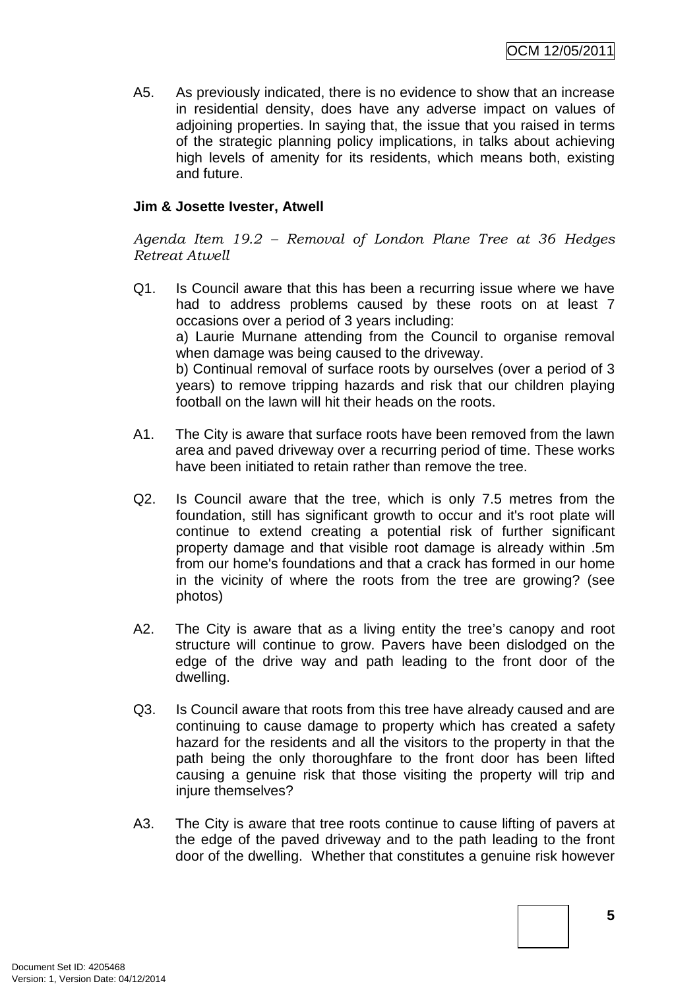A5. As previously indicated, there is no evidence to show that an increase in residential density, does have any adverse impact on values of adjoining properties. In saying that, the issue that you raised in terms of the strategic planning policy implications, in talks about achieving high levels of amenity for its residents, which means both, existing and future.

#### **Jim & Josette Ivester, Atwell**

*Agenda Item 19.2 – Removal of London Plane Tree at 36 Hedges Retreat Atwell* 

- Q1. Is Council aware that this has been a recurring issue where we have had to address problems caused by these roots on at least 7 occasions over a period of 3 years including: a) Laurie Murnane attending from the Council to organise removal when damage was being caused to the driveway. b) Continual removal of surface roots by ourselves (over a period of 3 years) to remove tripping hazards and risk that our children playing football on the lawn will hit their heads on the roots.
- A1. The City is aware that surface roots have been removed from the lawn area and paved driveway over a recurring period of time. These works have been initiated to retain rather than remove the tree.
- Q2. Is Council aware that the tree, which is only 7.5 metres from the foundation, still has significant growth to occur and it's root plate will continue to extend creating a potential risk of further significant property damage and that visible root damage is already within .5m from our home's foundations and that a crack has formed in our home in the vicinity of where the roots from the tree are growing? (see photos)
- A2. The City is aware that as a living entity the tree's canopy and root structure will continue to grow. Pavers have been dislodged on the edge of the drive way and path leading to the front door of the dwelling.
- Q3. Is Council aware that roots from this tree have already caused and are continuing to cause damage to property which has created a safety hazard for the residents and all the visitors to the property in that the path being the only thoroughfare to the front door has been lifted causing a genuine risk that those visiting the property will trip and injure themselves?
- A3. The City is aware that tree roots continue to cause lifting of pavers at the edge of the paved driveway and to the path leading to the front door of the dwelling. Whether that constitutes a genuine risk however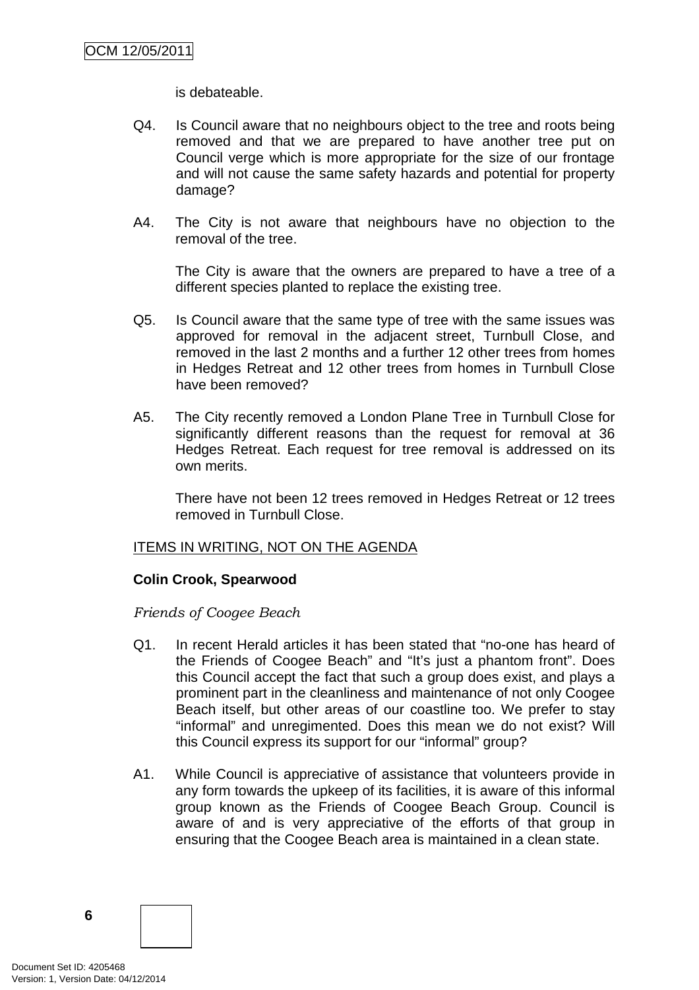is debateable.

- Q4. Is Council aware that no neighbours object to the tree and roots being removed and that we are prepared to have another tree put on Council verge which is more appropriate for the size of our frontage and will not cause the same safety hazards and potential for property damage?
- A4. The City is not aware that neighbours have no objection to the removal of the tree.

 The City is aware that the owners are prepared to have a tree of a different species planted to replace the existing tree.

- Q5. Is Council aware that the same type of tree with the same issues was approved for removal in the adjacent street, Turnbull Close, and removed in the last 2 months and a further 12 other trees from homes in Hedges Retreat and 12 other trees from homes in Turnbull Close have been removed?
- A5. The City recently removed a London Plane Tree in Turnbull Close for significantly different reasons than the request for removal at 36 Hedges Retreat. Each request for tree removal is addressed on its own merits.

 There have not been 12 trees removed in Hedges Retreat or 12 trees removed in Turnbull Close.

#### ITEMS IN WRITING, NOT ON THE AGENDA

#### **Colin Crook, Spearwood**

*Friends of Coogee Beach* 

- Q1. In recent Herald articles it has been stated that "no-one has heard of the Friends of Coogee Beach" and "It's just a phantom front". Does this Council accept the fact that such a group does exist, and plays a prominent part in the cleanliness and maintenance of not only Coogee Beach itself, but other areas of our coastline too. We prefer to stay "informal" and unregimented. Does this mean we do not exist? Will this Council express its support for our "informal" group?
- A1. While Council is appreciative of assistance that volunteers provide in any form towards the upkeep of its facilities, it is aware of this informal group known as the Friends of Coogee Beach Group. Council is aware of and is very appreciative of the efforts of that group in ensuring that the Coogee Beach area is maintained in a clean state.

Document Set ID: 4205468<br>Version: 1, Version Date: 04/12/2014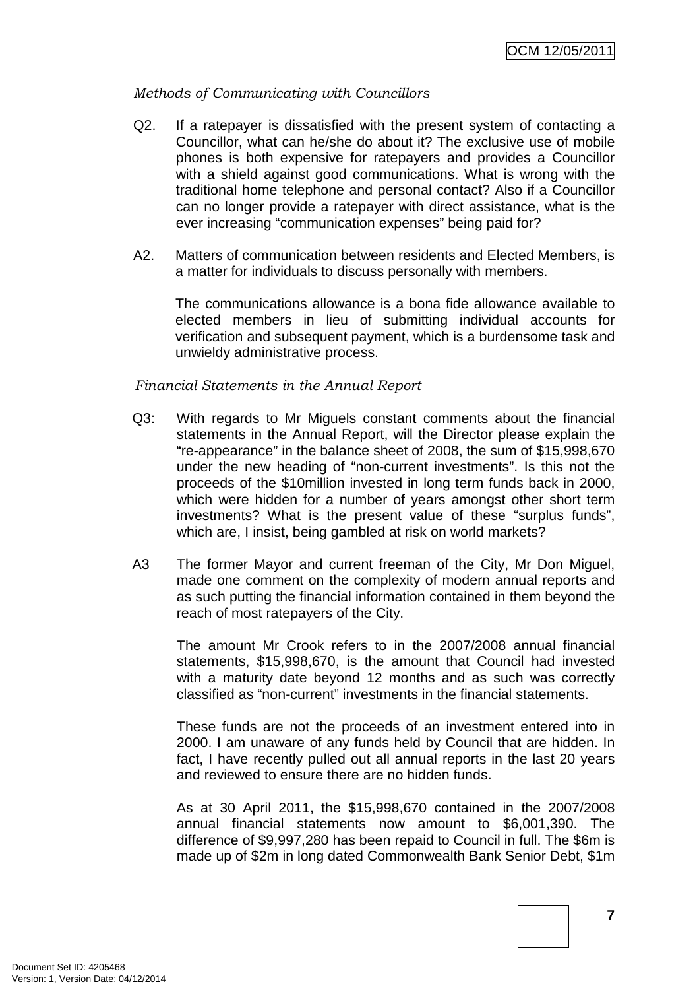#### *Methods of Communicating with Councillors*

- Q2. If a ratepayer is dissatisfied with the present system of contacting a Councillor, what can he/she do about it? The exclusive use of mobile phones is both expensive for ratepayers and provides a Councillor with a shield against good communications. What is wrong with the traditional home telephone and personal contact? Also if a Councillor can no longer provide a ratepayer with direct assistance, what is the ever increasing "communication expenses" being paid for?
- A2. Matters of communication between residents and Elected Members, is a matter for individuals to discuss personally with members.

The communications allowance is a bona fide allowance available to elected members in lieu of submitting individual accounts for verification and subsequent payment, which is a burdensome task and unwieldy administrative process.

#### *Financial Statements in the Annual Report*

- Q3: With regards to Mr Miguels constant comments about the financial statements in the Annual Report, will the Director please explain the "re-appearance" in the balance sheet of 2008, the sum of \$15,998,670 under the new heading of "non-current investments". Is this not the proceeds of the \$10million invested in long term funds back in 2000, which were hidden for a number of years amongst other short term investments? What is the present value of these "surplus funds", which are, I insist, being gambled at risk on world markets?
- A3 The former Mayor and current freeman of the City, Mr Don Miguel, made one comment on the complexity of modern annual reports and as such putting the financial information contained in them beyond the reach of most ratepayers of the City.

 The amount Mr Crook refers to in the 2007/2008 annual financial statements, \$15,998,670, is the amount that Council had invested with a maturity date beyond 12 months and as such was correctly classified as "non-current" investments in the financial statements.

 These funds are not the proceeds of an investment entered into in 2000. I am unaware of any funds held by Council that are hidden. In fact, I have recently pulled out all annual reports in the last 20 years and reviewed to ensure there are no hidden funds.

 As at 30 April 2011, the \$15,998,670 contained in the 2007/2008 annual financial statements now amount to \$6,001,390. The difference of \$9,997,280 has been repaid to Council in full. The \$6m is made up of \$2m in long dated Commonwealth Bank Senior Debt, \$1m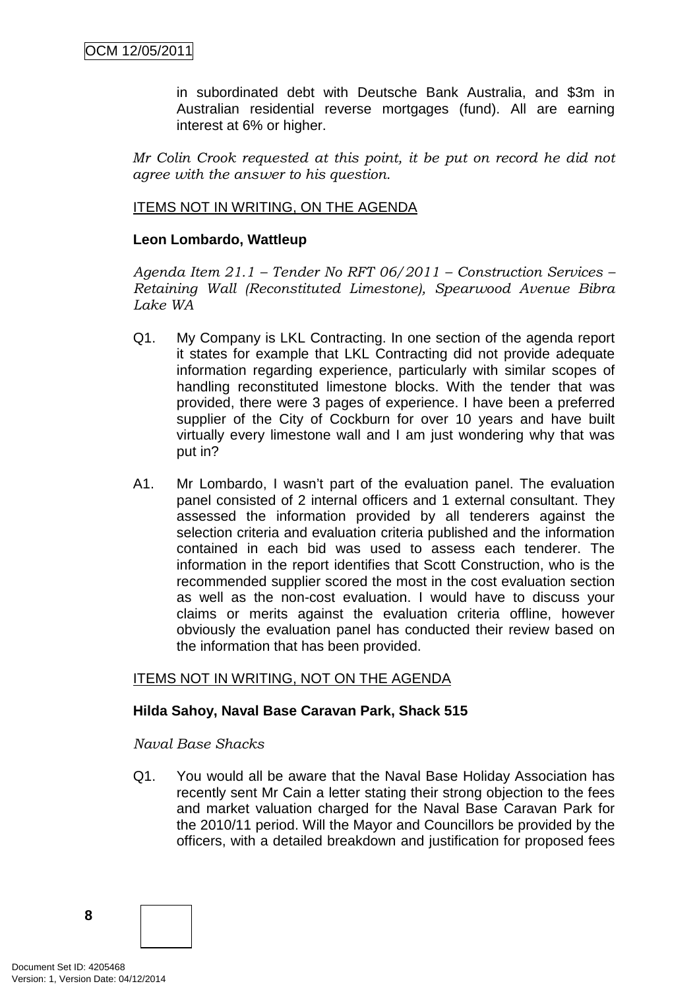in subordinated debt with Deutsche Bank Australia, and \$3m in Australian residential reverse mortgages (fund). All are earning interest at 6% or higher.

*Mr Colin Crook requested at this point, it be put on record he did not agree with the answer to his question.*

#### ITEMS NOT IN WRITING, ON THE AGENDA

#### **Leon Lombardo, Wattleup**

*Agenda Item 21.1 – Tender No RFT 06/2011 – Construction Services – Retaining Wall (Reconstituted Limestone), Spearwood Avenue Bibra Lake WA* 

- Q1. My Company is LKL Contracting. In one section of the agenda report it states for example that LKL Contracting did not provide adequate information regarding experience, particularly with similar scopes of handling reconstituted limestone blocks. With the tender that was provided, there were 3 pages of experience. I have been a preferred supplier of the City of Cockburn for over 10 years and have built virtually every limestone wall and I am just wondering why that was put in?
- A1. Mr Lombardo, I wasn't part of the evaluation panel. The evaluation panel consisted of 2 internal officers and 1 external consultant. They assessed the information provided by all tenderers against the selection criteria and evaluation criteria published and the information contained in each bid was used to assess each tenderer. The information in the report identifies that Scott Construction, who is the recommended supplier scored the most in the cost evaluation section as well as the non-cost evaluation. I would have to discuss your claims or merits against the evaluation criteria offline, however obviously the evaluation panel has conducted their review based on the information that has been provided.

#### ITEMS NOT IN WRITING, NOT ON THE AGENDA

#### **Hilda Sahoy, Naval Base Caravan Park, Shack 515**

#### *Naval Base Shacks*

Q1. You would all be aware that the Naval Base Holiday Association has recently sent Mr Cain a letter stating their strong objection to the fees and market valuation charged for the Naval Base Caravan Park for the 2010/11 period. Will the Mayor and Councillors be provided by the officers, with a detailed breakdown and justification for proposed fees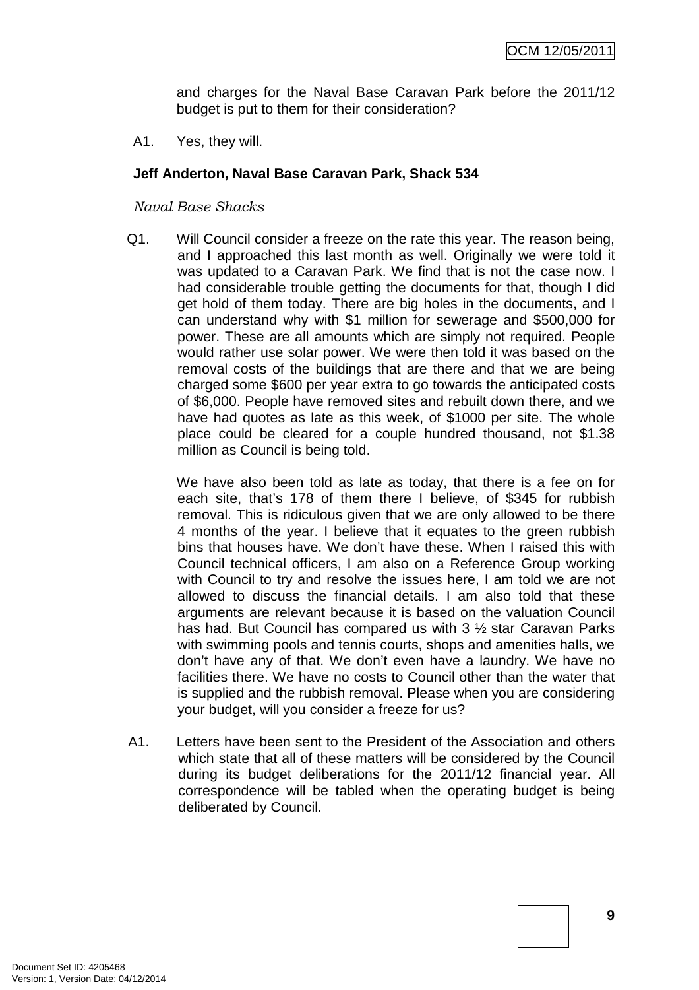and charges for the Naval Base Caravan Park before the 2011/12 budget is put to them for their consideration?

A1. Yes, they will.

#### **Jeff Anderton, Naval Base Caravan Park, Shack 534**

#### *Naval Base Shacks*

 Q1. Will Council consider a freeze on the rate this year. The reason being, and I approached this last month as well. Originally we were told it was updated to a Caravan Park. We find that is not the case now. I had considerable trouble getting the documents for that, though I did get hold of them today. There are big holes in the documents, and I can understand why with \$1 million for sewerage and \$500,000 for power. These are all amounts which are simply not required. People would rather use solar power. We were then told it was based on the removal costs of the buildings that are there and that we are being charged some \$600 per year extra to go towards the anticipated costs of \$6,000. People have removed sites and rebuilt down there, and we have had quotes as late as this week, of \$1000 per site. The whole place could be cleared for a couple hundred thousand, not \$1.38 million as Council is being told.

 We have also been told as late as today, that there is a fee on for each site, that's 178 of them there I believe, of \$345 for rubbish removal. This is ridiculous given that we are only allowed to be there 4 months of the year. I believe that it equates to the green rubbish bins that houses have. We don't have these. When I raised this with Council technical officers, I am also on a Reference Group working with Council to try and resolve the issues here, I am told we are not allowed to discuss the financial details. I am also told that these arguments are relevant because it is based on the valuation Council has had. But Council has compared us with 3 ½ star Caravan Parks with swimming pools and tennis courts, shops and amenities halls, we don't have any of that. We don't even have a laundry. We have no facilities there. We have no costs to Council other than the water that is supplied and the rubbish removal. Please when you are considering your budget, will you consider a freeze for us?

A1. Letters have been sent to the President of the Association and others which state that all of these matters will be considered by the Council during its budget deliberations for the 2011/12 financial year. All correspondence will be tabled when the operating budget is being deliberated by Council.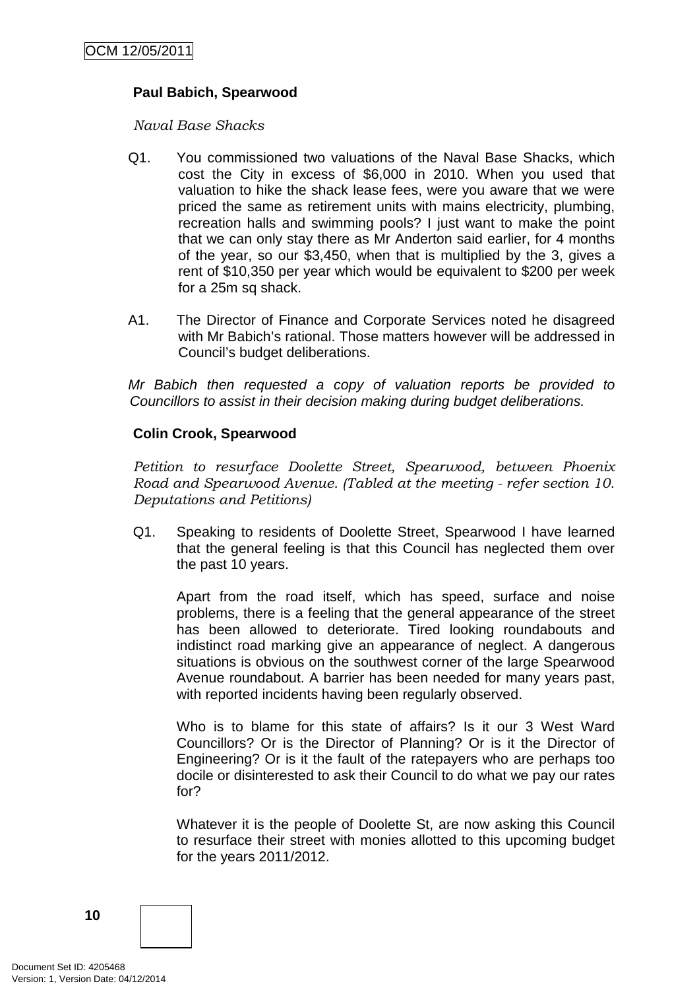#### **Paul Babich, Spearwood**

*Naval Base Shacks* 

- Q1. You commissioned two valuations of the Naval Base Shacks, which cost the City in excess of \$6,000 in 2010. When you used that valuation to hike the shack lease fees, were you aware that we were priced the same as retirement units with mains electricity, plumbing, recreation halls and swimming pools? I just want to make the point that we can only stay there as Mr Anderton said earlier, for 4 months of the year, so our \$3,450, when that is multiplied by the 3, gives a rent of \$10,350 per year which would be equivalent to \$200 per week for a 25m sq shack.
- A1. The Director of Finance and Corporate Services noted he disagreed with Mr Babich's rational. Those matters however will be addressed in Council's budget deliberations.

Mr Babich then requested a copy of valuation reports be provided to Councillors to assist in their decision making during budget deliberations.

#### **Colin Crook, Spearwood**

*Petition to resurface Doolette Street, Spearwood, between Phoenix Road and Spearwood Avenue. (Tabled at the meeting - refer section 10. Deputations and Petitions)* 

Q1. Speaking to residents of Doolette Street, Spearwood I have learned that the general feeling is that this Council has neglected them over the past 10 years.

 Apart from the road itself, which has speed, surface and noise problems, there is a feeling that the general appearance of the street has been allowed to deteriorate. Tired looking roundabouts and indistinct road marking give an appearance of neglect. A dangerous situations is obvious on the southwest corner of the large Spearwood Avenue roundabout. A barrier has been needed for many years past, with reported incidents having been regularly observed.

 Who is to blame for this state of affairs? Is it our 3 West Ward Councillors? Or is the Director of Planning? Or is it the Director of Engineering? Or is it the fault of the ratepayers who are perhaps too docile or disinterested to ask their Council to do what we pay our rates for?

 Whatever it is the people of Doolette St, are now asking this Council to resurface their street with monies allotted to this upcoming budget for the years 2011/2012.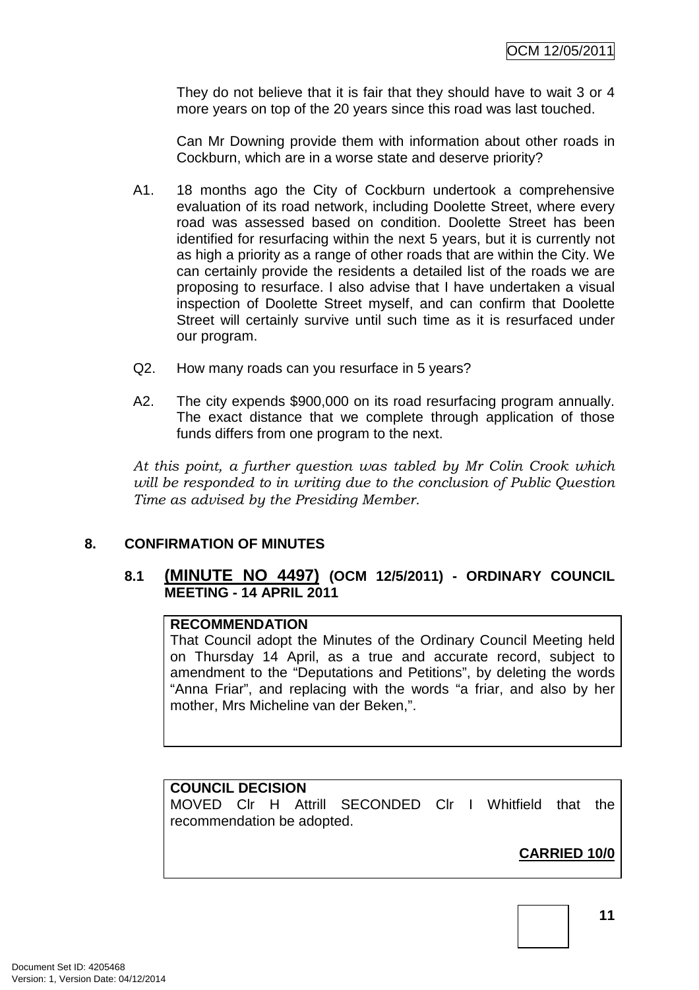They do not believe that it is fair that they should have to wait 3 or 4 more years on top of the 20 years since this road was last touched.

 Can Mr Downing provide them with information about other roads in Cockburn, which are in a worse state and deserve priority?

- A1. 18 months ago the City of Cockburn undertook a comprehensive evaluation of its road network, including Doolette Street, where every road was assessed based on condition. Doolette Street has been identified for resurfacing within the next 5 years, but it is currently not as high a priority as a range of other roads that are within the City. We can certainly provide the residents a detailed list of the roads we are proposing to resurface. I also advise that I have undertaken a visual inspection of Doolette Street myself, and can confirm that Doolette Street will certainly survive until such time as it is resurfaced under our program.
- Q2. How many roads can you resurface in 5 years?
- A2. The city expends \$900,000 on its road resurfacing program annually. The exact distance that we complete through application of those funds differs from one program to the next.

*At this point, a further question was tabled by Mr Colin Crook which will be responded to in writing due to the conclusion of Public Question Time as advised by the Presiding Member.* 

#### **8. CONFIRMATION OF MINUTES**

#### **8.1 (MINUTE NO 4497) (OCM 12/5/2011) - ORDINARY COUNCIL MEETING - 14 APRIL 2011**

#### **RECOMMENDATION**

That Council adopt the Minutes of the Ordinary Council Meeting held on Thursday 14 April, as a true and accurate record, subject to amendment to the "Deputations and Petitions", by deleting the words "Anna Friar", and replacing with the words "a friar, and also by her mother, Mrs Micheline van der Beken,".

#### **COUNCIL DECISION**

MOVED Clr H Attrill SECONDED Clr I Whitfield that the recommendation be adopted.

## **CARRIED 10/0**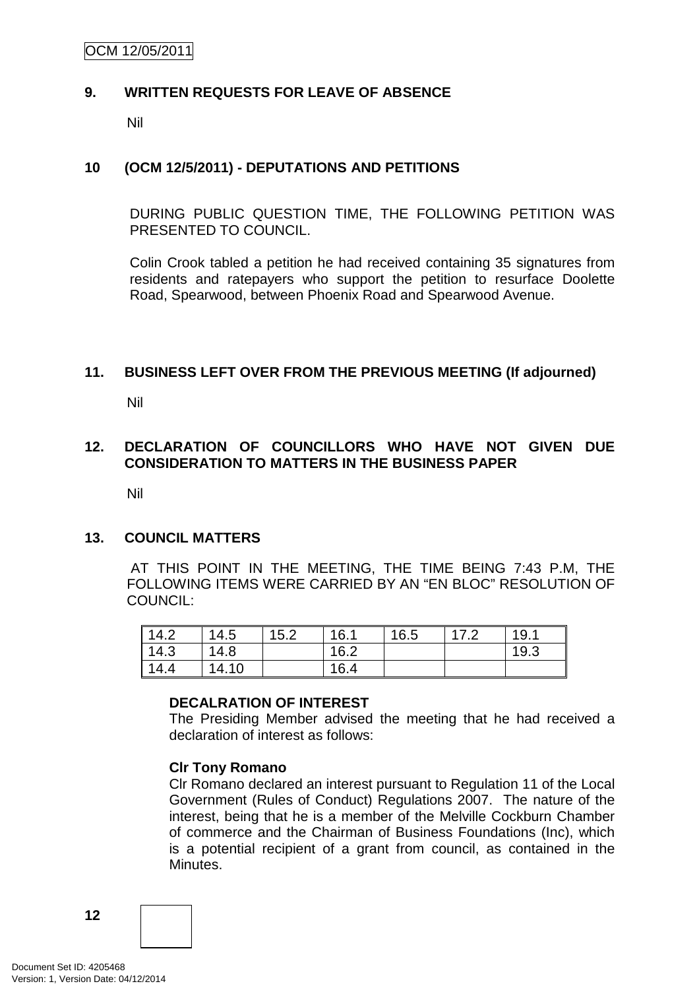OCM 12/05/2011

#### **9. WRITTEN REQUESTS FOR LEAVE OF ABSENCE**

Nil

#### **10 (OCM 12/5/2011) - DEPUTATIONS AND PETITIONS**

DURING PUBLIC QUESTION TIME, THE FOLLOWING PETITION WAS PRESENTED TO COUNCIL.

Colin Crook tabled a petition he had received containing 35 signatures from residents and ratepayers who support the petition to resurface Doolette Road, Spearwood, between Phoenix Road and Spearwood Avenue.

#### **11. BUSINESS LEFT OVER FROM THE PREVIOUS MEETING (If adjourned)**

Nil

#### **12. DECLARATION OF COUNCILLORS WHO HAVE NOT GIVEN DUE CONSIDERATION TO MATTERS IN THE BUSINESS PAPER**

Nil

#### **13. COUNCIL MATTERS**

 AT THIS POINT IN THE MEETING, THE TIME BEING 7:43 P.M, THE FOLLOWING ITEMS WERE CARRIED BY AN "EN BLOC" RESOLUTION OF COUNCIL:

| $\vert$ 14.2 | 14.5  | 15.2 | 16.1 | 16.5 | 19.1 |
|--------------|-------|------|------|------|------|
| 14.3         | 14.8  |      | 16.2 |      | 19.3 |
| 14.4         | 14.10 |      | 16.4 |      |      |

#### **DECALRATION OF INTEREST**

The Presiding Member advised the meeting that he had received a declaration of interest as follows:

#### **Clr Tony Romano**

Clr Romano declared an interest pursuant to Regulation 11 of the Local Government (Rules of Conduct) Regulations 2007. The nature of the interest, being that he is a member of the Melville Cockburn Chamber of commerce and the Chairman of Business Foundations (Inc), which is a potential recipient of a grant from council, as contained in the Minutes.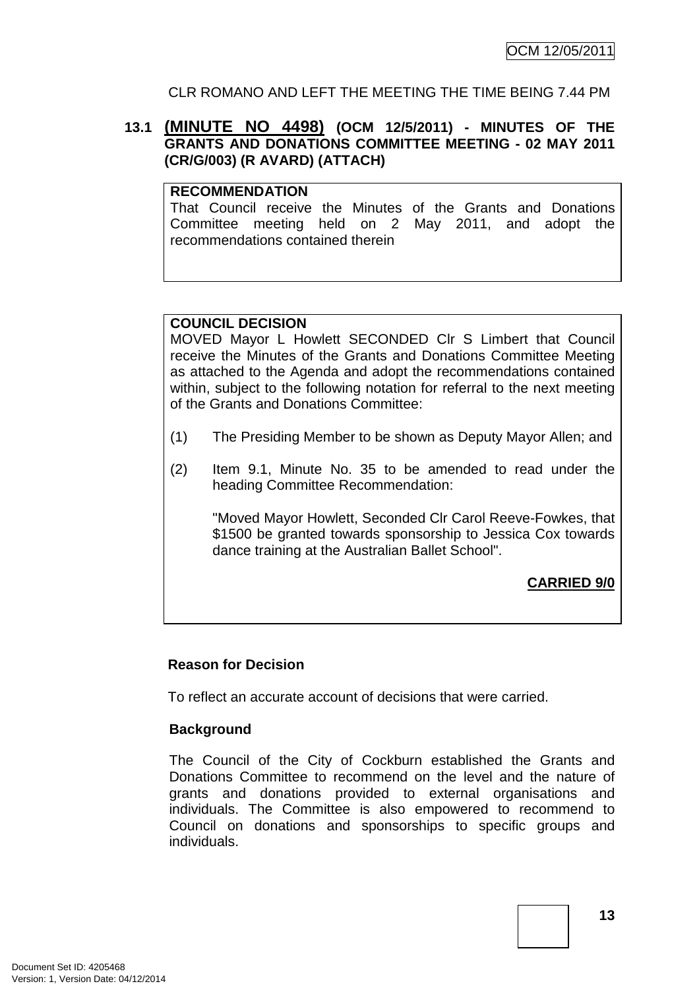#### CLR ROMANO AND LEFT THE MEETING THE TIME BEING 7.44 PM

#### **13.1 (MINUTE NO 4498) (OCM 12/5/2011) - MINUTES OF THE GRANTS AND DONATIONS COMMITTEE MEETING - 02 MAY 2011 (CR/G/003) (R AVARD) (ATTACH)**

#### **RECOMMENDATION**

That Council receive the Minutes of the Grants and Donations Committee meeting held on 2 May 2011, and adopt the recommendations contained therein

#### **COUNCIL DECISION**

MOVED Mayor L Howlett SECONDED Clr S Limbert that Council receive the Minutes of the Grants and Donations Committee Meeting as attached to the Agenda and adopt the recommendations contained within, subject to the following notation for referral to the next meeting of the Grants and Donations Committee:

- (1) The Presiding Member to be shown as Deputy Mayor Allen; and
- (2) Item 9.1, Minute No. 35 to be amended to read under the heading Committee Recommendation:

"Moved Mayor Howlett, Seconded Clr Carol Reeve-Fowkes, that \$1500 be granted towards sponsorship to Jessica Cox towards dance training at the Australian Ballet School".

## **CARRIED 9/0**

#### **Reason for Decision**

To reflect an accurate account of decisions that were carried.

#### **Background**

The Council of the City of Cockburn established the Grants and Donations Committee to recommend on the level and the nature of grants and donations provided to external organisations and individuals. The Committee is also empowered to recommend to Council on donations and sponsorships to specific groups and individuals.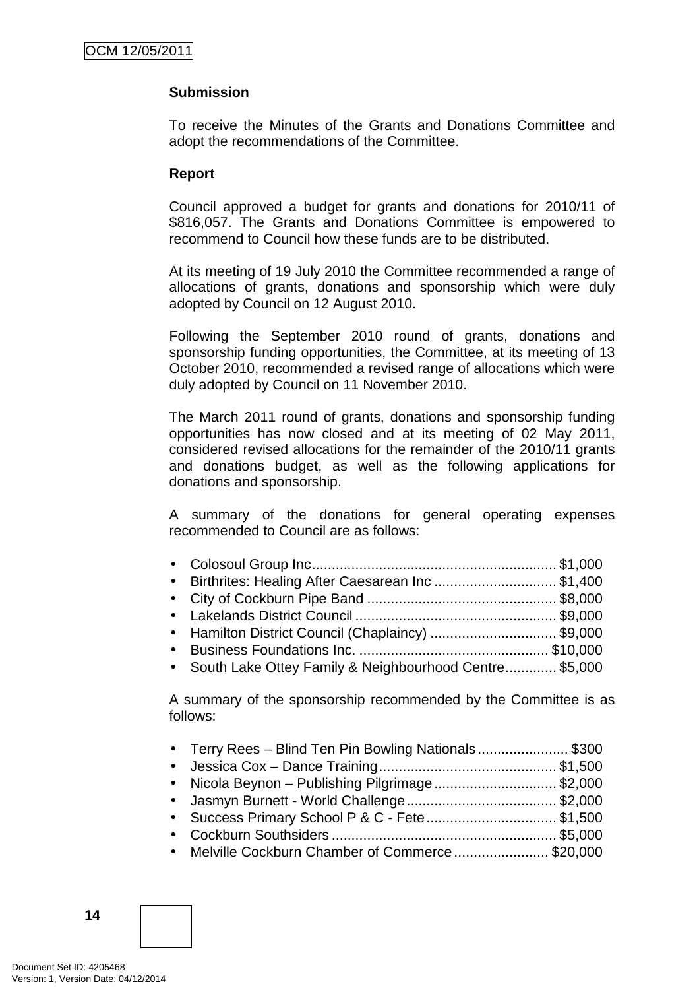#### **Submission**

To receive the Minutes of the Grants and Donations Committee and adopt the recommendations of the Committee.

#### **Report**

Council approved a budget for grants and donations for 2010/11 of \$816,057. The Grants and Donations Committee is empowered to recommend to Council how these funds are to be distributed.

At its meeting of 19 July 2010 the Committee recommended a range of allocations of grants, donations and sponsorship which were duly adopted by Council on 12 August 2010.

Following the September 2010 round of grants, donations and sponsorship funding opportunities, the Committee, at its meeting of 13 October 2010, recommended a revised range of allocations which were duly adopted by Council on 11 November 2010.

The March 2011 round of grants, donations and sponsorship funding opportunities has now closed and at its meeting of 02 May 2011, considered revised allocations for the remainder of the 2010/11 grants and donations budget, as well as the following applications for donations and sponsorship.

A summary of the donations for general operating expenses recommended to Council are as follows:

| • Birthrites: Healing After Caesarean Inc\$1,400         |  |
|----------------------------------------------------------|--|
|                                                          |  |
|                                                          |  |
| • Hamilton District Council (Chaplaincy) \$9,000         |  |
|                                                          |  |
| • South Lake Ottey Family & Neighbourhood Centre \$5,000 |  |
|                                                          |  |

A summary of the sponsorship recommended by the Committee is as follows:

| • Terry Rees - Blind Ten Pin Bowling Nationals\$300 |  |
|-----------------------------------------------------|--|
|                                                     |  |
| • Nicola Beynon – Publishing Pilgrimage\$2,000      |  |
|                                                     |  |
| • Success Primary School P & C - Fete\$1,500        |  |
|                                                     |  |
| • Melville Cockburn Chamber of Commerce\$20,000     |  |
|                                                     |  |

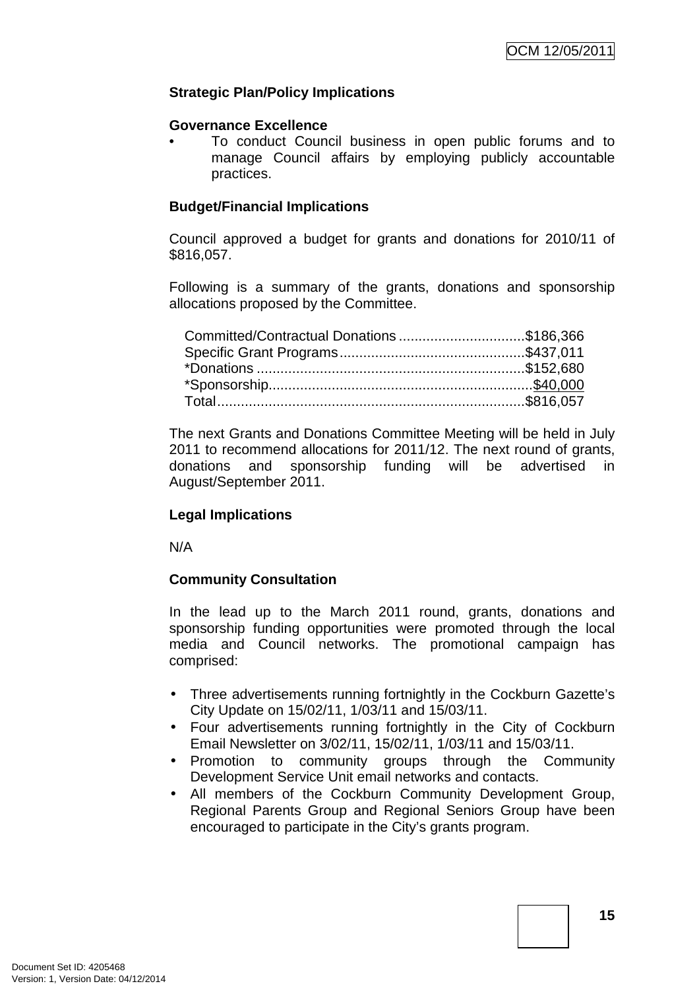#### **Strategic Plan/Policy Implications**

#### **Governance Excellence**

• To conduct Council business in open public forums and to manage Council affairs by employing publicly accountable practices.

#### **Budget/Financial Implications**

Council approved a budget for grants and donations for 2010/11 of \$816,057.

Following is a summary of the grants, donations and sponsorship allocations proposed by the Committee.

| Committed/Contractual Donations\$186,366 |  |
|------------------------------------------|--|
|                                          |  |
|                                          |  |
|                                          |  |
|                                          |  |

The next Grants and Donations Committee Meeting will be held in July 2011 to recommend allocations for 2011/12. The next round of grants, donations and sponsorship funding will be advertised in August/September 2011.

#### **Legal Implications**

N/A

## **Community Consultation**

In the lead up to the March 2011 round, grants, donations and sponsorship funding opportunities were promoted through the local media and Council networks. The promotional campaign has comprised:

- Three advertisements running fortnightly in the Cockburn Gazette's City Update on 15/02/11, 1/03/11 and 15/03/11.
- Four advertisements running fortnightly in the City of Cockburn Email Newsletter on 3/02/11, 15/02/11, 1/03/11 and 15/03/11.
- Promotion to community groups through the Community Development Service Unit email networks and contacts.
- All members of the Cockburn Community Development Group, Regional Parents Group and Regional Seniors Group have been encouraged to participate in the City's grants program.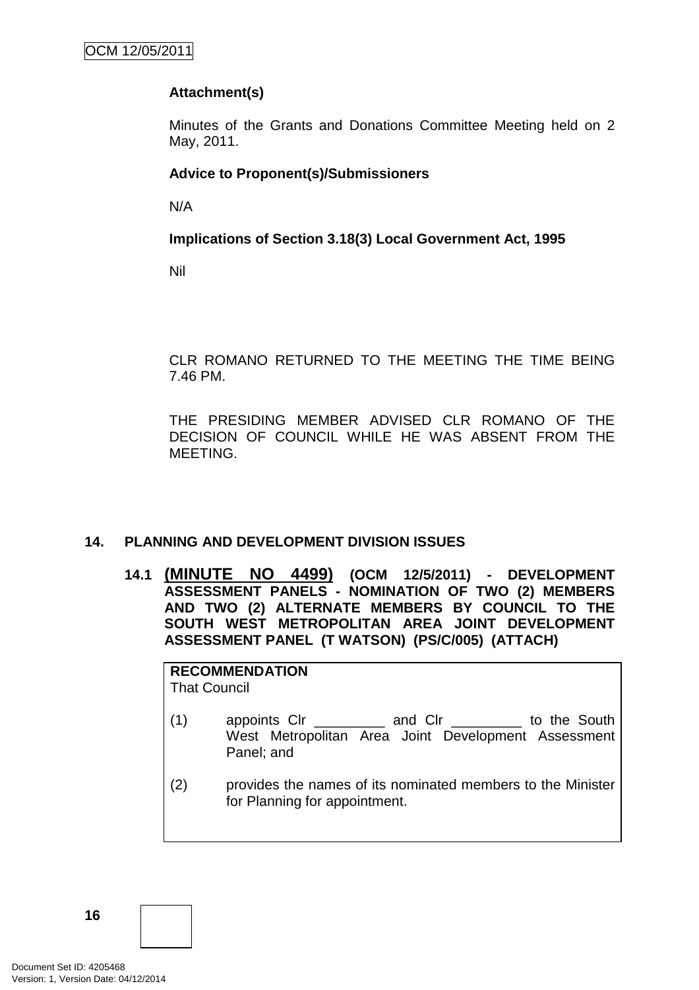## **Attachment(s)**

Minutes of the Grants and Donations Committee Meeting held on 2 May, 2011.

## **Advice to Proponent(s)/Submissioners**

N/A

#### **Implications of Section 3.18(3) Local Government Act, 1995**

Nil

CLR ROMANO RETURNED TO THE MEETING THE TIME BEING 7.46 PM.

THE PRESIDING MEMBER ADVISED CLR ROMANO OF THE DECISION OF COUNCIL WHILE HE WAS ABSENT FROM THE MEETING.

## **14. PLANNING AND DEVELOPMENT DIVISION ISSUES**

**14.1 (MINUTE NO 4499) (OCM 12/5/2011) - DEVELOPMENT ASSESSMENT PANELS - NOMINATION OF TWO (2) MEMBERS AND TWO (2) ALTERNATE MEMBERS BY COUNCIL TO THE SOUTH WEST METROPOLITAN AREA JOINT DEVELOPMENT ASSESSMENT PANEL (T WATSON) (PS/C/005) (ATTACH)** 

**RECOMMENDATION**

That Council

- (1) appoints Clr \_\_\_\_\_\_\_\_\_ and Clr \_\_\_\_\_\_\_\_\_ to the South West Metropolitan Area Joint Development Assessment Panel; and
- (2) provides the names of its nominated members to the Minister for Planning for appointment.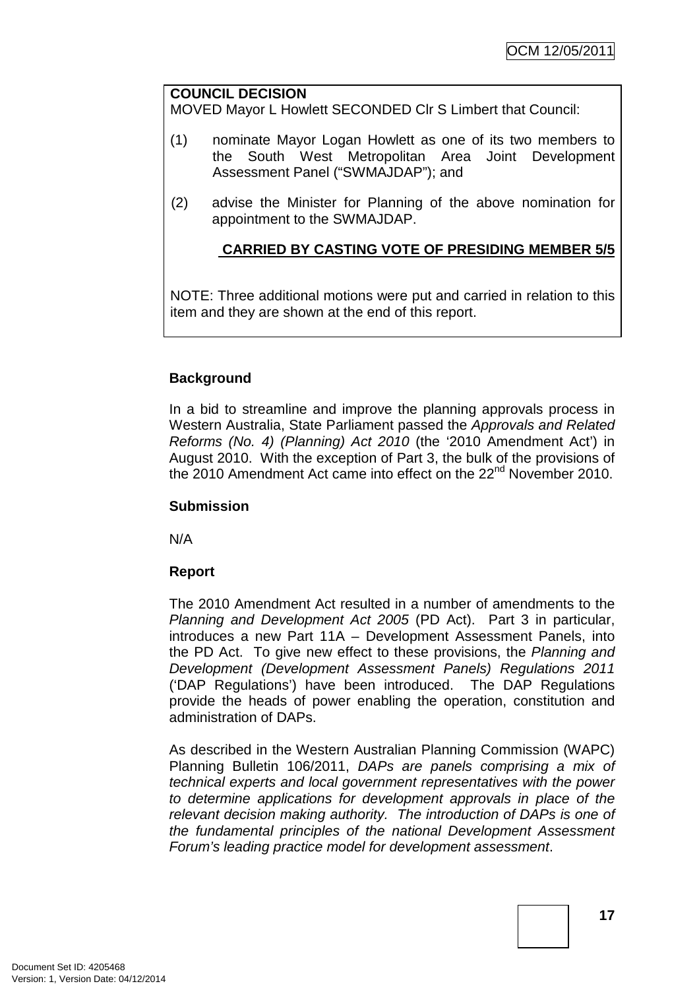#### **COUNCIL DECISION**

MOVED Mayor L Howlett SECONDED Clr S Limbert that Council:

- (1) nominate Mayor Logan Howlett as one of its two members to the South West Metropolitan Area Joint Development Assessment Panel ("SWMAJDAP"); and
- (2) advise the Minister for Planning of the above nomination for appointment to the SWMAJDAP.

## **CARRIED BY CASTING VOTE OF PRESIDING MEMBER 5/5**

NOTE: Three additional motions were put and carried in relation to this item and they are shown at the end of this report.

#### **Background**

In a bid to streamline and improve the planning approvals process in Western Australia, State Parliament passed the Approvals and Related Reforms (No. 4) (Planning) Act 2010 (the '2010 Amendment Act') in August 2010. With the exception of Part 3, the bulk of the provisions of the 2010 Amendment Act came into effect on the 22<sup>nd</sup> November 2010.

#### **Submission**

N/A

## **Report**

The 2010 Amendment Act resulted in a number of amendments to the Planning and Development Act 2005 (PD Act). Part 3 in particular, introduces a new Part 11A – Development Assessment Panels, into the PD Act. To give new effect to these provisions, the Planning and Development (Development Assessment Panels) Regulations 2011 ('DAP Regulations') have been introduced. The DAP Regulations provide the heads of power enabling the operation, constitution and administration of DAPs.

As described in the Western Australian Planning Commission (WAPC) Planning Bulletin 106/2011, DAPs are panels comprising a mix of technical experts and local government representatives with the power to determine applications for development approvals in place of the relevant decision making authority. The introduction of DAPs is one of the fundamental principles of the national Development Assessment Forum's leading practice model for development assessment.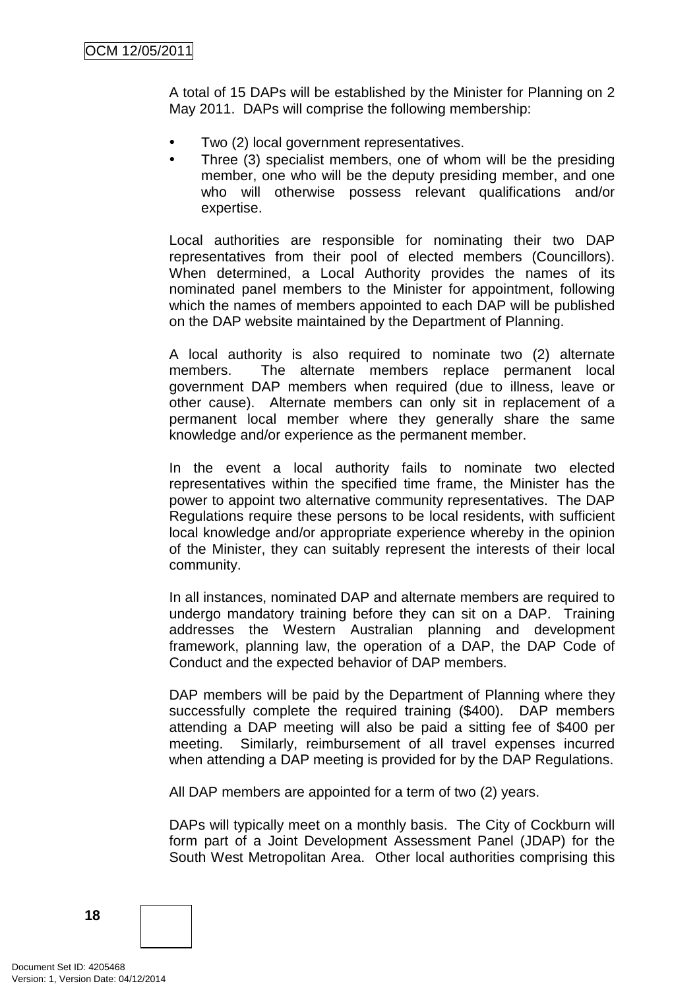A total of 15 DAPs will be established by the Minister for Planning on 2 May 2011. DAPs will comprise the following membership:

- Two (2) local government representatives.
- Three (3) specialist members, one of whom will be the presiding member, one who will be the deputy presiding member, and one who will otherwise possess relevant qualifications and/or expertise.

Local authorities are responsible for nominating their two DAP representatives from their pool of elected members (Councillors). When determined, a Local Authority provides the names of its nominated panel members to the Minister for appointment, following which the names of members appointed to each DAP will be published on the DAP website maintained by the Department of Planning.

A local authority is also required to nominate two (2) alternate members. The alternate members replace permanent local government DAP members when required (due to illness, leave or other cause). Alternate members can only sit in replacement of a permanent local member where they generally share the same knowledge and/or experience as the permanent member.

In the event a local authority fails to nominate two elected representatives within the specified time frame, the Minister has the power to appoint two alternative community representatives. The DAP Regulations require these persons to be local residents, with sufficient local knowledge and/or appropriate experience whereby in the opinion of the Minister, they can suitably represent the interests of their local community.

In all instances, nominated DAP and alternate members are required to undergo mandatory training before they can sit on a DAP. Training addresses the Western Australian planning and development framework, planning law, the operation of a DAP, the DAP Code of Conduct and the expected behavior of DAP members.

DAP members will be paid by the Department of Planning where they successfully complete the required training (\$400). DAP members attending a DAP meeting will also be paid a sitting fee of \$400 per meeting. Similarly, reimbursement of all travel expenses incurred when attending a DAP meeting is provided for by the DAP Regulations.

All DAP members are appointed for a term of two (2) years.

DAPs will typically meet on a monthly basis. The City of Cockburn will form part of a Joint Development Assessment Panel (JDAP) for the South West Metropolitan Area. Other local authorities comprising this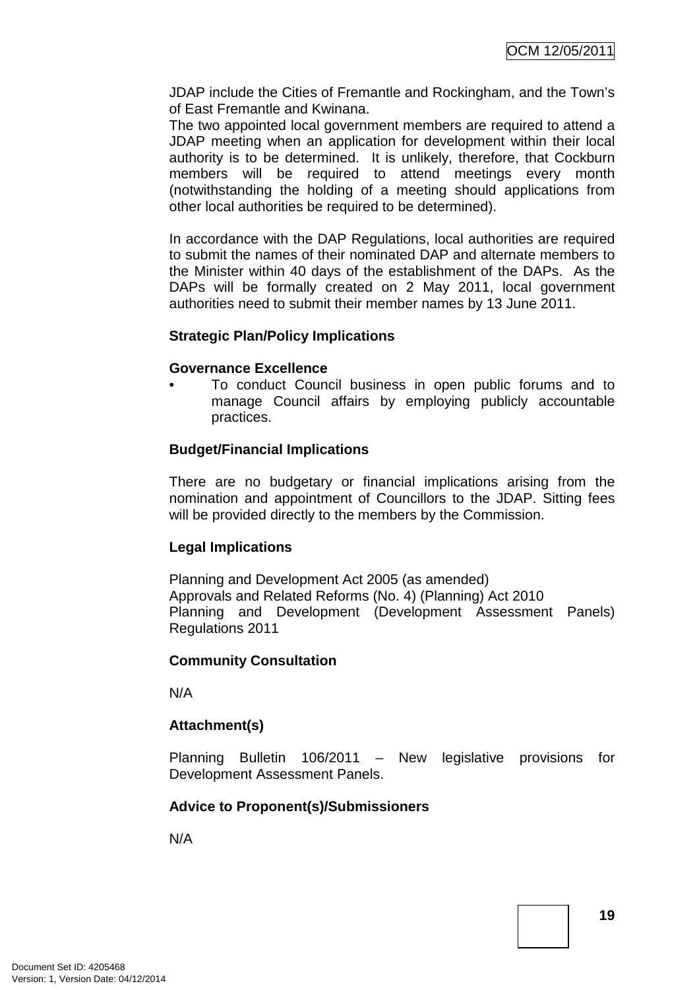JDAP include the Cities of Fremantle and Rockingham, and the Town's of East Fremantle and Kwinana.

The two appointed local government members are required to attend a JDAP meeting when an application for development within their local authority is to be determined. It is unlikely, therefore, that Cockburn members will be required to attend meetings every month (notwithstanding the holding of a meeting should applications from other local authorities be required to be determined).

In accordance with the DAP Regulations, local authorities are required to submit the names of their nominated DAP and alternate members to the Minister within 40 days of the establishment of the DAPs. As the DAPs will be formally created on 2 May 2011, local government authorities need to submit their member names by 13 June 2011.

#### **Strategic Plan/Policy Implications**

#### **Governance Excellence**

• To conduct Council business in open public forums and to manage Council affairs by employing publicly accountable practices.

#### **Budget/Financial Implications**

There are no budgetary or financial implications arising from the nomination and appointment of Councillors to the JDAP. Sitting fees will be provided directly to the members by the Commission.

#### **Legal Implications**

Planning and Development Act 2005 (as amended) Approvals and Related Reforms (No. 4) (Planning) Act 2010 Planning and Development (Development Assessment Panels) Regulations 2011

#### **Community Consultation**

N/A

## **Attachment(s)**

Planning Bulletin 106/2011 – New legislative provisions for Development Assessment Panels.

## **Advice to Proponent(s)/Submissioners**

N/A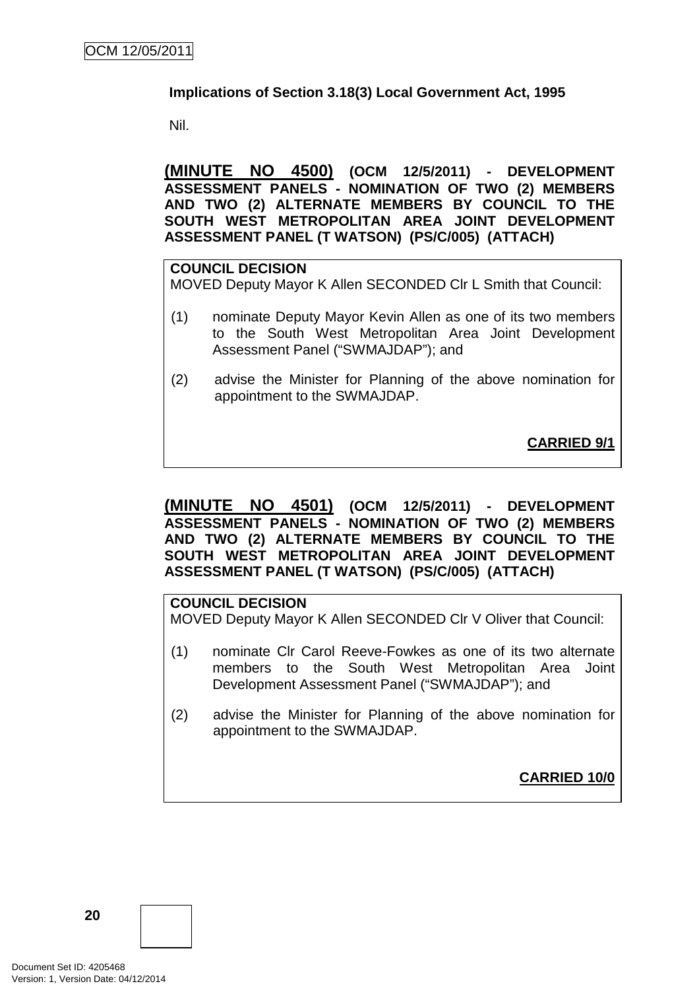#### **Implications of Section 3.18(3) Local Government Act, 1995**

Nil.

**(MINUTE NO 4500) (OCM 12/5/2011) - DEVELOPMENT ASSESSMENT PANELS - NOMINATION OF TWO (2) MEMBERS AND TWO (2) ALTERNATE MEMBERS BY COUNCIL TO THE SOUTH WEST METROPOLITAN AREA JOINT DEVELOPMENT ASSESSMENT PANEL (T WATSON) (PS/C/005) (ATTACH)** 

## **COUNCIL DECISION** MOVED Deputy Mayor K Allen SECONDED Clr L Smith that Council:

- (1) nominate Deputy Mayor Kevin Allen as one of its two members to the South West Metropolitan Area Joint Development Assessment Panel ("SWMAJDAP"); and
- (2) advise the Minister for Planning of the above nomination for appointment to the SWMAJDAP.

**CARRIED 9/1**

#### **(MINUTE NO 4501) (OCM 12/5/2011) - DEVELOPMENT ASSESSMENT PANELS - NOMINATION OF TWO (2) MEMBERS AND TWO (2) ALTERNATE MEMBERS BY COUNCIL TO THE SOUTH WEST METROPOLITAN AREA JOINT DEVELOPMENT ASSESSMENT PANEL (T WATSON) (PS/C/005) (ATTACH)**

#### **COUNCIL DECISION**

MOVED Deputy Mayor K Allen SECONDED Clr V Oliver that Council:

- (1) nominate Clr Carol Reeve-Fowkes as one of its two alternate members to the South West Metropolitan Area Joint Development Assessment Panel ("SWMAJDAP"); and
- (2) advise the Minister for Planning of the above nomination for appointment to the SWMAJDAP.

**CARRIED 10/0**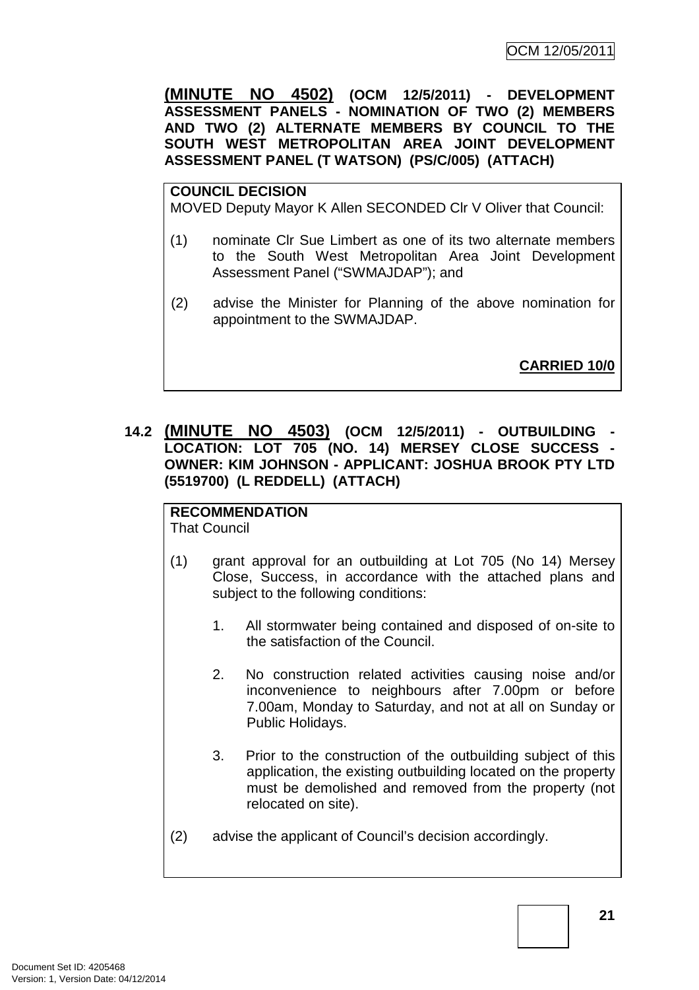**(MINUTE NO 4502) (OCM 12/5/2011) - DEVELOPMENT ASSESSMENT PANELS - NOMINATION OF TWO (2) MEMBERS AND TWO (2) ALTERNATE MEMBERS BY COUNCIL TO THE SOUTH WEST METROPOLITAN AREA JOINT DEVELOPMENT ASSESSMENT PANEL (T WATSON) (PS/C/005) (ATTACH)** 

#### **COUNCIL DECISION**

MOVED Deputy Mayor K Allen SECONDED Clr V Oliver that Council:

- (1) nominate Clr Sue Limbert as one of its two alternate members to the South West Metropolitan Area Joint Development Assessment Panel ("SWMAJDAP"); and
- (2) advise the Minister for Planning of the above nomination for appointment to the SWMAJDAP.

**CARRIED 10/0**

**14.2 (MINUTE NO 4503) (OCM 12/5/2011) - OUTBUILDING - LOCATION: LOT 705 (NO. 14) MERSEY CLOSE SUCCESS - OWNER: KIM JOHNSON - APPLICANT: JOSHUA BROOK PTY LTD (5519700) (L REDDELL) (ATTACH)** 

## **RECOMMENDATION**

That Council

- (1) grant approval for an outbuilding at Lot 705 (No 14) Mersey Close, Success, in accordance with the attached plans and subject to the following conditions:
	- 1. All stormwater being contained and disposed of on-site to the satisfaction of the Council.
	- 2. No construction related activities causing noise and/or inconvenience to neighbours after 7.00pm or before 7.00am, Monday to Saturday, and not at all on Sunday or Public Holidays.
	- 3. Prior to the construction of the outbuilding subject of this application, the existing outbuilding located on the property must be demolished and removed from the property (not relocated on site).
- (2) advise the applicant of Council's decision accordingly.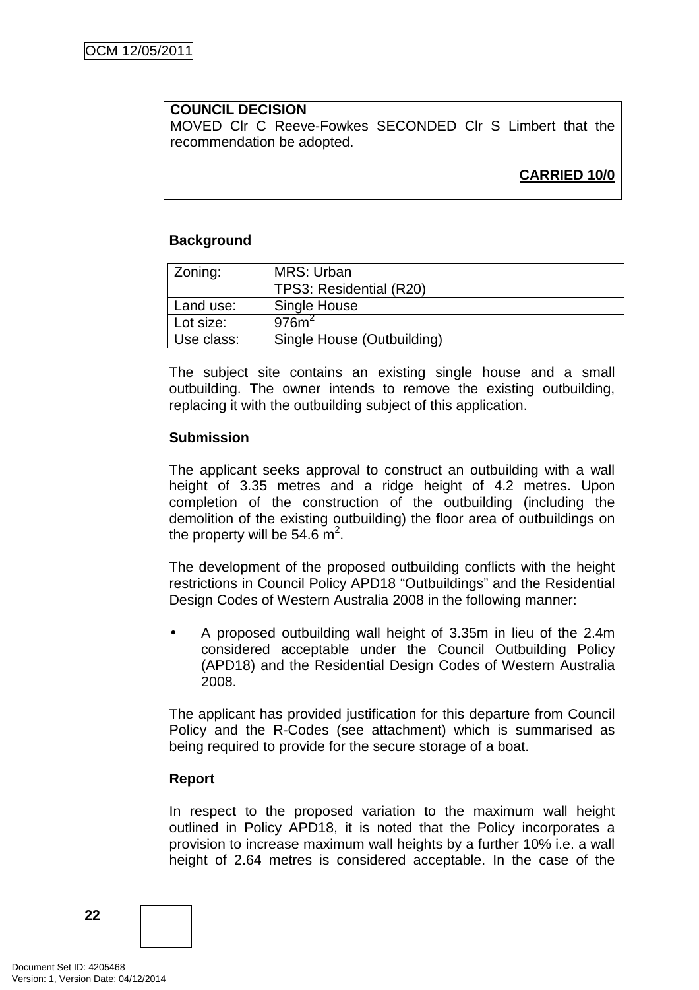#### **COUNCIL DECISION**

MOVED Clr C Reeve-Fowkes SECONDED Clr S Limbert that the recommendation be adopted.

## **CARRIED 10/0**

#### **Background**

| Zoning:    | MRS: Urban                 |
|------------|----------------------------|
|            | TPS3: Residential (R20)    |
| Land use:  | Single House               |
| Lot size:  | 976m <sup>2</sup>          |
| Use class: | Single House (Outbuilding) |

The subject site contains an existing single house and a small outbuilding. The owner intends to remove the existing outbuilding, replacing it with the outbuilding subject of this application.

#### **Submission**

The applicant seeks approval to construct an outbuilding with a wall height of 3.35 metres and a ridge height of 4.2 metres. Upon completion of the construction of the outbuilding (including the demolition of the existing outbuilding) the floor area of outbuildings on the property will be 54.6  $\mathrm{m}^2$ .

The development of the proposed outbuilding conflicts with the height restrictions in Council Policy APD18 "Outbuildings" and the Residential Design Codes of Western Australia 2008 in the following manner:

• A proposed outbuilding wall height of 3.35m in lieu of the 2.4m considered acceptable under the Council Outbuilding Policy (APD18) and the Residential Design Codes of Western Australia 2008.

The applicant has provided justification for this departure from Council Policy and the R-Codes (see attachment) which is summarised as being required to provide for the secure storage of a boat.

#### **Report**

In respect to the proposed variation to the maximum wall height outlined in Policy APD18, it is noted that the Policy incorporates a provision to increase maximum wall heights by a further 10% i.e. a wall height of 2.64 metres is considered acceptable. In the case of the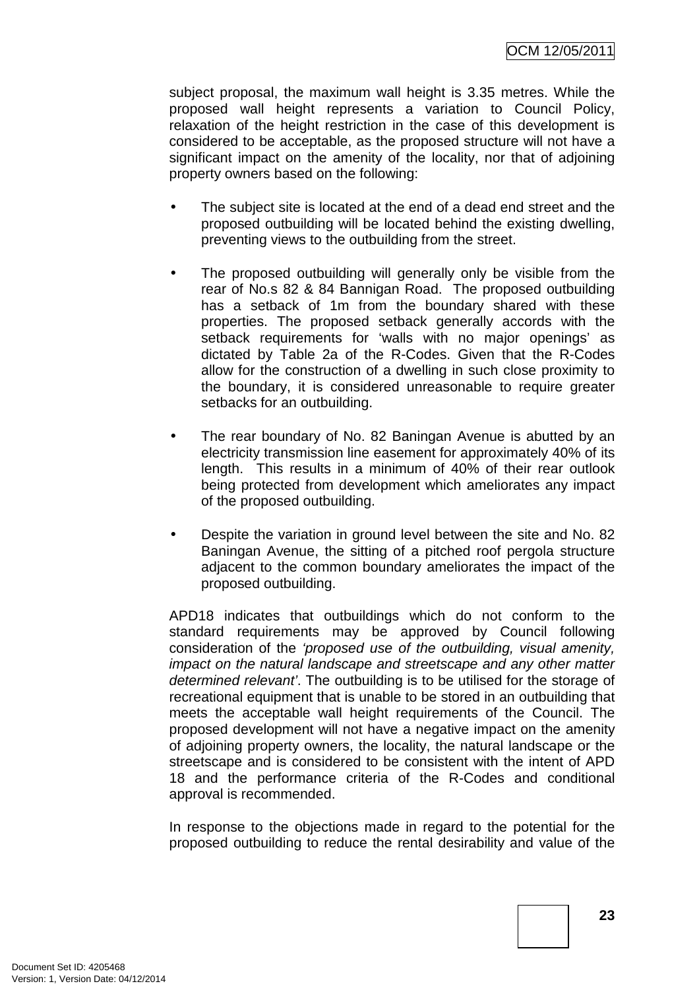subject proposal, the maximum wall height is 3.35 metres. While the proposed wall height represents a variation to Council Policy, relaxation of the height restriction in the case of this development is considered to be acceptable, as the proposed structure will not have a significant impact on the amenity of the locality, nor that of adjoining property owners based on the following:

- The subject site is located at the end of a dead end street and the proposed outbuilding will be located behind the existing dwelling, preventing views to the outbuilding from the street.
- The proposed outbuilding will generally only be visible from the rear of No.s 82 & 84 Bannigan Road. The proposed outbuilding has a setback of 1m from the boundary shared with these properties. The proposed setback generally accords with the setback requirements for 'walls with no major openings' as dictated by Table 2a of the R-Codes. Given that the R-Codes allow for the construction of a dwelling in such close proximity to the boundary, it is considered unreasonable to require greater setbacks for an outbuilding.
- The rear boundary of No. 82 Baningan Avenue is abutted by an electricity transmission line easement for approximately 40% of its length. This results in a minimum of 40% of their rear outlook being protected from development which ameliorates any impact of the proposed outbuilding.
- Despite the variation in ground level between the site and No. 82 Baningan Avenue, the sitting of a pitched roof pergola structure adjacent to the common boundary ameliorates the impact of the proposed outbuilding.

APD18 indicates that outbuildings which do not conform to the standard requirements may be approved by Council following consideration of the 'proposed use of the outbuilding, visual amenity, impact on the natural landscape and streetscape and any other matter determined relevant'. The outbuilding is to be utilised for the storage of recreational equipment that is unable to be stored in an outbuilding that meets the acceptable wall height requirements of the Council. The proposed development will not have a negative impact on the amenity of adjoining property owners, the locality, the natural landscape or the streetscape and is considered to be consistent with the intent of APD 18 and the performance criteria of the R-Codes and conditional approval is recommended.

In response to the objections made in regard to the potential for the proposed outbuilding to reduce the rental desirability and value of the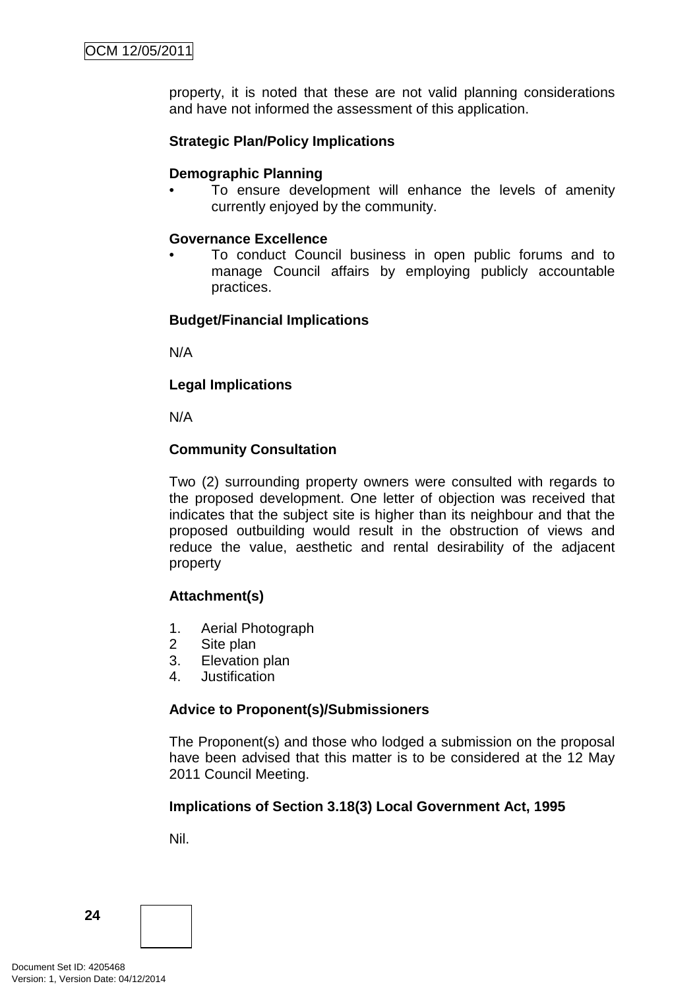property, it is noted that these are not valid planning considerations and have not informed the assessment of this application.

#### **Strategic Plan/Policy Implications**

#### **Demographic Planning**

To ensure development will enhance the levels of amenity currently enjoyed by the community.

#### **Governance Excellence**

• To conduct Council business in open public forums and to manage Council affairs by employing publicly accountable practices.

#### **Budget/Financial Implications**

N/A

#### **Legal Implications**

N/A

#### **Community Consultation**

Two (2) surrounding property owners were consulted with regards to the proposed development. One letter of objection was received that indicates that the subject site is higher than its neighbour and that the proposed outbuilding would result in the obstruction of views and reduce the value, aesthetic and rental desirability of the adjacent property

## **Attachment(s)**

- 1. Aerial Photograph
- 2 Site plan
- 3. Elevation plan
- 4. Justification

#### **Advice to Proponent(s)/Submissioners**

The Proponent(s) and those who lodged a submission on the proposal have been advised that this matter is to be considered at the 12 May 2011 Council Meeting.

#### **Implications of Section 3.18(3) Local Government Act, 1995**

Nil.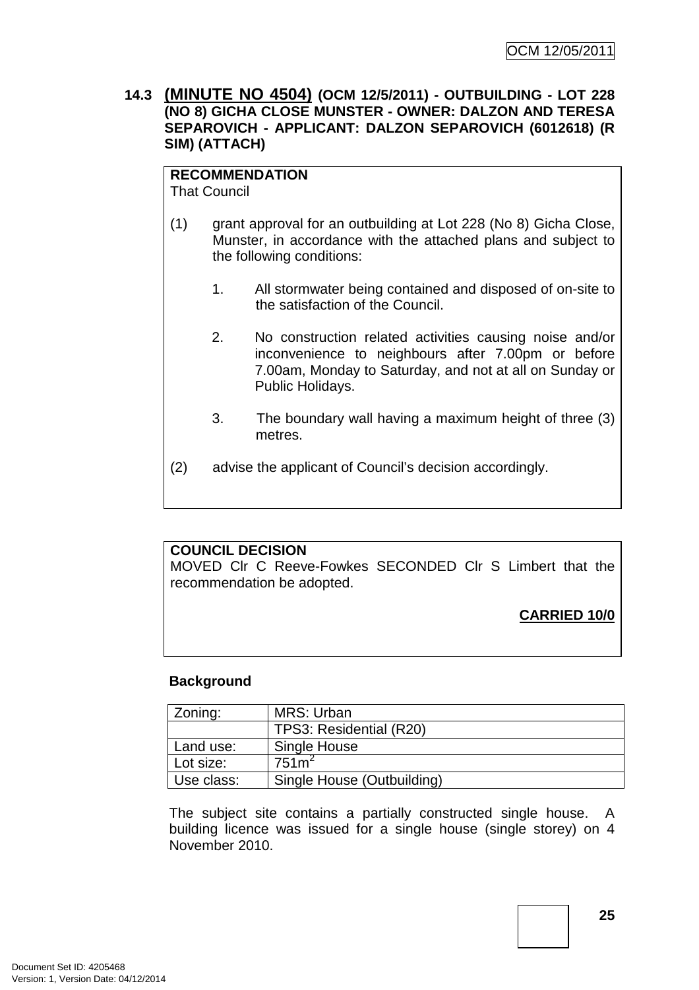#### **14.3 (MINUTE NO 4504) (OCM 12/5/2011) - OUTBUILDING - LOT 228 (NO 8) GICHA CLOSE MUNSTER - OWNER: DALZON AND TERESA SEPAROVICH - APPLICANT: DALZON SEPAROVICH (6012618) (R SIM) (ATTACH)**

#### **RECOMMENDATION**

That Council

- (1) grant approval for an outbuilding at Lot 228 (No 8) Gicha Close, Munster, in accordance with the attached plans and subject to the following conditions:
	- 1. All stormwater being contained and disposed of on-site to the satisfaction of the Council.
	- 2. No construction related activities causing noise and/or inconvenience to neighbours after 7.00pm or before 7.00am, Monday to Saturday, and not at all on Sunday or Public Holidays.
	- 3. The boundary wall having a maximum height of three (3) metres.
- (2) advise the applicant of Council's decision accordingly.

#### **COUNCIL DECISION**

MOVED Clr C Reeve-Fowkes SECONDED Clr S Limbert that the recommendation be adopted.

## **CARRIED 10/0**

#### **Background**

| Zoning:    | MRS: Urban                 |  |
|------------|----------------------------|--|
|            | TPS3: Residential (R20)    |  |
| Land use:  | Single House               |  |
| Lot size:  | 751 <sup>2</sup>           |  |
| Use class: | Single House (Outbuilding) |  |

The subject site contains a partially constructed single house. A building licence was issued for a single house (single storey) on 4 November 2010.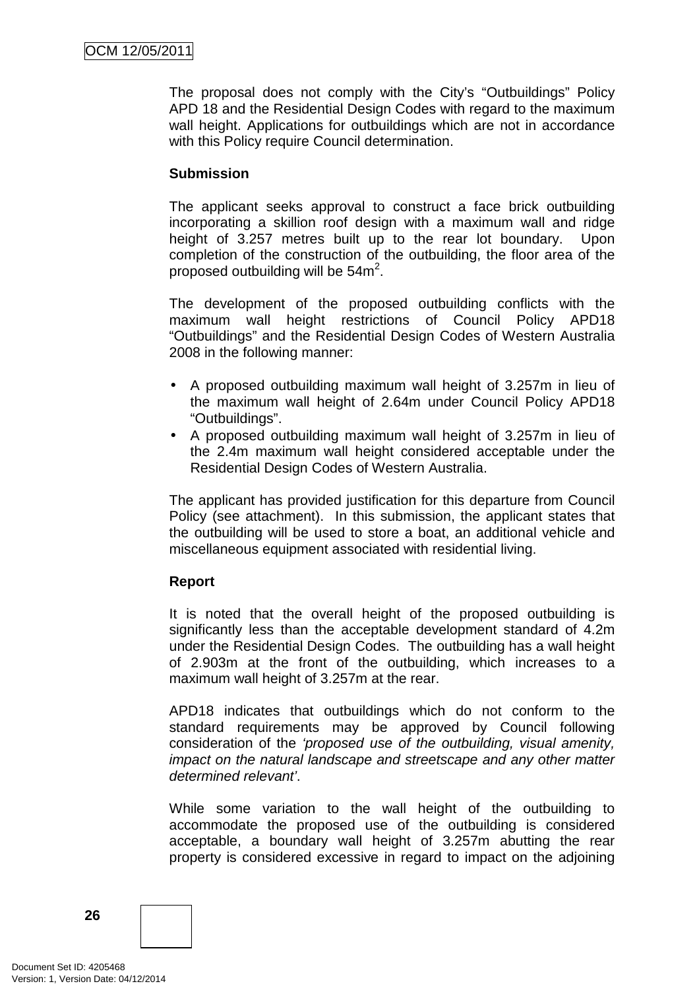The proposal does not comply with the City's "Outbuildings" Policy APD 18 and the Residential Design Codes with regard to the maximum wall height. Applications for outbuildings which are not in accordance with this Policy require Council determination.

#### **Submission**

The applicant seeks approval to construct a face brick outbuilding incorporating a skillion roof design with a maximum wall and ridge height of 3.257 metres built up to the rear lot boundary. Upon completion of the construction of the outbuilding, the floor area of the proposed outbuilding will be  $54m^2$ .

The development of the proposed outbuilding conflicts with the maximum wall height restrictions of Council Policy APD18 "Outbuildings" and the Residential Design Codes of Western Australia 2008 in the following manner:

- A proposed outbuilding maximum wall height of 3.257m in lieu of the maximum wall height of 2.64m under Council Policy APD18 "Outbuildings".
- A proposed outbuilding maximum wall height of 3.257m in lieu of the 2.4m maximum wall height considered acceptable under the Residential Design Codes of Western Australia.

The applicant has provided justification for this departure from Council Policy (see attachment). In this submission, the applicant states that the outbuilding will be used to store a boat, an additional vehicle and miscellaneous equipment associated with residential living.

## **Report**

It is noted that the overall height of the proposed outbuilding is significantly less than the acceptable development standard of 4.2m under the Residential Design Codes. The outbuilding has a wall height of 2.903m at the front of the outbuilding, which increases to a maximum wall height of 3.257m at the rear.

APD18 indicates that outbuildings which do not conform to the standard requirements may be approved by Council following consideration of the 'proposed use of the outbuilding, visual amenity, impact on the natural landscape and streetscape and any other matter determined relevant'.

While some variation to the wall height of the outbuilding to accommodate the proposed use of the outbuilding is considered acceptable, a boundary wall height of 3.257m abutting the rear property is considered excessive in regard to impact on the adjoining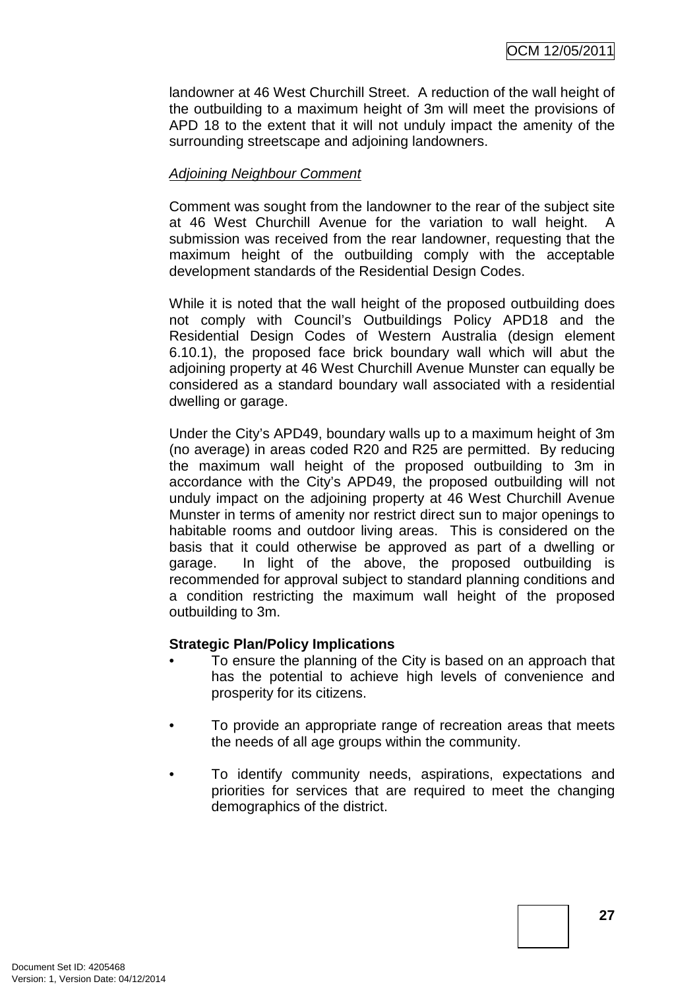landowner at 46 West Churchill Street. A reduction of the wall height of the outbuilding to a maximum height of 3m will meet the provisions of APD 18 to the extent that it will not unduly impact the amenity of the surrounding streetscape and adjoining landowners.

#### Adjoining Neighbour Comment

Comment was sought from the landowner to the rear of the subject site at 46 West Churchill Avenue for the variation to wall height. A submission was received from the rear landowner, requesting that the maximum height of the outbuilding comply with the acceptable development standards of the Residential Design Codes.

While it is noted that the wall height of the proposed outbuilding does not comply with Council's Outbuildings Policy APD18 and the Residential Design Codes of Western Australia (design element 6.10.1), the proposed face brick boundary wall which will abut the adjoining property at 46 West Churchill Avenue Munster can equally be considered as a standard boundary wall associated with a residential dwelling or garage.

Under the City's APD49, boundary walls up to a maximum height of 3m (no average) in areas coded R20 and R25 are permitted. By reducing the maximum wall height of the proposed outbuilding to 3m in accordance with the City's APD49, the proposed outbuilding will not unduly impact on the adjoining property at 46 West Churchill Avenue Munster in terms of amenity nor restrict direct sun to major openings to habitable rooms and outdoor living areas. This is considered on the basis that it could otherwise be approved as part of a dwelling or garage. In light of the above, the proposed outbuilding is recommended for approval subject to standard planning conditions and a condition restricting the maximum wall height of the proposed outbuilding to 3m.

#### **Strategic Plan/Policy Implications**

- To ensure the planning of the City is based on an approach that has the potential to achieve high levels of convenience and prosperity for its citizens.
- To provide an appropriate range of recreation areas that meets the needs of all age groups within the community.
- To identify community needs, aspirations, expectations and priorities for services that are required to meet the changing demographics of the district.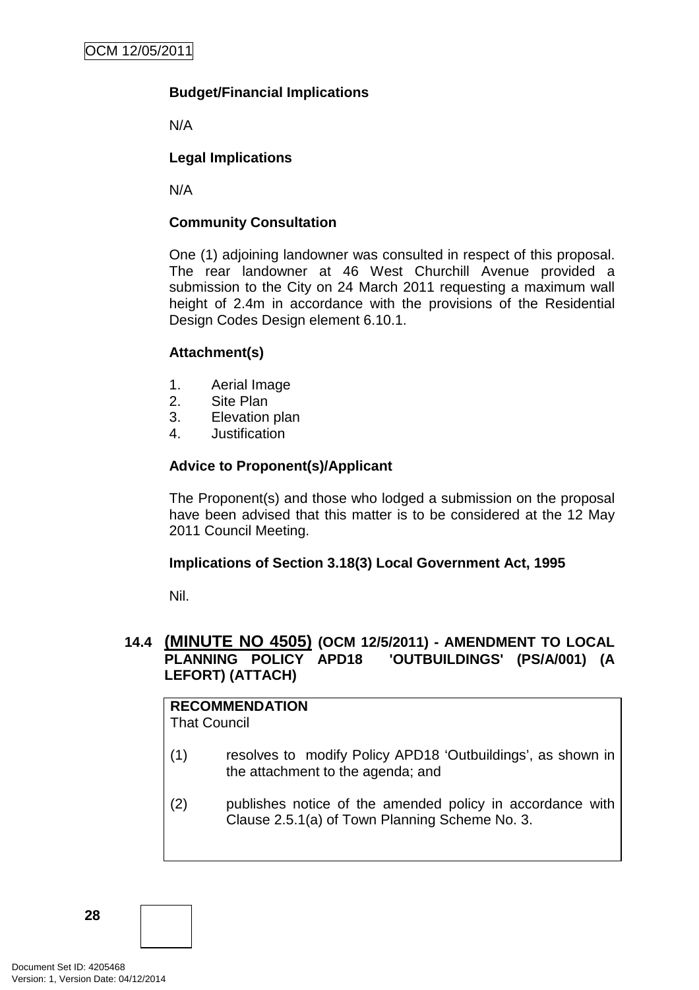## **Budget/Financial Implications**

N/A

## **Legal Implications**

N/A

#### **Community Consultation**

One (1) adjoining landowner was consulted in respect of this proposal. The rear landowner at 46 West Churchill Avenue provided a submission to the City on 24 March 2011 requesting a maximum wall height of 2.4m in accordance with the provisions of the Residential Design Codes Design element 6.10.1.

#### **Attachment(s)**

- 1. Aerial Image
- 2. Site Plan
- 3. Elevation plan
- 4. Justification

#### **Advice to Proponent(s)/Applicant**

The Proponent(s) and those who lodged a submission on the proposal have been advised that this matter is to be considered at the 12 May 2011 Council Meeting.

#### **Implications of Section 3.18(3) Local Government Act, 1995**

Nil.

## **14.4 (MINUTE NO 4505) (OCM 12/5/2011) - AMENDMENT TO LOCAL PLANNING POLICY APD18 'OUTBUILDINGS' (PS/A/001) (A LEFORT) (ATTACH)**

# **RECOMMENDATION**

That Council

- (1) resolves to modify Policy APD18 'Outbuildings', as shown in the attachment to the agenda; and
- (2) publishes notice of the amended policy in accordance with Clause 2.5.1(a) of Town Planning Scheme No. 3.

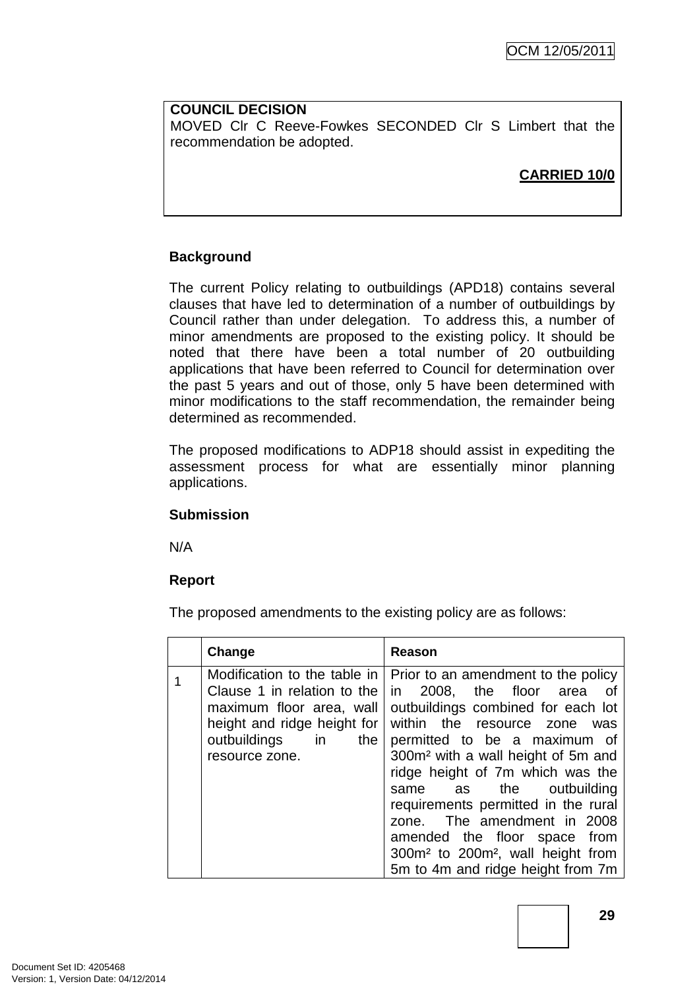**COUNCIL DECISION** MOVED Clr C Reeve-Fowkes SECONDED Clr S Limbert that the recommendation be adopted.

**CARRIED 10/0**

## **Background**

The current Policy relating to outbuildings (APD18) contains several clauses that have led to determination of a number of outbuildings by Council rather than under delegation. To address this, a number of minor amendments are proposed to the existing policy. It should be noted that there have been a total number of 20 outbuilding applications that have been referred to Council for determination over the past 5 years and out of those, only 5 have been determined with minor modifications to the staff recommendation, the remainder being determined as recommended.

The proposed modifications to ADP18 should assist in expediting the assessment process for what are essentially minor planning applications.

## **Submission**

N/A

## **Report**

The proposed amendments to the existing policy are as follows:

| Change                                                                                           | Reason                                                                                                                                                                                                                                                                                                                                                                                                                                                                                                                                                            |
|--------------------------------------------------------------------------------------------------|-------------------------------------------------------------------------------------------------------------------------------------------------------------------------------------------------------------------------------------------------------------------------------------------------------------------------------------------------------------------------------------------------------------------------------------------------------------------------------------------------------------------------------------------------------------------|
| Clause 1 in relation to the<br>maximum floor area, wall<br>outbuildings in the<br>resource zone. | Modification to the table in   Prior to an amendment to the policy<br>in 2008, the floor area<br>_of<br>outbuildings combined for each lot<br>height and ridge height for   within the resource zone was<br>permitted to be a maximum of<br>300m <sup>2</sup> with a wall height of 5m and<br>ridge height of 7m which was the<br>same as the outbuilding<br>requirements permitted in the rural<br>zone. The amendment in 2008<br>amended the floor space from<br>300m <sup>2</sup> to 200m <sup>2</sup> , wall height from<br>5m to 4m and ridge height from 7m |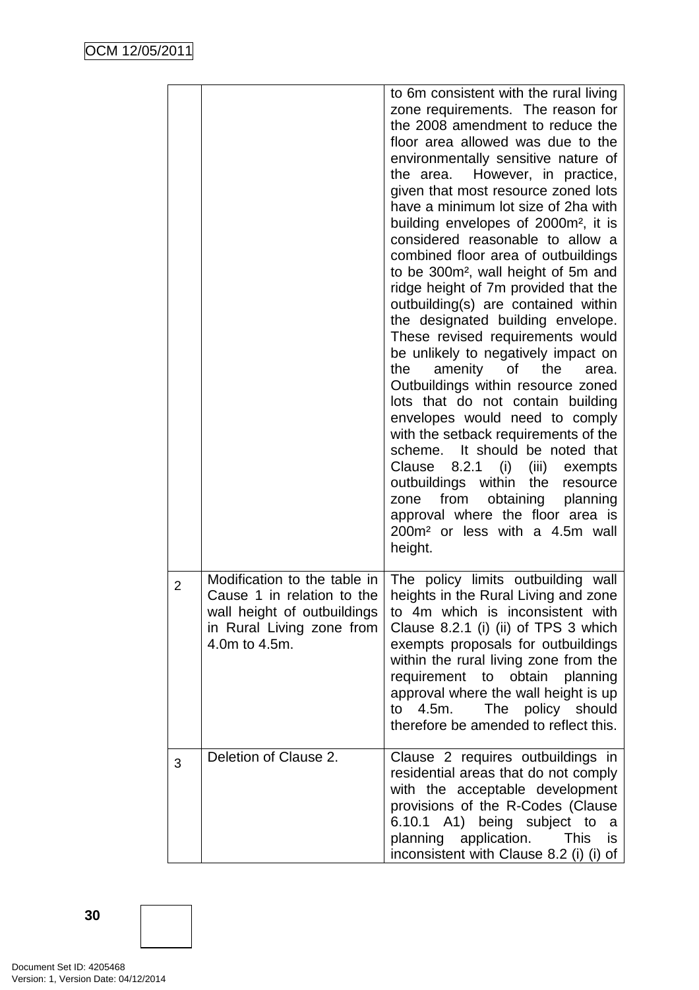|                |                                                                                                                                         | to 6m consistent with the rural living<br>zone requirements. The reason for<br>the 2008 amendment to reduce the<br>floor area allowed was due to the<br>environmentally sensitive nature of<br>the area. However, in practice,<br>given that most resource zoned lots<br>have a minimum lot size of 2ha with<br>building envelopes of 2000m <sup>2</sup> , it is<br>considered reasonable to allow a<br>combined floor area of outbuildings<br>to be 300m <sup>2</sup> , wall height of 5m and<br>ridge height of 7m provided that the<br>outbuilding(s) are contained within<br>the designated building envelope.<br>These revised requirements would<br>be unlikely to negatively impact on<br>amenity of the<br>the<br>area.<br>Outbuildings within resource zoned<br>lots that do not contain building<br>envelopes would need to comply<br>with the setback requirements of the<br>scheme. It should be noted that<br>Clause 8.2.1 (i)<br>(iii)<br>exempts<br>outbuildings within<br>the<br>resource<br>from<br>obtaining<br>planning<br>zone<br>approval where the floor area is<br>200m <sup>2</sup> or less with a 4.5m wall<br>height. |
|----------------|-----------------------------------------------------------------------------------------------------------------------------------------|-------------------------------------------------------------------------------------------------------------------------------------------------------------------------------------------------------------------------------------------------------------------------------------------------------------------------------------------------------------------------------------------------------------------------------------------------------------------------------------------------------------------------------------------------------------------------------------------------------------------------------------------------------------------------------------------------------------------------------------------------------------------------------------------------------------------------------------------------------------------------------------------------------------------------------------------------------------------------------------------------------------------------------------------------------------------------------------------------------------------------------------------------|
| $\overline{2}$ | Modification to the table in<br>Cause 1 in relation to the<br>wall height of outbuildings<br>in Rural Living zone from<br>4.0m to 4.5m. | The policy limits outbuilding wall<br>heights in the Rural Living and zone<br>to 4m which is inconsistent with<br>Clause 8.2.1 (i) (ii) of TPS 3 which<br>exempts proposals for outbuildings<br>within the rural living zone from the<br>requirement to obtain<br>planning<br>approval where the wall height is up<br>4.5m.<br>The policy should<br>to<br>therefore be amended to reflect this.                                                                                                                                                                                                                                                                                                                                                                                                                                                                                                                                                                                                                                                                                                                                                 |
| 3              | Deletion of Clause 2.                                                                                                                   | Clause 2 requires outbuildings in<br>residential areas that do not comply<br>with the acceptable development<br>provisions of the R-Codes (Clause<br>6.10.1 A1)<br>being subject to<br>a<br>planning<br>application.<br><b>This</b><br>is<br>inconsistent with Clause 8.2 (i) (i) of                                                                                                                                                                                                                                                                                                                                                                                                                                                                                                                                                                                                                                                                                                                                                                                                                                                            |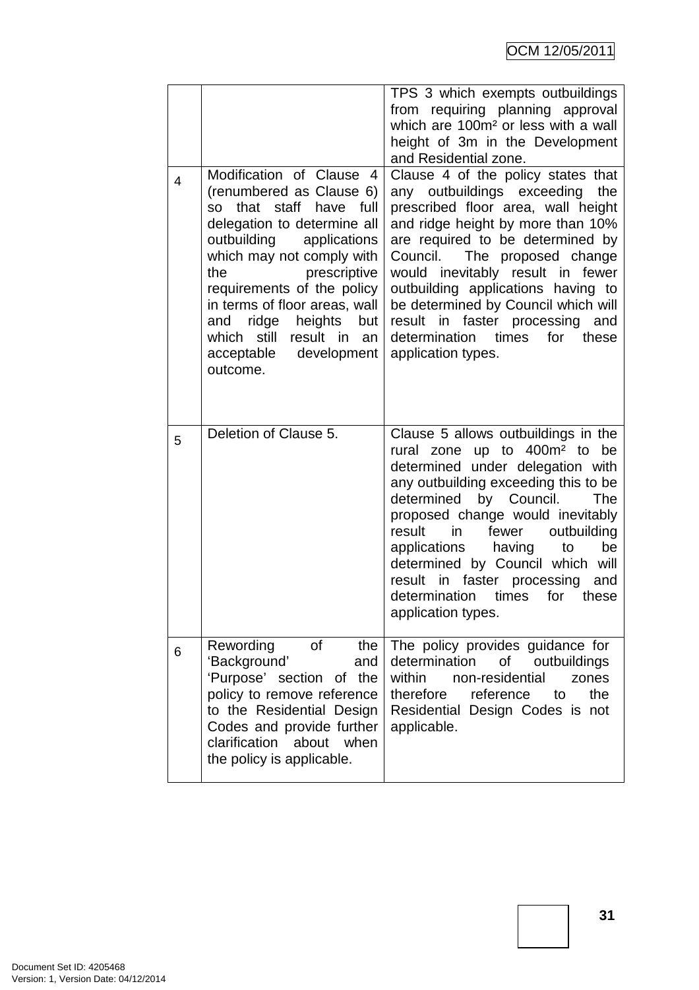| 4 | Modification of Clause 4<br>(renumbered as Clause 6)<br>staff<br>that<br>have<br>full<br>SO.<br>delegation to determine all                                                                                                                                 | TPS 3 which exempts outbuildings<br>from requiring planning approval<br>which are 100m <sup>2</sup> or less with a wall<br>height of 3m in the Development<br>and Residential zone.<br>Clause 4 of the policy states that<br>any outbuildings exceeding<br>the<br>prescribed floor area, wall height<br>and ridge height by more than 10%                                                                                                                      |  |
|---|-------------------------------------------------------------------------------------------------------------------------------------------------------------------------------------------------------------------------------------------------------------|----------------------------------------------------------------------------------------------------------------------------------------------------------------------------------------------------------------------------------------------------------------------------------------------------------------------------------------------------------------------------------------------------------------------------------------------------------------|--|
|   | outbuilding<br>applications<br>which may not comply with<br>prescriptive<br>the<br>requirements of the policy<br>in terms of floor areas, wall<br>ridge<br>heights<br>and<br>but<br>which still<br>result in<br>an<br>acceptable<br>development<br>outcome. | are required to be determined by<br>Council. The proposed change<br>would inevitably result in fewer<br>outbuilding applications having to<br>be determined by Council which will<br>result in<br>faster processing<br>and<br>determination<br>times<br>for<br>these<br>application types.                                                                                                                                                                     |  |
|   |                                                                                                                                                                                                                                                             |                                                                                                                                                                                                                                                                                                                                                                                                                                                                |  |
| 5 | Deletion of Clause 5.                                                                                                                                                                                                                                       | Clause 5 allows outbuildings in the<br>rural zone up to 400m <sup>2</sup> to be<br>determined under delegation with<br>any outbuilding exceeding this to be<br>by Council.<br>determined<br>The<br>proposed change would inevitably<br>in<br>fewer<br>outbuilding<br>result<br>applications<br>having<br>to<br>be<br>determined by Council which will<br>faster processing<br>result in<br>and<br>times<br>determination<br>for<br>these<br>application types. |  |
| 6 | Rewording<br>0f<br>the<br>'Background'<br>and<br>'Purpose' section of the<br>policy to remove reference                                                                                                                                                     | The policy provides guidance for<br>determination<br>οf<br>outbuildings<br>within<br>non-residential<br>zones<br>therefore<br>reference<br>the<br>to                                                                                                                                                                                                                                                                                                           |  |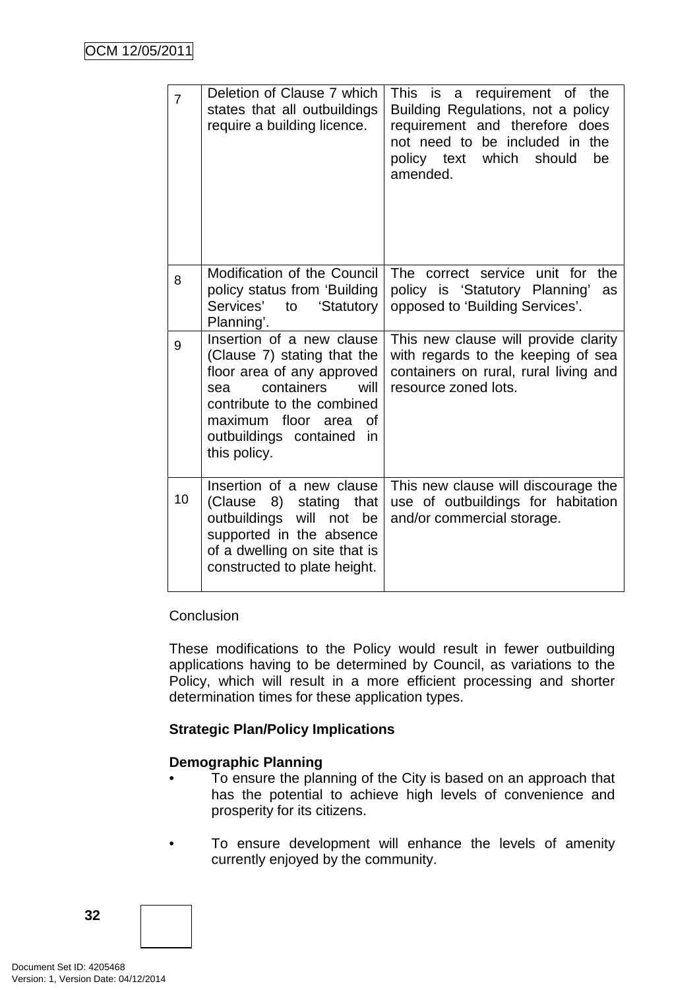| $\overline{7}$ | Deletion of Clause 7 which<br>states that all outbuildings<br>require a building licence.                                                                                                                                        | requirement of<br>This is a<br>the<br>Building Regulations, not a policy<br>requirement and therefore does<br>not need to be included in the<br>which<br>should<br>be<br>policy text<br>amended. |
|----------------|----------------------------------------------------------------------------------------------------------------------------------------------------------------------------------------------------------------------------------|--------------------------------------------------------------------------------------------------------------------------------------------------------------------------------------------------|
| 8              | Modification of the Council<br>policy status from 'Building<br>Services'<br>'Statutory<br>to<br>Planning'.                                                                                                                       | The correct service unit for<br>the<br>policy is 'Statutory Planning'<br>as<br>opposed to 'Building Services'.                                                                                   |
| 9              | Insertion of a new clause<br>(Clause 7) stating that the<br>floor area of any approved<br>containers<br>will<br>sea<br>contribute to the combined<br>maximum floor<br>οf<br>area<br>outbuildings contained<br>in<br>this policy. | This new clause will provide clarity<br>with regards to the keeping of sea<br>containers on rural, rural living and<br>resource zoned lots.                                                      |
| 10             | Insertion of a new clause<br>8)<br>(Clause<br>stating<br>that<br>outbuildings<br>will<br>not<br>be<br>supported in the absence<br>of a dwelling on site that is<br>constructed to plate height.                                  | This new clause will discourage the<br>use of outbuildings for habitation<br>and/or commercial storage.                                                                                          |

#### Conclusion

These modifications to the Policy would result in fewer outbuilding applications having to be determined by Council, as variations to the Policy, which will result in a more efficient processing and shorter determination times for these application types.

#### **Strategic Plan/Policy Implications**

#### **Demographic Planning**

- To ensure the planning of the City is based on an approach that has the potential to achieve high levels of convenience and prosperity for its citizens.
- To ensure development will enhance the levels of amenity currently enjoyed by the community.

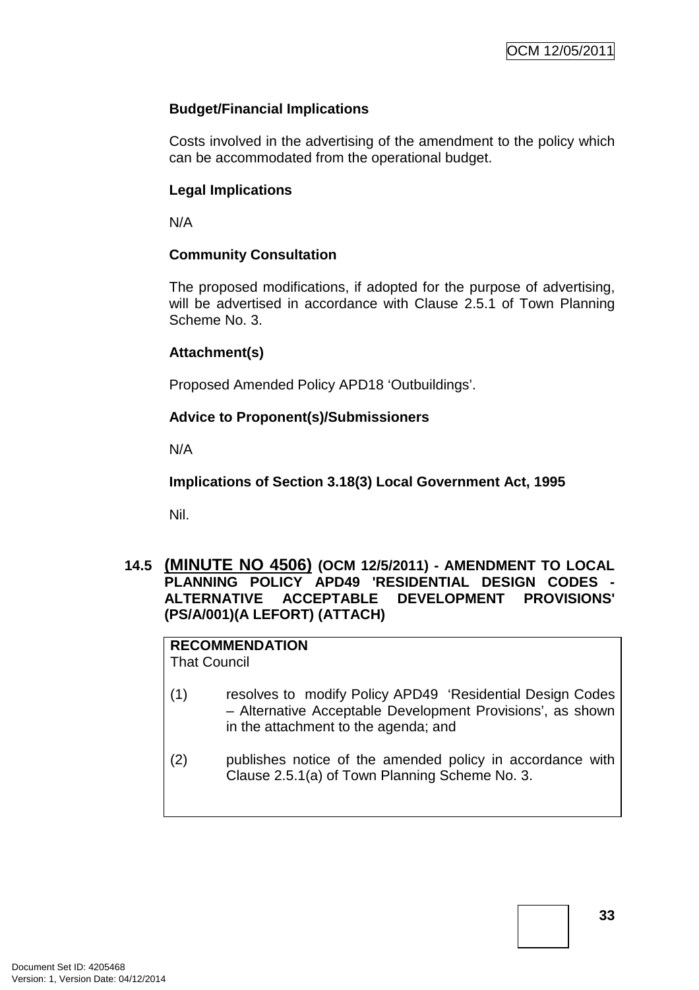# **Budget/Financial Implications**

Costs involved in the advertising of the amendment to the policy which can be accommodated from the operational budget.

# **Legal Implications**

N/A

# **Community Consultation**

The proposed modifications, if adopted for the purpose of advertising, will be advertised in accordance with Clause 2.5.1 of Town Planning Scheme No. 3.

# **Attachment(s)**

Proposed Amended Policy APD18 'Outbuildings'.

# **Advice to Proponent(s)/Submissioners**

N/A

**Implications of Section 3.18(3) Local Government Act, 1995**

Nil.

# **14.5 (MINUTE NO 4506) (OCM 12/5/2011) - AMENDMENT TO LOCAL PLANNING POLICY APD49 'RESIDENTIAL DESIGN CODES - ALTERNATIVE ACCEPTABLE DEVELOPMENT PROVISIONS' (PS/A/001)(A LEFORT) (ATTACH)**

**RECOMMENDATION** That Council

- (1) resolves to modify Policy APD49 'Residential Design Codes – Alternative Acceptable Development Provisions', as shown in the attachment to the agenda; and
- (2) publishes notice of the amended policy in accordance with Clause 2.5.1(a) of Town Planning Scheme No. 3.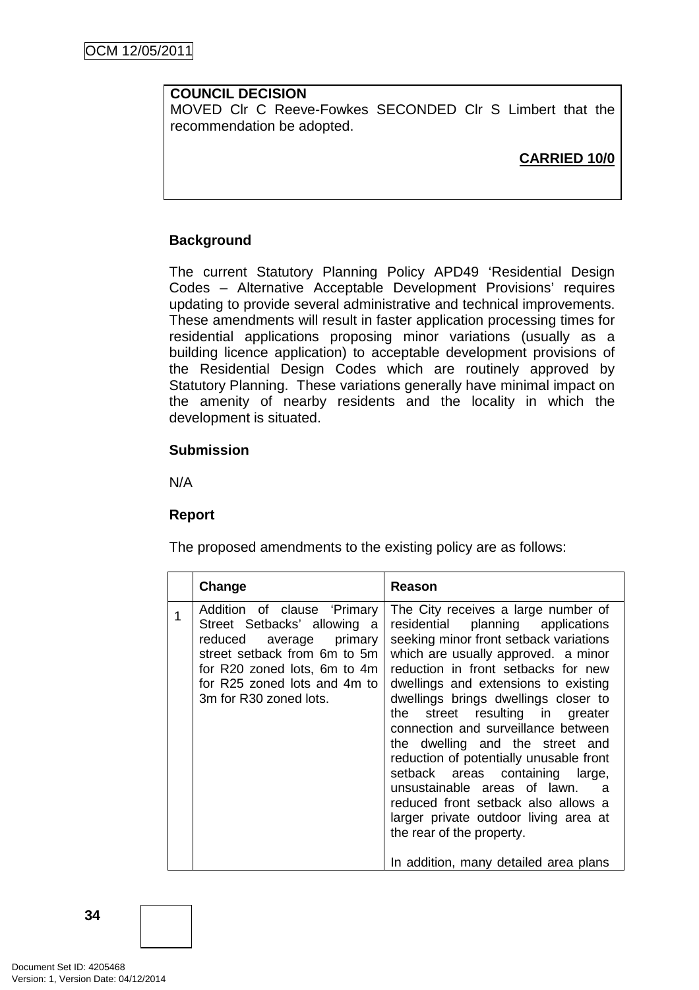# **COUNCIL DECISION**

MOVED Clr C Reeve-Fowkes SECONDED Clr S Limbert that the recommendation be adopted.

# **CARRIED 10/0**

# **Background**

The current Statutory Planning Policy APD49 'Residential Design Codes – Alternative Acceptable Development Provisions' requires updating to provide several administrative and technical improvements. These amendments will result in faster application processing times for residential applications proposing minor variations (usually as a building licence application) to acceptable development provisions of the Residential Design Codes which are routinely approved by Statutory Planning. These variations generally have minimal impact on the amenity of nearby residents and the locality in which the development is situated.

#### **Submission**

N/A

# **Report**

The proposed amendments to the existing policy are as follows:

| Addition of clause 'Primary<br>Street Setbacks' allowing a<br>reduced average primary<br>street setback from 6m to 5m<br>for R20 zoned lots, 6m to 4m<br>for R25 zoned lots and 4m to<br>3m for R30 zoned lots. | Change | Reason                                                                                                                                                                                                                                                                                                                                                                                                                                                                                                                                                                                                                                  |
|-----------------------------------------------------------------------------------------------------------------------------------------------------------------------------------------------------------------|--------|-----------------------------------------------------------------------------------------------------------------------------------------------------------------------------------------------------------------------------------------------------------------------------------------------------------------------------------------------------------------------------------------------------------------------------------------------------------------------------------------------------------------------------------------------------------------------------------------------------------------------------------------|
| the i<br>the rear of the property.                                                                                                                                                                              |        | The City receives a large number of<br>residential planning applications<br>seeking minor front setback variations<br>which are usually approved. a minor<br>reduction in front setbacks for new<br>dwellings and extensions to existing<br>dwellings brings dwellings closer to<br>street resulting in greater<br>connection and surveillance between<br>the dwelling and the street and<br>reduction of potentially unusable front<br>setback areas containing large,<br>unsustainable areas of lawn.<br>- a<br>reduced front setback also allows a<br>larger private outdoor living area at<br>In addition, many detailed area plans |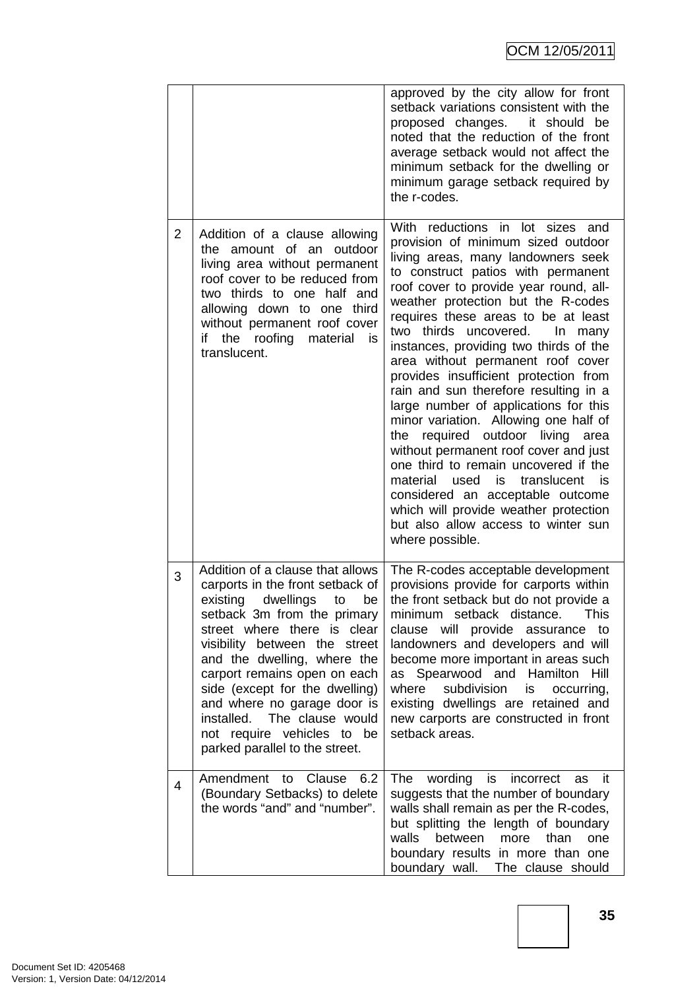|   |                                                                                                                                                                                                                                                                                                                                                                                                                                         | approved by the city allow for front<br>setback variations consistent with the<br>proposed changes.<br>it should be<br>noted that the reduction of the front<br>average setback would not affect the<br>minimum setback for the dwelling or<br>minimum garage setback required by<br>the r-codes.                                                                                                                                                                                                                                                                                                                                                                                                                                                                                                                                                                                            |
|---|-----------------------------------------------------------------------------------------------------------------------------------------------------------------------------------------------------------------------------------------------------------------------------------------------------------------------------------------------------------------------------------------------------------------------------------------|----------------------------------------------------------------------------------------------------------------------------------------------------------------------------------------------------------------------------------------------------------------------------------------------------------------------------------------------------------------------------------------------------------------------------------------------------------------------------------------------------------------------------------------------------------------------------------------------------------------------------------------------------------------------------------------------------------------------------------------------------------------------------------------------------------------------------------------------------------------------------------------------|
| 2 | Addition of a clause allowing<br>the amount of an<br>outdoor<br>living area without permanent<br>roof cover to be reduced from<br>two thirds to one half and<br>allowing down to one third<br>without permanent roof cover<br>if<br>the<br>roofing<br>material<br>is<br>translucent.                                                                                                                                                    | With reductions in lot sizes and<br>provision of minimum sized outdoor<br>living areas, many landowners seek<br>to construct patios with permanent<br>roof cover to provide year round, all-<br>weather protection but the R-codes<br>requires these areas to be at least<br>two<br>thirds<br>uncovered.<br>In<br>many<br>instances, providing two thirds of the<br>area without permanent roof cover<br>provides insufficient protection from<br>rain and sun therefore resulting in a<br>large number of applications for this<br>minor variation. Allowing one half of<br>required outdoor living<br>the<br>area<br>without permanent roof cover and just<br>one third to remain uncovered if the<br>translucent<br>material<br>used<br>is<br>- is<br>considered an acceptable outcome<br>which will provide weather protection<br>but also allow access to winter sun<br>where possible. |
| 3 | Addition of a clause that allows<br>carports in the front setback of<br>existing<br>dwellings<br>be<br>to<br>setback 3m from the primary<br>street where there is clear<br>visibility between the street<br>and the dwelling, where the<br>carport remains open on each<br>side (except for the dwelling)<br>and where no garage door is<br>installed. The clause would<br>not require vehicles to be<br>parked parallel to the street. | The R-codes acceptable development<br>provisions provide for carports within<br>the front setback but do not provide a<br>minimum setback distance.<br>This<br>clause will provide assurance<br>to<br>landowners and developers and will<br>become more important in areas such<br>as Spearwood and Hamilton<br>Hill<br>where<br>subdivision<br>is<br>occurring,<br>existing dwellings are retained and<br>new carports are constructed in front<br>setback areas.                                                                                                                                                                                                                                                                                                                                                                                                                           |
| 4 | Amendment to<br>Clause<br>6.2<br>(Boundary Setbacks) to delete<br>the words "and" and "number".                                                                                                                                                                                                                                                                                                                                         | wording<br>is<br>The<br>incorrect<br>-it<br>as<br>suggests that the number of boundary<br>walls shall remain as per the R-codes,<br>but splitting the length of boundary<br>walls<br>between<br>more<br>than<br>one<br>boundary results in more than one<br>boundary wall. The clause should                                                                                                                                                                                                                                                                                                                                                                                                                                                                                                                                                                                                 |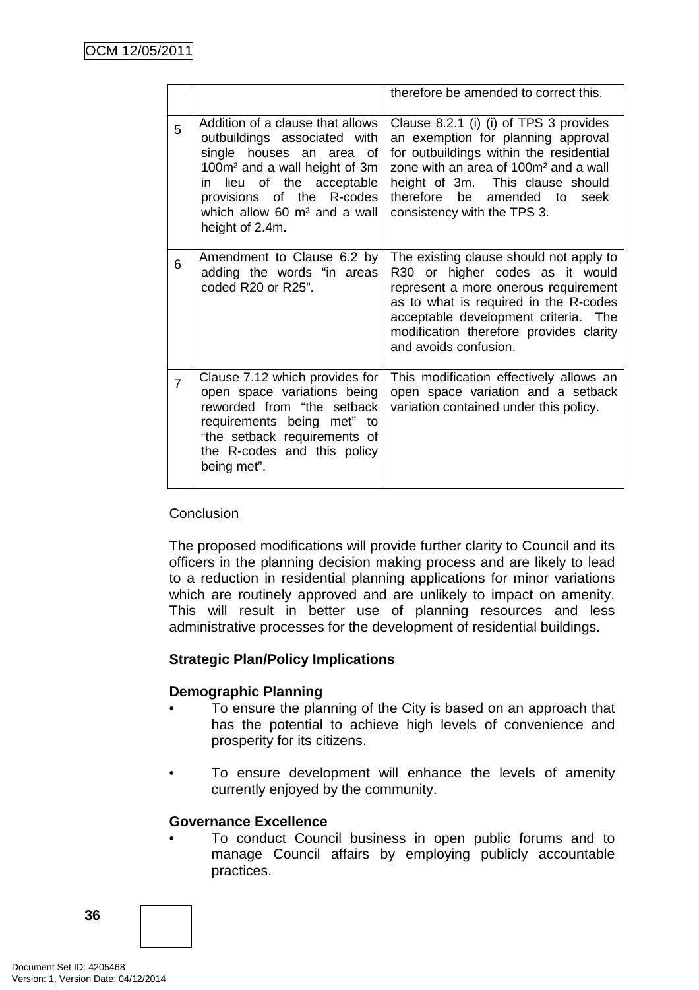|                |                                                                                                                                                                                                                                                             | therefore be amended to correct this.                                                                                                                                                                                                                                                 |
|----------------|-------------------------------------------------------------------------------------------------------------------------------------------------------------------------------------------------------------------------------------------------------------|---------------------------------------------------------------------------------------------------------------------------------------------------------------------------------------------------------------------------------------------------------------------------------------|
| 5              | Addition of a clause that allows<br>outbuildings associated with<br>single houses an area of<br>100m <sup>2</sup> and a wall height of 3m<br>lieu of the acceptable<br>in<br>provisions of the R-codes<br>which allow 60 $m2$ and a wall<br>height of 2.4m. | Clause 8.2.1 (i) (i) of TPS 3 provides<br>an exemption for planning approval<br>for outbuildings within the residential<br>zone with an area of 100m <sup>2</sup> and a wall<br>height of 3m. This clause should<br>therefore be<br>amended to<br>seek<br>consistency with the TPS 3. |
| 6              | Amendment to Clause 6.2 by<br>adding the words "in areas<br>coded R20 or R25".                                                                                                                                                                              | The existing clause should not apply to<br>R30 or higher codes as it would<br>represent a more onerous requirement<br>as to what is required in the R-codes<br>acceptable development criteria. The<br>modification therefore provides clarity<br>and avoids confusion.               |
| $\overline{7}$ | Clause 7.12 which provides for<br>open space variations being<br>reworded from "the setback<br>requirements being met" to<br>"the setback requirements of<br>the R-codes and this policy<br>being met".                                                     | This modification effectively allows an<br>open space variation and a setback<br>variation contained under this policy.                                                                                                                                                               |

# **Conclusion**

The proposed modifications will provide further clarity to Council and its officers in the planning decision making process and are likely to lead to a reduction in residential planning applications for minor variations which are routinely approved and are unlikely to impact on amenity. This will result in better use of planning resources and less administrative processes for the development of residential buildings.

# **Strategic Plan/Policy Implications**

# **Demographic Planning**

- To ensure the planning of the City is based on an approach that has the potential to achieve high levels of convenience and prosperity for its citizens.
- To ensure development will enhance the levels of amenity currently enjoyed by the community.

# **Governance Excellence**

• To conduct Council business in open public forums and to manage Council affairs by employing publicly accountable practices.

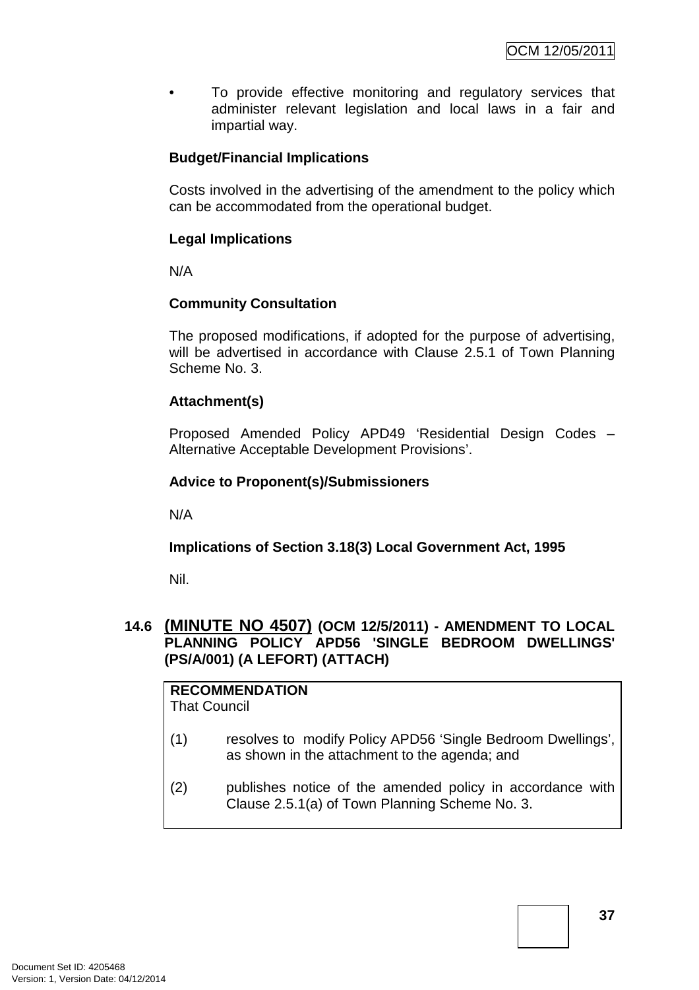To provide effective monitoring and regulatory services that administer relevant legislation and local laws in a fair and impartial way.

# **Budget/Financial Implications**

Costs involved in the advertising of the amendment to the policy which can be accommodated from the operational budget.

# **Legal Implications**

N/A

# **Community Consultation**

The proposed modifications, if adopted for the purpose of advertising, will be advertised in accordance with Clause 2.5.1 of Town Planning Scheme No. 3.

# **Attachment(s)**

Proposed Amended Policy APD49 'Residential Design Codes – Alternative Acceptable Development Provisions'.

# **Advice to Proponent(s)/Submissioners**

N/A

# **Implications of Section 3.18(3) Local Government Act, 1995**

Nil.

# **14.6 (MINUTE NO 4507) (OCM 12/5/2011) - AMENDMENT TO LOCAL PLANNING POLICY APD56 'SINGLE BEDROOM DWELLINGS' (PS/A/001) (A LEFORT) (ATTACH)**

**RECOMMENDATION** That Council

- (1) resolves to modify Policy APD56 'Single Bedroom Dwellings', as shown in the attachment to the agenda; and
- (2) publishes notice of the amended policy in accordance with Clause 2.5.1(a) of Town Planning Scheme No. 3.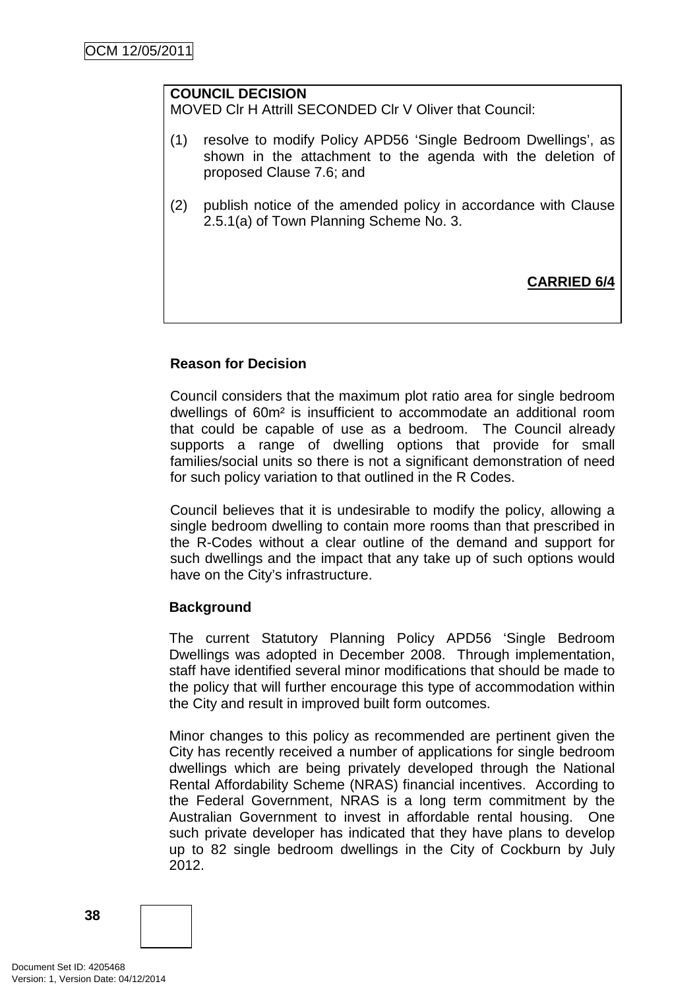# **COUNCIL DECISION**

MOVED Clr H Attrill SECONDED Clr V Oliver that Council:

- (1) resolve to modify Policy APD56 'Single Bedroom Dwellings', as shown in the attachment to the agenda with the deletion of proposed Clause 7.6; and
- (2) publish notice of the amended policy in accordance with Clause 2.5.1(a) of Town Planning Scheme No. 3.

**CARRIED 6/4**

# **Reason for Decision**

Council considers that the maximum plot ratio area for single bedroom dwellings of 60m² is insufficient to accommodate an additional room that could be capable of use as a bedroom. The Council already supports a range of dwelling options that provide for small families/social units so there is not a significant demonstration of need for such policy variation to that outlined in the R Codes.

Council believes that it is undesirable to modify the policy, allowing a single bedroom dwelling to contain more rooms than that prescribed in the R-Codes without a clear outline of the demand and support for such dwellings and the impact that any take up of such options would have on the City's infrastructure.

# **Background**

The current Statutory Planning Policy APD56 'Single Bedroom Dwellings was adopted in December 2008. Through implementation, staff have identified several minor modifications that should be made to the policy that will further encourage this type of accommodation within the City and result in improved built form outcomes.

Minor changes to this policy as recommended are pertinent given the City has recently received a number of applications for single bedroom dwellings which are being privately developed through the National Rental Affordability Scheme (NRAS) financial incentives. According to the Federal Government, NRAS is a long term commitment by the Australian Government to invest in affordable rental housing. One such private developer has indicated that they have plans to develop up to 82 single bedroom dwellings in the City of Cockburn by July 2012.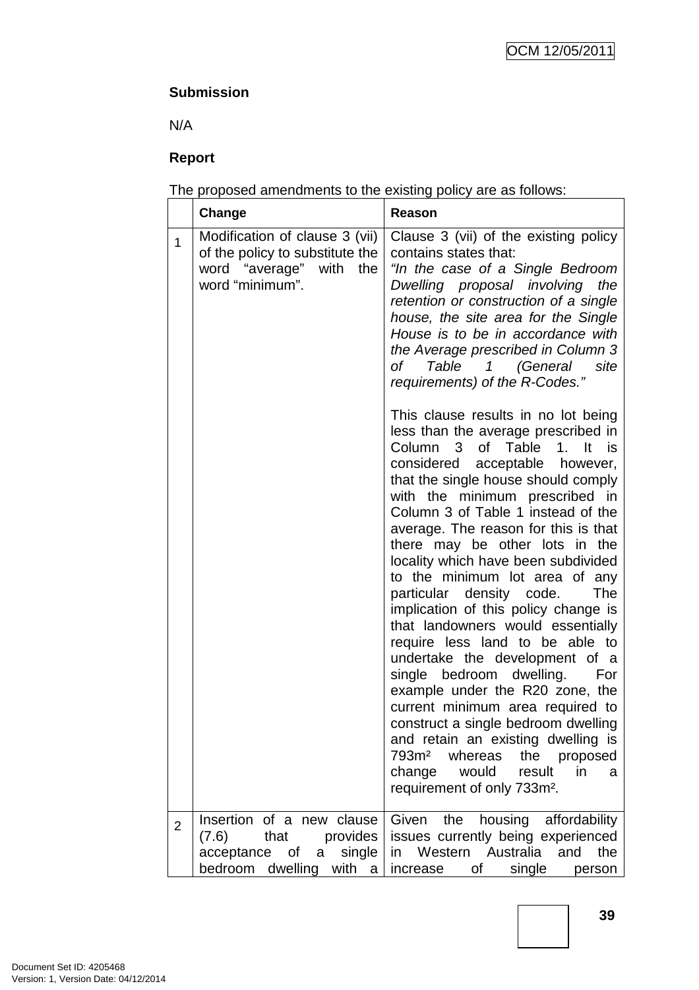# **Submission**

N/A

# **Report**

The proposed amendments to the existing policy are as follows:

|                | Change                                                                                                          | Reason                                                                                                                                                                                                                                                                                                                                                                                                                                                                                                                                                                                                                                                                                                                                                                                                                                                                                                                                   |
|----------------|-----------------------------------------------------------------------------------------------------------------|------------------------------------------------------------------------------------------------------------------------------------------------------------------------------------------------------------------------------------------------------------------------------------------------------------------------------------------------------------------------------------------------------------------------------------------------------------------------------------------------------------------------------------------------------------------------------------------------------------------------------------------------------------------------------------------------------------------------------------------------------------------------------------------------------------------------------------------------------------------------------------------------------------------------------------------|
| 1              | Modification of clause 3 (vii)<br>of the policy to substitute the<br>word "average" with the<br>word "minimum". | Clause 3 (vii) of the existing policy<br>contains states that:<br>"In the case of a Single Bedroom<br>Dwelling proposal involving the<br>retention or construction of a single<br>house, the site area for the Single<br>House is to be in accordance with<br>the Average prescribed in Column 3<br>of Table 1 (General<br>site<br>requirements) of the R-Codes."                                                                                                                                                                                                                                                                                                                                                                                                                                                                                                                                                                        |
|                |                                                                                                                 | This clause results in no lot being<br>less than the average prescribed in<br>Column 3<br>of Table<br>$1.$ It<br>is i<br>considered acceptable however,<br>that the single house should comply<br>with the minimum prescribed in<br>Column 3 of Table 1 instead of the<br>average. The reason for this is that<br>there may be other lots in the<br>locality which have been subdivided<br>to the minimum lot area of any<br>particular density code.<br>The<br>implication of this policy change is<br>that landowners would essentially<br>require less land to be able to<br>undertake the development of a<br>single bedroom dwelling.<br>For<br>example under the R20 zone, the<br>current minimum area required to<br>construct a single bedroom dwelling<br>and retain an existing dwelling is<br>793m <sup>2</sup><br>whereas<br>the proposed<br>change<br>would<br>result<br>in<br>a<br>requirement of only 733m <sup>2</sup> . |
| $\overline{2}$ | Insertion of a new clause<br>that<br>provides<br>(7.6)<br>acceptance of a single                                | housing<br>Given<br>the<br>affordability<br>issues currently being experienced<br>in Western Australia<br>and<br>the                                                                                                                                                                                                                                                                                                                                                                                                                                                                                                                                                                                                                                                                                                                                                                                                                     |
|                | bedroom dwelling with a                                                                                         | οf<br>single<br>increase<br>person                                                                                                                                                                                                                                                                                                                                                                                                                                                                                                                                                                                                                                                                                                                                                                                                                                                                                                       |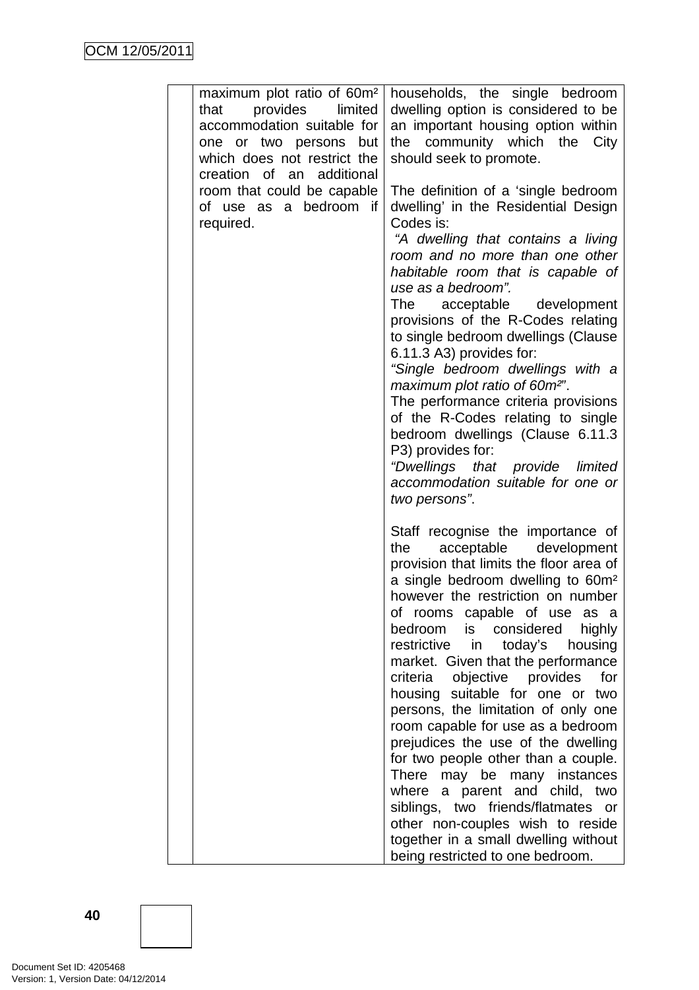| maximum plot ratio of 60m <sup>2</sup><br>provides<br>limited<br>that<br>accommodation suitable for<br>one or two persons but<br>which does not restrict the<br>creation of an additional<br>room that could be capable<br>of use as a bedroom if<br>required. | households, the single bedroom<br>dwelling option is considered to be<br>an important housing option within<br>the community which the City<br>should seek to promote.<br>The definition of a 'single bedroom<br>dwelling' in the Residential Design<br>Codes is:<br>"A dwelling that contains a living<br>room and no more than one other<br>habitable room that is capable of<br>use as a bedroom".<br>The<br>acceptable development                                                                                                                                                                                                                                                                                                                                                                                      |
|----------------------------------------------------------------------------------------------------------------------------------------------------------------------------------------------------------------------------------------------------------------|-----------------------------------------------------------------------------------------------------------------------------------------------------------------------------------------------------------------------------------------------------------------------------------------------------------------------------------------------------------------------------------------------------------------------------------------------------------------------------------------------------------------------------------------------------------------------------------------------------------------------------------------------------------------------------------------------------------------------------------------------------------------------------------------------------------------------------|
|                                                                                                                                                                                                                                                                | provisions of the R-Codes relating<br>to single bedroom dwellings (Clause<br>6.11.3 A3) provides for:<br>"Single bedroom dwellings with a<br>maximum plot ratio of 60m <sup>2"</sup> .<br>The performance criteria provisions<br>of the R-Codes relating to single<br>bedroom dwellings (Clause 6.11.3<br>P3) provides for:<br>"Dwellings that provide limited<br>accommodation suitable for one or<br>two persons".                                                                                                                                                                                                                                                                                                                                                                                                        |
|                                                                                                                                                                                                                                                                | Staff recognise the importance of<br>acceptable development<br>the<br>provision that limits the floor area of<br>a single bedroom dwelling to 60m <sup>2</sup><br>however the restriction on number<br>of rooms capable of use as a<br>bedroom<br>considered<br>highly<br>is<br>restrictive<br>in<br>today's<br>housing<br>market. Given that the performance<br>objective provides<br>criteria<br>for<br>housing suitable for one or<br>two<br>persons, the limitation of only one<br>room capable for use as a bedroom<br>prejudices the use of the dwelling<br>for two people other than a couple.<br>There may be many instances<br>where a parent and child, two<br>siblings, two friends/flatmates or<br>other non-couples wish to reside<br>together in a small dwelling without<br>being restricted to one bedroom. |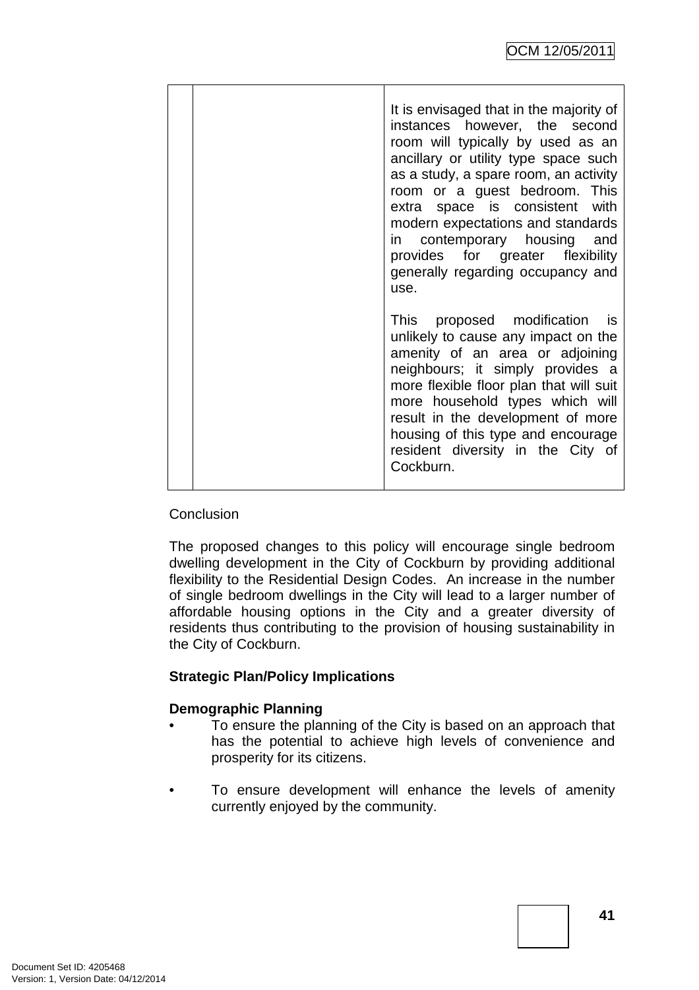| It is envisaged that in the majority of<br>instances however, the second<br>room will typically by used as an<br>ancillary or utility type space such<br>as a study, a spare room, an activity<br>room or a guest bedroom. This<br>extra space is consistent with<br>modern expectations and standards<br>in contemporary housing and<br>provides for greater flexibility<br>generally regarding occupancy and<br>use. |
|------------------------------------------------------------------------------------------------------------------------------------------------------------------------------------------------------------------------------------------------------------------------------------------------------------------------------------------------------------------------------------------------------------------------|
| This proposed modification is<br>unlikely to cause any impact on the<br>amenity of an area or adjoining<br>neighbours; it simply provides a<br>more flexible floor plan that will suit<br>more household types which will<br>result in the development of more<br>housing of this type and encourage<br>resident diversity in the City of<br>Cockburn.                                                                 |

# **Conclusion**

The proposed changes to this policy will encourage single bedroom dwelling development in the City of Cockburn by providing additional flexibility to the Residential Design Codes. An increase in the number of single bedroom dwellings in the City will lead to a larger number of affordable housing options in the City and a greater diversity of residents thus contributing to the provision of housing sustainability in the City of Cockburn.

# **Strategic Plan/Policy Implications**

# **Demographic Planning**

- To ensure the planning of the City is based on an approach that has the potential to achieve high levels of convenience and prosperity for its citizens.
- To ensure development will enhance the levels of amenity currently enjoyed by the community.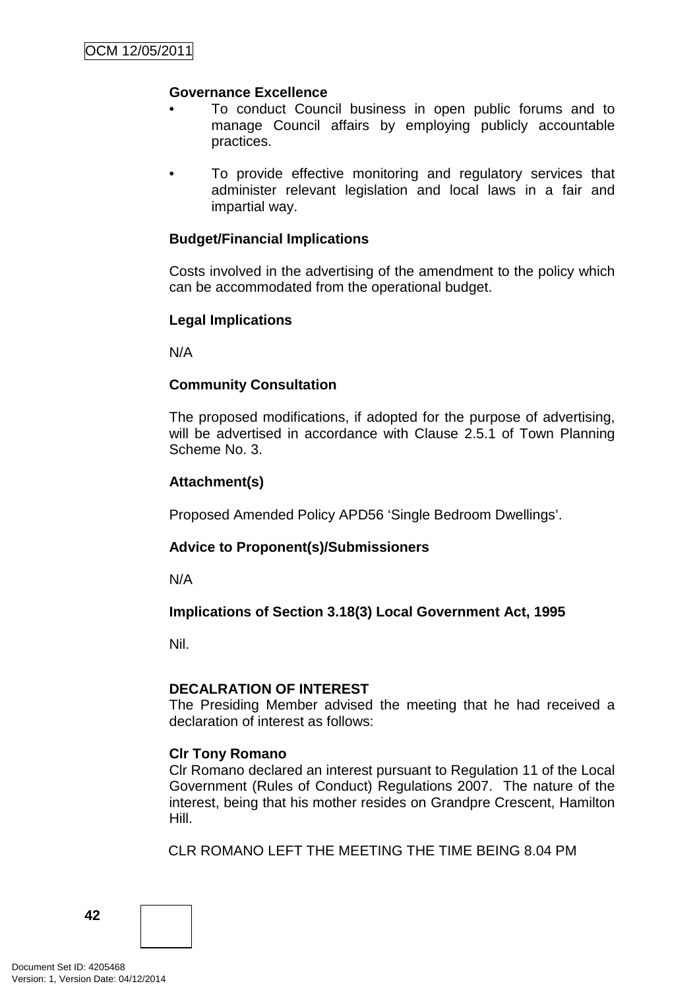# **Governance Excellence**

- To conduct Council business in open public forums and to manage Council affairs by employing publicly accountable practices.
- To provide effective monitoring and regulatory services that administer relevant legislation and local laws in a fair and impartial way.

# **Budget/Financial Implications**

Costs involved in the advertising of the amendment to the policy which can be accommodated from the operational budget.

# **Legal Implications**

N/A

# **Community Consultation**

The proposed modifications, if adopted for the purpose of advertising, will be advertised in accordance with Clause 2.5.1 of Town Planning Scheme No. 3.

# **Attachment(s)**

Proposed Amended Policy APD56 'Single Bedroom Dwellings'.

# **Advice to Proponent(s)/Submissioners**

N/A

# **Implications of Section 3.18(3) Local Government Act, 1995**

Nil.

# **DECALRATION OF INTEREST**

The Presiding Member advised the meeting that he had received a declaration of interest as follows:

# **Clr Tony Romano**

Clr Romano declared an interest pursuant to Regulation 11 of the Local Government (Rules of Conduct) Regulations 2007. The nature of the interest, being that his mother resides on Grandpre Crescent, Hamilton Hill.

CLR ROMANO LEFT THE MEETING THE TIME BEING 8.04 PM

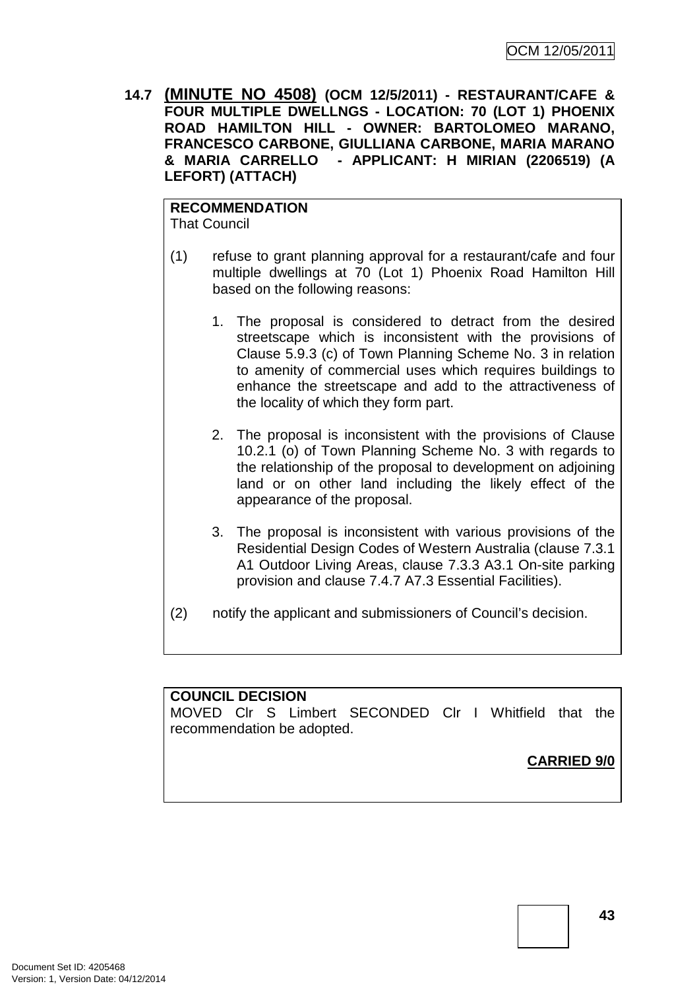**14.7 (MINUTE NO 4508) (OCM 12/5/2011) - RESTAURANT/CAFE & FOUR MULTIPLE DWELLNGS - LOCATION: 70 (LOT 1) PHOENIX ROAD HAMILTON HILL - OWNER: BARTOLOMEO MARANO, FRANCESCO CARBONE, GIULLIANA CARBONE, MARIA MARANO & MARIA CARRELLO - APPLICANT: H MIRIAN (2206519) (A LEFORT) (ATTACH)** 

**RECOMMENDATION** That Council

- (1) refuse to grant planning approval for a restaurant/cafe and four multiple dwellings at 70 (Lot 1) Phoenix Road Hamilton Hill based on the following reasons:
	- 1. The proposal is considered to detract from the desired streetscape which is inconsistent with the provisions of Clause 5.9.3 (c) of Town Planning Scheme No. 3 in relation to amenity of commercial uses which requires buildings to enhance the streetscape and add to the attractiveness of the locality of which they form part.
	- 2. The proposal is inconsistent with the provisions of Clause 10.2.1 (o) of Town Planning Scheme No. 3 with regards to the relationship of the proposal to development on adjoining land or on other land including the likely effect of the appearance of the proposal.
	- 3. The proposal is inconsistent with various provisions of the Residential Design Codes of Western Australia (clause 7.3.1 A1 Outdoor Living Areas, clause 7.3.3 A3.1 On-site parking provision and clause 7.4.7 A7.3 Essential Facilities).
- (2) notify the applicant and submissioners of Council's decision.

# **COUNCIL DECISION**

MOVED Clr S Limbert SECONDED Clr I Whitfield that the recommendation be adopted.

**CARRIED 9/0**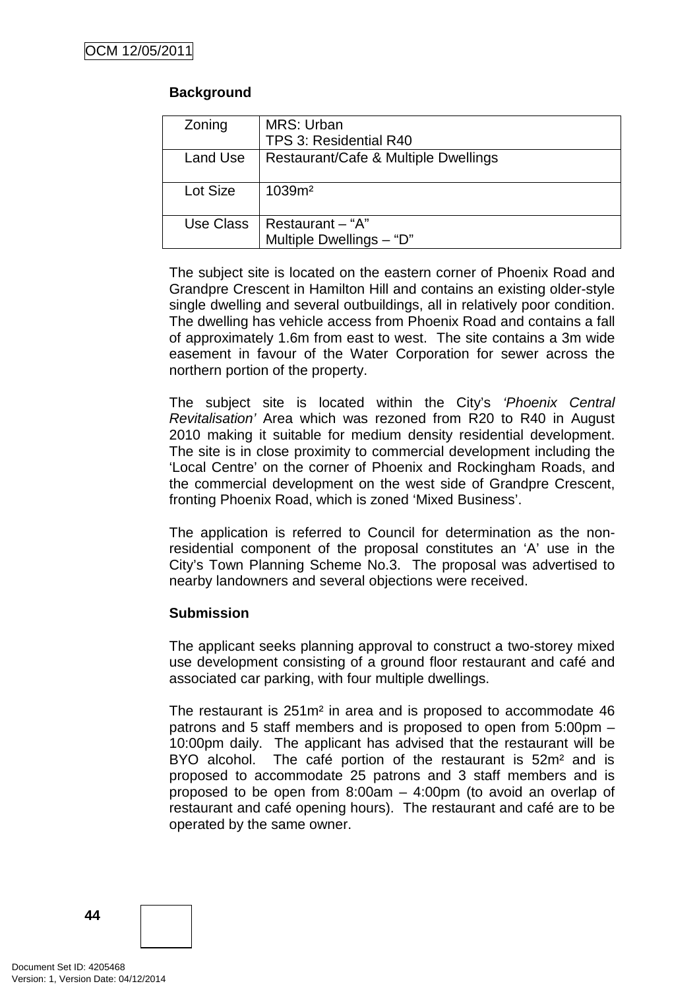# **Background**

| Zoning    | MRS: Urban                           |
|-----------|--------------------------------------|
|           | TPS 3: Residential R40               |
| Land Use  | Restaurant/Cafe & Multiple Dwellings |
|           |                                      |
| Lot Size  | 1039m <sup>2</sup>                   |
|           |                                      |
| Use Class | Restaurant - "A"                     |
|           | Multiple Dwellings - "D"             |
|           |                                      |

The subject site is located on the eastern corner of Phoenix Road and Grandpre Crescent in Hamilton Hill and contains an existing older-style single dwelling and several outbuildings, all in relatively poor condition. The dwelling has vehicle access from Phoenix Road and contains a fall of approximately 1.6m from east to west. The site contains a 3m wide easement in favour of the Water Corporation for sewer across the northern portion of the property.

The subject site is located within the City's 'Phoenix Central Revitalisation' Area which was rezoned from R20 to R40 in August 2010 making it suitable for medium density residential development. The site is in close proximity to commercial development including the 'Local Centre' on the corner of Phoenix and Rockingham Roads, and the commercial development on the west side of Grandpre Crescent, fronting Phoenix Road, which is zoned 'Mixed Business'.

The application is referred to Council for determination as the nonresidential component of the proposal constitutes an 'A' use in the City's Town Planning Scheme No.3. The proposal was advertised to nearby landowners and several objections were received.

# **Submission**

The applicant seeks planning approval to construct a two-storey mixed use development consisting of a ground floor restaurant and café and associated car parking, with four multiple dwellings.

The restaurant is 251m² in area and is proposed to accommodate 46 patrons and 5 staff members and is proposed to open from 5:00pm – 10:00pm daily. The applicant has advised that the restaurant will be BYO alcohol. The café portion of the restaurant is 52m<sup>2</sup> and is proposed to accommodate 25 patrons and 3 staff members and is proposed to be open from 8:00am – 4:00pm (to avoid an overlap of restaurant and café opening hours). The restaurant and café are to be operated by the same owner.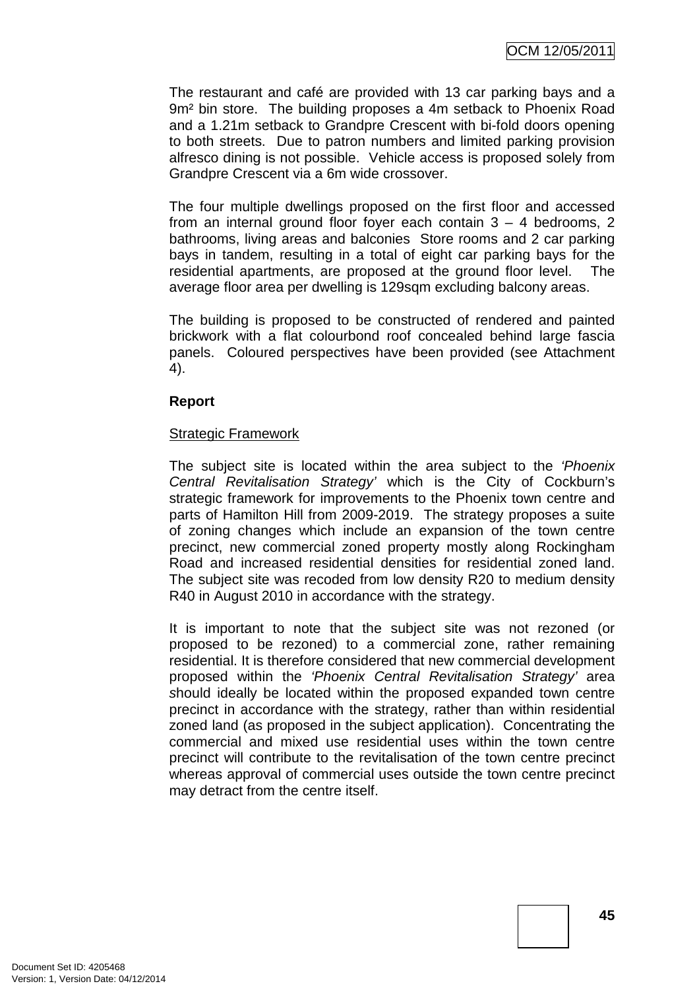The restaurant and café are provided with 13 car parking bays and a 9m² bin store. The building proposes a 4m setback to Phoenix Road and a 1.21m setback to Grandpre Crescent with bi-fold doors opening to both streets. Due to patron numbers and limited parking provision alfresco dining is not possible. Vehicle access is proposed solely from Grandpre Crescent via a 6m wide crossover.

The four multiple dwellings proposed on the first floor and accessed from an internal ground floor foyer each contain 3 – 4 bedrooms, 2 bathrooms, living areas and balconies Store rooms and 2 car parking bays in tandem, resulting in a total of eight car parking bays for the residential apartments, are proposed at the ground floor level. The average floor area per dwelling is 129sqm excluding balcony areas.

The building is proposed to be constructed of rendered and painted brickwork with a flat colourbond roof concealed behind large fascia panels. Coloured perspectives have been provided (see Attachment 4).

#### **Report**

#### Strategic Framework

The subject site is located within the area subject to the 'Phoenix Central Revitalisation Strategy' which is the City of Cockburn's strategic framework for improvements to the Phoenix town centre and parts of Hamilton Hill from 2009-2019. The strategy proposes a suite of zoning changes which include an expansion of the town centre precinct, new commercial zoned property mostly along Rockingham Road and increased residential densities for residential zoned land. The subject site was recoded from low density R20 to medium density R40 in August 2010 in accordance with the strategy.

It is important to note that the subject site was not rezoned (or proposed to be rezoned) to a commercial zone, rather remaining residential. It is therefore considered that new commercial development proposed within the 'Phoenix Central Revitalisation Strategy' area should ideally be located within the proposed expanded town centre precinct in accordance with the strategy, rather than within residential zoned land (as proposed in the subject application). Concentrating the commercial and mixed use residential uses within the town centre precinct will contribute to the revitalisation of the town centre precinct whereas approval of commercial uses outside the town centre precinct may detract from the centre itself.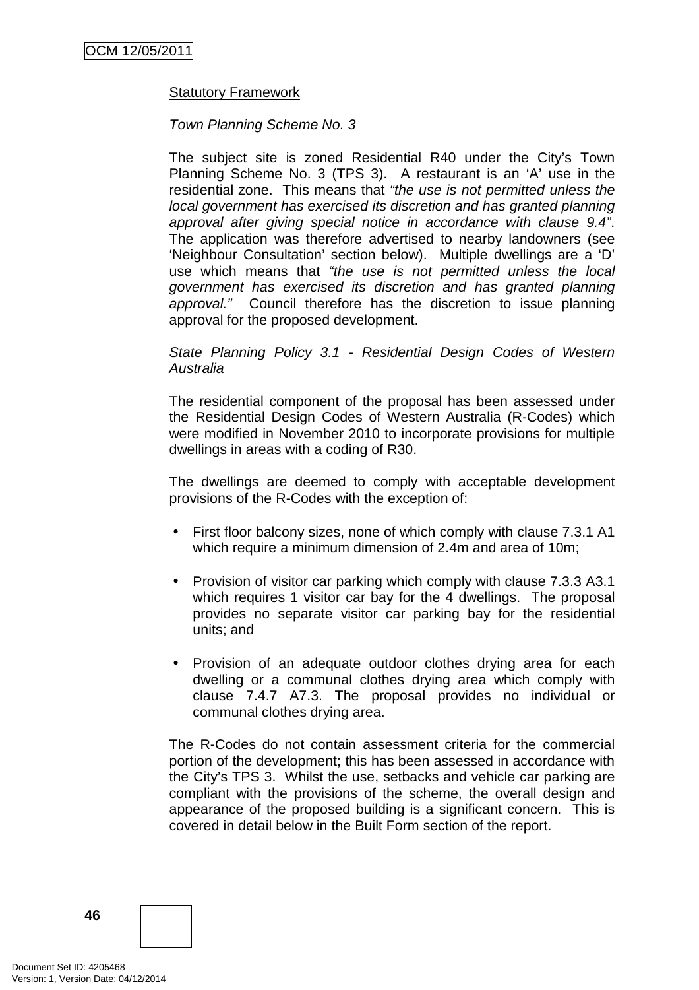# Statutory Framework

#### Town Planning Scheme No. 3

The subject site is zoned Residential R40 under the City's Town Planning Scheme No. 3 (TPS 3). A restaurant is an 'A' use in the residential zone. This means that "the use is not permitted unless the local government has exercised its discretion and has granted planning approval after giving special notice in accordance with clause 9.4". The application was therefore advertised to nearby landowners (see 'Neighbour Consultation' section below). Multiple dwellings are a 'D' use which means that "the use is not permitted unless the local government has exercised its discretion and has granted planning approval." Council therefore has the discretion to issue planning approval for the proposed development.

#### State Planning Policy 3.1 - Residential Design Codes of Western Australia

The residential component of the proposal has been assessed under the Residential Design Codes of Western Australia (R-Codes) which were modified in November 2010 to incorporate provisions for multiple dwellings in areas with a coding of R30.

The dwellings are deemed to comply with acceptable development provisions of the R-Codes with the exception of:

- First floor balcony sizes, none of which comply with clause 7.3.1 A1 which require a minimum dimension of 2.4m and area of 10m;
- Provision of visitor car parking which comply with clause 7.3.3 A3.1 which requires 1 visitor car bay for the 4 dwellings. The proposal provides no separate visitor car parking bay for the residential units; and
- Provision of an adequate outdoor clothes drying area for each dwelling or a communal clothes drying area which comply with clause 7.4.7 A7.3. The proposal provides no individual or communal clothes drying area.

The R-Codes do not contain assessment criteria for the commercial portion of the development; this has been assessed in accordance with the City's TPS 3. Whilst the use, setbacks and vehicle car parking are compliant with the provisions of the scheme, the overall design and appearance of the proposed building is a significant concern. This is covered in detail below in the Built Form section of the report.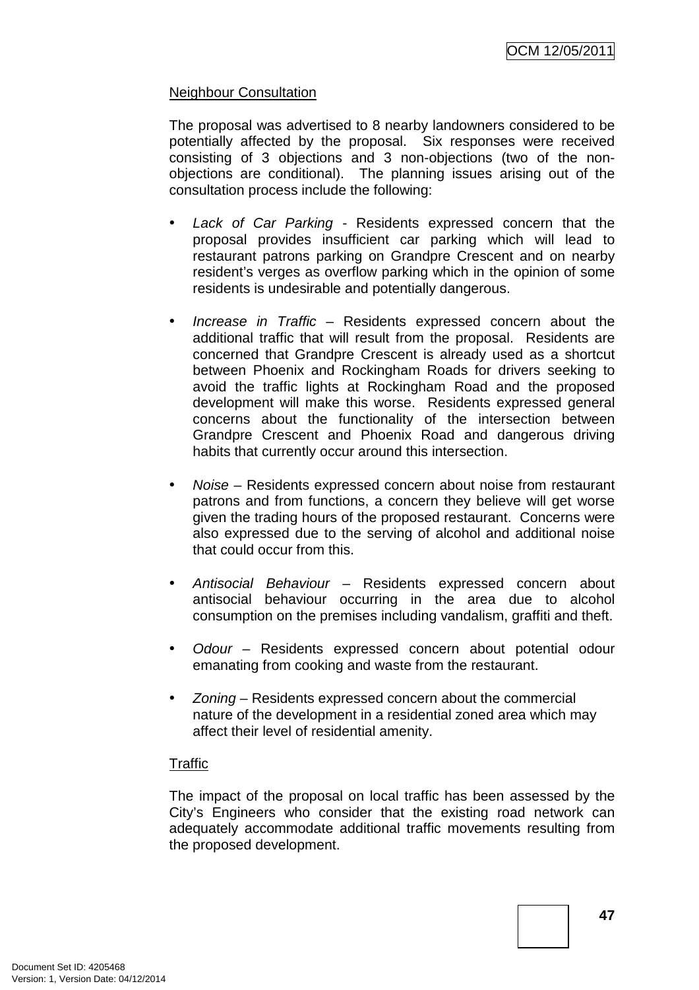# Neighbour Consultation

The proposal was advertised to 8 nearby landowners considered to be potentially affected by the proposal. Six responses were received consisting of 3 objections and 3 non-objections (two of the nonobjections are conditional). The planning issues arising out of the consultation process include the following:

- Lack of Car Parking Residents expressed concern that the proposal provides insufficient car parking which will lead to restaurant patrons parking on Grandpre Crescent and on nearby resident's verges as overflow parking which in the opinion of some residents is undesirable and potentially dangerous.
- Increase in Traffic Residents expressed concern about the additional traffic that will result from the proposal. Residents are concerned that Grandpre Crescent is already used as a shortcut between Phoenix and Rockingham Roads for drivers seeking to avoid the traffic lights at Rockingham Road and the proposed development will make this worse. Residents expressed general concerns about the functionality of the intersection between Grandpre Crescent and Phoenix Road and dangerous driving habits that currently occur around this intersection.
- Noise Residents expressed concern about noise from restaurant patrons and from functions, a concern they believe will get worse given the trading hours of the proposed restaurant. Concerns were also expressed due to the serving of alcohol and additional noise that could occur from this.
- Antisocial Behaviour Residents expressed concern about antisocial behaviour occurring in the area due to alcohol consumption on the premises including vandalism, graffiti and theft.
- Odour Residents expressed concern about potential odour emanating from cooking and waste from the restaurant.
- Zoning Residents expressed concern about the commercial nature of the development in a residential zoned area which may affect their level of residential amenity.

# **Traffic**

The impact of the proposal on local traffic has been assessed by the City's Engineers who consider that the existing road network can adequately accommodate additional traffic movements resulting from the proposed development.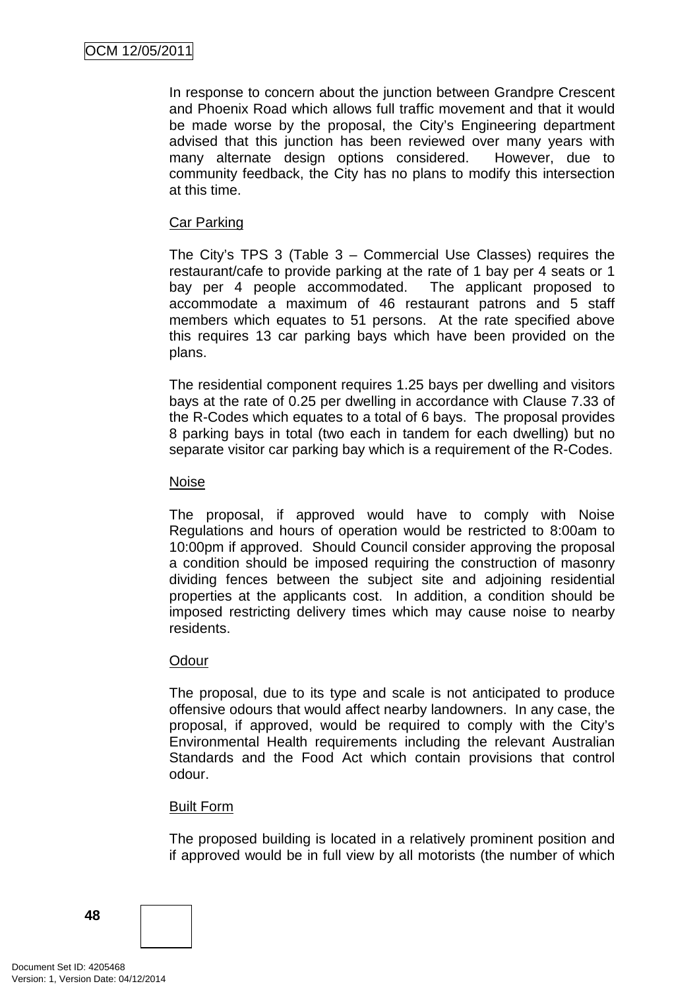In response to concern about the junction between Grandpre Crescent and Phoenix Road which allows full traffic movement and that it would be made worse by the proposal, the City's Engineering department advised that this junction has been reviewed over many years with many alternate design options considered. However, due to community feedback, the City has no plans to modify this intersection at this time.

# Car Parking

The City's TPS 3 (Table 3 – Commercial Use Classes) requires the restaurant/cafe to provide parking at the rate of 1 bay per 4 seats or 1 bay per 4 people accommodated. The applicant proposed to accommodate a maximum of 46 restaurant patrons and 5 staff members which equates to 51 persons. At the rate specified above this requires 13 car parking bays which have been provided on the plans.

The residential component requires 1.25 bays per dwelling and visitors bays at the rate of 0.25 per dwelling in accordance with Clause 7.33 of the R-Codes which equates to a total of 6 bays. The proposal provides 8 parking bays in total (two each in tandem for each dwelling) but no separate visitor car parking bay which is a requirement of the R-Codes.

#### Noise

The proposal, if approved would have to comply with Noise Regulations and hours of operation would be restricted to 8:00am to 10:00pm if approved. Should Council consider approving the proposal a condition should be imposed requiring the construction of masonry dividing fences between the subject site and adjoining residential properties at the applicants cost. In addition, a condition should be imposed restricting delivery times which may cause noise to nearby residents.

#### Odour

The proposal, due to its type and scale is not anticipated to produce offensive odours that would affect nearby landowners. In any case, the proposal, if approved, would be required to comply with the City's Environmental Health requirements including the relevant Australian Standards and the Food Act which contain provisions that control odour.

# Built Form

The proposed building is located in a relatively prominent position and if approved would be in full view by all motorists (the number of which

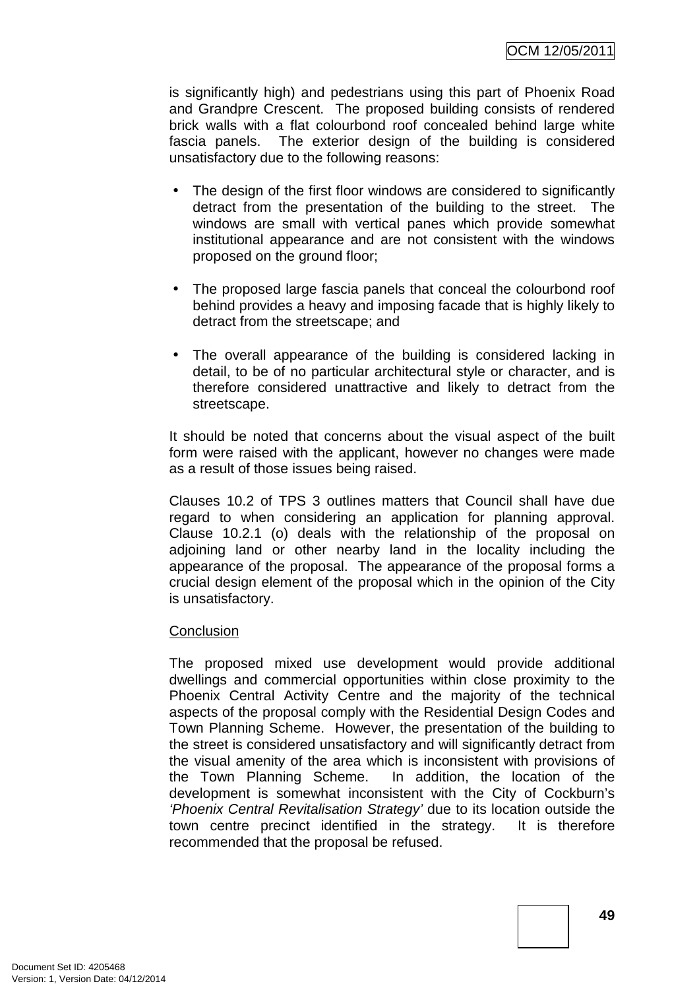is significantly high) and pedestrians using this part of Phoenix Road and Grandpre Crescent. The proposed building consists of rendered brick walls with a flat colourbond roof concealed behind large white fascia panels. The exterior design of the building is considered unsatisfactory due to the following reasons:

- The design of the first floor windows are considered to significantly detract from the presentation of the building to the street. The windows are small with vertical panes which provide somewhat institutional appearance and are not consistent with the windows proposed on the ground floor;
- The proposed large fascia panels that conceal the colourbond roof behind provides a heavy and imposing facade that is highly likely to detract from the streetscape; and
- The overall appearance of the building is considered lacking in detail, to be of no particular architectural style or character, and is therefore considered unattractive and likely to detract from the streetscape.

It should be noted that concerns about the visual aspect of the built form were raised with the applicant, however no changes were made as a result of those issues being raised.

Clauses 10.2 of TPS 3 outlines matters that Council shall have due regard to when considering an application for planning approval. Clause 10.2.1 (o) deals with the relationship of the proposal on adjoining land or other nearby land in the locality including the appearance of the proposal. The appearance of the proposal forms a crucial design element of the proposal which in the opinion of the City is unsatisfactory.

# **Conclusion**

The proposed mixed use development would provide additional dwellings and commercial opportunities within close proximity to the Phoenix Central Activity Centre and the majority of the technical aspects of the proposal comply with the Residential Design Codes and Town Planning Scheme. However, the presentation of the building to the street is considered unsatisfactory and will significantly detract from the visual amenity of the area which is inconsistent with provisions of the Town Planning Scheme. In addition, the location of the development is somewhat inconsistent with the City of Cockburn's 'Phoenix Central Revitalisation Strategy' due to its location outside the town centre precinct identified in the strategy. It is therefore recommended that the proposal be refused.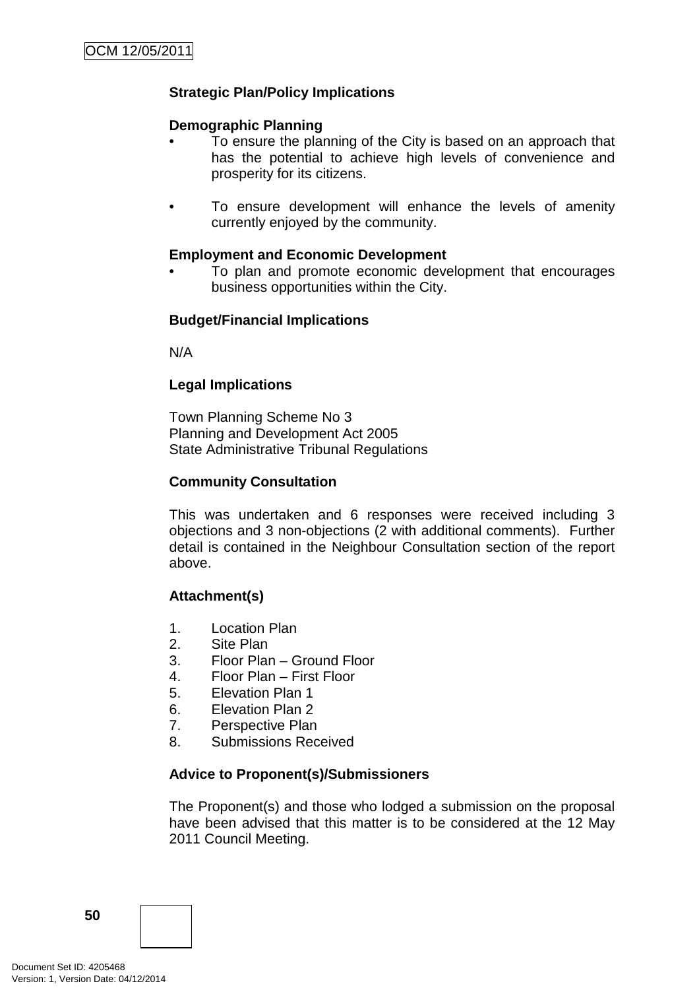# **Strategic Plan/Policy Implications**

### **Demographic Planning**

- To ensure the planning of the City is based on an approach that has the potential to achieve high levels of convenience and prosperity for its citizens.
- To ensure development will enhance the levels of amenity currently enjoyed by the community.

#### **Employment and Economic Development**

• To plan and promote economic development that encourages business opportunities within the City.

# **Budget/Financial Implications**

N/A

# **Legal Implications**

Town Planning Scheme No 3 Planning and Development Act 2005 State Administrative Tribunal Regulations

# **Community Consultation**

This was undertaken and 6 responses were received including 3 objections and 3 non-objections (2 with additional comments). Further detail is contained in the Neighbour Consultation section of the report above.

# **Attachment(s)**

- 1. Location Plan
- 2. Site Plan
- 3. Floor Plan Ground Floor
- 4. Floor Plan First Floor
- 5. Elevation Plan 1
- 6. Elevation Plan 2
- 7. Perspective Plan
- 8. Submissions Received

# **Advice to Proponent(s)/Submissioners**

The Proponent(s) and those who lodged a submission on the proposal have been advised that this matter is to be considered at the 12 May 2011 Council Meeting.

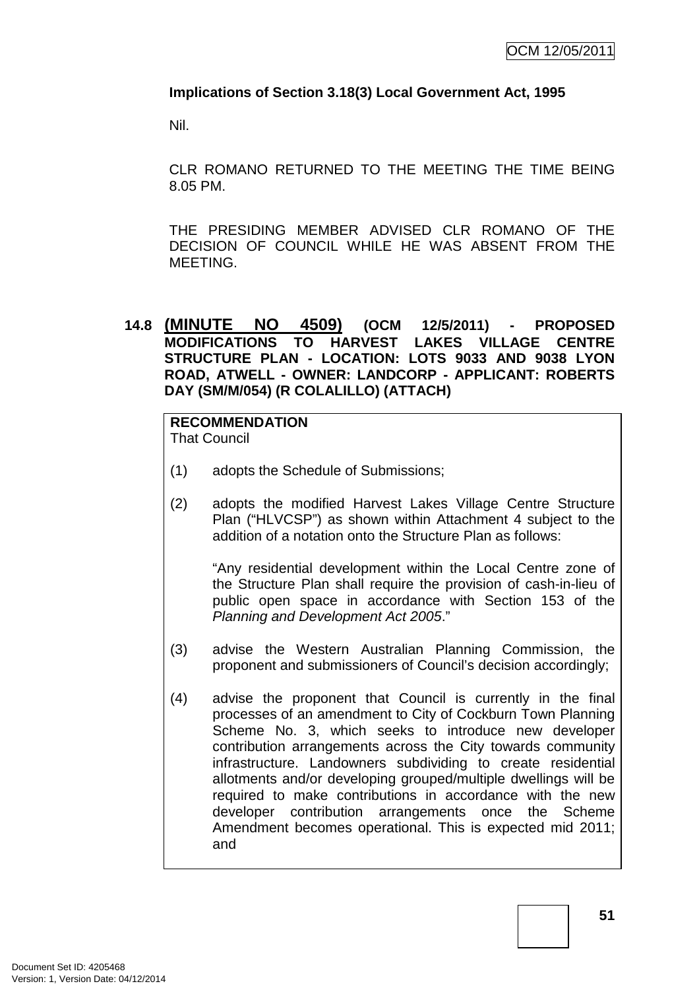# **Implications of Section 3.18(3) Local Government Act, 1995**

Nil.

CLR ROMANO RETURNED TO THE MEETING THE TIME BEING 8.05 PM.

THE PRESIDING MEMBER ADVISED CLR ROMANO OF THE DECISION OF COUNCIL WHILE HE WAS ABSENT FROM THE MEETING.

# **14.8 (MINUTE NO 4509) (OCM 12/5/2011) - PROPOSED MODIFICATIONS TO HARVEST LAKES VILLAGE CENTRE STRUCTURE PLAN - LOCATION: LOTS 9033 AND 9038 LYON ROAD, ATWELL - OWNER: LANDCORP - APPLICANT: ROBERTS DAY (SM/M/054) (R COLALILLO) (ATTACH)**

# **RECOMMENDATION**

That Council

- (1) adopts the Schedule of Submissions;
- (2) adopts the modified Harvest Lakes Village Centre Structure Plan ("HLVCSP") as shown within Attachment 4 subject to the addition of a notation onto the Structure Plan as follows:

"Any residential development within the Local Centre zone of the Structure Plan shall require the provision of cash-in-lieu of public open space in accordance with Section 153 of the Planning and Development Act 2005."

- (3) advise the Western Australian Planning Commission, the proponent and submissioners of Council's decision accordingly;
- (4) advise the proponent that Council is currently in the final processes of an amendment to City of Cockburn Town Planning Scheme No. 3, which seeks to introduce new developer contribution arrangements across the City towards community infrastructure. Landowners subdividing to create residential allotments and/or developing grouped/multiple dwellings will be required to make contributions in accordance with the new developer contribution arrangements once the Scheme Amendment becomes operational. This is expected mid 2011; and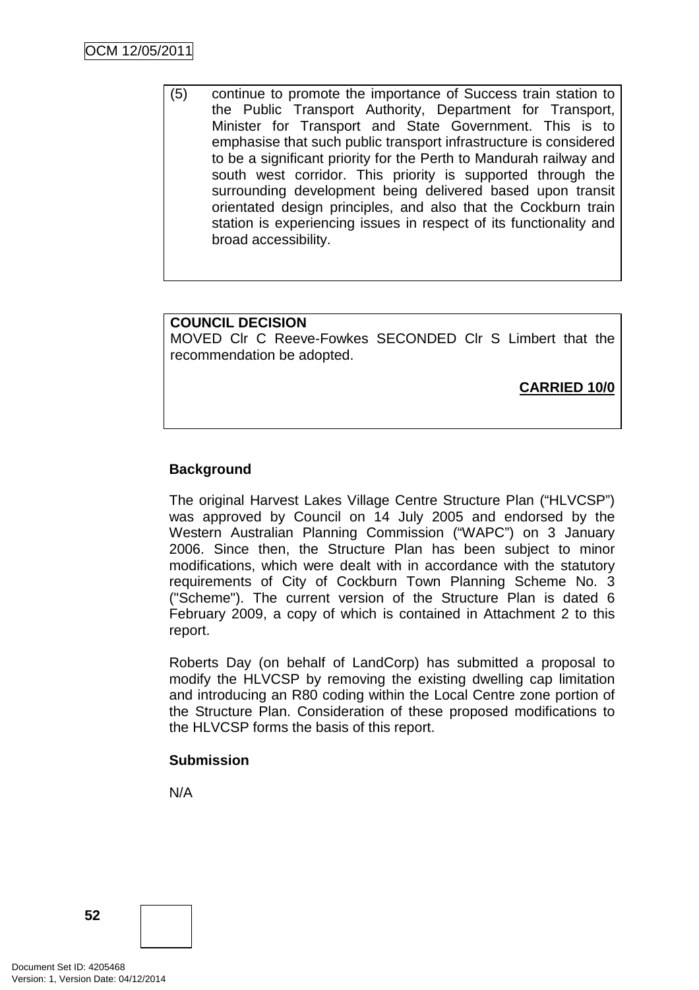(5) continue to promote the importance of Success train station to the Public Transport Authority, Department for Transport, Minister for Transport and State Government. This is to emphasise that such public transport infrastructure is considered to be a significant priority for the Perth to Mandurah railway and south west corridor. This priority is supported through the surrounding development being delivered based upon transit orientated design principles, and also that the Cockburn train station is experiencing issues in respect of its functionality and broad accessibility.

# **COUNCIL DECISION**

MOVED Clr C Reeve-Fowkes SECONDED Clr S Limbert that the recommendation be adopted.

**CARRIED 10/0**

# **Background**

The original Harvest Lakes Village Centre Structure Plan ("HLVCSP") was approved by Council on 14 July 2005 and endorsed by the Western Australian Planning Commission ("WAPC") on 3 January 2006. Since then, the Structure Plan has been subject to minor modifications, which were dealt with in accordance with the statutory requirements of City of Cockburn Town Planning Scheme No. 3 ("Scheme"). The current version of the Structure Plan is dated 6 February 2009, a copy of which is contained in Attachment 2 to this report.

Roberts Day (on behalf of LandCorp) has submitted a proposal to modify the HLVCSP by removing the existing dwelling cap limitation and introducing an R80 coding within the Local Centre zone portion of the Structure Plan. Consideration of these proposed modifications to the HLVCSP forms the basis of this report.

# **Submission**

N/A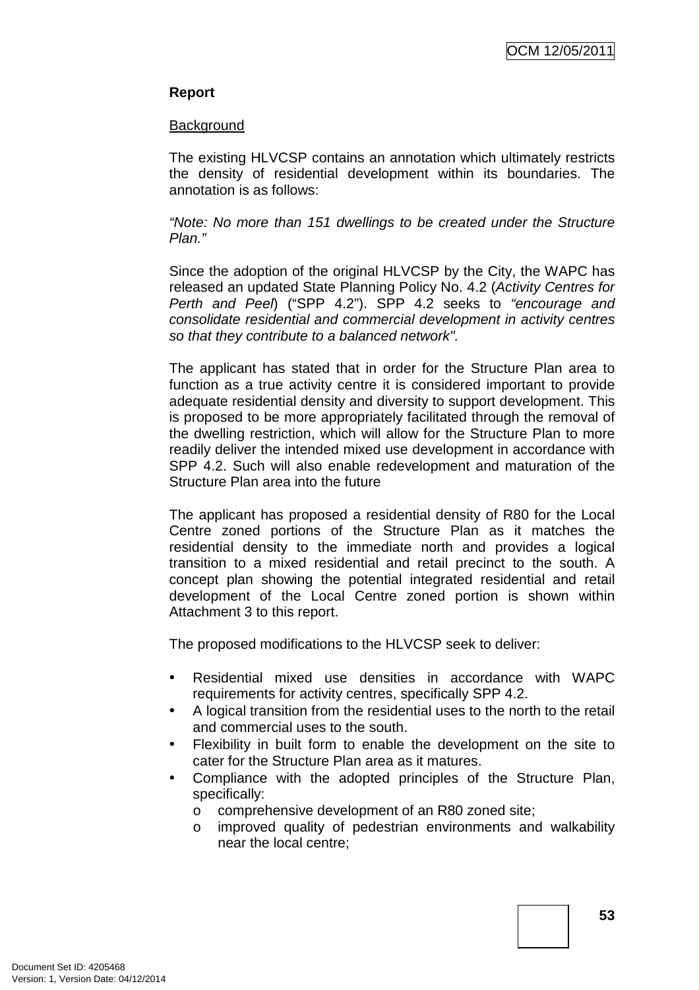# **Report**

#### **Background**

The existing HLVCSP contains an annotation which ultimately restricts the density of residential development within its boundaries. The annotation is as follows:

"Note: No more than 151 dwellings to be created under the Structure Plan."

Since the adoption of the original HLVCSP by the City, the WAPC has released an updated State Planning Policy No. 4.2 (Activity Centres for Perth and Peel) ("SPP 4.2"). SPP 4.2 seeks to "encourage and consolidate residential and commercial development in activity centres so that they contribute to a balanced network".

The applicant has stated that in order for the Structure Plan area to function as a true activity centre it is considered important to provide adequate residential density and diversity to support development. This is proposed to be more appropriately facilitated through the removal of the dwelling restriction, which will allow for the Structure Plan to more readily deliver the intended mixed use development in accordance with SPP 4.2. Such will also enable redevelopment and maturation of the Structure Plan area into the future

The applicant has proposed a residential density of R80 for the Local Centre zoned portions of the Structure Plan as it matches the residential density to the immediate north and provides a logical transition to a mixed residential and retail precinct to the south. A concept plan showing the potential integrated residential and retail development of the Local Centre zoned portion is shown within Attachment 3 to this report.

The proposed modifications to the HLVCSP seek to deliver:

- Residential mixed use densities in accordance with WAPC requirements for activity centres, specifically SPP 4.2.
- A logical transition from the residential uses to the north to the retail and commercial uses to the south.
- Flexibility in built form to enable the development on the site to cater for the Structure Plan area as it matures.
- Compliance with the adopted principles of the Structure Plan, specifically:
	- o comprehensive development of an R80 zoned site;
	- o improved quality of pedestrian environments and walkability near the local centre;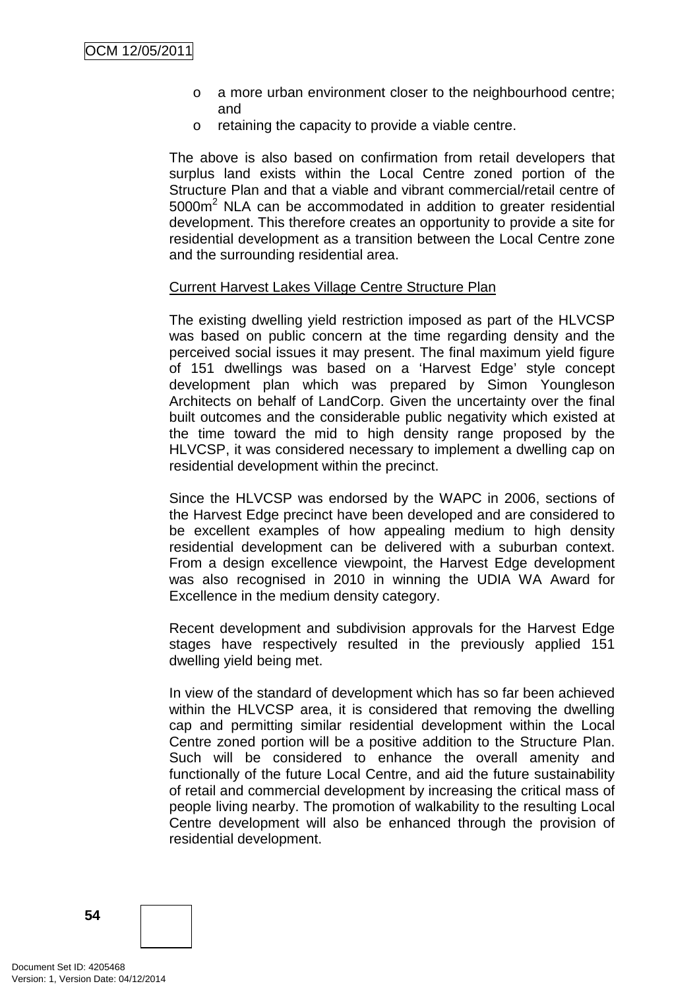- o a more urban environment closer to the neighbourhood centre; and
- o retaining the capacity to provide a viable centre.

The above is also based on confirmation from retail developers that surplus land exists within the Local Centre zoned portion of the Structure Plan and that a viable and vibrant commercial/retail centre of  $5000m<sup>2</sup>$  NLA can be accommodated in addition to greater residential development. This therefore creates an opportunity to provide a site for residential development as a transition between the Local Centre zone and the surrounding residential area.

#### Current Harvest Lakes Village Centre Structure Plan

The existing dwelling yield restriction imposed as part of the HLVCSP was based on public concern at the time regarding density and the perceived social issues it may present. The final maximum yield figure of 151 dwellings was based on a 'Harvest Edge' style concept development plan which was prepared by Simon Youngleson Architects on behalf of LandCorp. Given the uncertainty over the final built outcomes and the considerable public negativity which existed at the time toward the mid to high density range proposed by the HLVCSP, it was considered necessary to implement a dwelling cap on residential development within the precinct.

Since the HLVCSP was endorsed by the WAPC in 2006, sections of the Harvest Edge precinct have been developed and are considered to be excellent examples of how appealing medium to high density residential development can be delivered with a suburban context. From a design excellence viewpoint, the Harvest Edge development was also recognised in 2010 in winning the UDIA WA Award for Excellence in the medium density category.

Recent development and subdivision approvals for the Harvest Edge stages have respectively resulted in the previously applied 151 dwelling yield being met.

In view of the standard of development which has so far been achieved within the HLVCSP area, it is considered that removing the dwelling cap and permitting similar residential development within the Local Centre zoned portion will be a positive addition to the Structure Plan. Such will be considered to enhance the overall amenity and functionally of the future Local Centre, and aid the future sustainability of retail and commercial development by increasing the critical mass of people living nearby. The promotion of walkability to the resulting Local Centre development will also be enhanced through the provision of residential development.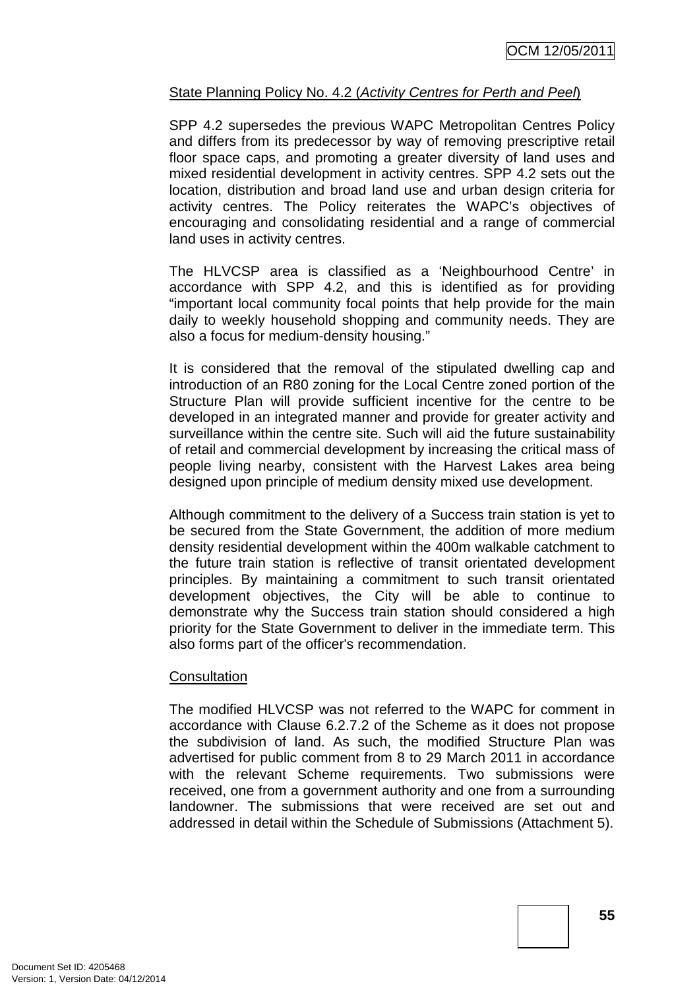# State Planning Policy No. 4.2 (Activity Centres for Perth and Peel)

SPP 4.2 supersedes the previous WAPC Metropolitan Centres Policy and differs from its predecessor by way of removing prescriptive retail floor space caps, and promoting a greater diversity of land uses and mixed residential development in activity centres. SPP 4.2 sets out the location, distribution and broad land use and urban design criteria for activity centres. The Policy reiterates the WAPC's objectives of encouraging and consolidating residential and a range of commercial land uses in activity centres.

The HLVCSP area is classified as a 'Neighbourhood Centre' in accordance with SPP 4.2, and this is identified as for providing "important local community focal points that help provide for the main daily to weekly household shopping and community needs. They are also a focus for medium-density housing."

It is considered that the removal of the stipulated dwelling cap and introduction of an R80 zoning for the Local Centre zoned portion of the Structure Plan will provide sufficient incentive for the centre to be developed in an integrated manner and provide for greater activity and surveillance within the centre site. Such will aid the future sustainability of retail and commercial development by increasing the critical mass of people living nearby, consistent with the Harvest Lakes area being designed upon principle of medium density mixed use development.

Although commitment to the delivery of a Success train station is yet to be secured from the State Government, the addition of more medium density residential development within the 400m walkable catchment to the future train station is reflective of transit orientated development principles. By maintaining a commitment to such transit orientated development objectives, the City will be able to continue to demonstrate why the Success train station should considered a high priority for the State Government to deliver in the immediate term. This also forms part of the officer's recommendation.

# **Consultation**

The modified HLVCSP was not referred to the WAPC for comment in accordance with Clause 6.2.7.2 of the Scheme as it does not propose the subdivision of land. As such, the modified Structure Plan was advertised for public comment from 8 to 29 March 2011 in accordance with the relevant Scheme requirements. Two submissions were received, one from a government authority and one from a surrounding landowner. The submissions that were received are set out and addressed in detail within the Schedule of Submissions (Attachment 5).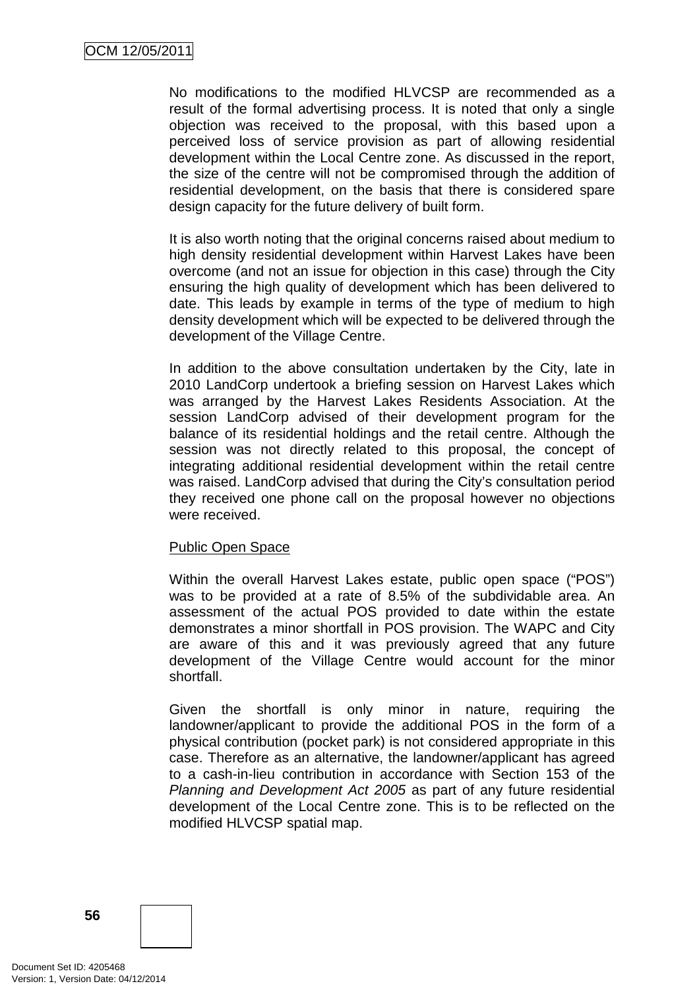No modifications to the modified HLVCSP are recommended as a result of the formal advertising process. It is noted that only a single objection was received to the proposal, with this based upon a perceived loss of service provision as part of allowing residential development within the Local Centre zone. As discussed in the report, the size of the centre will not be compromised through the addition of residential development, on the basis that there is considered spare design capacity for the future delivery of built form.

It is also worth noting that the original concerns raised about medium to high density residential development within Harvest Lakes have been overcome (and not an issue for objection in this case) through the City ensuring the high quality of development which has been delivered to date. This leads by example in terms of the type of medium to high density development which will be expected to be delivered through the development of the Village Centre.

In addition to the above consultation undertaken by the City, late in 2010 LandCorp undertook a briefing session on Harvest Lakes which was arranged by the Harvest Lakes Residents Association. At the session LandCorp advised of their development program for the balance of its residential holdings and the retail centre. Although the session was not directly related to this proposal, the concept of integrating additional residential development within the retail centre was raised. LandCorp advised that during the City's consultation period they received one phone call on the proposal however no objections were received.

# Public Open Space

Within the overall Harvest Lakes estate, public open space ("POS") was to be provided at a rate of 8.5% of the subdividable area. An assessment of the actual POS provided to date within the estate demonstrates a minor shortfall in POS provision. The WAPC and City are aware of this and it was previously agreed that any future development of the Village Centre would account for the minor shortfall.

Given the shortfall is only minor in nature, requiring the landowner/applicant to provide the additional POS in the form of a physical contribution (pocket park) is not considered appropriate in this case. Therefore as an alternative, the landowner/applicant has agreed to a cash-in-lieu contribution in accordance with Section 153 of the Planning and Development Act 2005 as part of any future residential development of the Local Centre zone. This is to be reflected on the modified HLVCSP spatial map.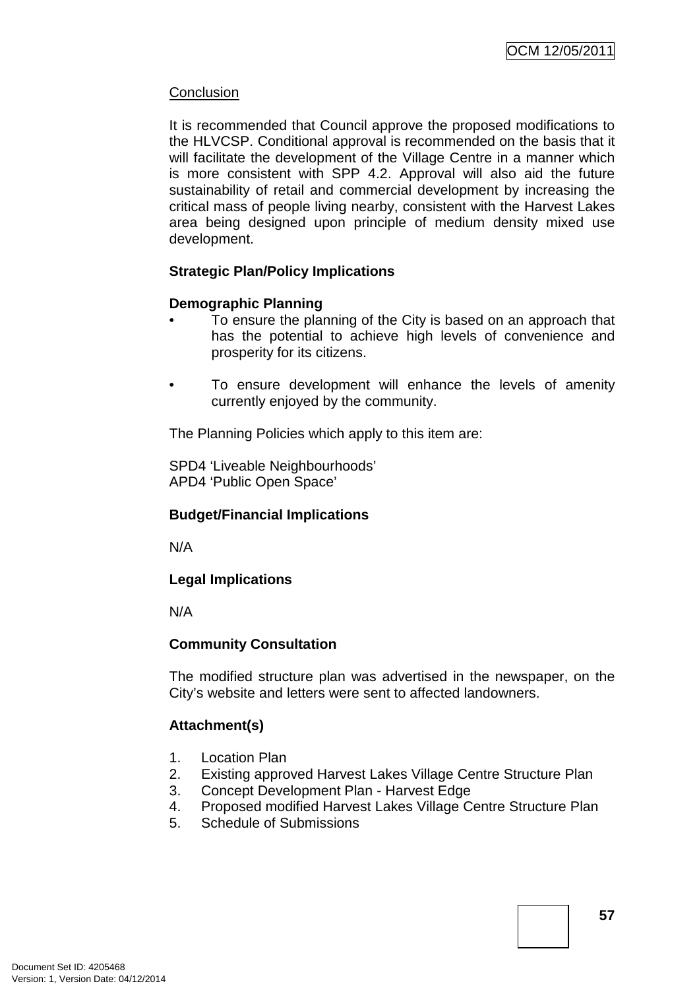# **Conclusion**

It is recommended that Council approve the proposed modifications to the HLVCSP. Conditional approval is recommended on the basis that it will facilitate the development of the Village Centre in a manner which is more consistent with SPP 4.2. Approval will also aid the future sustainability of retail and commercial development by increasing the critical mass of people living nearby, consistent with the Harvest Lakes area being designed upon principle of medium density mixed use development.

# **Strategic Plan/Policy Implications**

# **Demographic Planning**

- To ensure the planning of the City is based on an approach that has the potential to achieve high levels of convenience and prosperity for its citizens.
- To ensure development will enhance the levels of amenity currently enjoyed by the community.

The Planning Policies which apply to this item are:

SPD4 'Liveable Neighbourhoods' APD4 'Public Open Space'

# **Budget/Financial Implications**

N/A

# **Legal Implications**

N/A

# **Community Consultation**

The modified structure plan was advertised in the newspaper, on the City's website and letters were sent to affected landowners.

# **Attachment(s)**

- 1. Location Plan
- 2. Existing approved Harvest Lakes Village Centre Structure Plan
- 3. Concept Development Plan Harvest Edge
- 4. Proposed modified Harvest Lakes Village Centre Structure Plan
- 5. Schedule of Submissions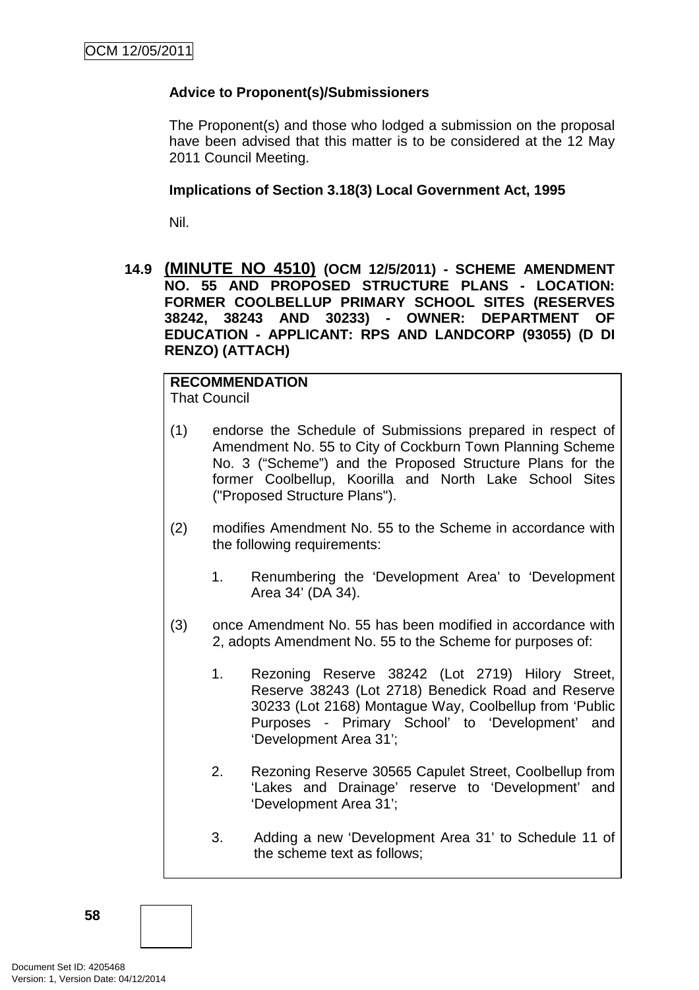# **Advice to Proponent(s)/Submissioners**

The Proponent(s) and those who lodged a submission on the proposal have been advised that this matter is to be considered at the 12 May 2011 Council Meeting.

### **Implications of Section 3.18(3) Local Government Act, 1995**

Nil.

**14.9 (MINUTE NO 4510) (OCM 12/5/2011) - SCHEME AMENDMENT NO. 55 AND PROPOSED STRUCTURE PLANS - LOCATION: FORMER COOLBELLUP PRIMARY SCHOOL SITES (RESERVES 38242, 38243 AND 30233) - OWNER: DEPARTMENT OF EDUCATION - APPLICANT: RPS AND LANDCORP (93055) (D DI RENZO) (ATTACH)** 

# **RECOMMENDATION**

That Council

- (1) endorse the Schedule of Submissions prepared in respect of Amendment No. 55 to City of Cockburn Town Planning Scheme No. 3 ("Scheme") and the Proposed Structure Plans for the former Coolbellup, Koorilla and North Lake School Sites ("Proposed Structure Plans").
- (2) modifies Amendment No. 55 to the Scheme in accordance with the following requirements:
	- 1. Renumbering the 'Development Area' to 'Development Area 34' (DA 34).
- (3) once Amendment No. 55 has been modified in accordance with 2, adopts Amendment No. 55 to the Scheme for purposes of:
	- 1. Rezoning Reserve 38242 (Lot 2719) Hilory Street, Reserve 38243 (Lot 2718) Benedick Road and Reserve 30233 (Lot 2168) Montague Way, Coolbellup from 'Public Purposes - Primary School' to 'Development' and 'Development Area 31';
	- 2. Rezoning Reserve 30565 Capulet Street, Coolbellup from 'Lakes and Drainage' reserve to 'Development' and 'Development Area 31';
	- 3. Adding a new 'Development Area 31' to Schedule 11 of the scheme text as follows;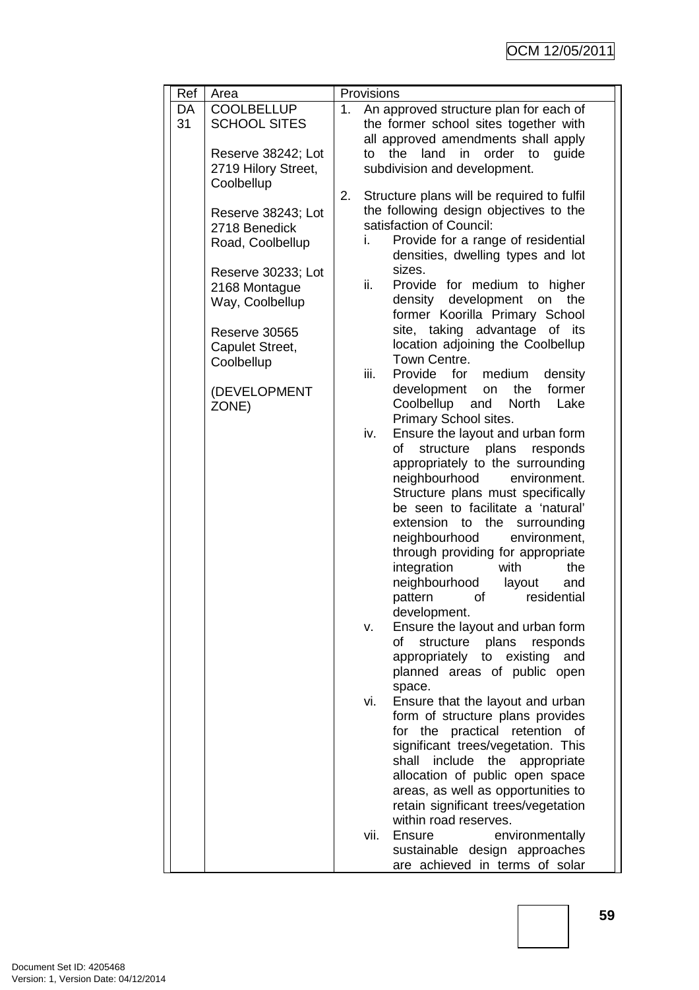| Ref      | Area                                                           | Provisions                                                                                                                                                                                                                    |  |  |
|----------|----------------------------------------------------------------|-------------------------------------------------------------------------------------------------------------------------------------------------------------------------------------------------------------------------------|--|--|
| DA<br>31 | <b>COOLBELLUP</b><br><b>SCHOOL SITES</b><br>Reserve 38242; Lot | An approved structure plan for each of<br>1.<br>the former school sites together with<br>all approved amendments shall apply<br>the<br>land<br>in<br>order<br>to<br>guide<br>to                                               |  |  |
|          | 2719 Hilory Street,<br>Coolbellup                              | subdivision and development.                                                                                                                                                                                                  |  |  |
|          | Reserve 38243; Lot<br>2718 Benedick<br>Road, Coolbellup        | 2.<br>Structure plans will be required to fulfil<br>the following design objectives to the<br>satisfaction of Council:<br>Provide for a range of residential<br>i.<br>densities, dwelling types and lot                       |  |  |
|          | Reserve 30233; Lot<br>2168 Montague<br>Way, Coolbellup         | sizes.<br>ii.<br>Provide for medium to higher<br>density development on<br>the<br>former Koorilla Primary School                                                                                                              |  |  |
|          | Reserve 30565<br>Capulet Street,<br>Coolbellup                 | site, taking advantage of its<br>location adjoining the Coolbellup<br>Town Centre.<br>iii.<br>Provide<br>for<br>medium<br>density                                                                                             |  |  |
|          | (DEVELOPMENT<br>ZONE)                                          | the<br>former<br>development<br>on<br>Coolbellup and<br><b>North</b><br>Lake<br>Primary School sites.                                                                                                                         |  |  |
|          |                                                                | Ensure the layout and urban form<br>iv.<br>of<br>structure<br>plans responds<br>appropriately to the surrounding<br>neighbourhood<br>environment.                                                                             |  |  |
|          |                                                                | Structure plans must specifically<br>be seen to facilitate a 'natural'<br>extension to the<br>surrounding<br>neighbourhood<br>environment,                                                                                    |  |  |
|          |                                                                | through providing for appropriate<br>integration<br>with<br>the<br>neighbourhood<br>layout<br>and                                                                                                                             |  |  |
|          |                                                                | residential<br>pattern<br>of<br>development.<br>Ensure the layout and urban form<br>٧.                                                                                                                                        |  |  |
|          |                                                                | of<br>structure<br>plans<br>responds<br>appropriately to<br>existing<br>and<br>planned areas of public open<br>space.                                                                                                         |  |  |
|          |                                                                | Ensure that the layout and urban<br>vi.<br>form of structure plans provides<br>for the practical retention of<br>significant trees/vegetation. This<br>include the<br>shall<br>appropriate<br>allocation of public open space |  |  |
|          |                                                                | areas, as well as opportunities to<br>retain significant trees/vegetation<br>within road reserves.<br>vii.<br>Ensure<br>environmentally<br>sustainable design approaches<br>are achieved in terms of solar                    |  |  |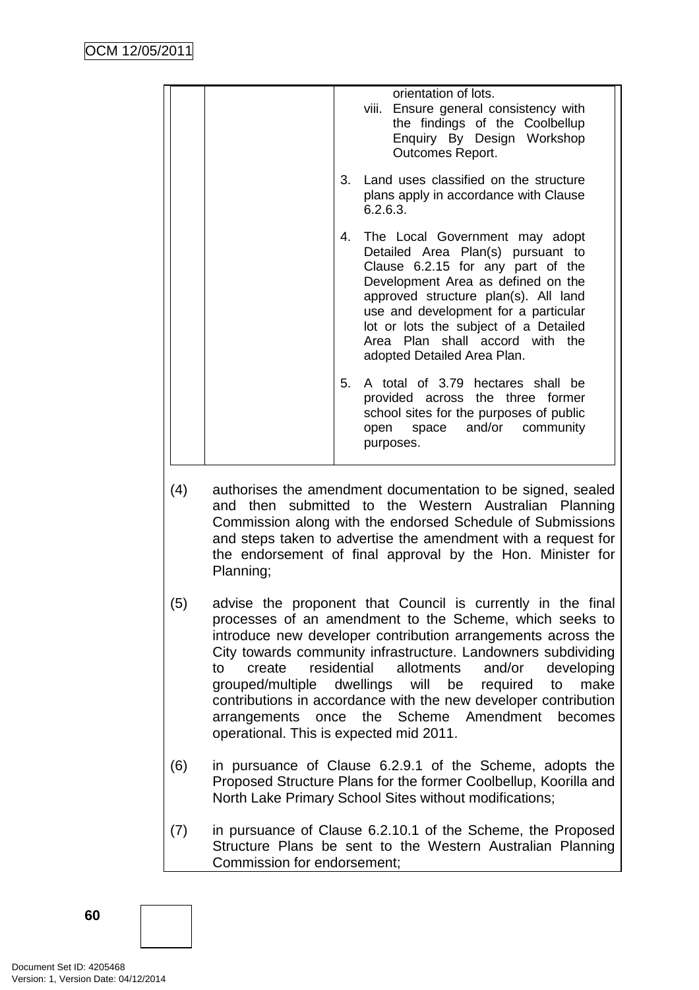| orientation of lots.<br>viii. Ensure general consistency with<br>the findings of the Coolbellup<br>Enquiry By Design Workshop<br>Outcomes Report.                                                                                                                                                                                            |
|----------------------------------------------------------------------------------------------------------------------------------------------------------------------------------------------------------------------------------------------------------------------------------------------------------------------------------------------|
| 3. Land uses classified on the structure<br>plans apply in accordance with Clause<br>6.2.6.3.                                                                                                                                                                                                                                                |
| 4. The Local Government may adopt<br>Detailed Area Plan(s) pursuant to<br>Clause 6.2.15 for any part of the<br>Development Area as defined on the<br>approved structure plan(s). All land<br>use and development for a particular<br>lot or lots the subject of a Detailed<br>Area Plan shall accord with the<br>adopted Detailed Area Plan. |
| 5.<br>A total of 3.79 hectares shall be<br>provided across the three former<br>school sites for the purposes of public<br>open space and/or community<br>purposes.                                                                                                                                                                           |

- (4) authorises the amendment documentation to be signed, sealed and then submitted to the Western Australian Planning Commission along with the endorsed Schedule of Submissions and steps taken to advertise the amendment with a request for the endorsement of final approval by the Hon. Minister for Planning;
- (5) advise the proponent that Council is currently in the final processes of an amendment to the Scheme, which seeks to introduce new developer contribution arrangements across the City towards community infrastructure. Landowners subdividing to create residential allotments and/or developing grouped/multiple dwellings will be required to make contributions in accordance with the new developer contribution arrangements once the Scheme Amendment becomes operational. This is expected mid 2011.
- (6) in pursuance of Clause 6.2.9.1 of the Scheme, adopts the Proposed Structure Plans for the former Coolbellup, Koorilla and North Lake Primary School Sites without modifications;
- (7) in pursuance of Clause 6.2.10.1 of the Scheme, the Proposed Structure Plans be sent to the Western Australian Planning Commission for endorsement;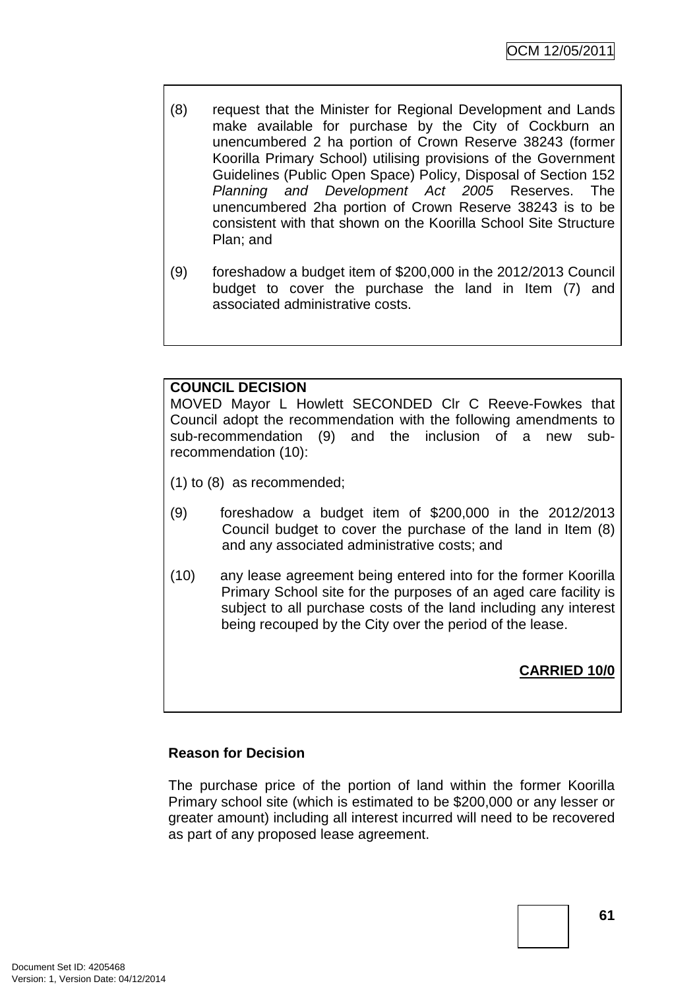- (8) request that the Minister for Regional Development and Lands make available for purchase by the City of Cockburn an unencumbered 2 ha portion of Crown Reserve 38243 (former Koorilla Primary School) utilising provisions of the Government Guidelines (Public Open Space) Policy, Disposal of Section 152 Planning and Development Act 2005 Reserves. The unencumbered 2ha portion of Crown Reserve 38243 is to be consistent with that shown on the Koorilla School Site Structure Plan; and
- (9) foreshadow a budget item of \$200,000 in the 2012/2013 Council budget to cover the purchase the land in Item (7) and associated administrative costs.

# **COUNCIL DECISION**

MOVED Mayor L Howlett SECONDED Clr C Reeve-Fowkes that Council adopt the recommendation with the following amendments to sub-recommendation (9) and the inclusion of a new subrecommendation (10):

- (1) to (8) as recommended;
- (9) foreshadow a budget item of \$200,000 in the 2012/2013 Council budget to cover the purchase of the land in Item (8) and any associated administrative costs; and
- (10) any lease agreement being entered into for the former Koorilla Primary School site for the purposes of an aged care facility is subject to all purchase costs of the land including any interest being recouped by the City over the period of the lease.

**CARRIED 10/0**

# **Reason for Decision**

The purchase price of the portion of land within the former Koorilla Primary school site (which is estimated to be \$200,000 or any lesser or greater amount) including all interest incurred will need to be recovered as part of any proposed lease agreement.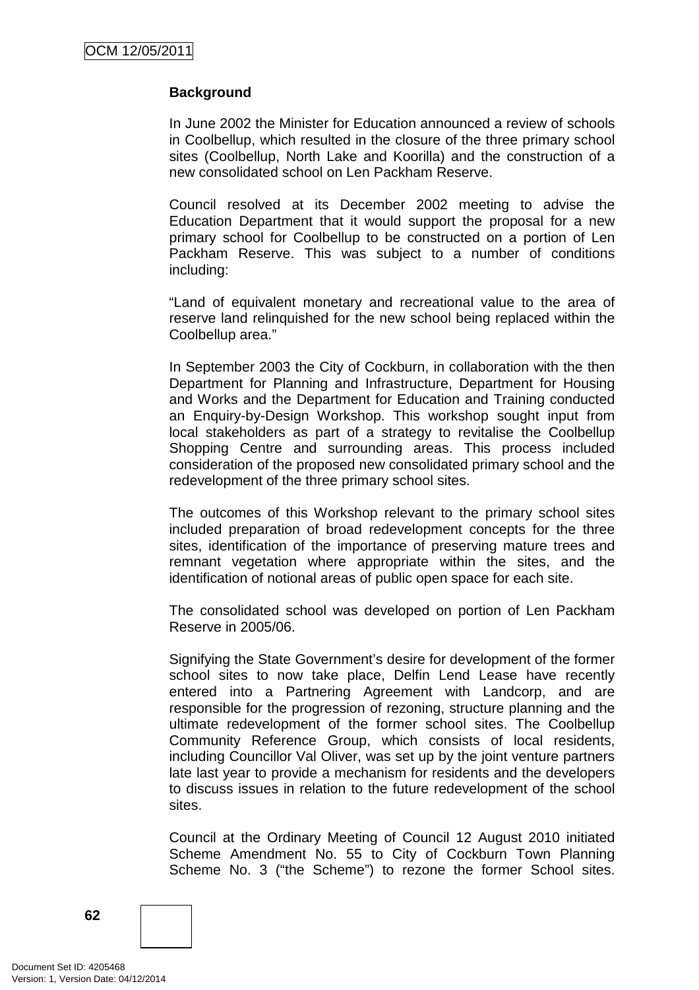# **Background**

In June 2002 the Minister for Education announced a review of schools in Coolbellup, which resulted in the closure of the three primary school sites (Coolbellup, North Lake and Koorilla) and the construction of a new consolidated school on Len Packham Reserve.

Council resolved at its December 2002 meeting to advise the Education Department that it would support the proposal for a new primary school for Coolbellup to be constructed on a portion of Len Packham Reserve. This was subject to a number of conditions including:

"Land of equivalent monetary and recreational value to the area of reserve land relinquished for the new school being replaced within the Coolbellup area."

In September 2003 the City of Cockburn, in collaboration with the then Department for Planning and Infrastructure, Department for Housing and Works and the Department for Education and Training conducted an Enquiry-by-Design Workshop. This workshop sought input from local stakeholders as part of a strategy to revitalise the Coolbellup Shopping Centre and surrounding areas. This process included consideration of the proposed new consolidated primary school and the redevelopment of the three primary school sites.

The outcomes of this Workshop relevant to the primary school sites included preparation of broad redevelopment concepts for the three sites, identification of the importance of preserving mature trees and remnant vegetation where appropriate within the sites, and the identification of notional areas of public open space for each site.

The consolidated school was developed on portion of Len Packham Reserve in 2005/06.

Signifying the State Government's desire for development of the former school sites to now take place, Delfin Lend Lease have recently entered into a Partnering Agreement with Landcorp, and are responsible for the progression of rezoning, structure planning and the ultimate redevelopment of the former school sites. The Coolbellup Community Reference Group, which consists of local residents, including Councillor Val Oliver, was set up by the joint venture partners late last year to provide a mechanism for residents and the developers to discuss issues in relation to the future redevelopment of the school sites.

Council at the Ordinary Meeting of Council 12 August 2010 initiated Scheme Amendment No. 55 to City of Cockburn Town Planning Scheme No. 3 ("the Scheme") to rezone the former School sites.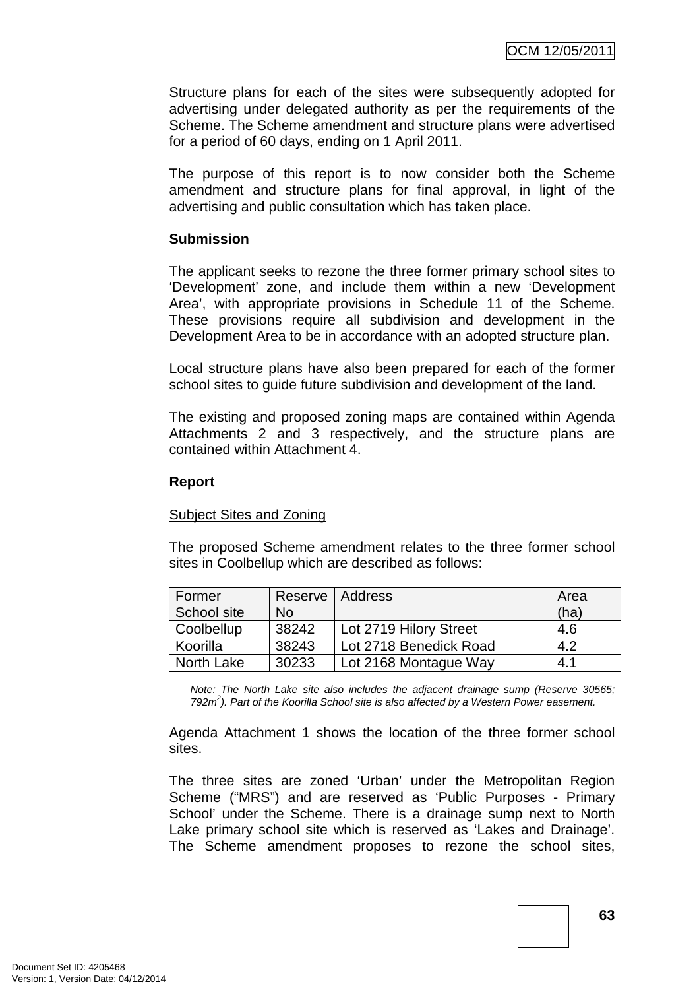Structure plans for each of the sites were subsequently adopted for advertising under delegated authority as per the requirements of the Scheme. The Scheme amendment and structure plans were advertised for a period of 60 days, ending on 1 April 2011.

The purpose of this report is to now consider both the Scheme amendment and structure plans for final approval, in light of the advertising and public consultation which has taken place.

# **Submission**

The applicant seeks to rezone the three former primary school sites to 'Development' zone, and include them within a new 'Development Area', with appropriate provisions in Schedule 11 of the Scheme. These provisions require all subdivision and development in the Development Area to be in accordance with an adopted structure plan.

Local structure plans have also been prepared for each of the former school sites to guide future subdivision and development of the land.

The existing and proposed zoning maps are contained within Agenda Attachments 2 and 3 respectively, and the structure plans are contained within Attachment 4.

#### **Report**

# Subject Sites and Zoning

The proposed Scheme amendment relates to the three former school sites in Coolbellup which are described as follows:

| Former      |           | Reserve   Address      | Area |
|-------------|-----------|------------------------|------|
| School site | <b>No</b> |                        | (ha) |
| Coolbellup  | 38242     | Lot 2719 Hilory Street | 4.6  |
| Koorilla    | 38243     | Lot 2718 Benedick Road | 4.2  |
| North Lake  | 30233     | Lot 2168 Montague Way  | 4.1  |

Note: The North Lake site also includes the adjacent drainage sump (Reserve 30565; 792 $m<sup>2</sup>$ ). Part of the Koorilla School site is also affected by a Western Power easement.

Agenda Attachment 1 shows the location of the three former school sites.

The three sites are zoned 'Urban' under the Metropolitan Region Scheme ("MRS") and are reserved as 'Public Purposes - Primary School' under the Scheme. There is a drainage sump next to North Lake primary school site which is reserved as 'Lakes and Drainage'. The Scheme amendment proposes to rezone the school sites,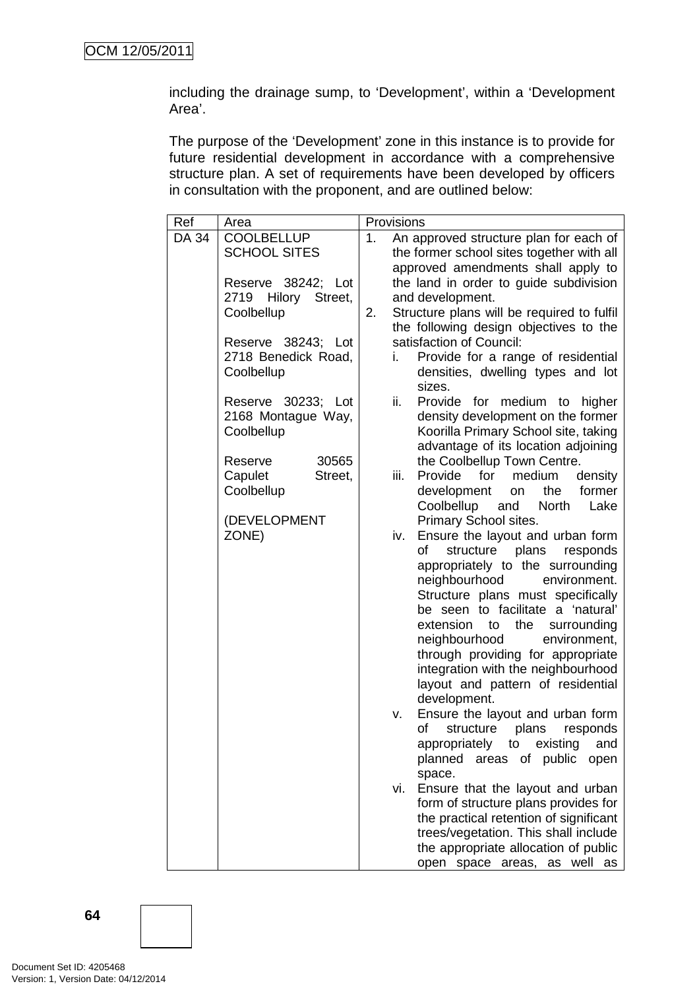including the drainage sump, to 'Development', within a 'Development Area'.

The purpose of the 'Development' zone in this instance is to provide for future residential development in accordance with a comprehensive structure plan. A set of requirements have been developed by officers in consultation with the proponent, and are outlined below:

| Ref   | Area                                                                          | Provisions |      |                                                                                                                                                                                                                                                                                                                                                                                                                                                      |
|-------|-------------------------------------------------------------------------------|------------|------|------------------------------------------------------------------------------------------------------------------------------------------------------------------------------------------------------------------------------------------------------------------------------------------------------------------------------------------------------------------------------------------------------------------------------------------------------|
| DA 34 | <b>COOLBELLUP</b>                                                             | 1.         |      | An approved structure plan for each of                                                                                                                                                                                                                                                                                                                                                                                                               |
|       | <b>SCHOOL SITES</b>                                                           |            |      | the former school sites together with all                                                                                                                                                                                                                                                                                                                                                                                                            |
|       | Reserve 38242; Lot<br>2719 Hilory Street,<br>Coolbellup<br>Reserve 38243; Lot | 2.         |      | approved amendments shall apply to<br>the land in order to guide subdivision<br>and development.<br>Structure plans will be required to fulfil<br>the following design objectives to the<br>satisfaction of Council:                                                                                                                                                                                                                                 |
|       | 2718 Benedick Road,<br>Coolbellup                                             |            | i.   | Provide for a range of residential<br>densities, dwelling types and lot<br>sizes.                                                                                                                                                                                                                                                                                                                                                                    |
|       | Reserve 30233; Lot<br>2168 Montague Way,<br>Coolbellup                        |            | ii.  | Provide for medium to higher<br>density development on the former<br>Koorilla Primary School site, taking<br>advantage of its location adjoining                                                                                                                                                                                                                                                                                                     |
|       | 30565<br>Reserve<br>Capulet<br>Street,<br>Coolbellup                          |            | iii. | the Coolbellup Town Centre.<br>Provide<br>for<br>medium<br>density<br>former<br>development<br>the<br>on<br>Coolbellup<br>and<br>North<br>Lake                                                                                                                                                                                                                                                                                                       |
|       | (DEVELOPMENT<br>ZONE)                                                         |            | iv.  | Primary School sites.<br>Ensure the layout and urban form<br>of<br>structure plans<br>responds<br>appropriately to the surrounding<br>neighbourhood<br>environment.<br>Structure plans must specifically<br>be seen to facilitate a 'natural'<br>extension to<br>the<br>surrounding<br>neighbourhood<br>environment,<br>through providing for appropriate<br>integration with the neighbourhood<br>layout and pattern of residential<br>development. |
|       |                                                                               |            | v.   | Ensure the layout and urban form<br>of<br>structure plans responds<br>appropriately to existing<br>and<br>planned<br>areas of public<br>open<br>space.                                                                                                                                                                                                                                                                                               |
|       |                                                                               |            | vi.  | Ensure that the layout and urban<br>form of structure plans provides for<br>the practical retention of significant<br>trees/vegetation. This shall include<br>the appropriate allocation of public<br>open space areas, as well as                                                                                                                                                                                                                   |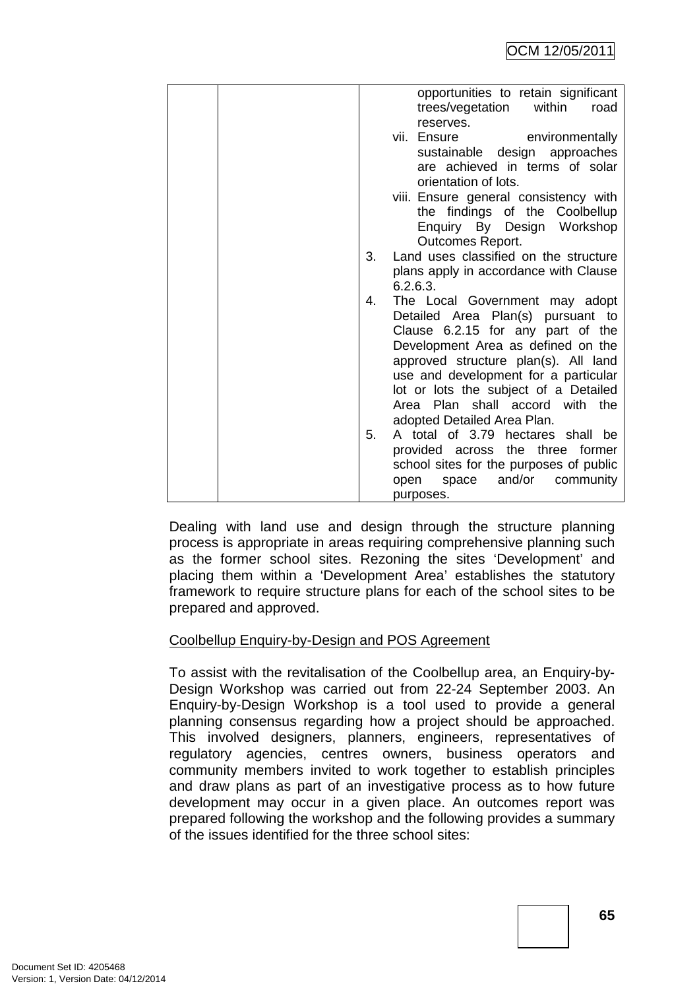|    | opportunities to retain significant     |
|----|-----------------------------------------|
|    | trees/vegetation<br>within<br>road      |
|    | reserves.                               |
|    | vii. Ensure<br>environmentally          |
|    | sustainable design approaches           |
|    | are achieved in terms of solar          |
|    | orientation of lots.                    |
|    | viii. Ensure general consistency with   |
|    |                                         |
|    | the findings of the Coolbellup          |
|    | Enquiry By Design Workshop              |
|    | Outcomes Report.                        |
| 3. | Land uses classified on the structure   |
|    | plans apply in accordance with Clause   |
|    | 6.2.6.3.                                |
| 4. | The Local Government may adopt          |
|    | Detailed Area Plan(s) pursuant to       |
|    | Clause 6.2.15 for any part of the       |
|    | Development Area as defined on the      |
|    | approved structure plan(s). All land    |
|    | use and development for a particular    |
|    |                                         |
|    | lot or lots the subject of a Detailed   |
|    | Area Plan shall accord with the         |
|    | adopted Detailed Area Plan.             |
| 5. | A total of 3.79 hectares shall be       |
|    | provided across the three former        |
|    | school sites for the purposes of public |
|    | space and/or<br>community<br>open       |
|    | purposes.                               |

Dealing with land use and design through the structure planning process is appropriate in areas requiring comprehensive planning such as the former school sites. Rezoning the sites 'Development' and placing them within a 'Development Area' establishes the statutory framework to require structure plans for each of the school sites to be prepared and approved.

# Coolbellup Enquiry-by-Design and POS Agreement

To assist with the revitalisation of the Coolbellup area, an Enquiry-by-Design Workshop was carried out from 22-24 September 2003. An Enquiry-by-Design Workshop is a tool used to provide a general planning consensus regarding how a project should be approached. This involved designers, planners, engineers, representatives of regulatory agencies, centres owners, business operators and community members invited to work together to establish principles and draw plans as part of an investigative process as to how future development may occur in a given place. An outcomes report was prepared following the workshop and the following provides a summary of the issues identified for the three school sites: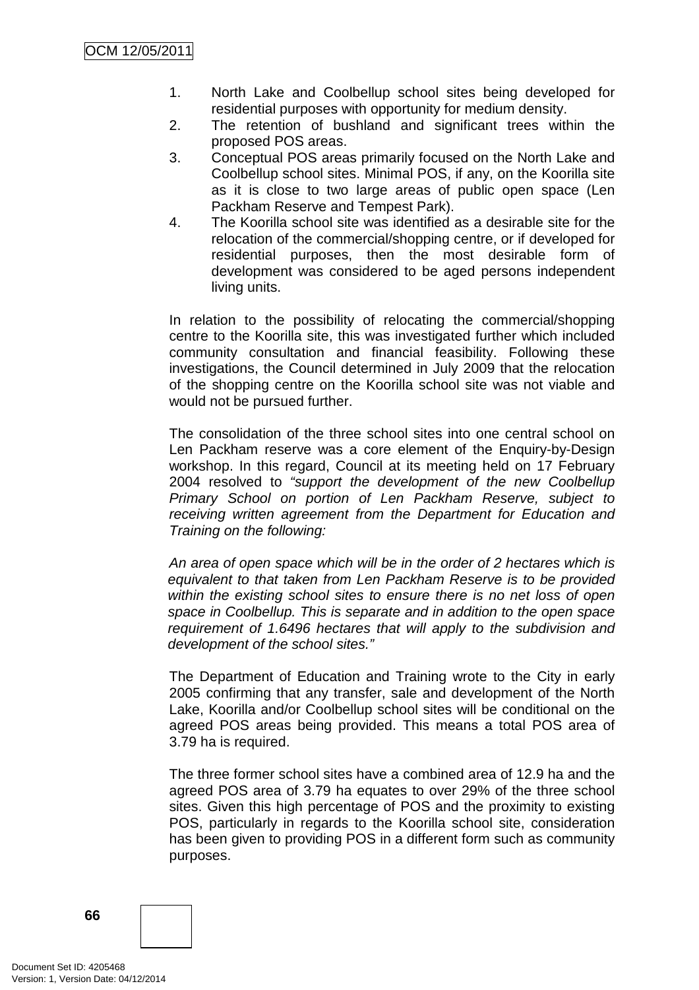- 1. North Lake and Coolbellup school sites being developed for residential purposes with opportunity for medium density.
- 2. The retention of bushland and significant trees within the proposed POS areas.
- 3. Conceptual POS areas primarily focused on the North Lake and Coolbellup school sites. Minimal POS, if any, on the Koorilla site as it is close to two large areas of public open space (Len Packham Reserve and Tempest Park).
- 4. The Koorilla school site was identified as a desirable site for the relocation of the commercial/shopping centre, or if developed for residential purposes, then the most desirable form of development was considered to be aged persons independent living units.

In relation to the possibility of relocating the commercial/shopping centre to the Koorilla site, this was investigated further which included community consultation and financial feasibility. Following these investigations, the Council determined in July 2009 that the relocation of the shopping centre on the Koorilla school site was not viable and would not be pursued further.

The consolidation of the three school sites into one central school on Len Packham reserve was a core element of the Enquiry-by-Design workshop. In this regard, Council at its meeting held on 17 February 2004 resolved to "support the development of the new Coolbellup Primary School on portion of Len Packham Reserve, subject to receiving written agreement from the Department for Education and Training on the following:

An area of open space which will be in the order of 2 hectares which is equivalent to that taken from Len Packham Reserve is to be provided within the existing school sites to ensure there is no net loss of open space in Coolbellup. This is separate and in addition to the open space requirement of 1.6496 hectares that will apply to the subdivision and development of the school sites."

The Department of Education and Training wrote to the City in early 2005 confirming that any transfer, sale and development of the North Lake, Koorilla and/or Coolbellup school sites will be conditional on the agreed POS areas being provided. This means a total POS area of 3.79 ha is required.

The three former school sites have a combined area of 12.9 ha and the agreed POS area of 3.79 ha equates to over 29% of the three school sites. Given this high percentage of POS and the proximity to existing POS, particularly in regards to the Koorilla school site, consideration has been given to providing POS in a different form such as community purposes.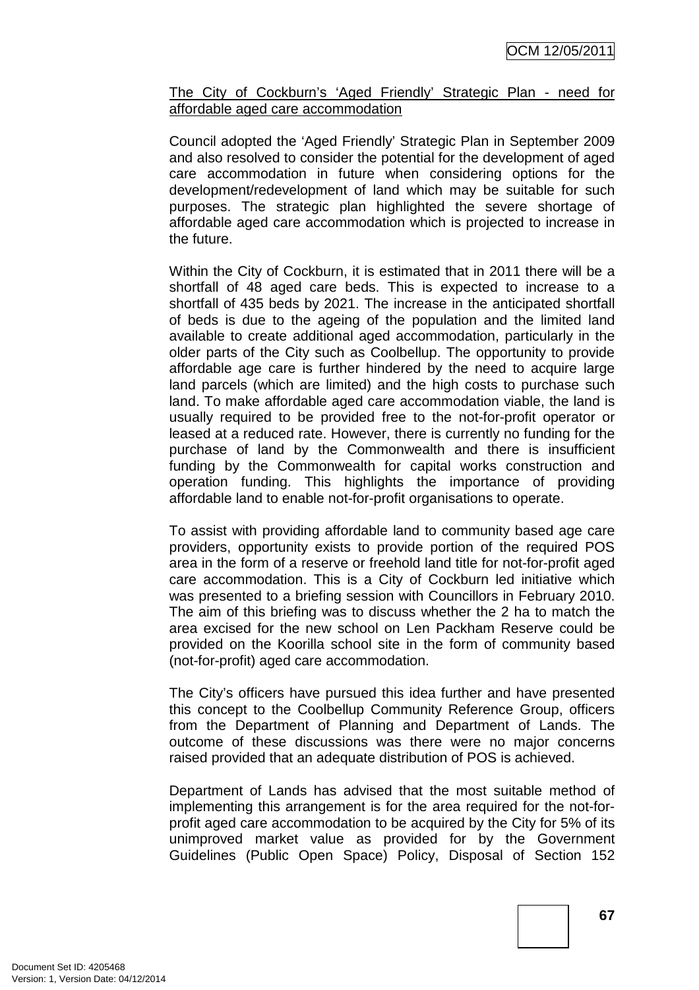# The City of Cockburn's 'Aged Friendly' Strategic Plan - need for affordable aged care accommodation

Council adopted the 'Aged Friendly' Strategic Plan in September 2009 and also resolved to consider the potential for the development of aged care accommodation in future when considering options for the development/redevelopment of land which may be suitable for such purposes. The strategic plan highlighted the severe shortage of affordable aged care accommodation which is projected to increase in the future.

Within the City of Cockburn, it is estimated that in 2011 there will be a shortfall of 48 aged care beds. This is expected to increase to a shortfall of 435 beds by 2021. The increase in the anticipated shortfall of beds is due to the ageing of the population and the limited land available to create additional aged accommodation, particularly in the older parts of the City such as Coolbellup. The opportunity to provide affordable age care is further hindered by the need to acquire large land parcels (which are limited) and the high costs to purchase such land. To make affordable aged care accommodation viable, the land is usually required to be provided free to the not-for-profit operator or leased at a reduced rate. However, there is currently no funding for the purchase of land by the Commonwealth and there is insufficient funding by the Commonwealth for capital works construction and operation funding. This highlights the importance of providing affordable land to enable not-for-profit organisations to operate.

To assist with providing affordable land to community based age care providers, opportunity exists to provide portion of the required POS area in the form of a reserve or freehold land title for not-for-profit aged care accommodation. This is a City of Cockburn led initiative which was presented to a briefing session with Councillors in February 2010. The aim of this briefing was to discuss whether the 2 ha to match the area excised for the new school on Len Packham Reserve could be provided on the Koorilla school site in the form of community based (not-for-profit) aged care accommodation.

The City's officers have pursued this idea further and have presented this concept to the Coolbellup Community Reference Group, officers from the Department of Planning and Department of Lands. The outcome of these discussions was there were no major concerns raised provided that an adequate distribution of POS is achieved.

Department of Lands has advised that the most suitable method of implementing this arrangement is for the area required for the not-forprofit aged care accommodation to be acquired by the City for 5% of its unimproved market value as provided for by the Government Guidelines (Public Open Space) Policy, Disposal of Section 152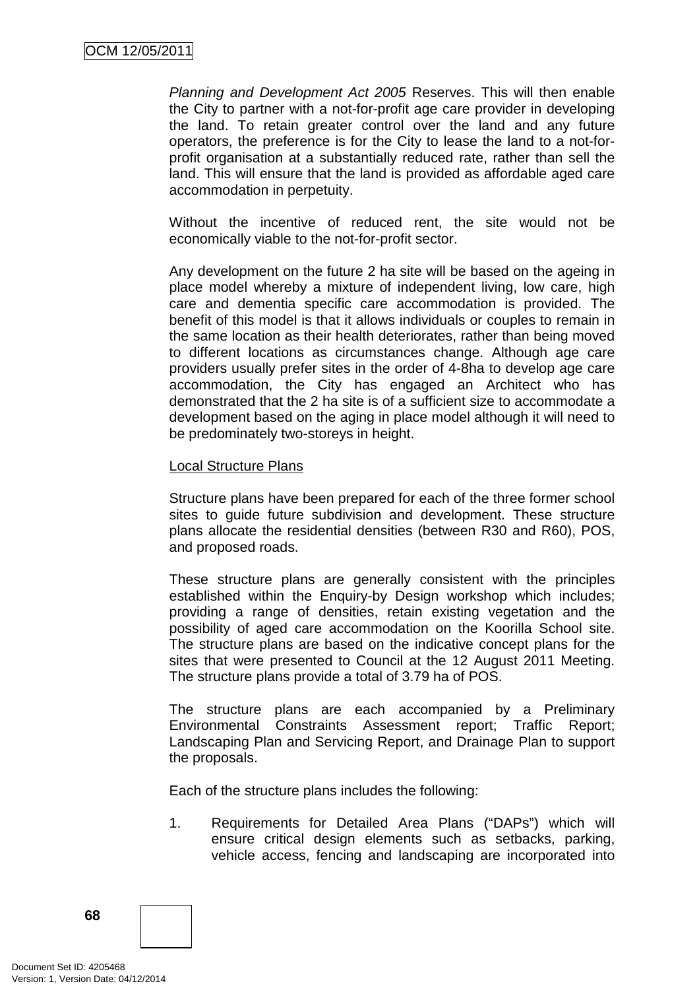Planning and Development Act 2005 Reserves. This will then enable the City to partner with a not-for-profit age care provider in developing the land. To retain greater control over the land and any future operators, the preference is for the City to lease the land to a not-forprofit organisation at a substantially reduced rate, rather than sell the land. This will ensure that the land is provided as affordable aged care accommodation in perpetuity.

Without the incentive of reduced rent, the site would not be economically viable to the not-for-profit sector.

Any development on the future 2 ha site will be based on the ageing in place model whereby a mixture of independent living, low care, high care and dementia specific care accommodation is provided. The benefit of this model is that it allows individuals or couples to remain in the same location as their health deteriorates, rather than being moved to different locations as circumstances change. Although age care providers usually prefer sites in the order of 4-8ha to develop age care accommodation, the City has engaged an Architect who has demonstrated that the 2 ha site is of a sufficient size to accommodate a development based on the aging in place model although it will need to be predominately two-storeys in height.

#### Local Structure Plans

Structure plans have been prepared for each of the three former school sites to guide future subdivision and development. These structure plans allocate the residential densities (between R30 and R60), POS, and proposed roads.

These structure plans are generally consistent with the principles established within the Enquiry-by Design workshop which includes; providing a range of densities, retain existing vegetation and the possibility of aged care accommodation on the Koorilla School site. The structure plans are based on the indicative concept plans for the sites that were presented to Council at the 12 August 2011 Meeting. The structure plans provide a total of 3.79 ha of POS.

The structure plans are each accompanied by a Preliminary Environmental Constraints Assessment report; Traffic Report; Landscaping Plan and Servicing Report, and Drainage Plan to support the proposals.

Each of the structure plans includes the following:

1. Requirements for Detailed Area Plans ("DAPs") which will ensure critical design elements such as setbacks, parking, vehicle access, fencing and landscaping are incorporated into

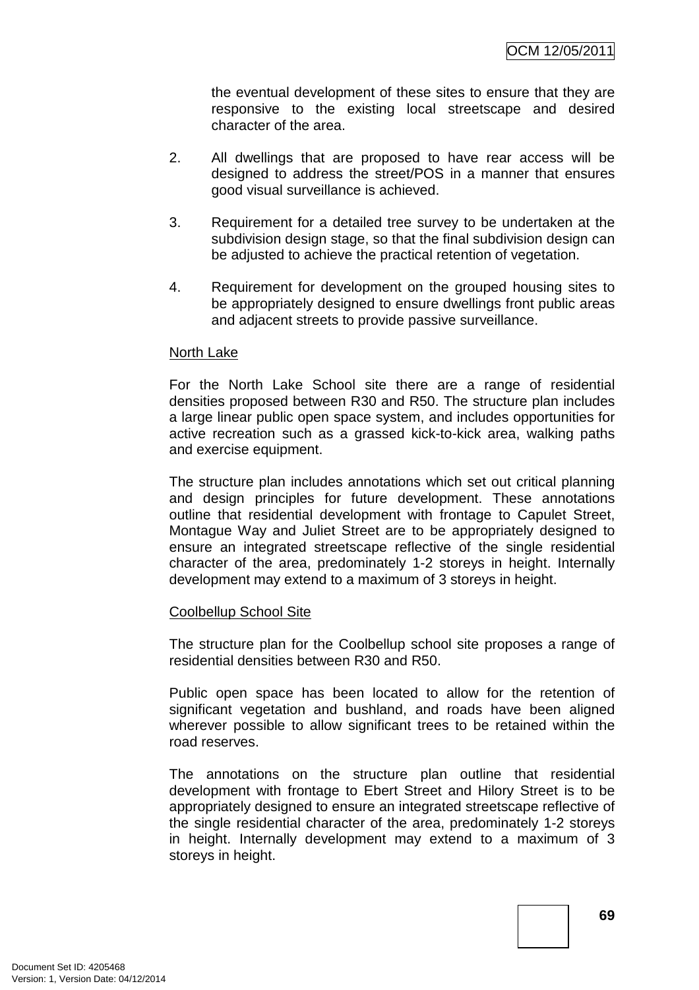the eventual development of these sites to ensure that they are responsive to the existing local streetscape and desired character of the area.

- 2. All dwellings that are proposed to have rear access will be designed to address the street/POS in a manner that ensures good visual surveillance is achieved.
- 3. Requirement for a detailed tree survey to be undertaken at the subdivision design stage, so that the final subdivision design can be adjusted to achieve the practical retention of vegetation.
- 4. Requirement for development on the grouped housing sites to be appropriately designed to ensure dwellings front public areas and adjacent streets to provide passive surveillance.

#### North Lake

For the North Lake School site there are a range of residential densities proposed between R30 and R50. The structure plan includes a large linear public open space system, and includes opportunities for active recreation such as a grassed kick-to-kick area, walking paths and exercise equipment.

The structure plan includes annotations which set out critical planning and design principles for future development. These annotations outline that residential development with frontage to Capulet Street, Montague Way and Juliet Street are to be appropriately designed to ensure an integrated streetscape reflective of the single residential character of the area, predominately 1-2 storeys in height. Internally development may extend to a maximum of 3 storeys in height.

#### Coolbellup School Site

The structure plan for the Coolbellup school site proposes a range of residential densities between R30 and R50.

Public open space has been located to allow for the retention of significant vegetation and bushland, and roads have been aligned wherever possible to allow significant trees to be retained within the road reserves.

The annotations on the structure plan outline that residential development with frontage to Ebert Street and Hilory Street is to be appropriately designed to ensure an integrated streetscape reflective of the single residential character of the area, predominately 1-2 storeys in height. Internally development may extend to a maximum of 3 storeys in height.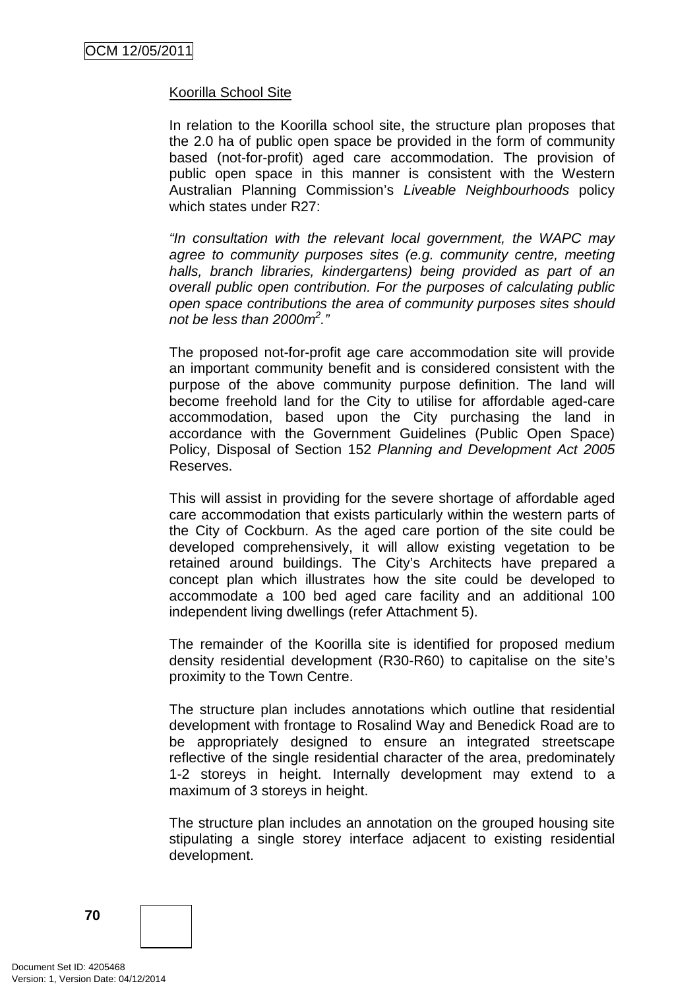### Koorilla School Site

In relation to the Koorilla school site, the structure plan proposes that the 2.0 ha of public open space be provided in the form of community based (not-for-profit) aged care accommodation. The provision of public open space in this manner is consistent with the Western Australian Planning Commission's Liveable Neighbourhoods policy which states under R27:

"In consultation with the relevant local government, the WAPC may agree to community purposes sites (e.g. community centre, meeting halls, branch libraries, kindergartens) being provided as part of an overall public open contribution. For the purposes of calculating public open space contributions the area of community purposes sites should not be less than 2000 $m^2$ ."

The proposed not-for-profit age care accommodation site will provide an important community benefit and is considered consistent with the purpose of the above community purpose definition. The land will become freehold land for the City to utilise for affordable aged-care accommodation, based upon the City purchasing the land in accordance with the Government Guidelines (Public Open Space) Policy, Disposal of Section 152 Planning and Development Act 2005 Reserves.

This will assist in providing for the severe shortage of affordable aged care accommodation that exists particularly within the western parts of the City of Cockburn. As the aged care portion of the site could be developed comprehensively, it will allow existing vegetation to be retained around buildings. The City's Architects have prepared a concept plan which illustrates how the site could be developed to accommodate a 100 bed aged care facility and an additional 100 independent living dwellings (refer Attachment 5).

The remainder of the Koorilla site is identified for proposed medium density residential development (R30-R60) to capitalise on the site's proximity to the Town Centre.

The structure plan includes annotations which outline that residential development with frontage to Rosalind Way and Benedick Road are to be appropriately designed to ensure an integrated streetscape reflective of the single residential character of the area, predominately 1-2 storeys in height. Internally development may extend to a maximum of 3 storeys in height.

The structure plan includes an annotation on the grouped housing site stipulating a single storey interface adjacent to existing residential development.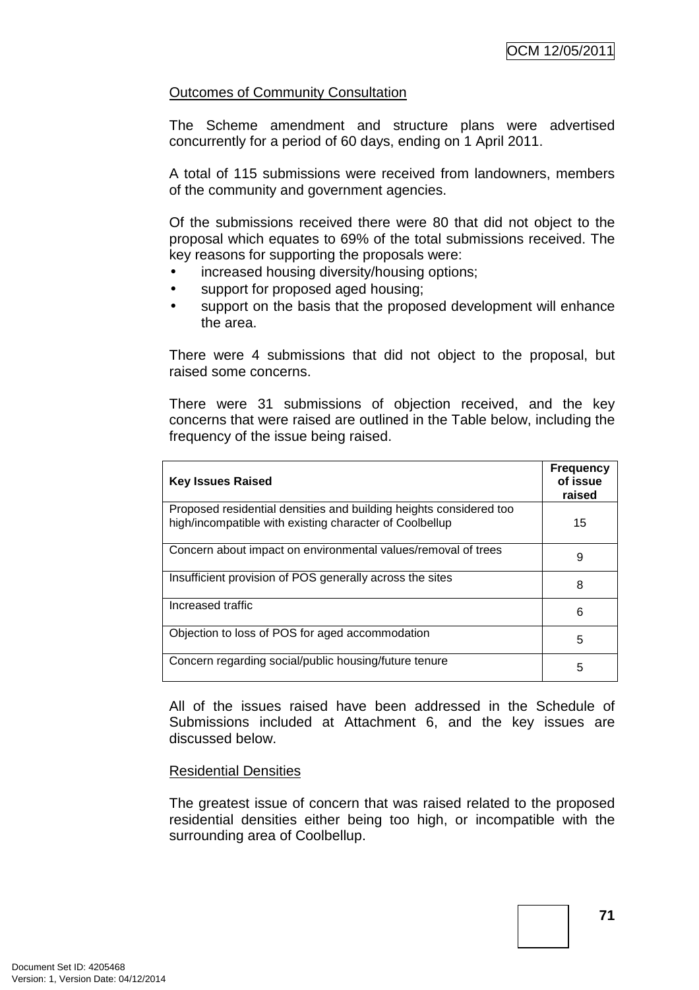# Outcomes of Community Consultation

The Scheme amendment and structure plans were advertised concurrently for a period of 60 days, ending on 1 April 2011.

A total of 115 submissions were received from landowners, members of the community and government agencies.

Of the submissions received there were 80 that did not object to the proposal which equates to 69% of the total submissions received. The key reasons for supporting the proposals were:

- increased housing diversity/housing options;
- support for proposed aged housing;
- support on the basis that the proposed development will enhance the area.

There were 4 submissions that did not object to the proposal, but raised some concerns.

There were 31 submissions of objection received, and the key concerns that were raised are outlined in the Table below, including the frequency of the issue being raised.

| <b>Key Issues Raised</b>                                                                                                      | <b>Frequency</b><br>of issue<br>raised |
|-------------------------------------------------------------------------------------------------------------------------------|----------------------------------------|
| Proposed residential densities and building heights considered too<br>high/incompatible with existing character of Coolbellup | 15                                     |
| Concern about impact on environmental values/removal of trees                                                                 | 9                                      |
| Insufficient provision of POS generally across the sites                                                                      | 8                                      |
| Increased traffic                                                                                                             | 6                                      |
| Objection to loss of POS for aged accommodation                                                                               | 5                                      |
| Concern regarding social/public housing/future tenure                                                                         | 5                                      |

All of the issues raised have been addressed in the Schedule of Submissions included at Attachment 6, and the key issues are discussed below.

### Residential Densities

The greatest issue of concern that was raised related to the proposed residential densities either being too high, or incompatible with the surrounding area of Coolbellup.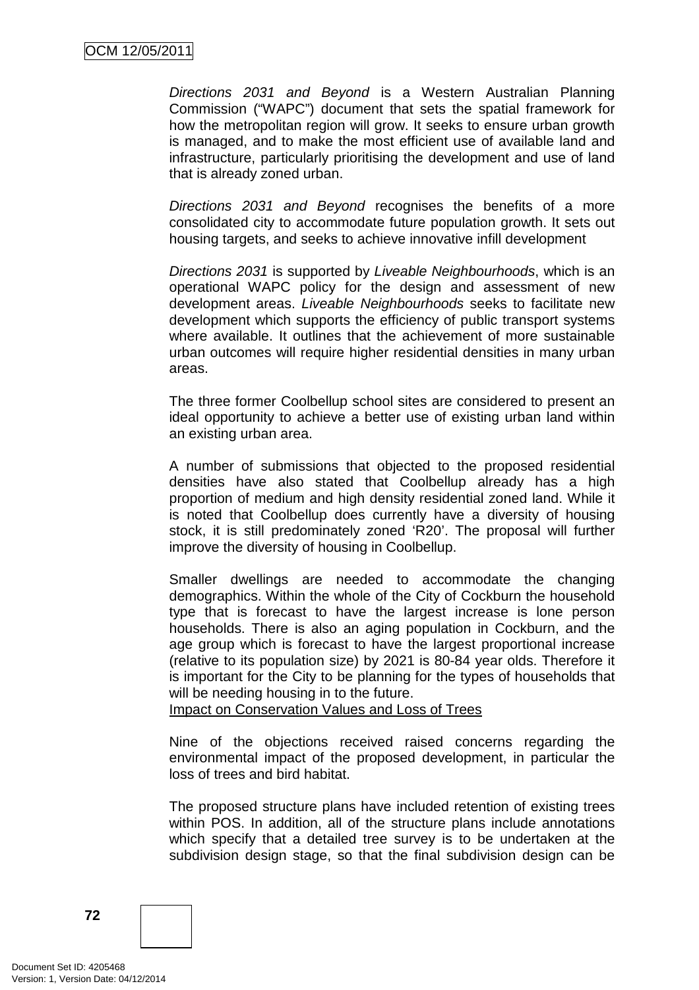Directions 2031 and Beyond is a Western Australian Planning Commission ("WAPC") document that sets the spatial framework for how the metropolitan region will grow. It seeks to ensure urban growth is managed, and to make the most efficient use of available land and infrastructure, particularly prioritising the development and use of land that is already zoned urban.

Directions 2031 and Beyond recognises the benefits of a more consolidated city to accommodate future population growth. It sets out housing targets, and seeks to achieve innovative infill development

Directions 2031 is supported by Liveable Neighbourhoods, which is an operational WAPC policy for the design and assessment of new development areas. Liveable Neighbourhoods seeks to facilitate new development which supports the efficiency of public transport systems where available. It outlines that the achievement of more sustainable urban outcomes will require higher residential densities in many urban areas.

The three former Coolbellup school sites are considered to present an ideal opportunity to achieve a better use of existing urban land within an existing urban area.

A number of submissions that objected to the proposed residential densities have also stated that Coolbellup already has a high proportion of medium and high density residential zoned land. While it is noted that Coolbellup does currently have a diversity of housing stock, it is still predominately zoned 'R20'. The proposal will further improve the diversity of housing in Coolbellup.

Smaller dwellings are needed to accommodate the changing demographics. Within the whole of the City of Cockburn the household type that is forecast to have the largest increase is lone person households. There is also an aging population in Cockburn, and the age group which is forecast to have the largest proportional increase (relative to its population size) by 2021 is 80-84 year olds. Therefore it is important for the City to be planning for the types of households that will be needing housing in to the future.

Impact on Conservation Values and Loss of Trees

Nine of the objections received raised concerns regarding the environmental impact of the proposed development, in particular the loss of trees and bird habitat.

The proposed structure plans have included retention of existing trees within POS. In addition, all of the structure plans include annotations which specify that a detailed tree survey is to be undertaken at the subdivision design stage, so that the final subdivision design can be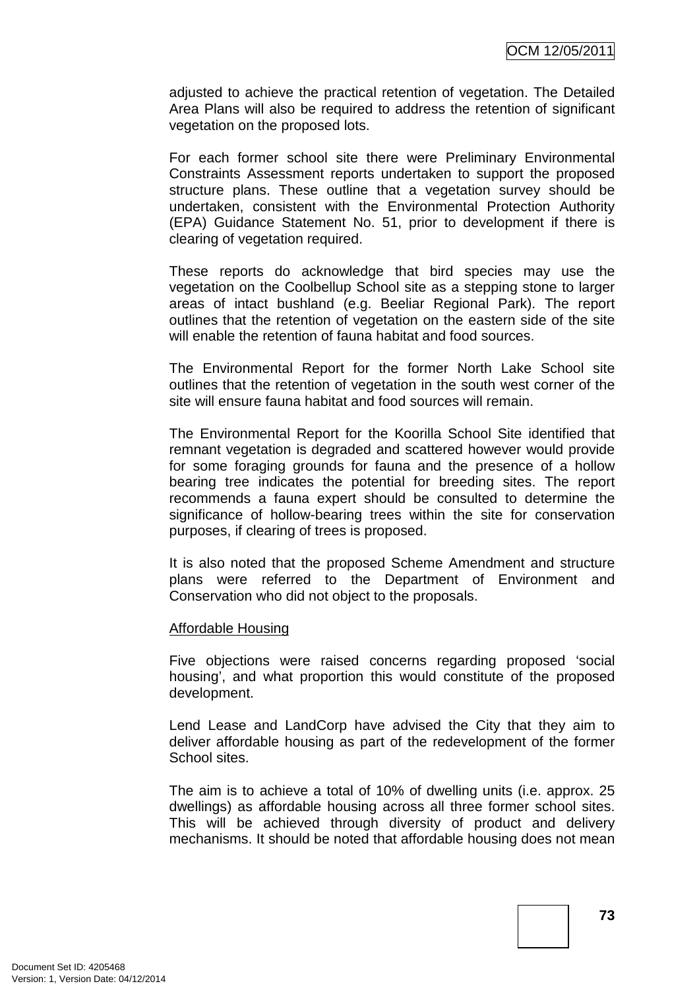adjusted to achieve the practical retention of vegetation. The Detailed Area Plans will also be required to address the retention of significant vegetation on the proposed lots.

For each former school site there were Preliminary Environmental Constraints Assessment reports undertaken to support the proposed structure plans. These outline that a vegetation survey should be undertaken, consistent with the Environmental Protection Authority (EPA) Guidance Statement No. 51, prior to development if there is clearing of vegetation required.

These reports do acknowledge that bird species may use the vegetation on the Coolbellup School site as a stepping stone to larger areas of intact bushland (e.g. Beeliar Regional Park). The report outlines that the retention of vegetation on the eastern side of the site will enable the retention of fauna habitat and food sources.

The Environmental Report for the former North Lake School site outlines that the retention of vegetation in the south west corner of the site will ensure fauna habitat and food sources will remain.

The Environmental Report for the Koorilla School Site identified that remnant vegetation is degraded and scattered however would provide for some foraging grounds for fauna and the presence of a hollow bearing tree indicates the potential for breeding sites. The report recommends a fauna expert should be consulted to determine the significance of hollow-bearing trees within the site for conservation purposes, if clearing of trees is proposed.

It is also noted that the proposed Scheme Amendment and structure plans were referred to the Department of Environment and Conservation who did not object to the proposals.

#### Affordable Housing

Five objections were raised concerns regarding proposed 'social housing', and what proportion this would constitute of the proposed development.

Lend Lease and LandCorp have advised the City that they aim to deliver affordable housing as part of the redevelopment of the former School sites.

The aim is to achieve a total of 10% of dwelling units (i.e. approx. 25 dwellings) as affordable housing across all three former school sites. This will be achieved through diversity of product and delivery mechanisms. It should be noted that affordable housing does not mean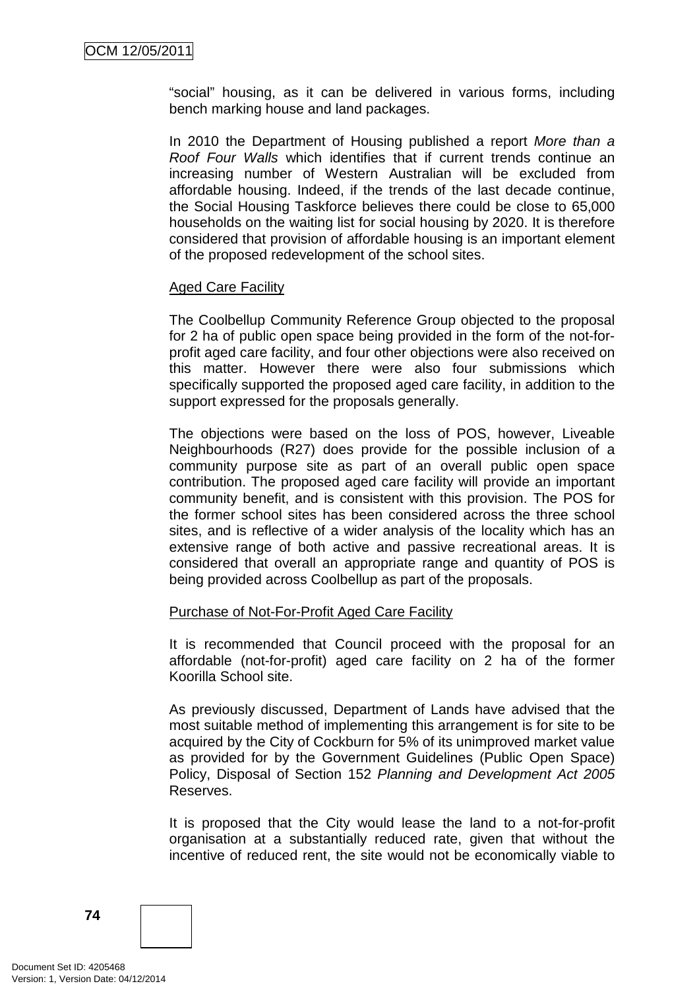"social" housing, as it can be delivered in various forms, including bench marking house and land packages.

In 2010 the Department of Housing published a report More than a Roof Four Walls which identifies that if current trends continue an increasing number of Western Australian will be excluded from affordable housing. Indeed, if the trends of the last decade continue, the Social Housing Taskforce believes there could be close to 65,000 households on the waiting list for social housing by 2020. It is therefore considered that provision of affordable housing is an important element of the proposed redevelopment of the school sites.

### **Aged Care Facility**

The Coolbellup Community Reference Group objected to the proposal for 2 ha of public open space being provided in the form of the not-forprofit aged care facility, and four other objections were also received on this matter. However there were also four submissions which specifically supported the proposed aged care facility, in addition to the support expressed for the proposals generally.

The objections were based on the loss of POS, however, Liveable Neighbourhoods (R27) does provide for the possible inclusion of a community purpose site as part of an overall public open space contribution. The proposed aged care facility will provide an important community benefit, and is consistent with this provision. The POS for the former school sites has been considered across the three school sites, and is reflective of a wider analysis of the locality which has an extensive range of both active and passive recreational areas. It is considered that overall an appropriate range and quantity of POS is being provided across Coolbellup as part of the proposals.

### Purchase of Not-For-Profit Aged Care Facility

It is recommended that Council proceed with the proposal for an affordable (not-for-profit) aged care facility on 2 ha of the former Koorilla School site.

As previously discussed, Department of Lands have advised that the most suitable method of implementing this arrangement is for site to be acquired by the City of Cockburn for 5% of its unimproved market value as provided for by the Government Guidelines (Public Open Space) Policy, Disposal of Section 152 Planning and Development Act 2005 Reserves.

It is proposed that the City would lease the land to a not-for-profit organisation at a substantially reduced rate, given that without the incentive of reduced rent, the site would not be economically viable to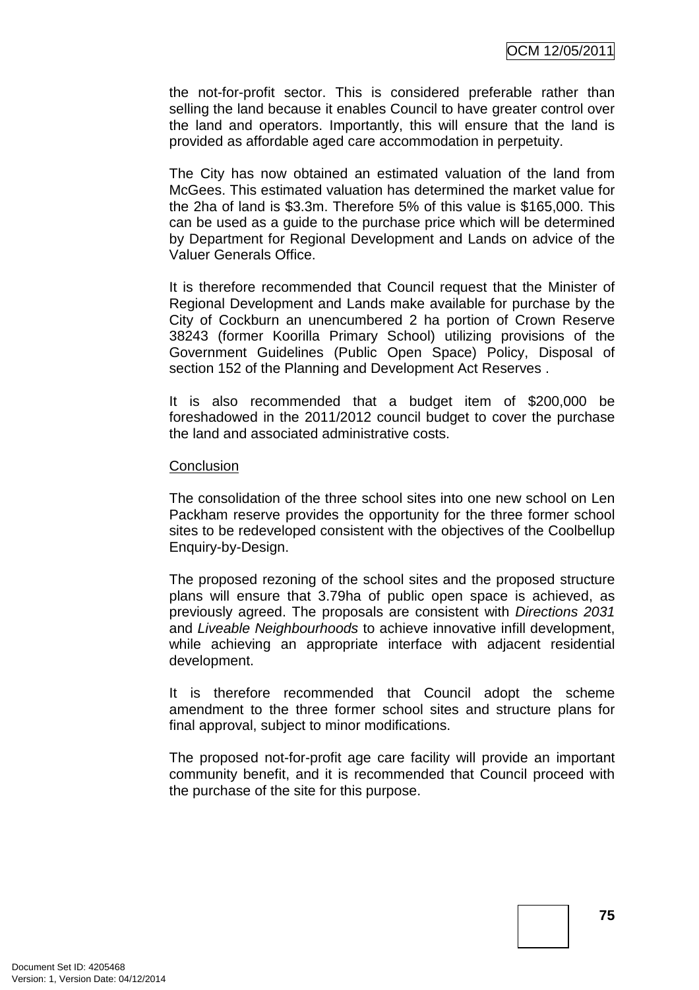the not-for-profit sector. This is considered preferable rather than selling the land because it enables Council to have greater control over the land and operators. Importantly, this will ensure that the land is provided as affordable aged care accommodation in perpetuity.

The City has now obtained an estimated valuation of the land from McGees. This estimated valuation has determined the market value for the 2ha of land is \$3.3m. Therefore 5% of this value is \$165,000. This can be used as a guide to the purchase price which will be determined by Department for Regional Development and Lands on advice of the Valuer Generals Office.

It is therefore recommended that Council request that the Minister of Regional Development and Lands make available for purchase by the City of Cockburn an unencumbered 2 ha portion of Crown Reserve 38243 (former Koorilla Primary School) utilizing provisions of the Government Guidelines (Public Open Space) Policy, Disposal of section 152 of the Planning and Development Act Reserves .

It is also recommended that a budget item of \$200,000 be foreshadowed in the 2011/2012 council budget to cover the purchase the land and associated administrative costs.

#### **Conclusion**

The consolidation of the three school sites into one new school on Len Packham reserve provides the opportunity for the three former school sites to be redeveloped consistent with the objectives of the Coolbellup Enquiry-by-Design.

The proposed rezoning of the school sites and the proposed structure plans will ensure that 3.79ha of public open space is achieved, as previously agreed. The proposals are consistent with Directions 2031 and Liveable Neighbourhoods to achieve innovative infill development, while achieving an appropriate interface with adjacent residential development.

It is therefore recommended that Council adopt the scheme amendment to the three former school sites and structure plans for final approval, subject to minor modifications.

The proposed not-for-profit age care facility will provide an important community benefit, and it is recommended that Council proceed with the purchase of the site for this purpose.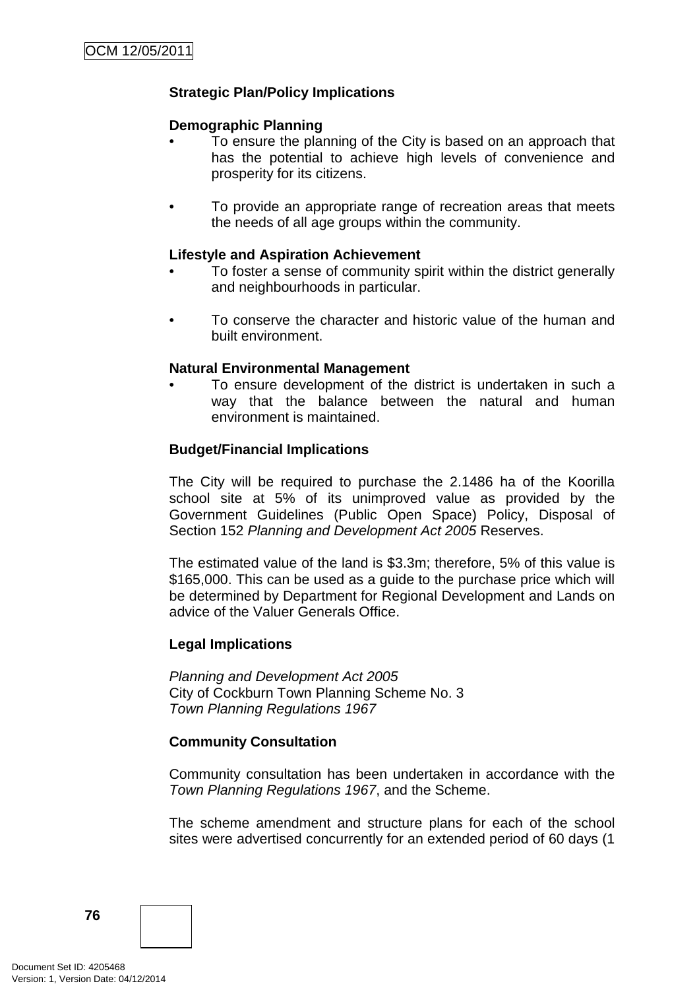# **Strategic Plan/Policy Implications**

### **Demographic Planning**

- To ensure the planning of the City is based on an approach that has the potential to achieve high levels of convenience and prosperity for its citizens.
- To provide an appropriate range of recreation areas that meets the needs of all age groups within the community.

### **Lifestyle and Aspiration Achievement**

- To foster a sense of community spirit within the district generally and neighbourhoods in particular.
- To conserve the character and historic value of the human and built environment.

### **Natural Environmental Management**

To ensure development of the district is undertaken in such a way that the balance between the natural and human environment is maintained.

### **Budget/Financial Implications**

The City will be required to purchase the 2.1486 ha of the Koorilla school site at 5% of its unimproved value as provided by the Government Guidelines (Public Open Space) Policy, Disposal of Section 152 Planning and Development Act 2005 Reserves.

The estimated value of the land is \$3.3m; therefore, 5% of this value is \$165,000. This can be used as a guide to the purchase price which will be determined by Department for Regional Development and Lands on advice of the Valuer Generals Office.

### **Legal Implications**

Planning and Development Act 2005 City of Cockburn Town Planning Scheme No. 3 Town Planning Regulations 1967

### **Community Consultation**

Community consultation has been undertaken in accordance with the Town Planning Regulations 1967, and the Scheme.

The scheme amendment and structure plans for each of the school sites were advertised concurrently for an extended period of 60 days (1

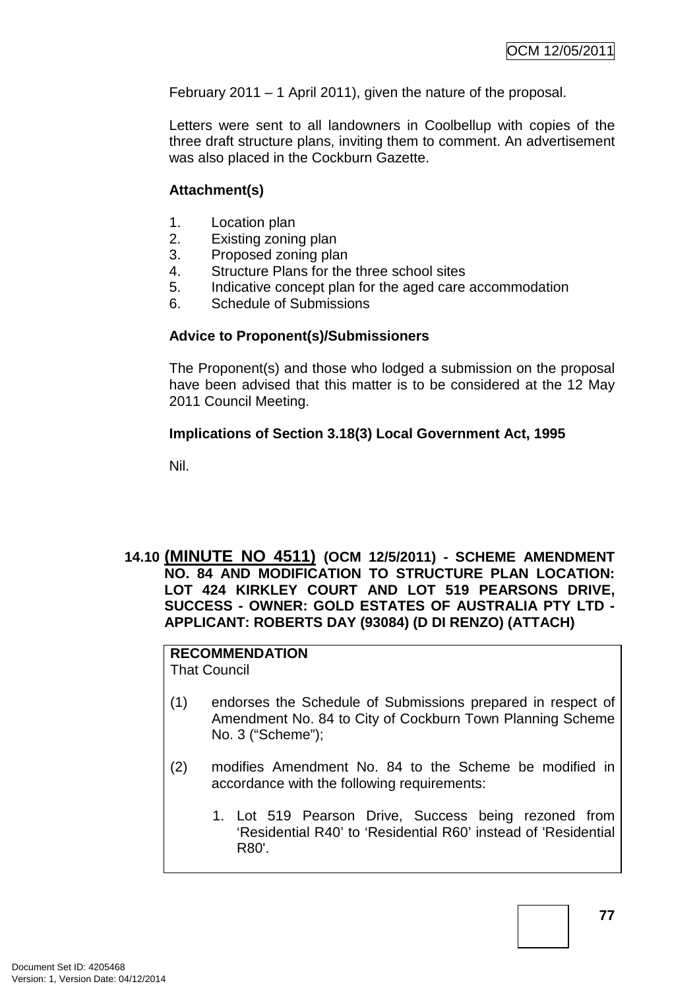February 2011 – 1 April 2011), given the nature of the proposal.

Letters were sent to all landowners in Coolbellup with copies of the three draft structure plans, inviting them to comment. An advertisement was also placed in the Cockburn Gazette.

## **Attachment(s)**

- 1. Location plan
- 2. Existing zoning plan
- 3. Proposed zoning plan
- 4. Structure Plans for the three school sites
- 5. Indicative concept plan for the aged care accommodation
- 6. Schedule of Submissions

# **Advice to Proponent(s)/Submissioners**

The Proponent(s) and those who lodged a submission on the proposal have been advised that this matter is to be considered at the 12 May 2011 Council Meeting.

# **Implications of Section 3.18(3) Local Government Act, 1995**

Nil.

# **14.10 (MINUTE NO 4511) (OCM 12/5/2011) - SCHEME AMENDMENT NO. 84 AND MODIFICATION TO STRUCTURE PLAN LOCATION: LOT 424 KIRKLEY COURT AND LOT 519 PEARSONS DRIVE, SUCCESS - OWNER: GOLD ESTATES OF AUSTRALIA PTY LTD - APPLICANT: ROBERTS DAY (93084) (D DI RENZO) (ATTACH)**

# **RECOMMENDATION**

That Council

- (1) endorses the Schedule of Submissions prepared in respect of Amendment No. 84 to City of Cockburn Town Planning Scheme No. 3 ("Scheme");
- (2) modifies Amendment No. 84 to the Scheme be modified in accordance with the following requirements:
	- 1. Lot 519 Pearson Drive, Success being rezoned from 'Residential R40' to 'Residential R60' instead of 'Residential R80'.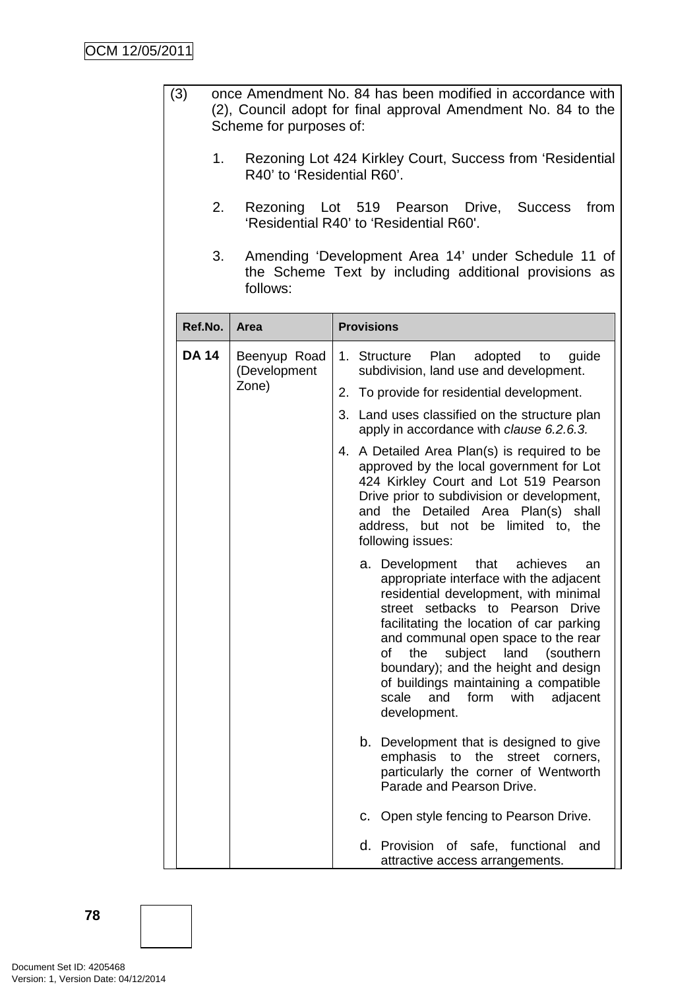- (3) once Amendment No. 84 has been modified in accordance with (2), Council adopt for final approval Amendment No. 84 to the Scheme for purposes of:
	- 1. Rezoning Lot 424 Kirkley Court, Success from 'Residential R40' to 'Residential R60'.
	- 2. Rezoning Lot 519 Pearson Drive, Success from 'Residential R40' to 'Residential R60'.
	- 3. Amending 'Development Area 14' under Schedule 11 of the Scheme Text by including additional provisions as follows:

| Ref.No.      | Area                         | <b>Provisions</b>                                                                                                                                                                                                                                                                                                                                                                                                                             |
|--------------|------------------------------|-----------------------------------------------------------------------------------------------------------------------------------------------------------------------------------------------------------------------------------------------------------------------------------------------------------------------------------------------------------------------------------------------------------------------------------------------|
| <b>DA 14</b> | Beenyup Road<br>(Development | Plan<br>1. Structure<br>adopted<br>guide<br>to<br>subdivision, land use and development.                                                                                                                                                                                                                                                                                                                                                      |
|              | Zone)                        | To provide for residential development.<br>2.                                                                                                                                                                                                                                                                                                                                                                                                 |
|              |                              | 3. Land uses classified on the structure plan<br>apply in accordance with clause 6.2.6.3.                                                                                                                                                                                                                                                                                                                                                     |
|              |                              | A Detailed Area Plan(s) is required to be<br>4.<br>approved by the local government for Lot<br>424 Kirkley Court and Lot 519 Pearson<br>Drive prior to subdivision or development,<br>Detailed Area Plan(s) shall<br>and the<br>be limited to, the<br>address, but not<br>following issues:                                                                                                                                                   |
|              |                              | a. Development<br>that<br>achieves<br>an<br>appropriate interface with the adjacent<br>residential development, with minimal<br>street setbacks to Pearson Drive<br>facilitating the location of car parking<br>and communal open space to the rear<br>subject<br>land<br>οf<br>(southern<br>the<br>boundary); and the height and design<br>of buildings maintaining a compatible<br>with<br>and<br>form<br>adjacent<br>scale<br>development. |
|              |                              | b.<br>Development that is designed to give<br>the<br>emphasis<br>to<br>street<br>corners,<br>particularly the corner of Wentworth<br>Parade and Pearson Drive.                                                                                                                                                                                                                                                                                |
|              |                              | c. Open style fencing to Pearson Drive.                                                                                                                                                                                                                                                                                                                                                                                                       |
|              |                              | d. Provision<br>safe, functional<br>of<br>and<br>attractive access arrangements.                                                                                                                                                                                                                                                                                                                                                              |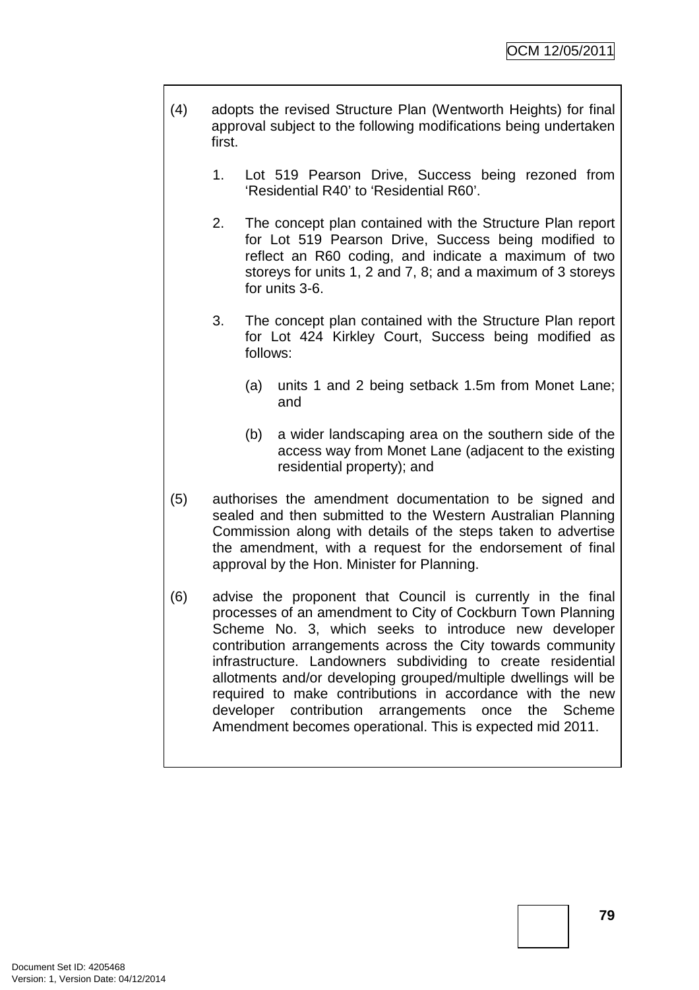- (4) adopts the revised Structure Plan (Wentworth Heights) for final approval subject to the following modifications being undertaken first.
	- 1. Lot 519 Pearson Drive, Success being rezoned from 'Residential R40' to 'Residential R60'.
	- 2. The concept plan contained with the Structure Plan report for Lot 519 Pearson Drive, Success being modified to reflect an R60 coding, and indicate a maximum of two storeys for units 1, 2 and 7, 8; and a maximum of 3 storeys for units 3-6.
	- 3. The concept plan contained with the Structure Plan report for Lot 424 Kirkley Court, Success being modified as follows:
		- (a) units 1 and 2 being setback 1.5m from Monet Lane; and
		- (b) a wider landscaping area on the southern side of the access way from Monet Lane (adjacent to the existing residential property); and
- (5) authorises the amendment documentation to be signed and sealed and then submitted to the Western Australian Planning Commission along with details of the steps taken to advertise the amendment, with a request for the endorsement of final approval by the Hon. Minister for Planning.
- (6) advise the proponent that Council is currently in the final processes of an amendment to City of Cockburn Town Planning Scheme No. 3, which seeks to introduce new developer contribution arrangements across the City towards community infrastructure. Landowners subdividing to create residential allotments and/or developing grouped/multiple dwellings will be required to make contributions in accordance with the new developer contribution arrangements once the Scheme Amendment becomes operational. This is expected mid 2011.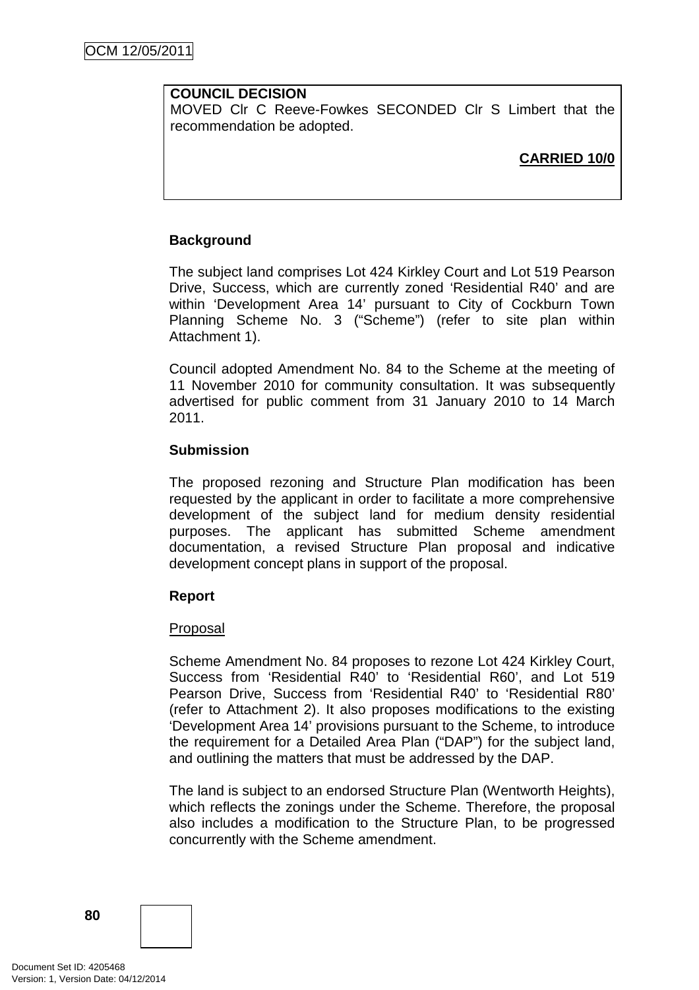# **COUNCIL DECISION**

MOVED Clr C Reeve-Fowkes SECONDED Clr S Limbert that the recommendation be adopted.

**CARRIED 10/0**

# **Background**

The subject land comprises Lot 424 Kirkley Court and Lot 519 Pearson Drive, Success, which are currently zoned 'Residential R40' and are within 'Development Area 14' pursuant to City of Cockburn Town Planning Scheme No. 3 ("Scheme") (refer to site plan within Attachment 1).

Council adopted Amendment No. 84 to the Scheme at the meeting of 11 November 2010 for community consultation. It was subsequently advertised for public comment from 31 January 2010 to 14 March 2011.

### **Submission**

The proposed rezoning and Structure Plan modification has been requested by the applicant in order to facilitate a more comprehensive development of the subject land for medium density residential purposes. The applicant has submitted Scheme amendment documentation, a revised Structure Plan proposal and indicative development concept plans in support of the proposal.

### **Report**

### Proposal

Scheme Amendment No. 84 proposes to rezone Lot 424 Kirkley Court, Success from 'Residential R40' to 'Residential R60', and Lot 519 Pearson Drive, Success from 'Residential R40' to 'Residential R80' (refer to Attachment 2). It also proposes modifications to the existing 'Development Area 14' provisions pursuant to the Scheme, to introduce the requirement for a Detailed Area Plan ("DAP") for the subject land, and outlining the matters that must be addressed by the DAP.

The land is subject to an endorsed Structure Plan (Wentworth Heights), which reflects the zonings under the Scheme. Therefore, the proposal also includes a modification to the Structure Plan, to be progressed concurrently with the Scheme amendment.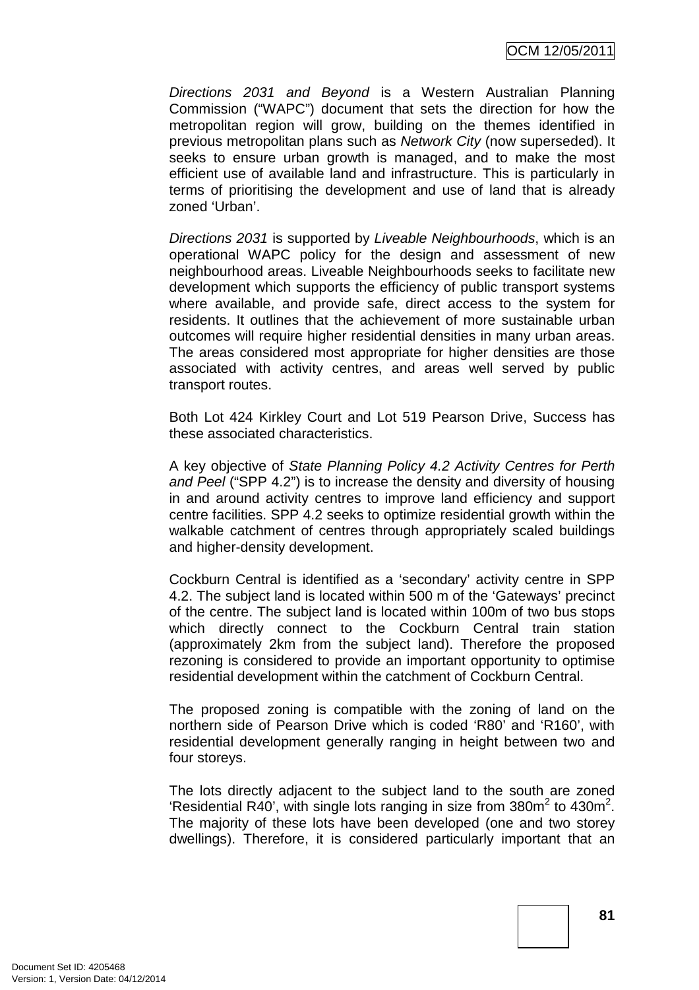Directions 2031 and Beyond is a Western Australian Planning Commission ("WAPC") document that sets the direction for how the metropolitan region will grow, building on the themes identified in previous metropolitan plans such as Network City (now superseded). It seeks to ensure urban growth is managed, and to make the most efficient use of available land and infrastructure. This is particularly in terms of prioritising the development and use of land that is already zoned 'Urban'.

Directions 2031 is supported by Liveable Neighbourhoods, which is an operational WAPC policy for the design and assessment of new neighbourhood areas. Liveable Neighbourhoods seeks to facilitate new development which supports the efficiency of public transport systems where available, and provide safe, direct access to the system for residents. It outlines that the achievement of more sustainable urban outcomes will require higher residential densities in many urban areas. The areas considered most appropriate for higher densities are those associated with activity centres, and areas well served by public transport routes.

Both Lot 424 Kirkley Court and Lot 519 Pearson Drive, Success has these associated characteristics.

A key objective of State Planning Policy 4.2 Activity Centres for Perth and Peel ("SPP 4.2") is to increase the density and diversity of housing in and around activity centres to improve land efficiency and support centre facilities. SPP 4.2 seeks to optimize residential growth within the walkable catchment of centres through appropriately scaled buildings and higher-density development.

Cockburn Central is identified as a 'secondary' activity centre in SPP 4.2. The subject land is located within 500 m of the 'Gateways' precinct of the centre. The subject land is located within 100m of two bus stops which directly connect to the Cockburn Central train station (approximately 2km from the subject land). Therefore the proposed rezoning is considered to provide an important opportunity to optimise residential development within the catchment of Cockburn Central.

The proposed zoning is compatible with the zoning of land on the northern side of Pearson Drive which is coded 'R80' and 'R160', with residential development generally ranging in height between two and four storeys.

The lots directly adjacent to the subject land to the south are zoned 'Residential R40', with single lots ranging in size from 380 $m^2$  to 430 $m^2$ . The majority of these lots have been developed (one and two storey dwellings). Therefore, it is considered particularly important that an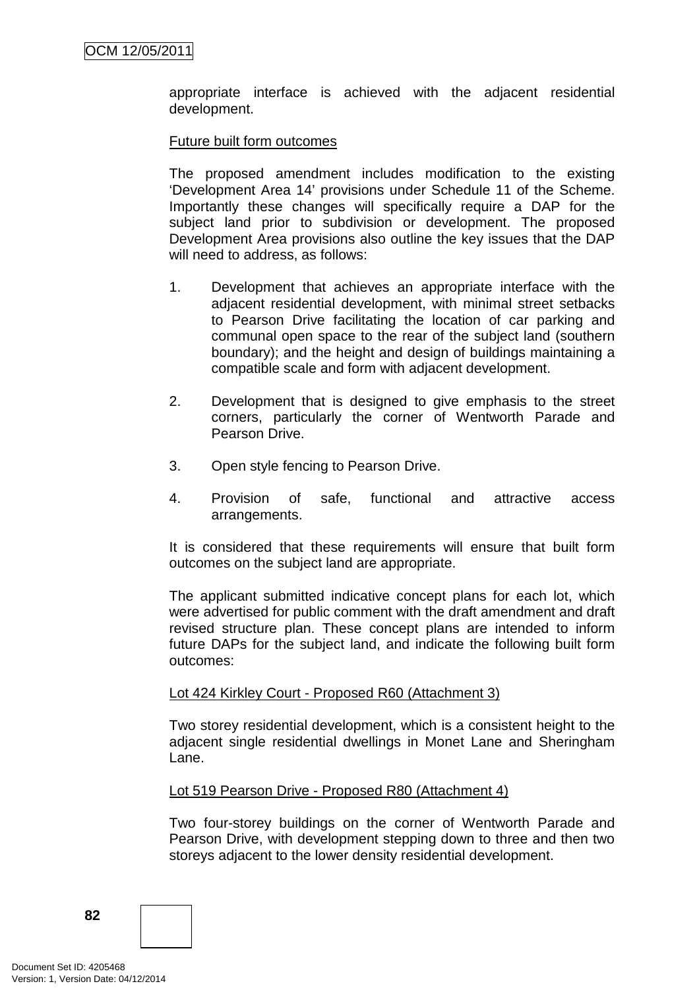appropriate interface is achieved with the adjacent residential development.

### Future built form outcomes

The proposed amendment includes modification to the existing 'Development Area 14' provisions under Schedule 11 of the Scheme. Importantly these changes will specifically require a DAP for the subject land prior to subdivision or development. The proposed Development Area provisions also outline the key issues that the DAP will need to address, as follows:

- 1. Development that achieves an appropriate interface with the adjacent residential development, with minimal street setbacks to Pearson Drive facilitating the location of car parking and communal open space to the rear of the subject land (southern boundary); and the height and design of buildings maintaining a compatible scale and form with adjacent development.
- 2. Development that is designed to give emphasis to the street corners, particularly the corner of Wentworth Parade and Pearson Drive.
- 3. Open style fencing to Pearson Drive.
- 4. Provision of safe, functional and attractive access arrangements.

It is considered that these requirements will ensure that built form outcomes on the subject land are appropriate.

The applicant submitted indicative concept plans for each lot, which were advertised for public comment with the draft amendment and draft revised structure plan. These concept plans are intended to inform future DAPs for the subject land, and indicate the following built form outcomes:

### Lot 424 Kirkley Court - Proposed R60 (Attachment 3)

Two storey residential development, which is a consistent height to the adjacent single residential dwellings in Monet Lane and Sheringham Lane.

### Lot 519 Pearson Drive - Proposed R80 (Attachment 4)

Two four-storey buildings on the corner of Wentworth Parade and Pearson Drive, with development stepping down to three and then two storeys adjacent to the lower density residential development.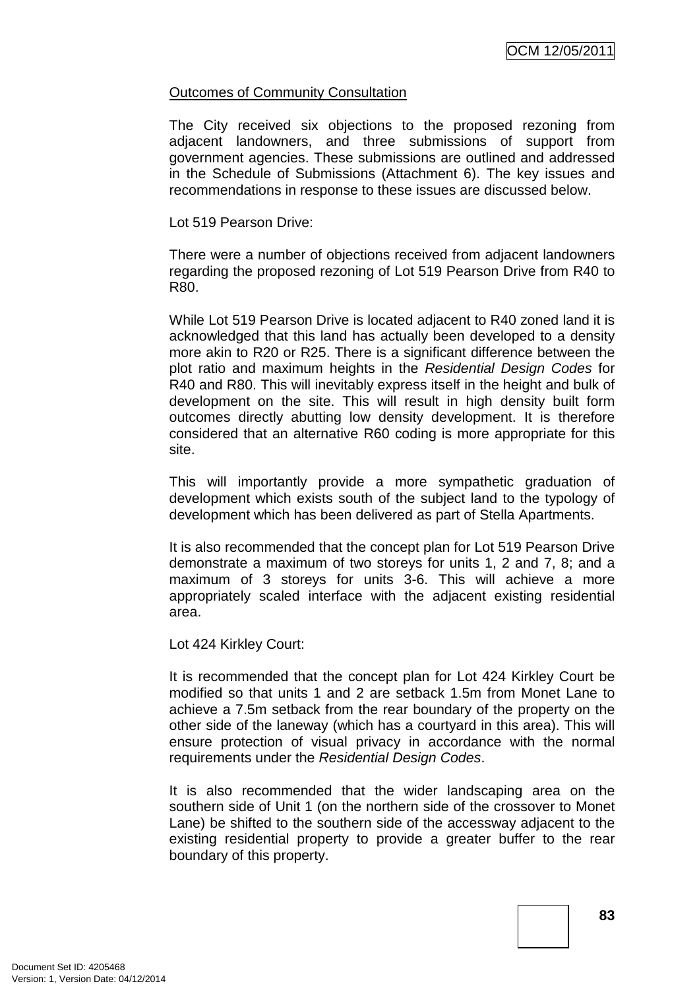### Outcomes of Community Consultation

The City received six objections to the proposed rezoning from adjacent landowners, and three submissions of support from government agencies. These submissions are outlined and addressed in the Schedule of Submissions (Attachment 6). The key issues and recommendations in response to these issues are discussed below.

### Lot 519 Pearson Drive:

There were a number of objections received from adjacent landowners regarding the proposed rezoning of Lot 519 Pearson Drive from R40 to R80.

While Lot 519 Pearson Drive is located adjacent to R40 zoned land it is acknowledged that this land has actually been developed to a density more akin to R20 or R25. There is a significant difference between the plot ratio and maximum heights in the Residential Design Codes for R40 and R80. This will inevitably express itself in the height and bulk of development on the site. This will result in high density built form outcomes directly abutting low density development. It is therefore considered that an alternative R60 coding is more appropriate for this site.

This will importantly provide a more sympathetic graduation of development which exists south of the subject land to the typology of development which has been delivered as part of Stella Apartments.

It is also recommended that the concept plan for Lot 519 Pearson Drive demonstrate a maximum of two storeys for units 1, 2 and 7, 8; and a maximum of 3 storeys for units 3-6. This will achieve a more appropriately scaled interface with the adjacent existing residential area.

Lot 424 Kirkley Court:

It is recommended that the concept plan for Lot 424 Kirkley Court be modified so that units 1 and 2 are setback 1.5m from Monet Lane to achieve a 7.5m setback from the rear boundary of the property on the other side of the laneway (which has a courtyard in this area). This will ensure protection of visual privacy in accordance with the normal requirements under the Residential Design Codes.

It is also recommended that the wider landscaping area on the southern side of Unit 1 (on the northern side of the crossover to Monet Lane) be shifted to the southern side of the accessway adjacent to the existing residential property to provide a greater buffer to the rear boundary of this property.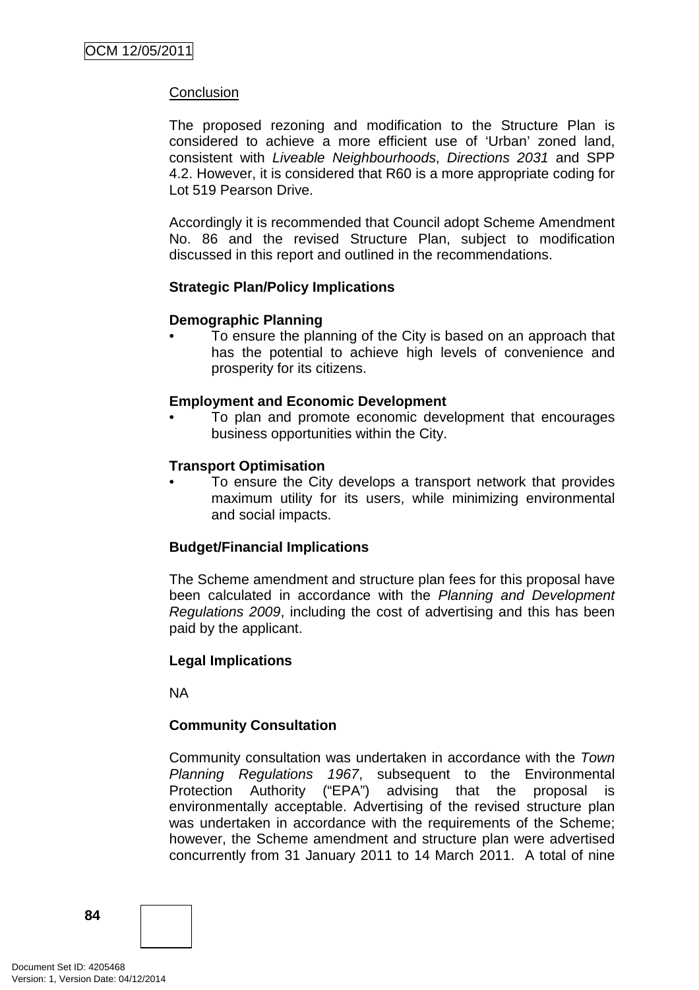# **Conclusion**

The proposed rezoning and modification to the Structure Plan is considered to achieve a more efficient use of 'Urban' zoned land, consistent with Liveable Neighbourhoods, Directions 2031 and SPP 4.2. However, it is considered that R60 is a more appropriate coding for Lot 519 Pearson Drive.

Accordingly it is recommended that Council adopt Scheme Amendment No. 86 and the revised Structure Plan, subject to modification discussed in this report and outlined in the recommendations.

### **Strategic Plan/Policy Implications**

### **Demographic Planning**

• To ensure the planning of the City is based on an approach that has the potential to achieve high levels of convenience and prosperity for its citizens.

### **Employment and Economic Development**

• To plan and promote economic development that encourages business opportunities within the City.

### **Transport Optimisation**

To ensure the City develops a transport network that provides maximum utility for its users, while minimizing environmental and social impacts.

#### **Budget/Financial Implications**

The Scheme amendment and structure plan fees for this proposal have been calculated in accordance with the Planning and Development Regulations 2009, including the cost of advertising and this has been paid by the applicant.

#### **Legal Implications**

NA

### **Community Consultation**

Community consultation was undertaken in accordance with the Town Planning Regulations 1967, subsequent to the Environmental Protection Authority ("EPA") advising that the proposal is environmentally acceptable. Advertising of the revised structure plan was undertaken in accordance with the requirements of the Scheme; however, the Scheme amendment and structure plan were advertised concurrently from 31 January 2011 to 14 March 2011. A total of nine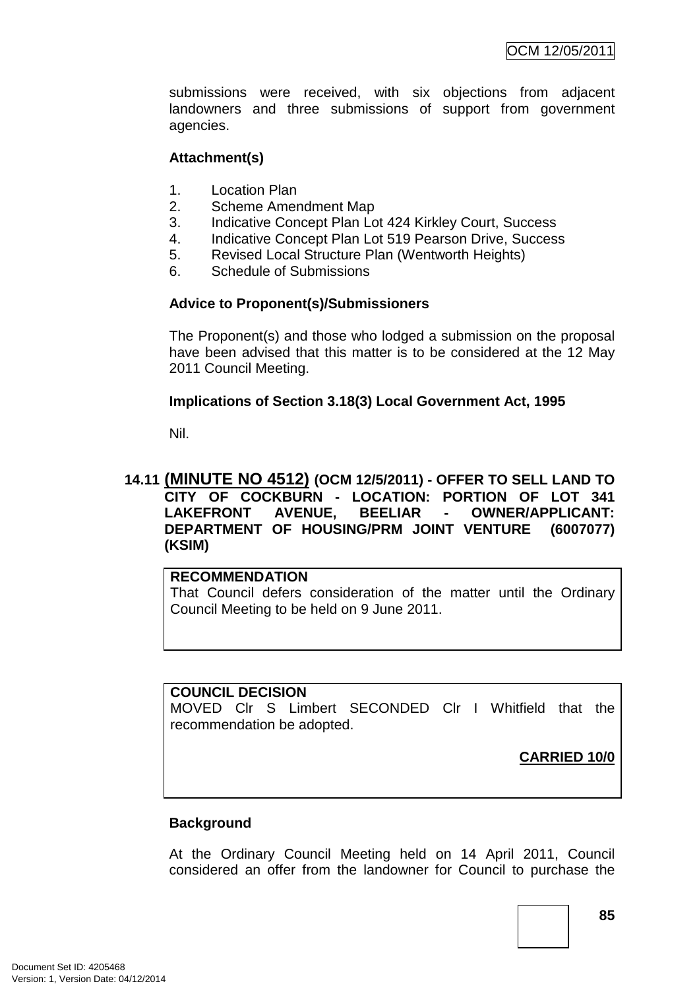submissions were received, with six objections from adjacent landowners and three submissions of support from government agencies.

## **Attachment(s)**

- 1. Location Plan
- 2. Scheme Amendment Map
- 3. Indicative Concept Plan Lot 424 Kirkley Court, Success
- 4. Indicative Concept Plan Lot 519 Pearson Drive, Success
- 5. Revised Local Structure Plan (Wentworth Heights)
- 6. Schedule of Submissions

# **Advice to Proponent(s)/Submissioners**

The Proponent(s) and those who lodged a submission on the proposal have been advised that this matter is to be considered at the 12 May 2011 Council Meeting.

# **Implications of Section 3.18(3) Local Government Act, 1995**

Nil.

# **14.11 (MINUTE NO 4512) (OCM 12/5/2011) - OFFER TO SELL LAND TO CITY OF COCKBURN - LOCATION: PORTION OF LOT 341 LAKEFRONT AVENUE, BEELIAR - OWNER/APPLICANT: DEPARTMENT OF HOUSING/PRM JOINT VENTURE (6007077) (KSIM)**

### **RECOMMENDATION**

That Council defers consideration of the matter until the Ordinary Council Meeting to be held on 9 June 2011.

### **COUNCIL DECISION**

MOVED Clr S Limbert SECONDED Clr I Whitfield that the recommendation be adopted.

**CARRIED 10/0**

### **Background**

At the Ordinary Council Meeting held on 14 April 2011, Council considered an offer from the landowner for Council to purchase the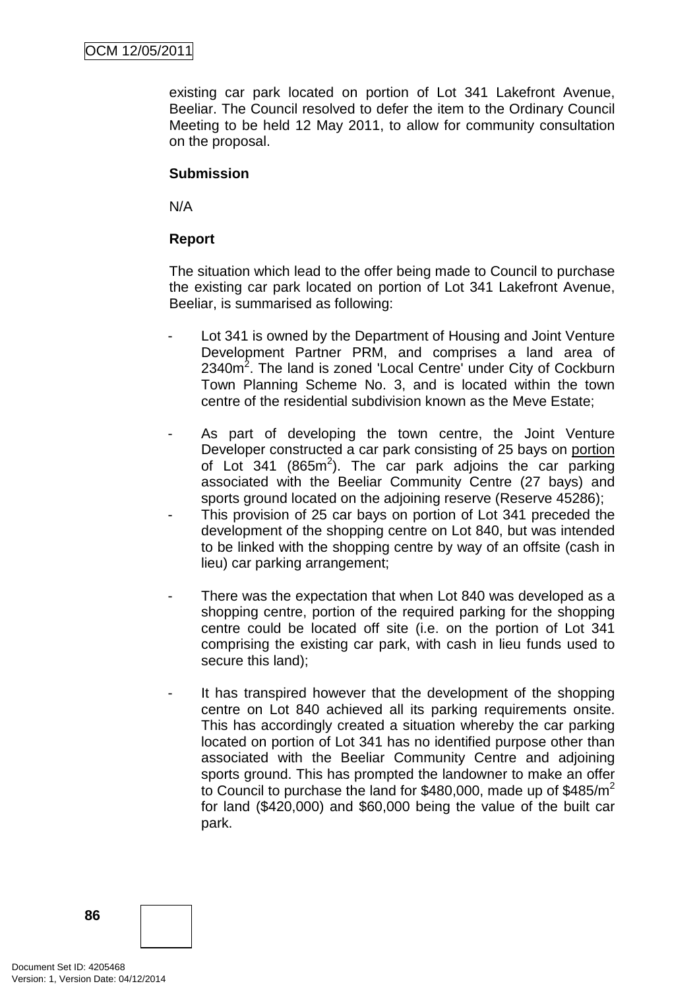existing car park located on portion of Lot 341 Lakefront Avenue, Beeliar. The Council resolved to defer the item to the Ordinary Council Meeting to be held 12 May 2011, to allow for community consultation on the proposal.

## **Submission**

N/A

## **Report**

The situation which lead to the offer being made to Council to purchase the existing car park located on portion of Lot 341 Lakefront Avenue, Beeliar, is summarised as following:

- Lot 341 is owned by the Department of Housing and Joint Venture Development Partner PRM, and comprises a land area of 2340m<sup>2</sup>. The land is zoned 'Local Centre' under City of Cockburn Town Planning Scheme No. 3, and is located within the town centre of the residential subdivision known as the Meve Estate;
- As part of developing the town centre, the Joint Venture Developer constructed a car park consisting of 25 bays on portion of Lot 341 (865 $m^2$ ). The car park adjoins the car parking associated with the Beeliar Community Centre (27 bays) and sports ground located on the adjoining reserve (Reserve 45286);
- This provision of 25 car bays on portion of Lot 341 preceded the development of the shopping centre on Lot 840, but was intended to be linked with the shopping centre by way of an offsite (cash in lieu) car parking arrangement;
- There was the expectation that when Lot 840 was developed as a shopping centre, portion of the required parking for the shopping centre could be located off site (i.e. on the portion of Lot 341 comprising the existing car park, with cash in lieu funds used to secure this land);
- It has transpired however that the development of the shopping centre on Lot 840 achieved all its parking requirements onsite. This has accordingly created a situation whereby the car parking located on portion of Lot 341 has no identified purpose other than associated with the Beeliar Community Centre and adjoining sports ground. This has prompted the landowner to make an offer to Council to purchase the land for \$480,000, made up of  $$485/m^2$ for land (\$420,000) and \$60,000 being the value of the built car park.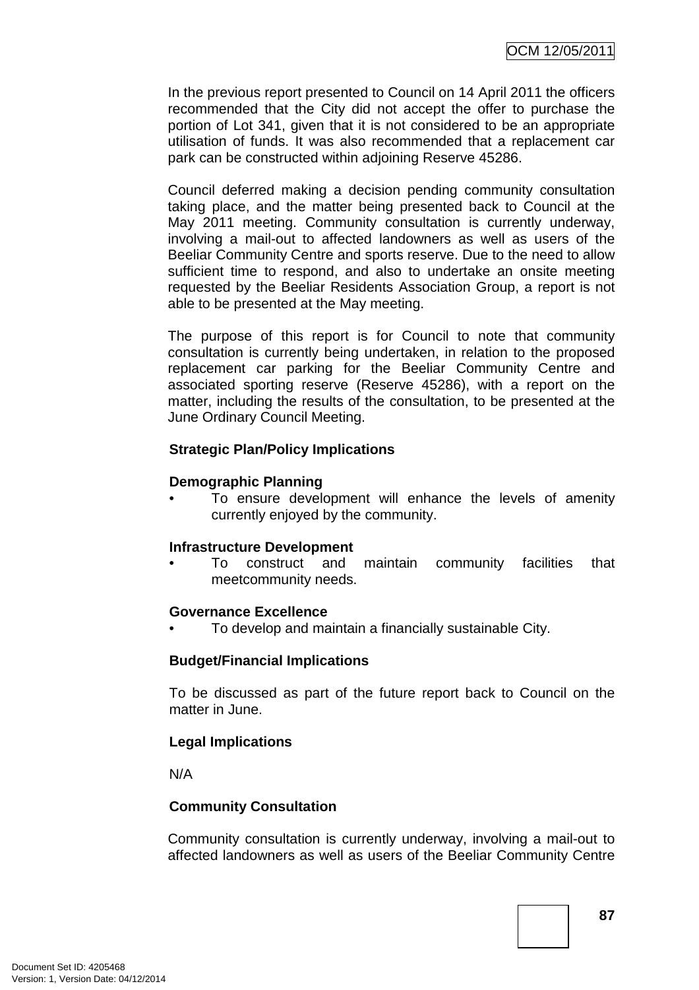In the previous report presented to Council on 14 April 2011 the officers recommended that the City did not accept the offer to purchase the portion of Lot 341, given that it is not considered to be an appropriate utilisation of funds. It was also recommended that a replacement car park can be constructed within adjoining Reserve 45286.

Council deferred making a decision pending community consultation taking place, and the matter being presented back to Council at the May 2011 meeting. Community consultation is currently underway, involving a mail-out to affected landowners as well as users of the Beeliar Community Centre and sports reserve. Due to the need to allow sufficient time to respond, and also to undertake an onsite meeting requested by the Beeliar Residents Association Group, a report is not able to be presented at the May meeting.

The purpose of this report is for Council to note that community consultation is currently being undertaken, in relation to the proposed replacement car parking for the Beeliar Community Centre and associated sporting reserve (Reserve 45286), with a report on the matter, including the results of the consultation, to be presented at the June Ordinary Council Meeting.

# **Strategic Plan/Policy Implications**

# **Demographic Planning**

To ensure development will enhance the levels of amenity currently enjoyed by the community.

### **Infrastructure Development**

• To construct and maintain community facilities that meetcommunity needs.

### **Governance Excellence**

• To develop and maintain a financially sustainable City.

# **Budget/Financial Implications**

To be discussed as part of the future report back to Council on the matter in June.

### **Legal Implications**

N/A

# **Community Consultation**

Community consultation is currently underway, involving a mail-out to affected landowners as well as users of the Beeliar Community Centre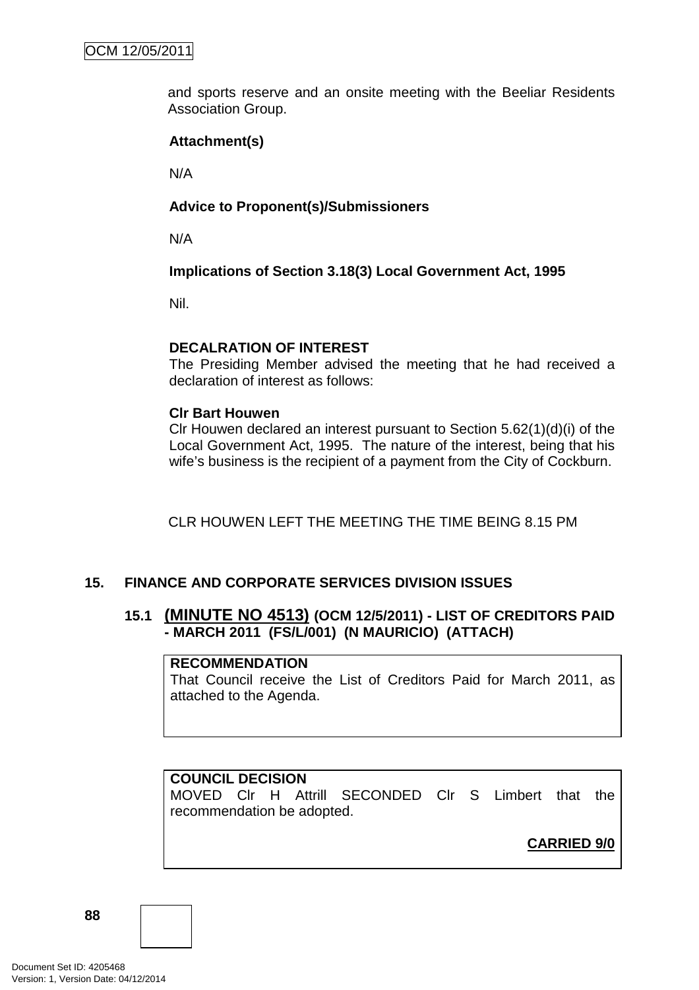and sports reserve and an onsite meeting with the Beeliar Residents Association Group.

# **Attachment(s)**

N/A

# **Advice to Proponent(s)/Submissioners**

N/A

**Implications of Section 3.18(3) Local Government Act, 1995**

Nil.

### **DECALRATION OF INTEREST**

The Presiding Member advised the meeting that he had received a declaration of interest as follows:

### **Clr Bart Houwen**

Clr Houwen declared an interest pursuant to Section 5.62(1)(d)(i) of the Local Government Act, 1995. The nature of the interest, being that his wife's business is the recipient of a payment from the City of Cockburn.

CLR HOUWEN LEFT THE MEETING THE TIME BEING 8.15 PM

# **15. FINANCE AND CORPORATE SERVICES DIVISION ISSUES**

# **15.1 (MINUTE NO 4513) (OCM 12/5/2011) - LIST OF CREDITORS PAID - MARCH 2011 (FS/L/001) (N MAURICIO) (ATTACH)**

### **RECOMMENDATION**

That Council receive the List of Creditors Paid for March 2011, as attached to the Agenda.

# **COUNCIL DECISION**

MOVED Clr H Attrill SECONDED Clr S Limbert that the recommendation be adopted.

**CARRIED 9/0**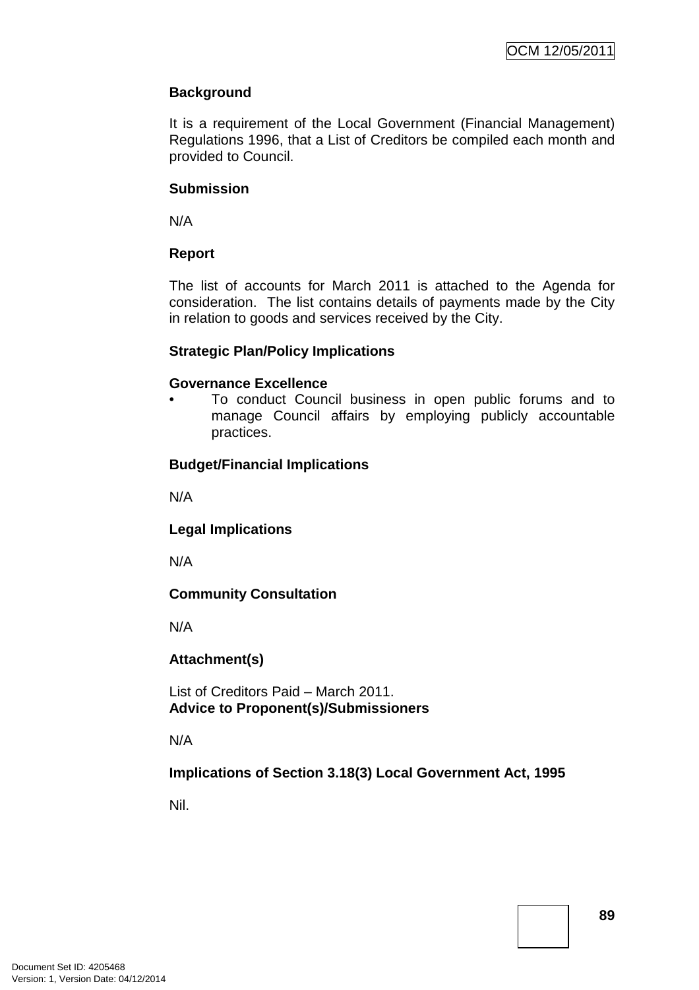# **Background**

It is a requirement of the Local Government (Financial Management) Regulations 1996, that a List of Creditors be compiled each month and provided to Council.

# **Submission**

N/A

# **Report**

The list of accounts for March 2011 is attached to the Agenda for consideration. The list contains details of payments made by the City in relation to goods and services received by the City.

# **Strategic Plan/Policy Implications**

# **Governance Excellence**

• To conduct Council business in open public forums and to manage Council affairs by employing publicly accountable practices.

# **Budget/Financial Implications**

N/A

# **Legal Implications**

N/A

# **Community Consultation**

N/A

# **Attachment(s)**

List of Creditors Paid – March 2011. **Advice to Proponent(s)/Submissioners** 

N/A

# **Implications of Section 3.18(3) Local Government Act, 1995**

Nil.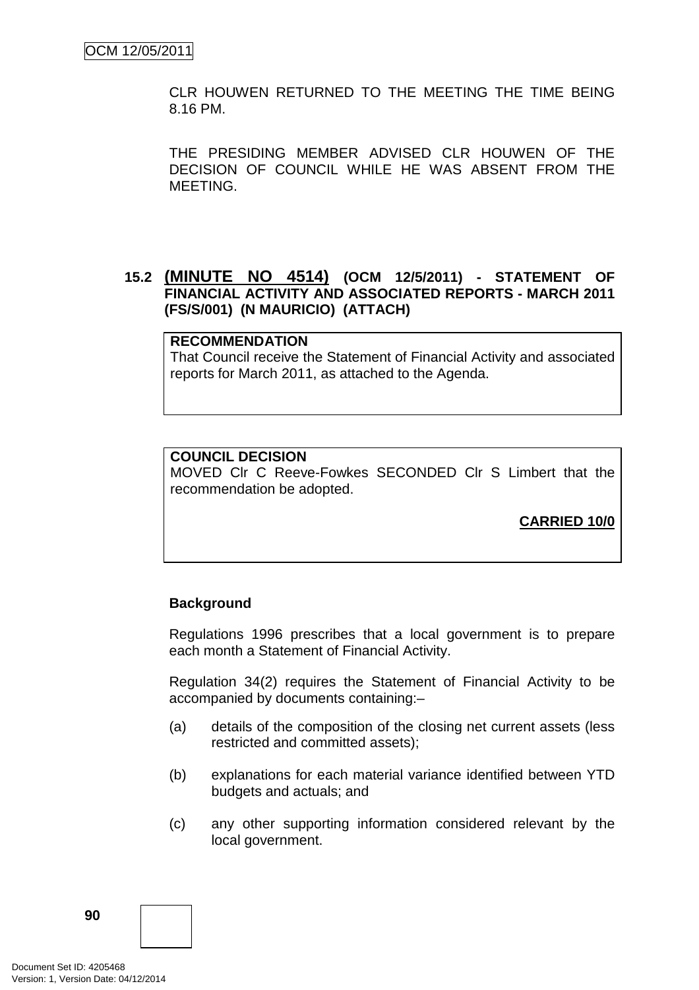CLR HOUWEN RETURNED TO THE MEETING THE TIME BEING 8.16 PM.

THE PRESIDING MEMBER ADVISED CLR HOUWEN OF THE DECISION OF COUNCIL WHILE HE WAS ABSENT FROM THE MEETING.

# **15.2 (MINUTE NO 4514) (OCM 12/5/2011) - STATEMENT OF FINANCIAL ACTIVITY AND ASSOCIATED REPORTS - MARCH 2011 (FS/S/001) (N MAURICIO) (ATTACH)**

#### **RECOMMENDATION**

That Council receive the Statement of Financial Activity and associated reports for March 2011, as attached to the Agenda.

#### **COUNCIL DECISION**

MOVED Clr C Reeve-Fowkes SECONDED Clr S Limbert that the recommendation be adopted.

**CARRIED 10/0**

### **Background**

Regulations 1996 prescribes that a local government is to prepare each month a Statement of Financial Activity.

Regulation 34(2) requires the Statement of Financial Activity to be accompanied by documents containing:–

- (a) details of the composition of the closing net current assets (less restricted and committed assets);
- (b) explanations for each material variance identified between YTD budgets and actuals; and
- (c) any other supporting information considered relevant by the local government.

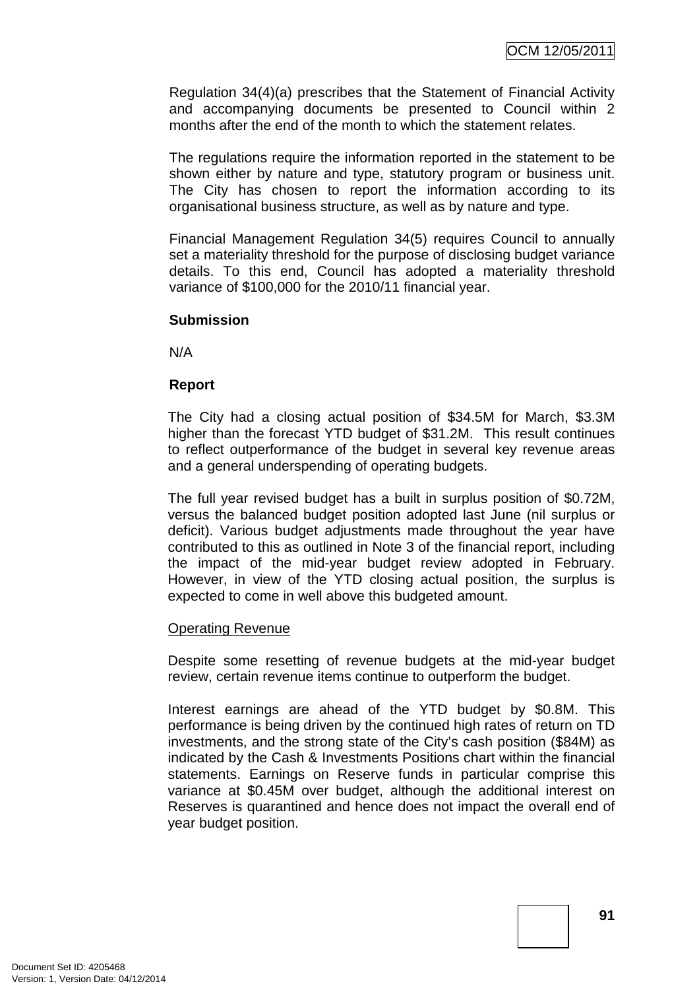Regulation 34(4)(a) prescribes that the Statement of Financial Activity and accompanying documents be presented to Council within 2 months after the end of the month to which the statement relates.

The regulations require the information reported in the statement to be shown either by nature and type, statutory program or business unit. The City has chosen to report the information according to its organisational business structure, as well as by nature and type.

Financial Management Regulation 34(5) requires Council to annually set a materiality threshold for the purpose of disclosing budget variance details. To this end, Council has adopted a materiality threshold variance of \$100,000 for the 2010/11 financial year.

### **Submission**

N/A

### **Report**

The City had a closing actual position of \$34.5M for March, \$3.3M higher than the forecast YTD budget of \$31.2M. This result continues to reflect outperformance of the budget in several key revenue areas and a general underspending of operating budgets.

The full year revised budget has a built in surplus position of \$0.72M, versus the balanced budget position adopted last June (nil surplus or deficit). Various budget adjustments made throughout the year have contributed to this as outlined in Note 3 of the financial report, including the impact of the mid-year budget review adopted in February. However, in view of the YTD closing actual position, the surplus is expected to come in well above this budgeted amount.

#### Operating Revenue

Despite some resetting of revenue budgets at the mid-year budget review, certain revenue items continue to outperform the budget.

Interest earnings are ahead of the YTD budget by \$0.8M. This performance is being driven by the continued high rates of return on TD investments, and the strong state of the City's cash position (\$84M) as indicated by the Cash & Investments Positions chart within the financial statements. Earnings on Reserve funds in particular comprise this variance at \$0.45M over budget, although the additional interest on Reserves is quarantined and hence does not impact the overall end of year budget position.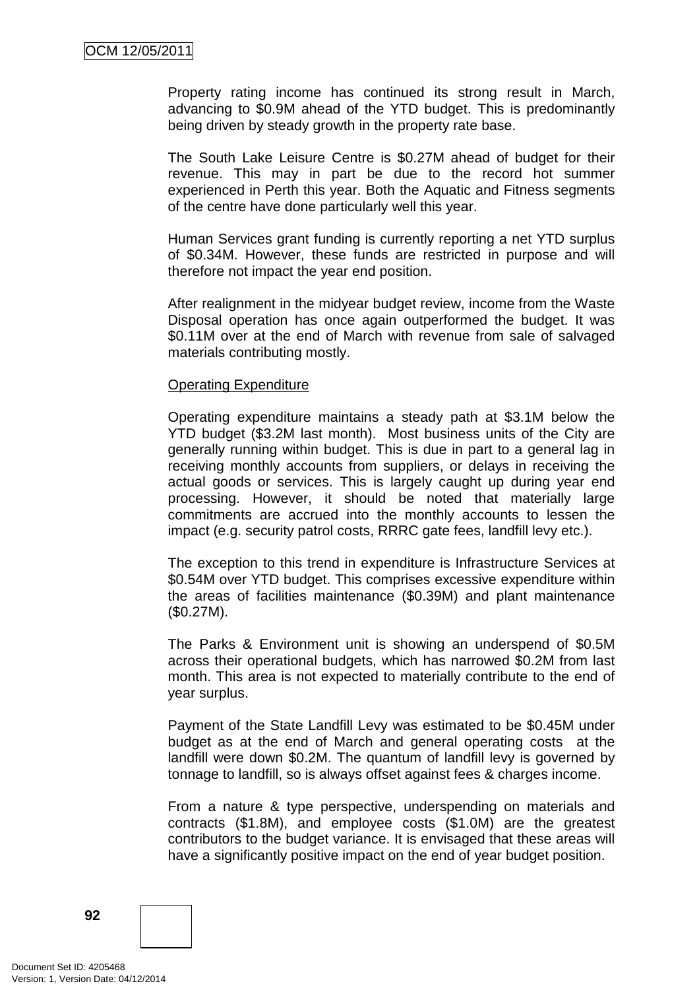Property rating income has continued its strong result in March, advancing to \$0.9M ahead of the YTD budget. This is predominantly being driven by steady growth in the property rate base.

The South Lake Leisure Centre is \$0.27M ahead of budget for their revenue. This may in part be due to the record hot summer experienced in Perth this year. Both the Aquatic and Fitness segments of the centre have done particularly well this year.

Human Services grant funding is currently reporting a net YTD surplus of \$0.34M. However, these funds are restricted in purpose and will therefore not impact the year end position.

After realignment in the midyear budget review, income from the Waste Disposal operation has once again outperformed the budget. It was \$0.11M over at the end of March with revenue from sale of salvaged materials contributing mostly.

#### Operating Expenditure

Operating expenditure maintains a steady path at \$3.1M below the YTD budget (\$3.2M last month). Most business units of the City are generally running within budget. This is due in part to a general lag in receiving monthly accounts from suppliers, or delays in receiving the actual goods or services. This is largely caught up during year end processing. However, it should be noted that materially large commitments are accrued into the monthly accounts to lessen the impact (e.g. security patrol costs, RRRC gate fees, landfill levy etc.).

The exception to this trend in expenditure is Infrastructure Services at \$0.54M over YTD budget. This comprises excessive expenditure within the areas of facilities maintenance (\$0.39M) and plant maintenance (\$0.27M).

The Parks & Environment unit is showing an underspend of \$0.5M across their operational budgets, which has narrowed \$0.2M from last month. This area is not expected to materially contribute to the end of year surplus.

Payment of the State Landfill Levy was estimated to be \$0.45M under budget as at the end of March and general operating costs at the landfill were down \$0.2M. The quantum of landfill levy is governed by tonnage to landfill, so is always offset against fees & charges income.

From a nature & type perspective, underspending on materials and contracts (\$1.8M), and employee costs (\$1.0M) are the greatest contributors to the budget variance. It is envisaged that these areas will have a significantly positive impact on the end of year budget position.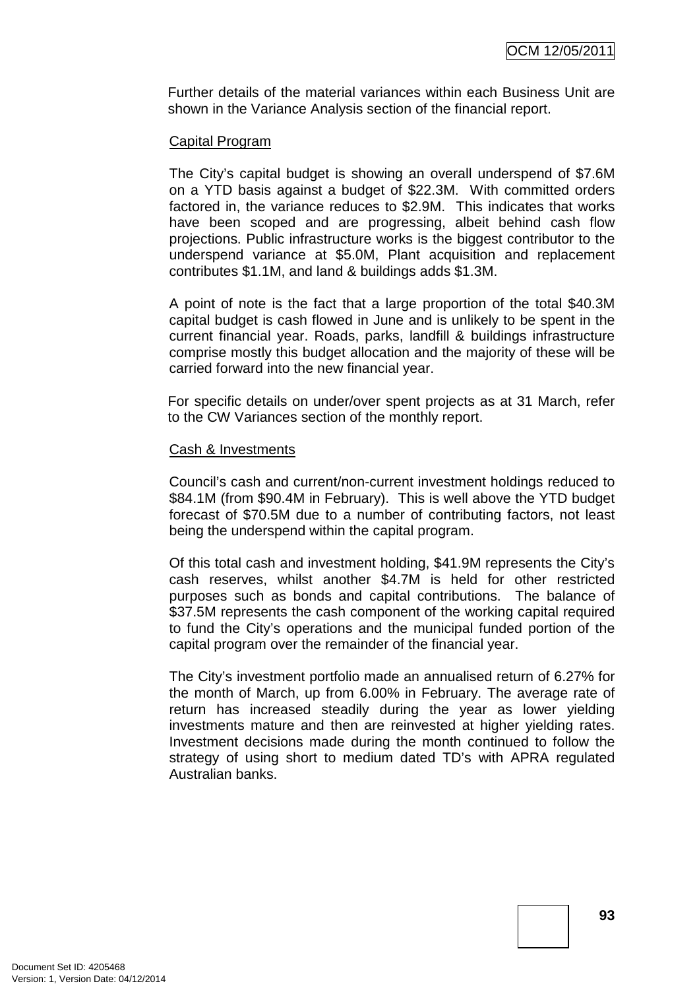Further details of the material variances within each Business Unit are shown in the Variance Analysis section of the financial report.

### Capital Program

The City's capital budget is showing an overall underspend of \$7.6M on a YTD basis against a budget of \$22.3M. With committed orders factored in, the variance reduces to \$2.9M. This indicates that works have been scoped and are progressing, albeit behind cash flow projections. Public infrastructure works is the biggest contributor to the underspend variance at \$5.0M, Plant acquisition and replacement contributes \$1.1M, and land & buildings adds \$1.3M.

A point of note is the fact that a large proportion of the total \$40.3M capital budget is cash flowed in June and is unlikely to be spent in the current financial year. Roads, parks, landfill & buildings infrastructure comprise mostly this budget allocation and the majority of these will be carried forward into the new financial year.

For specific details on under/over spent projects as at 31 March, refer to the CW Variances section of the monthly report.

### Cash & Investments

Council's cash and current/non-current investment holdings reduced to \$84.1M (from \$90.4M in February). This is well above the YTD budget forecast of \$70.5M due to a number of contributing factors, not least being the underspend within the capital program.

Of this total cash and investment holding, \$41.9M represents the City's cash reserves, whilst another \$4.7M is held for other restricted purposes such as bonds and capital contributions. The balance of \$37.5M represents the cash component of the working capital required to fund the City's operations and the municipal funded portion of the capital program over the remainder of the financial year.

The City's investment portfolio made an annualised return of 6.27% for the month of March, up from 6.00% in February. The average rate of return has increased steadily during the year as lower yielding investments mature and then are reinvested at higher yielding rates. Investment decisions made during the month continued to follow the strategy of using short to medium dated TD's with APRA regulated Australian banks.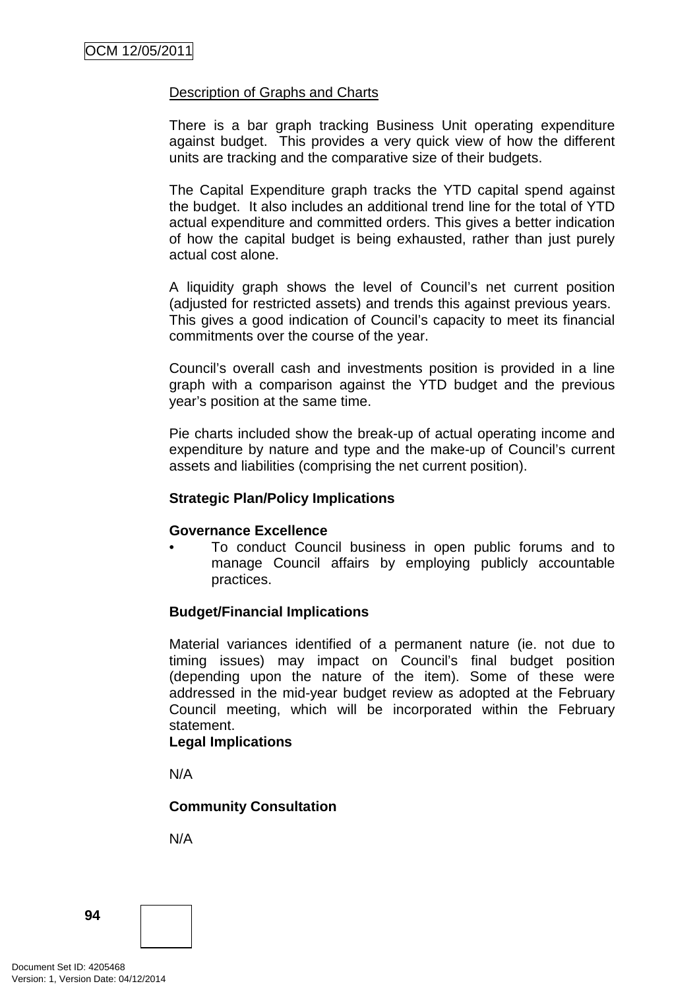### Description of Graphs and Charts

There is a bar graph tracking Business Unit operating expenditure against budget. This provides a very quick view of how the different units are tracking and the comparative size of their budgets.

The Capital Expenditure graph tracks the YTD capital spend against the budget. It also includes an additional trend line for the total of YTD actual expenditure and committed orders. This gives a better indication of how the capital budget is being exhausted, rather than just purely actual cost alone.

A liquidity graph shows the level of Council's net current position (adjusted for restricted assets) and trends this against previous years. This gives a good indication of Council's capacity to meet its financial commitments over the course of the year.

Council's overall cash and investments position is provided in a line graph with a comparison against the YTD budget and the previous year's position at the same time.

Pie charts included show the break-up of actual operating income and expenditure by nature and type and the make-up of Council's current assets and liabilities (comprising the net current position).

#### **Strategic Plan/Policy Implications**

#### **Governance Excellence**

• To conduct Council business in open public forums and to manage Council affairs by employing publicly accountable practices.

### **Budget/Financial Implications**

Material variances identified of a permanent nature (ie. not due to timing issues) may impact on Council's final budget position (depending upon the nature of the item). Some of these were addressed in the mid-year budget review as adopted at the February Council meeting, which will be incorporated within the February statement.

#### **Legal Implications**

N/A

### **Community Consultation**

N/A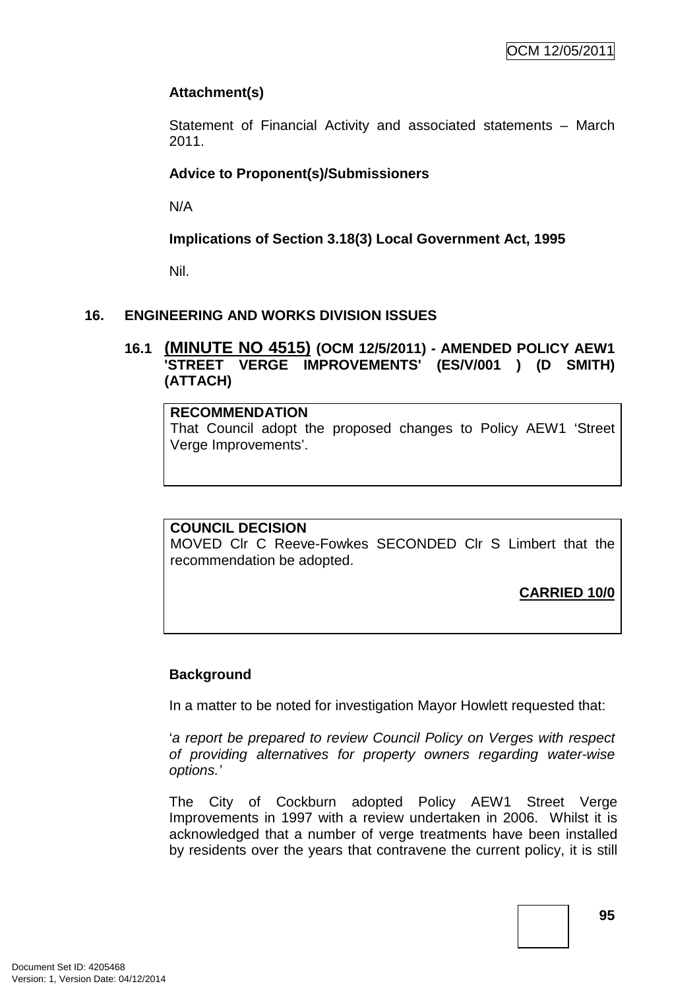# **Attachment(s)**

Statement of Financial Activity and associated statements – March 2011.

# **Advice to Proponent(s)/Submissioners**

N/A

# **Implications of Section 3.18(3) Local Government Act, 1995**

Nil.

# **16. ENGINEERING AND WORKS DIVISION ISSUES**

# **16.1 (MINUTE NO 4515) (OCM 12/5/2011) - AMENDED POLICY AEW1 'STREET VERGE IMPROVEMENTS' (ES/V/001 ) (D SMITH) (ATTACH)**

### **RECOMMENDATION**

That Council adopt the proposed changes to Policy AEW1 'Street Verge Improvements'.

### **COUNCIL DECISION**

MOVED Clr C Reeve-Fowkes SECONDED Clr S Limbert that the recommendation be adopted.

**CARRIED 10/0**

# **Background**

In a matter to be noted for investigation Mayor Howlett requested that:

'a report be prepared to review Council Policy on Verges with respect of providing alternatives for property owners regarding water-wise options.'

The City of Cockburn adopted Policy AEW1 Street Verge Improvements in 1997 with a review undertaken in 2006. Whilst it is acknowledged that a number of verge treatments have been installed by residents over the years that contravene the current policy, it is still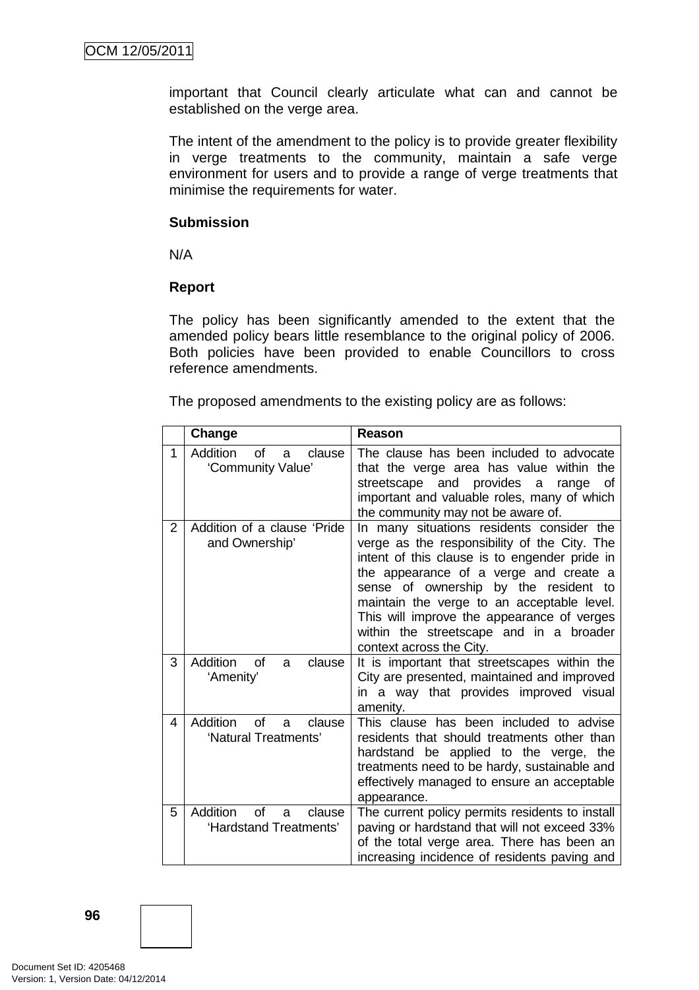important that Council clearly articulate what can and cannot be established on the verge area.

The intent of the amendment to the policy is to provide greater flexibility in verge treatments to the community, maintain a safe verge environment for users and to provide a range of verge treatments that minimise the requirements for water.

### **Submission**

N/A

# **Report**

The policy has been significantly amended to the extent that the amended policy bears little resemblance to the original policy of 2006. Both policies have been provided to enable Councillors to cross reference amendments.

The proposed amendments to the existing policy are as follows:

|                | Change                                                           | Reason                                                                                                                                                                                                                                                                                                                                                                                           |
|----------------|------------------------------------------------------------------|--------------------------------------------------------------------------------------------------------------------------------------------------------------------------------------------------------------------------------------------------------------------------------------------------------------------------------------------------------------------------------------------------|
| 1              | <b>Addition</b><br><b>of</b><br>clause<br>a<br>'Community Value' | The clause has been included to advocate<br>that the verge area has value within the<br>streetscape and provides<br>a<br>range<br>οf<br>important and valuable roles, many of which<br>the community may not be aware of.                                                                                                                                                                        |
| $\overline{2}$ | Addition of a clause 'Pride<br>and Ownership'                    | In many situations residents consider the<br>verge as the responsibility of the City. The<br>intent of this clause is to engender pride in<br>the appearance of a verge and create a<br>sense of ownership by the resident to<br>maintain the verge to an acceptable level.<br>This will improve the appearance of verges<br>within the streetscape and in a broader<br>context across the City. |
| 3              | <b>Addition</b><br>of<br>clause<br>a<br>'Amenity'                | It is important that streetscapes within the<br>City are presented, maintained and improved<br>in a way that provides improved visual<br>amenity.                                                                                                                                                                                                                                                |
| 4              | <b>Addition</b><br>of<br>clause<br>a<br>'Natural Treatments'     | This clause has been included to advise<br>residents that should treatments other than<br>hardstand be applied to the verge, the<br>treatments need to be hardy, sustainable and<br>effectively managed to ensure an acceptable<br>appearance.                                                                                                                                                   |
| 5              | Addition<br>Ωf<br>clause<br>a<br>'Hardstand Treatments'          | The current policy permits residents to install<br>paving or hardstand that will not exceed 33%<br>of the total verge area. There has been an<br>increasing incidence of residents paving and                                                                                                                                                                                                    |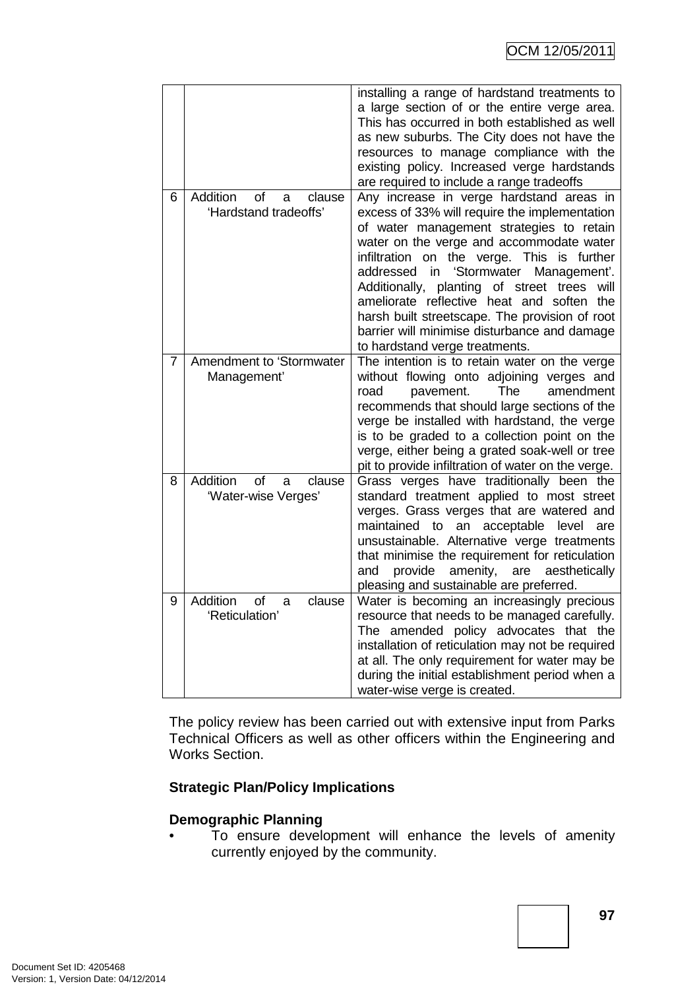|   |                                                        | installing a range of hardstand treatments to<br>a large section of or the entire verge area.<br>This has occurred in both established as well<br>as new suburbs. The City does not have the<br>resources to manage compliance with the<br>existing policy. Increased verge hardstands<br>are required to include a range tradeoffs                                                                                                                                                                      |
|---|--------------------------------------------------------|----------------------------------------------------------------------------------------------------------------------------------------------------------------------------------------------------------------------------------------------------------------------------------------------------------------------------------------------------------------------------------------------------------------------------------------------------------------------------------------------------------|
| 6 | Addition<br>of<br>clause<br>a<br>'Hardstand tradeoffs' | Any increase in verge hardstand areas in<br>excess of 33% will require the implementation<br>of water management strategies to retain<br>water on the verge and accommodate water<br>infiltration on the verge. This is further<br>addressed in 'Stormwater Management'.<br>Additionally, planting of street trees will<br>ameliorate reflective heat and soften the<br>harsh built streetscape. The provision of root<br>barrier will minimise disturbance and damage<br>to hardstand verge treatments. |
| 7 | Amendment to 'Stormwater<br>Management'                | The intention is to retain water on the verge<br>without flowing onto adjoining verges and<br>The<br>amendment<br>road<br>pavement.<br>recommends that should large sections of the<br>verge be installed with hardstand, the verge<br>is to be graded to a collection point on the<br>verge, either being a grated soak-well or tree<br>pit to provide infiltration of water on the verge.                                                                                                              |
| 8 | Addition<br>οf<br>clause<br>a<br>'Water-wise Verges'   | Grass verges have traditionally been the<br>standard treatment applied to most street<br>verges. Grass verges that are watered and<br>an acceptable level<br>maintained to<br>are<br>unsustainable. Alternative verge treatments<br>that minimise the requirement for reticulation<br>amenity, are<br>provide<br>aesthetically<br>and<br>pleasing and sustainable are preferred.                                                                                                                         |
| 9 | Addition<br>of<br>clause<br>a<br>'Reticulation'        | Water is becoming an increasingly precious<br>resource that needs to be managed carefully.<br>The amended policy advocates that the<br>installation of reticulation may not be required<br>at all. The only requirement for water may be<br>during the initial establishment period when a<br>water-wise verge is created.                                                                                                                                                                               |

The policy review has been carried out with extensive input from Parks Technical Officers as well as other officers within the Engineering and Works Section.

# **Strategic Plan/Policy Implications**

### **Demographic Planning**

• To ensure development will enhance the levels of amenity currently enjoyed by the community.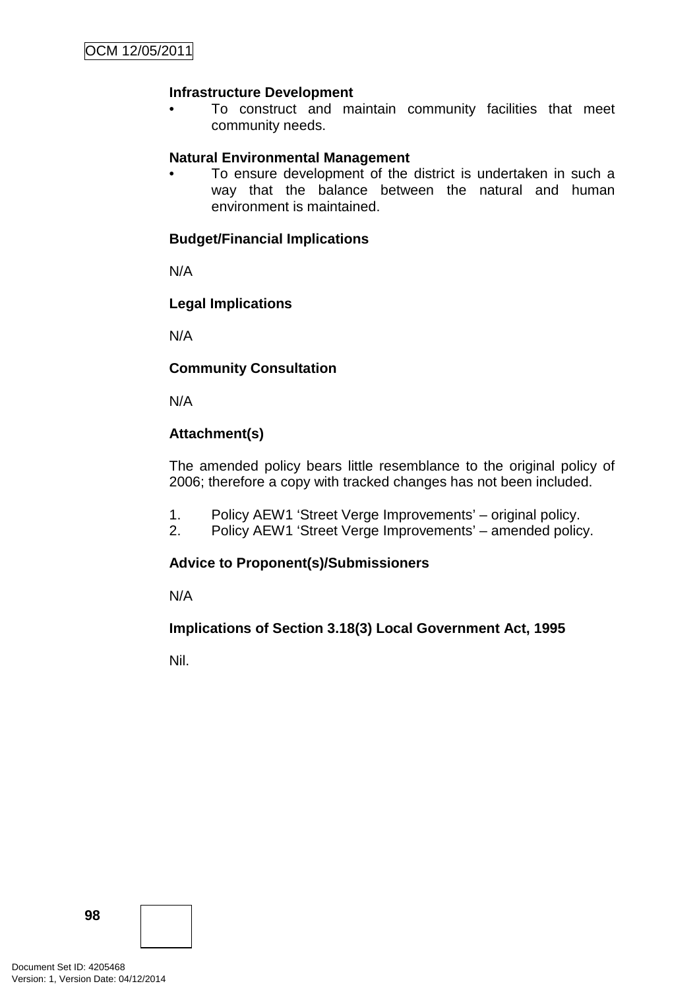# **Infrastructure Development**

• To construct and maintain community facilities that meet community needs.

# **Natural Environmental Management**

To ensure development of the district is undertaken in such a way that the balance between the natural and human environment is maintained.

## **Budget/Financial Implications**

N/A

# **Legal Implications**

N/A

# **Community Consultation**

N/A

# **Attachment(s)**

The amended policy bears little resemblance to the original policy of 2006; therefore a copy with tracked changes has not been included.

- 1. Policy AEW1 'Street Verge Improvements' original policy.
- 2. Policy AEW1 'Street Verge Improvements' amended policy.

### **Advice to Proponent(s)/Submissioners**

N/A

### **Implications of Section 3.18(3) Local Government Act, 1995**

Nil.

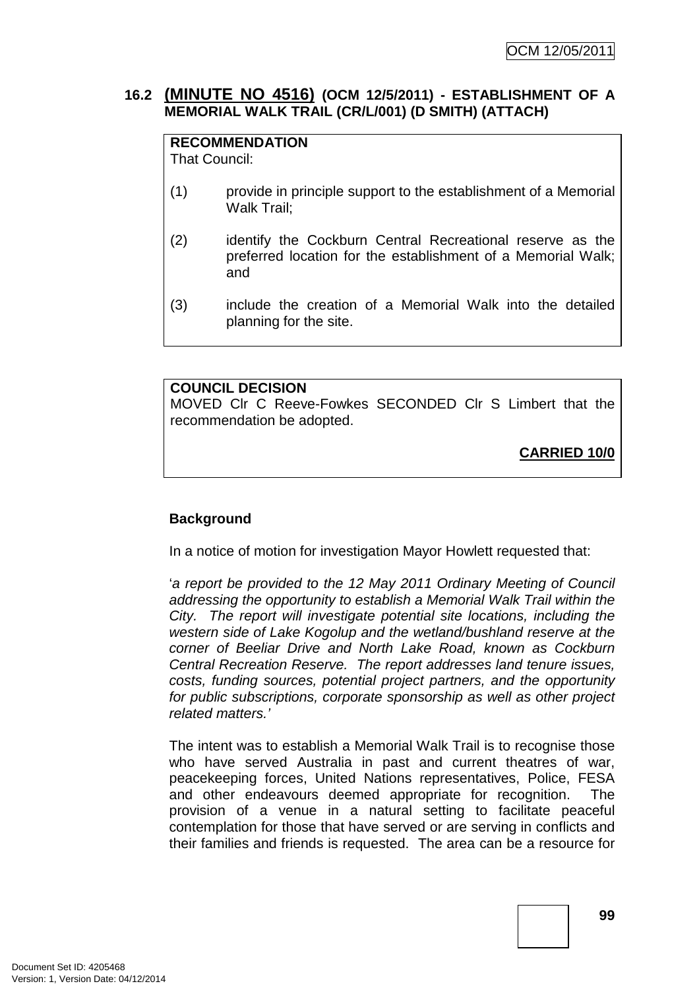# **16.2 (MINUTE NO 4516) (OCM 12/5/2011) - ESTABLISHMENT OF A MEMORIAL WALK TRAIL (CR/L/001) (D SMITH) (ATTACH)**

## **RECOMMENDATION**

That Council:

- (1) provide in principle support to the establishment of a Memorial Walk Trail;
- (2) identify the Cockburn Central Recreational reserve as the preferred location for the establishment of a Memorial Walk; and
- (3) include the creation of a Memorial Walk into the detailed planning for the site.

#### **COUNCIL DECISION**

MOVED Clr C Reeve-Fowkes SECONDED Clr S Limbert that the recommendation be adopted.

**CARRIED 10/0**

# **Background**

In a notice of motion for investigation Mayor Howlett requested that:

'a report be provided to the 12 May 2011 Ordinary Meeting of Council addressing the opportunity to establish a Memorial Walk Trail within the City. The report will investigate potential site locations, including the western side of Lake Kogolup and the wetland/bushland reserve at the corner of Beeliar Drive and North Lake Road, known as Cockburn Central Recreation Reserve. The report addresses land tenure issues, costs, funding sources, potential project partners, and the opportunity for public subscriptions, corporate sponsorship as well as other project related matters.'

The intent was to establish a Memorial Walk Trail is to recognise those who have served Australia in past and current theatres of war, peacekeeping forces, United Nations representatives, Police, FESA and other endeavours deemed appropriate for recognition. The provision of a venue in a natural setting to facilitate peaceful contemplation for those that have served or are serving in conflicts and their families and friends is requested. The area can be a resource for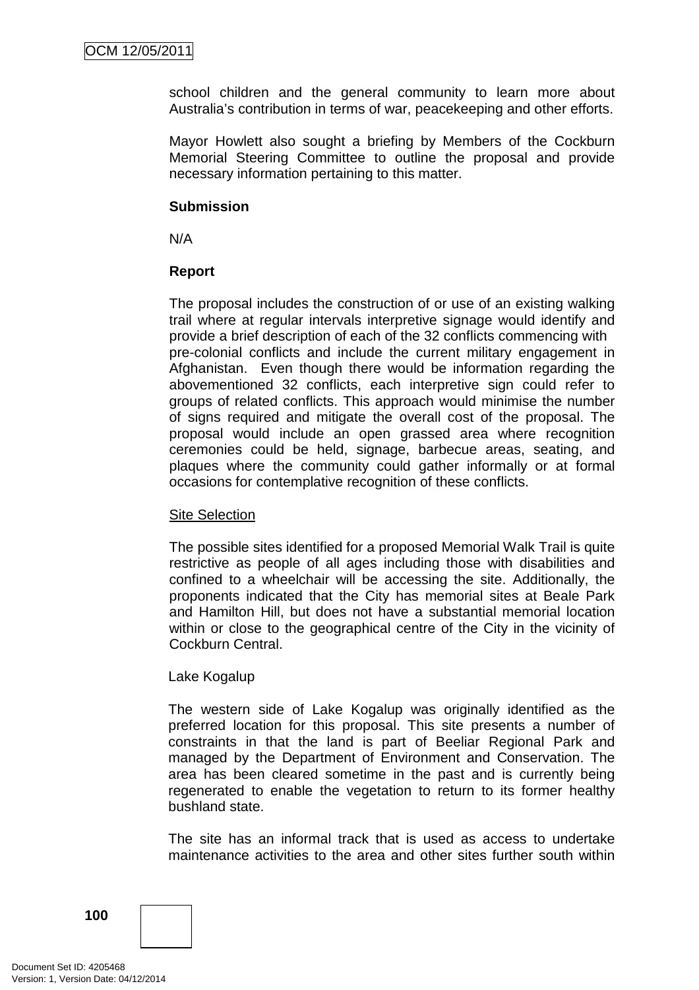school children and the general community to learn more about Australia's contribution in terms of war, peacekeeping and other efforts.

Mayor Howlett also sought a briefing by Members of the Cockburn Memorial Steering Committee to outline the proposal and provide necessary information pertaining to this matter.

### **Submission**

N/A

### **Report**

The proposal includes the construction of or use of an existing walking trail where at regular intervals interpretive signage would identify and provide a brief description of each of the 32 conflicts commencing with pre-colonial conflicts and include the current military engagement in Afghanistan. Even though there would be information regarding the abovementioned 32 conflicts, each interpretive sign could refer to groups of related conflicts. This approach would minimise the number of signs required and mitigate the overall cost of the proposal. The proposal would include an open grassed area where recognition ceremonies could be held, signage, barbecue areas, seating, and plaques where the community could gather informally or at formal occasions for contemplative recognition of these conflicts.

### Site Selection

The possible sites identified for a proposed Memorial Walk Trail is quite restrictive as people of all ages including those with disabilities and confined to a wheelchair will be accessing the site. Additionally, the proponents indicated that the City has memorial sites at Beale Park and Hamilton Hill, but does not have a substantial memorial location within or close to the geographical centre of the City in the vicinity of Cockburn Central.

### Lake Kogalup

The western side of Lake Kogalup was originally identified as the preferred location for this proposal. This site presents a number of constraints in that the land is part of Beeliar Regional Park and managed by the Department of Environment and Conservation. The area has been cleared sometime in the past and is currently being regenerated to enable the vegetation to return to its former healthy bushland state.

The site has an informal track that is used as access to undertake maintenance activities to the area and other sites further south within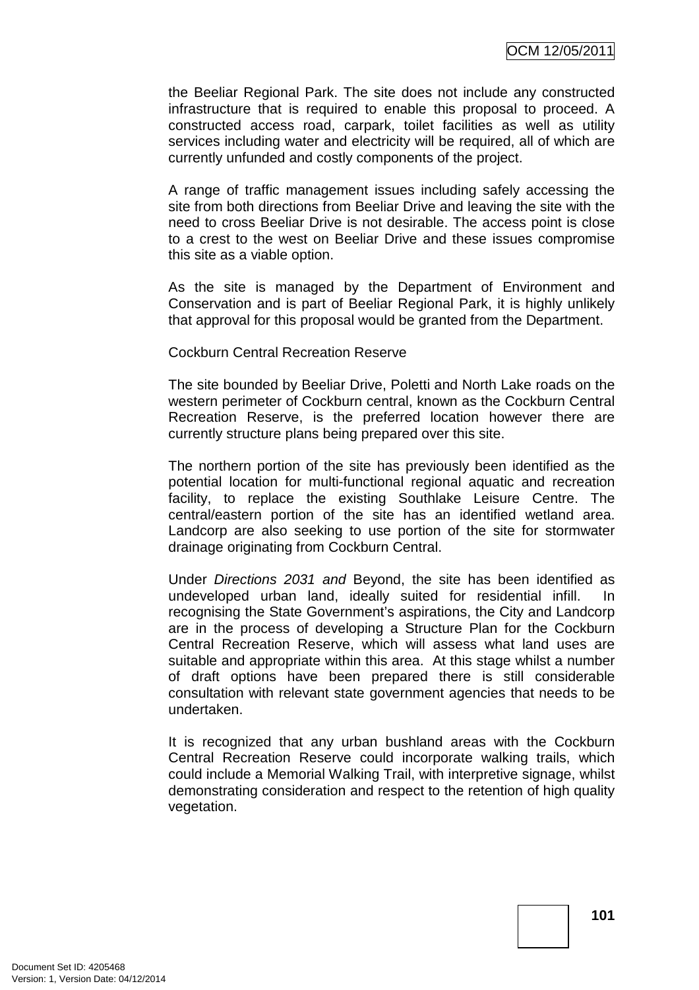the Beeliar Regional Park. The site does not include any constructed infrastructure that is required to enable this proposal to proceed. A constructed access road, carpark, toilet facilities as well as utility services including water and electricity will be required, all of which are currently unfunded and costly components of the project.

A range of traffic management issues including safely accessing the site from both directions from Beeliar Drive and leaving the site with the need to cross Beeliar Drive is not desirable. The access point is close to a crest to the west on Beeliar Drive and these issues compromise this site as a viable option.

As the site is managed by the Department of Environment and Conservation and is part of Beeliar Regional Park, it is highly unlikely that approval for this proposal would be granted from the Department.

#### Cockburn Central Recreation Reserve

The site bounded by Beeliar Drive, Poletti and North Lake roads on the western perimeter of Cockburn central, known as the Cockburn Central Recreation Reserve, is the preferred location however there are currently structure plans being prepared over this site.

The northern portion of the site has previously been identified as the potential location for multi-functional regional aquatic and recreation facility, to replace the existing Southlake Leisure Centre. The central/eastern portion of the site has an identified wetland area. Landcorp are also seeking to use portion of the site for stormwater drainage originating from Cockburn Central.

Under Directions 2031 and Beyond, the site has been identified as undeveloped urban land, ideally suited for residential infill. In recognising the State Government's aspirations, the City and Landcorp are in the process of developing a Structure Plan for the Cockburn Central Recreation Reserve, which will assess what land uses are suitable and appropriate within this area. At this stage whilst a number of draft options have been prepared there is still considerable consultation with relevant state government agencies that needs to be undertaken.

It is recognized that any urban bushland areas with the Cockburn Central Recreation Reserve could incorporate walking trails, which could include a Memorial Walking Trail, with interpretive signage, whilst demonstrating consideration and respect to the retention of high quality vegetation.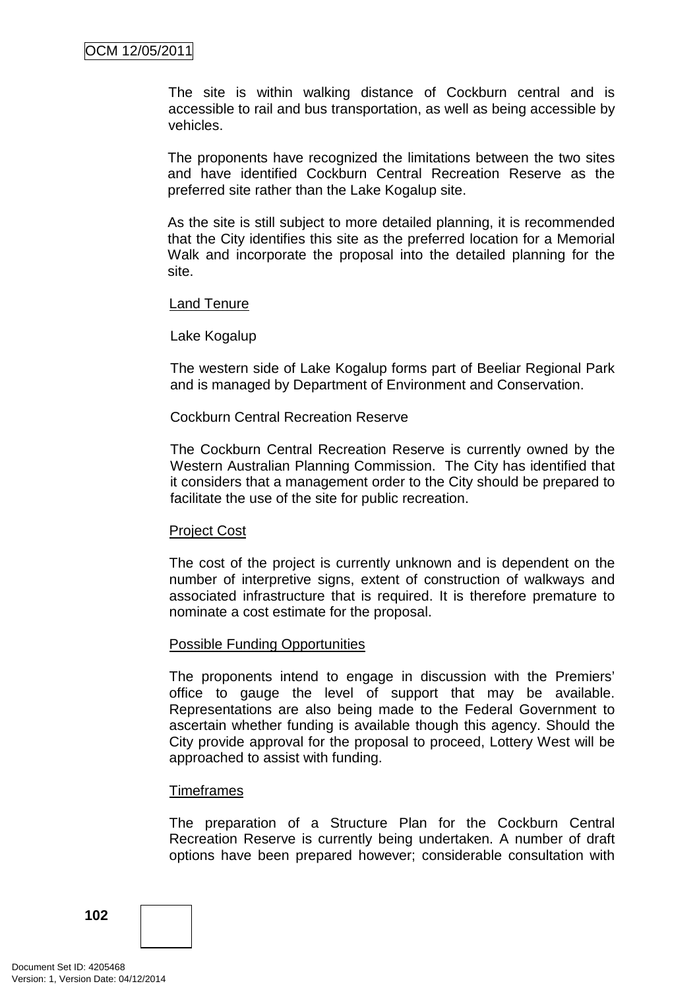The site is within walking distance of Cockburn central and is accessible to rail and bus transportation, as well as being accessible by vehicles.

The proponents have recognized the limitations between the two sites and have identified Cockburn Central Recreation Reserve as the preferred site rather than the Lake Kogalup site.

As the site is still subject to more detailed planning, it is recommended that the City identifies this site as the preferred location for a Memorial Walk and incorporate the proposal into the detailed planning for the site.

#### Land Tenure

### Lake Kogalup

The western side of Lake Kogalup forms part of Beeliar Regional Park and is managed by Department of Environment and Conservation.

### Cockburn Central Recreation Reserve

The Cockburn Central Recreation Reserve is currently owned by the Western Australian Planning Commission. The City has identified that it considers that a management order to the City should be prepared to facilitate the use of the site for public recreation.

#### Project Cost

The cost of the project is currently unknown and is dependent on the number of interpretive signs, extent of construction of walkways and associated infrastructure that is required. It is therefore premature to nominate a cost estimate for the proposal.

#### Possible Funding Opportunities

The proponents intend to engage in discussion with the Premiers' office to gauge the level of support that may be available. Representations are also being made to the Federal Government to ascertain whether funding is available though this agency. Should the City provide approval for the proposal to proceed, Lottery West will be approached to assist with funding.

#### **Timeframes**

The preparation of a Structure Plan for the Cockburn Central Recreation Reserve is currently being undertaken. A number of draft options have been prepared however; considerable consultation with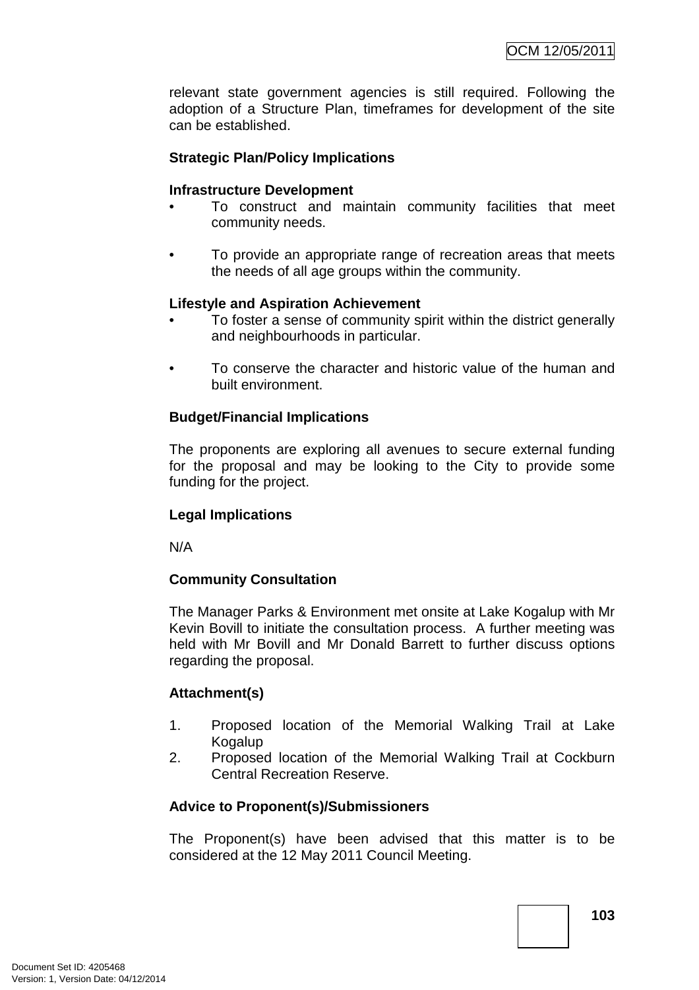relevant state government agencies is still required. Following the adoption of a Structure Plan, timeframes for development of the site can be established.

# **Strategic Plan/Policy Implications**

### **Infrastructure Development**

- To construct and maintain community facilities that meet community needs.
- To provide an appropriate range of recreation areas that meets the needs of all age groups within the community.

### **Lifestyle and Aspiration Achievement**

- To foster a sense of community spirit within the district generally and neighbourhoods in particular.
- To conserve the character and historic value of the human and built environment.

### **Budget/Financial Implications**

The proponents are exploring all avenues to secure external funding for the proposal and may be looking to the City to provide some funding for the project.

### **Legal Implications**

N/A

### **Community Consultation**

The Manager Parks & Environment met onsite at Lake Kogalup with Mr Kevin Bovill to initiate the consultation process. A further meeting was held with Mr Bovill and Mr Donald Barrett to further discuss options regarding the proposal.

### **Attachment(s)**

- 1. Proposed location of the Memorial Walking Trail at Lake Kogalup
- 2. Proposed location of the Memorial Walking Trail at Cockburn Central Recreation Reserve.

### **Advice to Proponent(s)/Submissioners**

The Proponent(s) have been advised that this matter is to be considered at the 12 May 2011 Council Meeting.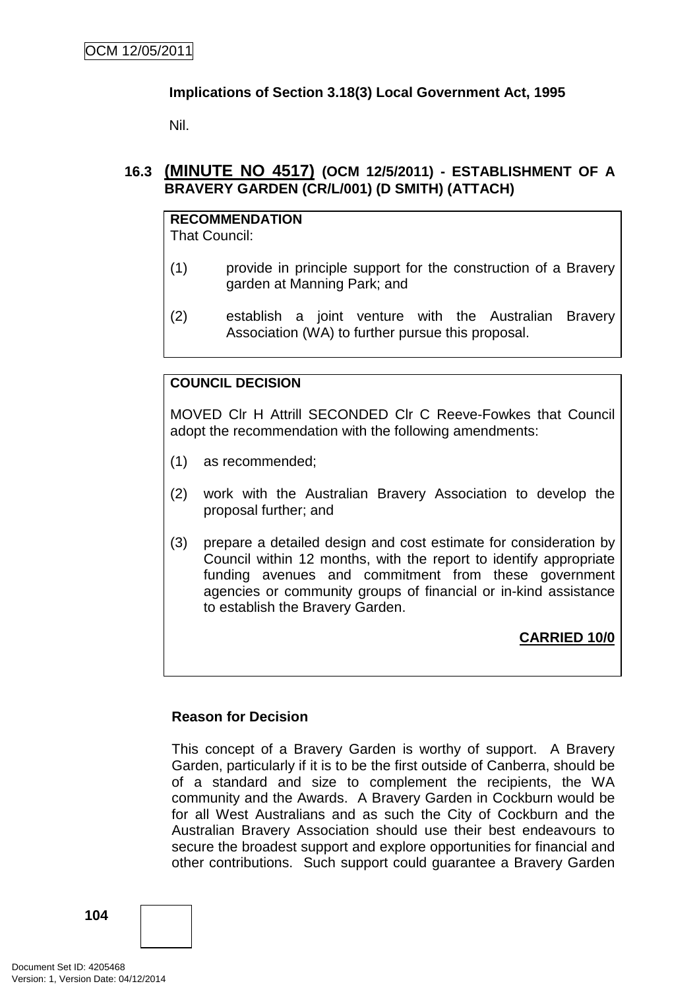# **Implications of Section 3.18(3) Local Government Act, 1995**

Nil.

# **16.3 (MINUTE NO 4517) (OCM 12/5/2011) - ESTABLISHMENT OF A BRAVERY GARDEN (CR/L/001) (D SMITH) (ATTACH)**

# **RECOMMENDATION**

That Council:

- (1) provide in principle support for the construction of a Bravery garden at Manning Park; and
- (2) establish a joint venture with the Australian Bravery Association (WA) to further pursue this proposal.

# **COUNCIL DECISION**

MOVED Clr H Attrill SECONDED Clr C Reeve-Fowkes that Council adopt the recommendation with the following amendments:

- (1) as recommended;
- (2) work with the Australian Bravery Association to develop the proposal further; and
- (3) prepare a detailed design and cost estimate for consideration by Council within 12 months, with the report to identify appropriate funding avenues and commitment from these government agencies or community groups of financial or in-kind assistance to establish the Bravery Garden.

**CARRIED 10/0**

### **Reason for Decision**

This concept of a Bravery Garden is worthy of support. A Bravery Garden, particularly if it is to be the first outside of Canberra, should be of a standard and size to complement the recipients, the WA community and the Awards. A Bravery Garden in Cockburn would be for all West Australians and as such the City of Cockburn and the Australian Bravery Association should use their best endeavours to secure the broadest support and explore opportunities for financial and other contributions. Such support could guarantee a Bravery Garden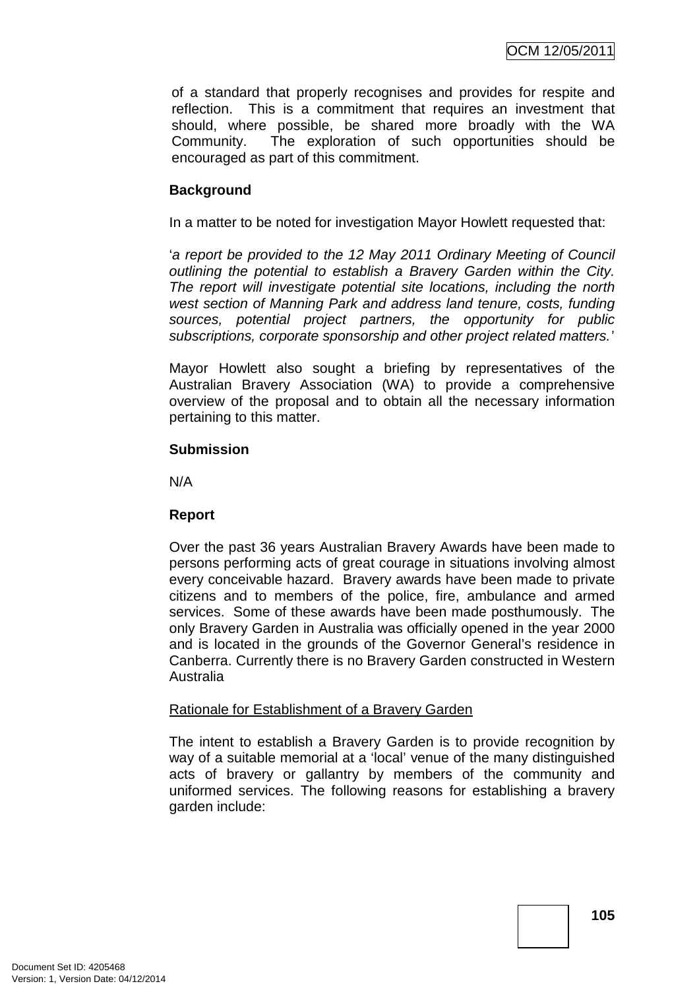of a standard that properly recognises and provides for respite and reflection. This is a commitment that requires an investment that should, where possible, be shared more broadly with the WA Community. The exploration of such opportunities should be encouraged as part of this commitment.

## **Background**

In a matter to be noted for investigation Mayor Howlett requested that:

'a report be provided to the 12 May 2011 Ordinary Meeting of Council outlining the potential to establish a Bravery Garden within the City. The report will investigate potential site locations, including the north west section of Manning Park and address land tenure, costs, funding sources, potential project partners, the opportunity for public subscriptions, corporate sponsorship and other project related matters.'

Mayor Howlett also sought a briefing by representatives of the Australian Bravery Association (WA) to provide a comprehensive overview of the proposal and to obtain all the necessary information pertaining to this matter.

#### **Submission**

N/A

## **Report**

Over the past 36 years Australian Bravery Awards have been made to persons performing acts of great courage in situations involving almost every conceivable hazard. Bravery awards have been made to private citizens and to members of the police, fire, ambulance and armed services. Some of these awards have been made posthumously. The only Bravery Garden in Australia was officially opened in the year 2000 and is located in the grounds of the Governor General's residence in Canberra. Currently there is no Bravery Garden constructed in Western Australia

## Rationale for Establishment of a Bravery Garden

The intent to establish a Bravery Garden is to provide recognition by way of a suitable memorial at a 'local' venue of the many distinguished acts of bravery or gallantry by members of the community and uniformed services. The following reasons for establishing a bravery garden include: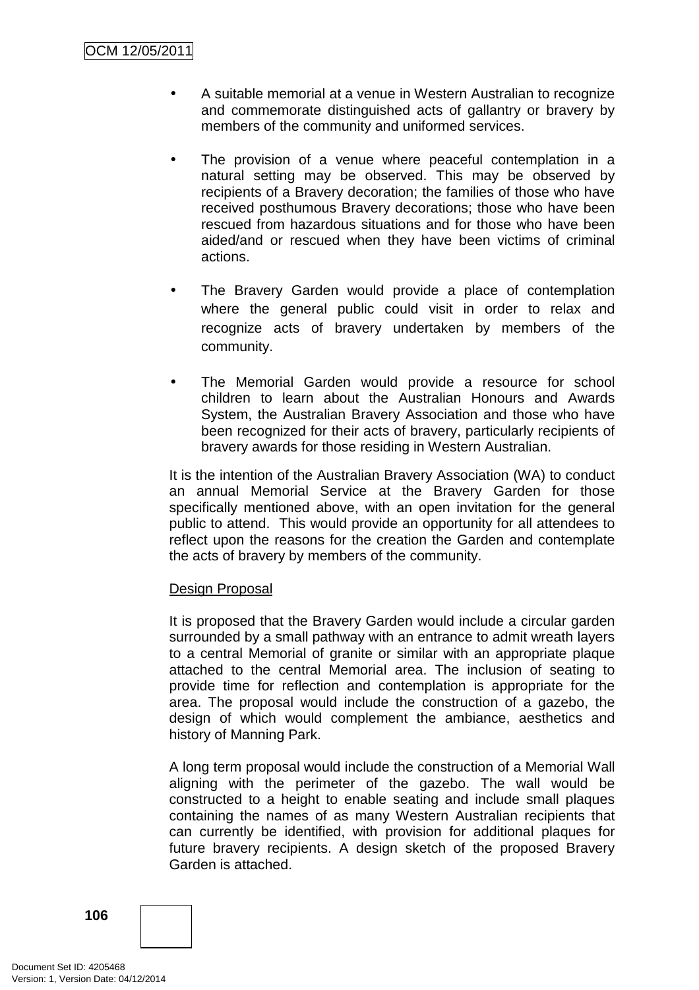- A suitable memorial at a venue in Western Australian to recognize and commemorate distinguished acts of gallantry or bravery by members of the community and uniformed services.
- The provision of a venue where peaceful contemplation in a natural setting may be observed. This may be observed by recipients of a Bravery decoration; the families of those who have received posthumous Bravery decorations; those who have been rescued from hazardous situations and for those who have been aided/and or rescued when they have been victims of criminal actions.
- The Bravery Garden would provide a place of contemplation where the general public could visit in order to relax and recognize acts of bravery undertaken by members of the community.
- The Memorial Garden would provide a resource for school children to learn about the Australian Honours and Awards System, the Australian Bravery Association and those who have been recognized for their acts of bravery, particularly recipients of bravery awards for those residing in Western Australian.

It is the intention of the Australian Bravery Association (WA) to conduct an annual Memorial Service at the Bravery Garden for those specifically mentioned above, with an open invitation for the general public to attend. This would provide an opportunity for all attendees to reflect upon the reasons for the creation the Garden and contemplate the acts of bravery by members of the community.

## Design Proposal

It is proposed that the Bravery Garden would include a circular garden surrounded by a small pathway with an entrance to admit wreath layers to a central Memorial of granite or similar with an appropriate plaque attached to the central Memorial area. The inclusion of seating to provide time for reflection and contemplation is appropriate for the area. The proposal would include the construction of a gazebo, the design of which would complement the ambiance, aesthetics and history of Manning Park.

A long term proposal would include the construction of a Memorial Wall aligning with the perimeter of the gazebo. The wall would be constructed to a height to enable seating and include small plaques containing the names of as many Western Australian recipients that can currently be identified, with provision for additional plaques for future bravery recipients. A design sketch of the proposed Bravery Garden is attached.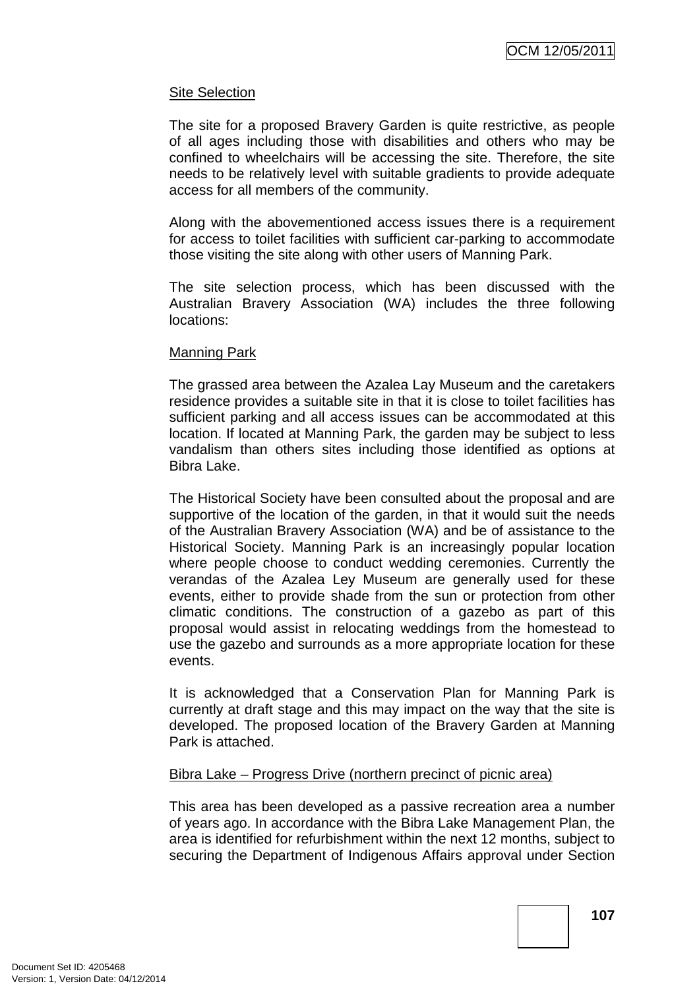## Site Selection

The site for a proposed Bravery Garden is quite restrictive, as people of all ages including those with disabilities and others who may be confined to wheelchairs will be accessing the site. Therefore, the site needs to be relatively level with suitable gradients to provide adequate access for all members of the community.

Along with the abovementioned access issues there is a requirement for access to toilet facilities with sufficient car-parking to accommodate those visiting the site along with other users of Manning Park.

The site selection process, which has been discussed with the Australian Bravery Association (WA) includes the three following locations:

#### Manning Park

The grassed area between the Azalea Lay Museum and the caretakers residence provides a suitable site in that it is close to toilet facilities has sufficient parking and all access issues can be accommodated at this location. If located at Manning Park, the garden may be subject to less vandalism than others sites including those identified as options at Bibra Lake.

The Historical Society have been consulted about the proposal and are supportive of the location of the garden, in that it would suit the needs of the Australian Bravery Association (WA) and be of assistance to the Historical Society. Manning Park is an increasingly popular location where people choose to conduct wedding ceremonies. Currently the verandas of the Azalea Ley Museum are generally used for these events, either to provide shade from the sun or protection from other climatic conditions. The construction of a gazebo as part of this proposal would assist in relocating weddings from the homestead to use the gazebo and surrounds as a more appropriate location for these events.

It is acknowledged that a Conservation Plan for Manning Park is currently at draft stage and this may impact on the way that the site is developed. The proposed location of the Bravery Garden at Manning Park is attached.

## Bibra Lake – Progress Drive (northern precinct of picnic area)

This area has been developed as a passive recreation area a number of years ago. In accordance with the Bibra Lake Management Plan, the area is identified for refurbishment within the next 12 months, subject to securing the Department of Indigenous Affairs approval under Section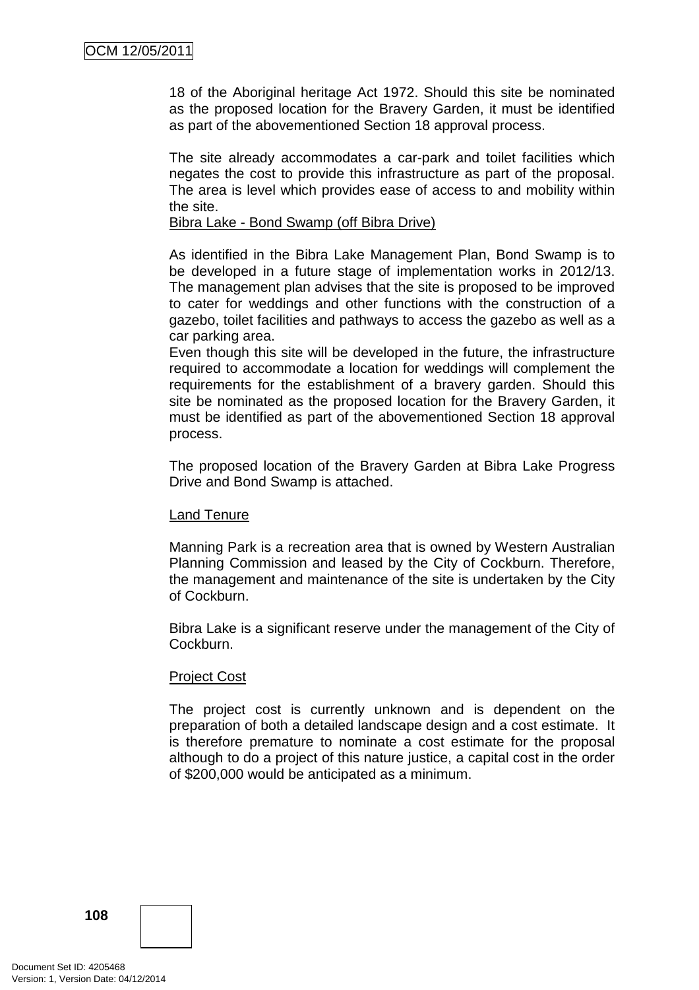18 of the Aboriginal heritage Act 1972. Should this site be nominated as the proposed location for the Bravery Garden, it must be identified as part of the abovementioned Section 18 approval process.

The site already accommodates a car-park and toilet facilities which negates the cost to provide this infrastructure as part of the proposal. The area is level which provides ease of access to and mobility within the site.

#### Bibra Lake - Bond Swamp (off Bibra Drive)

As identified in the Bibra Lake Management Plan, Bond Swamp is to be developed in a future stage of implementation works in 2012/13. The management plan advises that the site is proposed to be improved to cater for weddings and other functions with the construction of a gazebo, toilet facilities and pathways to access the gazebo as well as a car parking area.

Even though this site will be developed in the future, the infrastructure required to accommodate a location for weddings will complement the requirements for the establishment of a bravery garden. Should this site be nominated as the proposed location for the Bravery Garden, it must be identified as part of the abovementioned Section 18 approval process.

The proposed location of the Bravery Garden at Bibra Lake Progress Drive and Bond Swamp is attached.

## Land Tenure

Manning Park is a recreation area that is owned by Western Australian Planning Commission and leased by the City of Cockburn. Therefore, the management and maintenance of the site is undertaken by the City of Cockburn.

Bibra Lake is a significant reserve under the management of the City of Cockburn.

## Project Cost

The project cost is currently unknown and is dependent on the preparation of both a detailed landscape design and a cost estimate. It is therefore premature to nominate a cost estimate for the proposal although to do a project of this nature justice, a capital cost in the order of \$200,000 would be anticipated as a minimum.

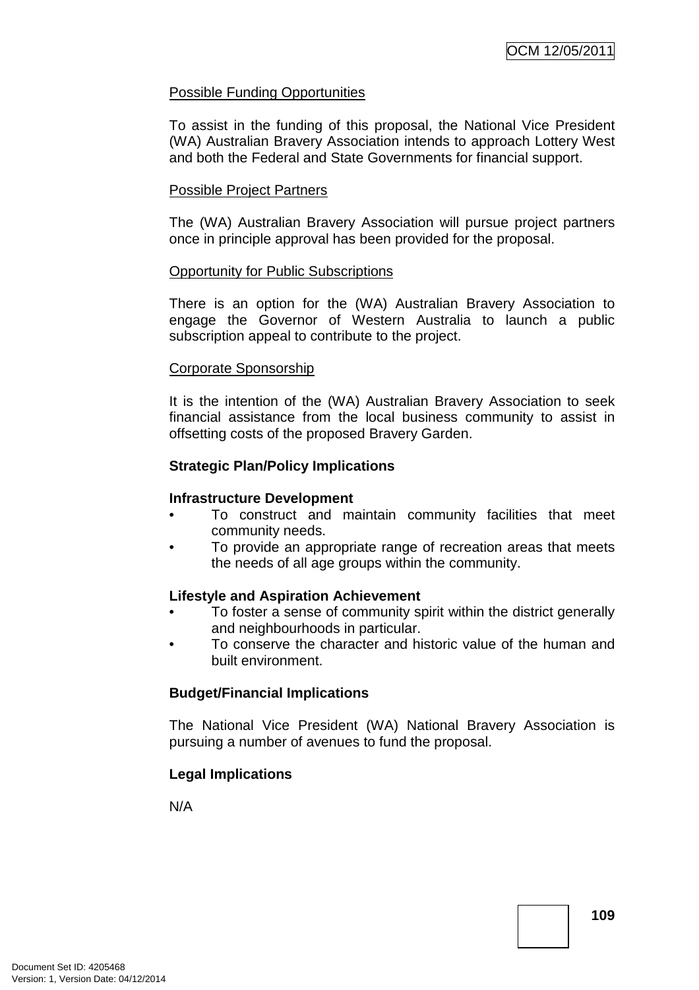## Possible Funding Opportunities

To assist in the funding of this proposal, the National Vice President (WA) Australian Bravery Association intends to approach Lottery West and both the Federal and State Governments for financial support.

#### Possible Project Partners

The (WA) Australian Bravery Association will pursue project partners once in principle approval has been provided for the proposal.

#### Opportunity for Public Subscriptions

There is an option for the (WA) Australian Bravery Association to engage the Governor of Western Australia to launch a public subscription appeal to contribute to the project.

#### Corporate Sponsorship

It is the intention of the (WA) Australian Bravery Association to seek financial assistance from the local business community to assist in offsetting costs of the proposed Bravery Garden.

## **Strategic Plan/Policy Implications**

#### **Infrastructure Development**

- To construct and maintain community facilities that meet community needs.
- To provide an appropriate range of recreation areas that meets the needs of all age groups within the community.

#### **Lifestyle and Aspiration Achievement**

- To foster a sense of community spirit within the district generally and neighbourhoods in particular.
- To conserve the character and historic value of the human and built environment.

## **Budget/Financial Implications**

The National Vice President (WA) National Bravery Association is pursuing a number of avenues to fund the proposal.

## **Legal Implications**

N/A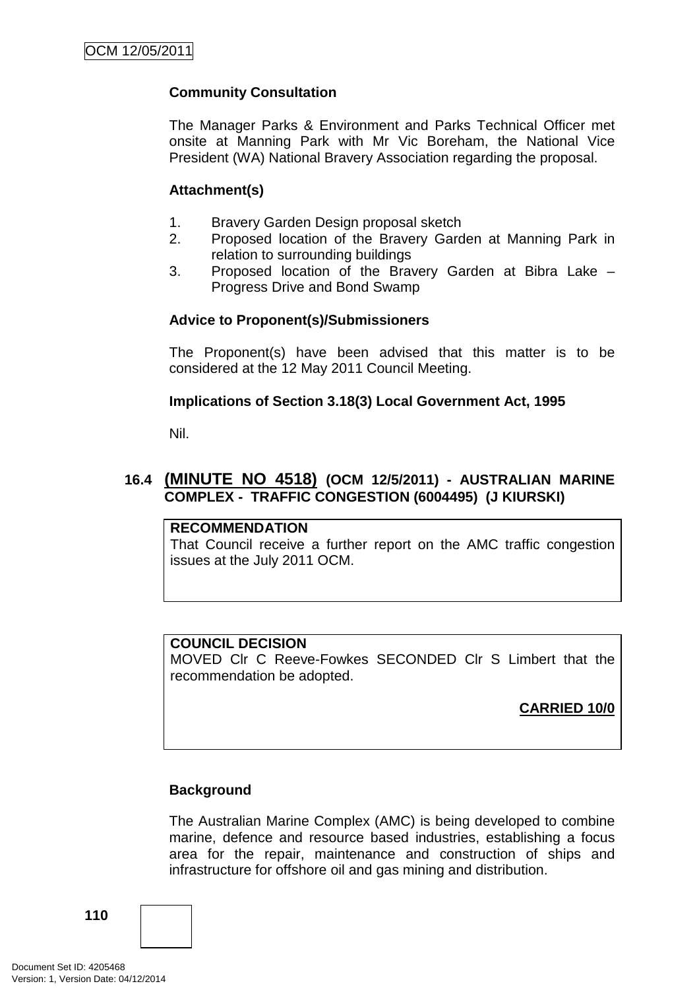## **Community Consultation**

The Manager Parks & Environment and Parks Technical Officer met onsite at Manning Park with Mr Vic Boreham, the National Vice President (WA) National Bravery Association regarding the proposal.

## **Attachment(s)**

- 1. Bravery Garden Design proposal sketch
- 2. Proposed location of the Bravery Garden at Manning Park in relation to surrounding buildings
- 3. Proposed location of the Bravery Garden at Bibra Lake Progress Drive and Bond Swamp

## **Advice to Proponent(s)/Submissioners**

The Proponent(s) have been advised that this matter is to be considered at the 12 May 2011 Council Meeting.

## **Implications of Section 3.18(3) Local Government Act, 1995**

Nil.

## **16.4 (MINUTE NO 4518) (OCM 12/5/2011) - AUSTRALIAN MARINE COMPLEX - TRAFFIC CONGESTION (6004495) (J KIURSKI)**

#### **RECOMMENDATION**

That Council receive a further report on the AMC traffic congestion issues at the July 2011 OCM.

## **COUNCIL DECISION**

MOVED Clr C Reeve-Fowkes SECONDED Clr S Limbert that the recommendation be adopted.

**CARRIED 10/0**

## **Background**

The Australian Marine Complex (AMC) is being developed to combine marine, defence and resource based industries, establishing a focus area for the repair, maintenance and construction of ships and infrastructure for offshore oil and gas mining and distribution.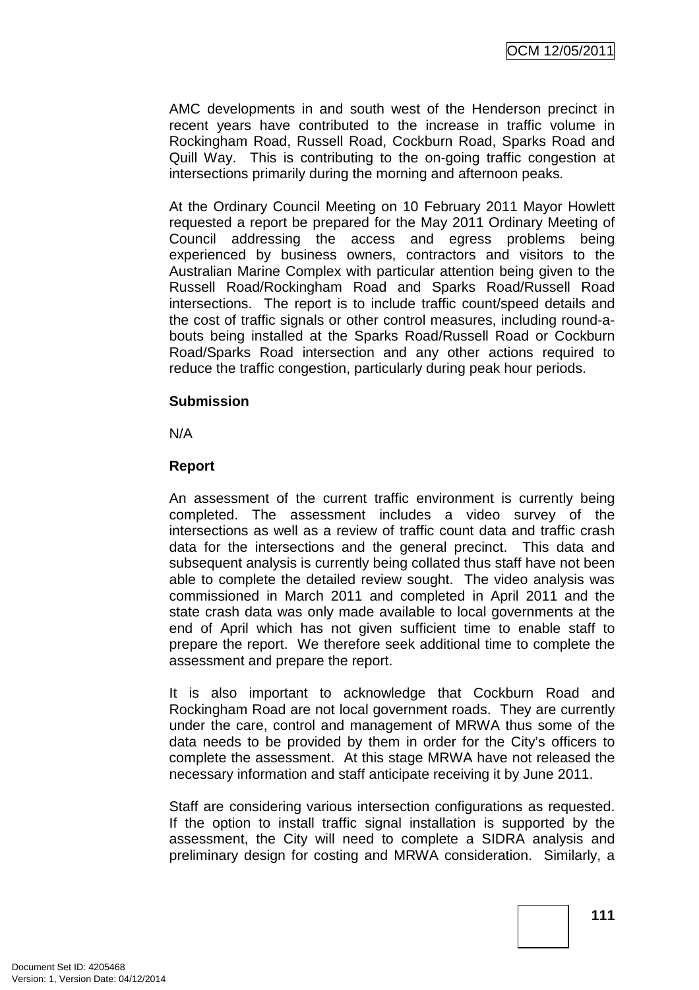AMC developments in and south west of the Henderson precinct in recent years have contributed to the increase in traffic volume in Rockingham Road, Russell Road, Cockburn Road, Sparks Road and Quill Way. This is contributing to the on-going traffic congestion at intersections primarily during the morning and afternoon peaks.

At the Ordinary Council Meeting on 10 February 2011 Mayor Howlett requested a report be prepared for the May 2011 Ordinary Meeting of Council addressing the access and egress problems being experienced by business owners, contractors and visitors to the Australian Marine Complex with particular attention being given to the Russell Road/Rockingham Road and Sparks Road/Russell Road intersections. The report is to include traffic count/speed details and the cost of traffic signals or other control measures, including round-abouts being installed at the Sparks Road/Russell Road or Cockburn Road/Sparks Road intersection and any other actions required to reduce the traffic congestion, particularly during peak hour periods.

#### **Submission**

N/A

#### **Report**

An assessment of the current traffic environment is currently being completed. The assessment includes a video survey of the intersections as well as a review of traffic count data and traffic crash data for the intersections and the general precinct. This data and subsequent analysis is currently being collated thus staff have not been able to complete the detailed review sought. The video analysis was commissioned in March 2011 and completed in April 2011 and the state crash data was only made available to local governments at the end of April which has not given sufficient time to enable staff to prepare the report. We therefore seek additional time to complete the assessment and prepare the report.

It is also important to acknowledge that Cockburn Road and Rockingham Road are not local government roads. They are currently under the care, control and management of MRWA thus some of the data needs to be provided by them in order for the City's officers to complete the assessment. At this stage MRWA have not released the necessary information and staff anticipate receiving it by June 2011.

Staff are considering various intersection configurations as requested. If the option to install traffic signal installation is supported by the assessment, the City will need to complete a SIDRA analysis and preliminary design for costing and MRWA consideration. Similarly, a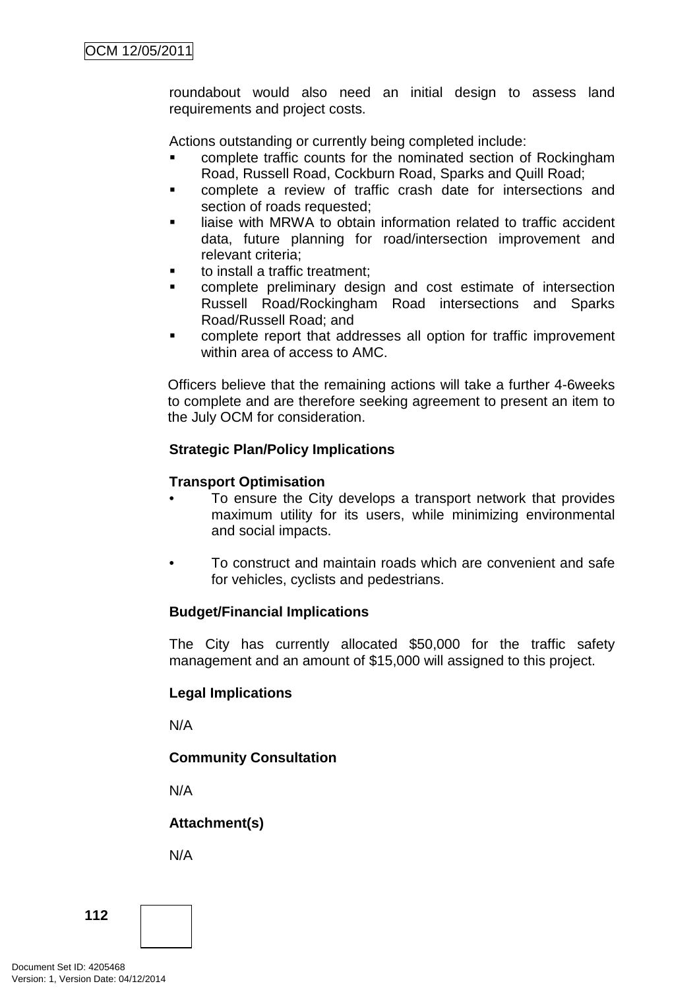roundabout would also need an initial design to assess land requirements and project costs.

Actions outstanding or currently being completed include:

- complete traffic counts for the nominated section of Rockingham Road, Russell Road, Cockburn Road, Sparks and Quill Road;
- complete a review of traffic crash date for intersections and section of roads requested;
- liaise with MRWA to obtain information related to traffic accident data, future planning for road/intersection improvement and relevant criteria;
- to install a traffic treatment;
- complete preliminary design and cost estimate of intersection Russell Road/Rockingham Road intersections and Sparks Road/Russell Road; and
- complete report that addresses all option for traffic improvement within area of access to AMC.

Officers believe that the remaining actions will take a further 4-6weeks to complete and are therefore seeking agreement to present an item to the July OCM for consideration.

## **Strategic Plan/Policy Implications**

## **Transport Optimisation**

- To ensure the City develops a transport network that provides maximum utility for its users, while minimizing environmental and social impacts.
- To construct and maintain roads which are convenient and safe for vehicles, cyclists and pedestrians.

## **Budget/Financial Implications**

The City has currently allocated \$50,000 for the traffic safety management and an amount of \$15,000 will assigned to this project.

## **Legal Implications**

N/A

## **Community Consultation**

N/A

## **Attachment(s)**

N/A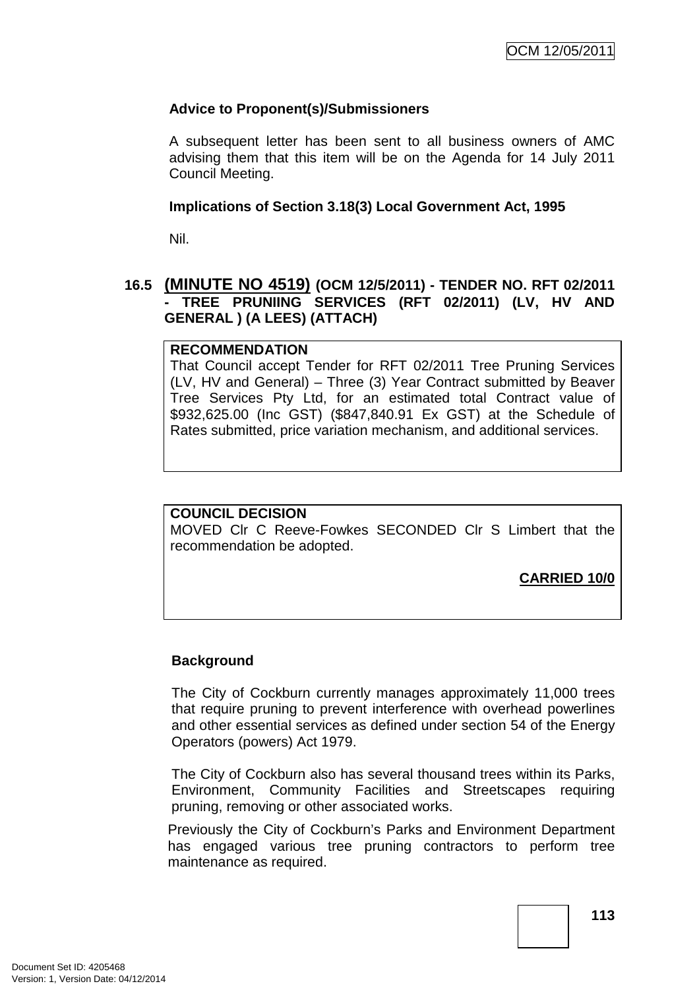## **Advice to Proponent(s)/Submissioners**

A subsequent letter has been sent to all business owners of AMC advising them that this item will be on the Agenda for 14 July 2011 Council Meeting.

#### **Implications of Section 3.18(3) Local Government Act, 1995**

Nil.

## **16.5 (MINUTE NO 4519) (OCM 12/5/2011) - TENDER NO. RFT 02/2011 - TREE PRUNIING SERVICES (RFT 02/2011) (LV, HV AND GENERAL ) (A LEES) (ATTACH)**

#### **RECOMMENDATION**

That Council accept Tender for RFT 02/2011 Tree Pruning Services (LV, HV and General) – Three (3) Year Contract submitted by Beaver Tree Services Pty Ltd, for an estimated total Contract value of \$932,625.00 (Inc GST) (\$847,840.91 Ex GST) at the Schedule of Rates submitted, price variation mechanism, and additional services.

## **COUNCIL DECISION**

MOVED Clr C Reeve-Fowkes SECONDED Clr S Limbert that the recommendation be adopted.

**CARRIED 10/0**

## **Background**

The City of Cockburn currently manages approximately 11,000 trees that require pruning to prevent interference with overhead powerlines and other essential services as defined under section 54 of the Energy Operators (powers) Act 1979.

The City of Cockburn also has several thousand trees within its Parks, Environment, Community Facilities and Streetscapes requiring pruning, removing or other associated works.

Previously the City of Cockburn's Parks and Environment Department has engaged various tree pruning contractors to perform tree maintenance as required.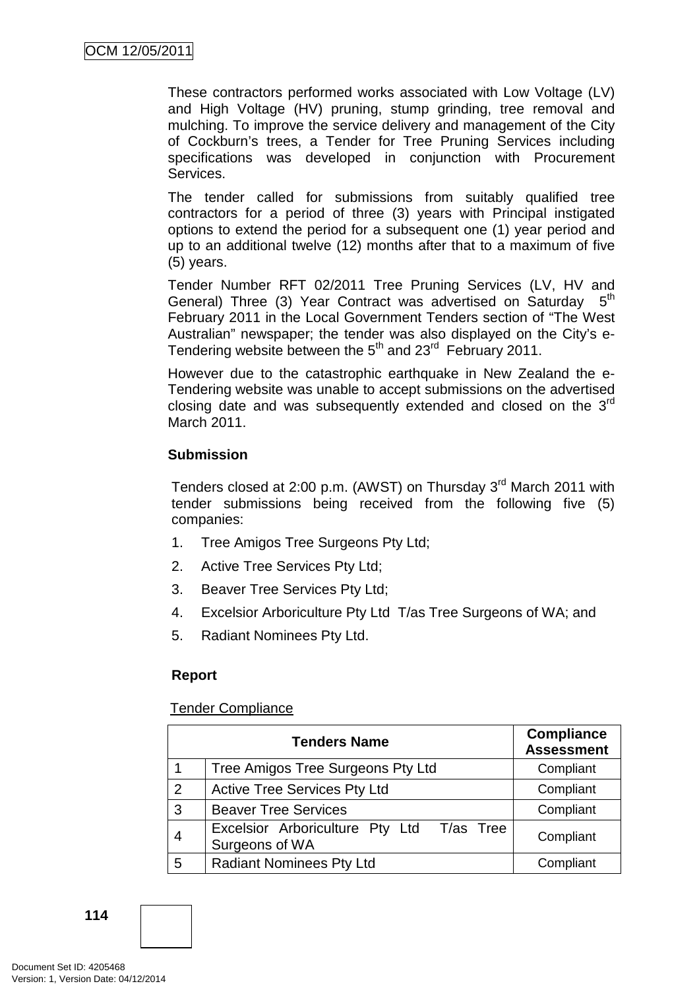These contractors performed works associated with Low Voltage (LV) and High Voltage (HV) pruning, stump grinding, tree removal and mulching. To improve the service delivery and management of the City of Cockburn's trees, a Tender for Tree Pruning Services including specifications was developed in conjunction with Procurement Services.

The tender called for submissions from suitably qualified tree contractors for a period of three (3) years with Principal instigated options to extend the period for a subsequent one (1) year period and up to an additional twelve (12) months after that to a maximum of five (5) years.

Tender Number RFT 02/2011 Tree Pruning Services (LV, HV and General) Three (3) Year Contract was advertised on Saturday  $5<sup>th</sup>$ February 2011 in the Local Government Tenders section of "The West Australian" newspaper; the tender was also displayed on the City's e-Tendering website between the 5<sup>th</sup> and 23<sup>rd</sup> February 2011.

However due to the catastrophic earthquake in New Zealand the e-Tendering website was unable to accept submissions on the advertised closing date and was subsequently extended and closed on the 3<sup>rd</sup> March 2011.

## **Submission**

Tenders closed at 2:00 p.m. (AWST) on Thursday 3<sup>rd</sup> March 2011 with tender submissions being received from the following five (5) companies:

- 1. Tree Amigos Tree Surgeons Pty Ltd;
- 2. Active Tree Services Pty Ltd;
- 3. Beaver Tree Services Pty Ltd;
- 4. Excelsior Arboriculture Pty Ltd T/as Tree Surgeons of WA; and
- 5. Radiant Nominees Pty Ltd.

## **Report**

## Tender Compliance

|   | <b>Tenders Name</b>                                         | <b>Compliance</b><br><b>Assessment</b> |
|---|-------------------------------------------------------------|----------------------------------------|
|   | Tree Amigos Tree Surgeons Pty Ltd                           | Compliant                              |
| 2 | <b>Active Tree Services Pty Ltd</b>                         | Compliant                              |
| 3 | <b>Beaver Tree Services</b>                                 | Compliant                              |
| 4 | Excelsior Arboriculture Pty Ltd T/as Tree<br>Surgeons of WA | Compliant                              |
| 5 | <b>Radiant Nominees Pty Ltd</b>                             | Compliant                              |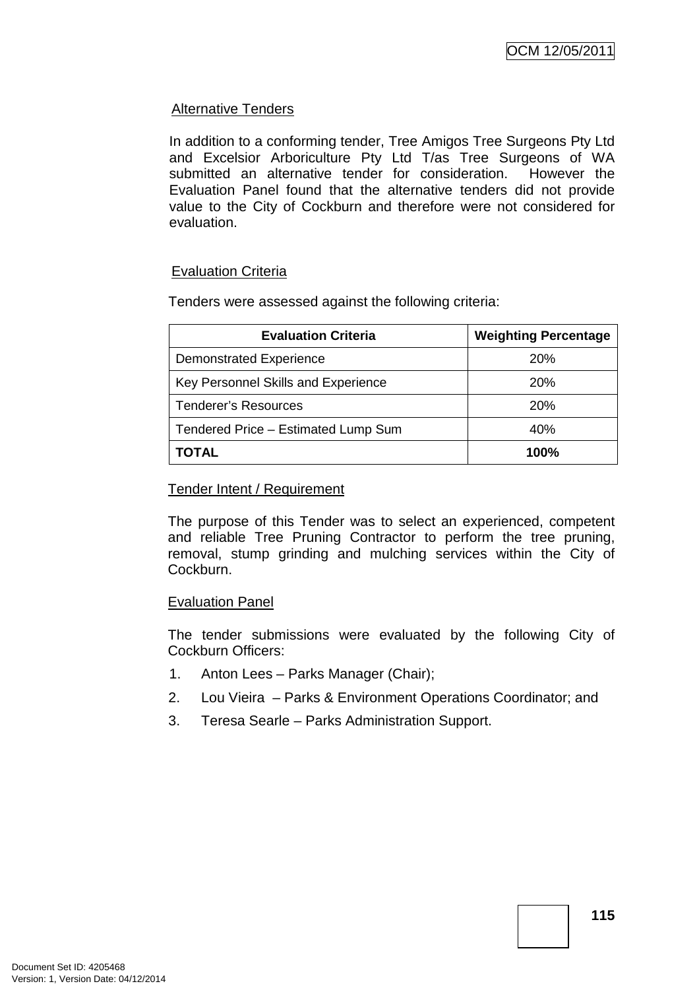## Alternative Tenders

In addition to a conforming tender, Tree Amigos Tree Surgeons Pty Ltd and Excelsior Arboriculture Pty Ltd T/as Tree Surgeons of WA submitted an alternative tender for consideration. However the Evaluation Panel found that the alternative tenders did not provide value to the City of Cockburn and therefore were not considered for evaluation.

## Evaluation Criteria

Tenders were assessed against the following criteria:

| <b>Evaluation Criteria</b>          | <b>Weighting Percentage</b> |
|-------------------------------------|-----------------------------|
| Demonstrated Experience             | <b>20%</b>                  |
| Key Personnel Skills and Experience | <b>20%</b>                  |
| <b>Tenderer's Resources</b>         | <b>20%</b>                  |
| Tendered Price - Estimated Lump Sum | 40%                         |
| TOTAL                               | 100%                        |

#### Tender Intent / Requirement

The purpose of this Tender was to select an experienced, competent and reliable Tree Pruning Contractor to perform the tree pruning, removal, stump grinding and mulching services within the City of Cockburn.

## Evaluation Panel

The tender submissions were evaluated by the following City of Cockburn Officers:

- 1. Anton Lees Parks Manager (Chair);
- 2. Lou Vieira Parks & Environment Operations Coordinator; and
- 3. Teresa Searle Parks Administration Support.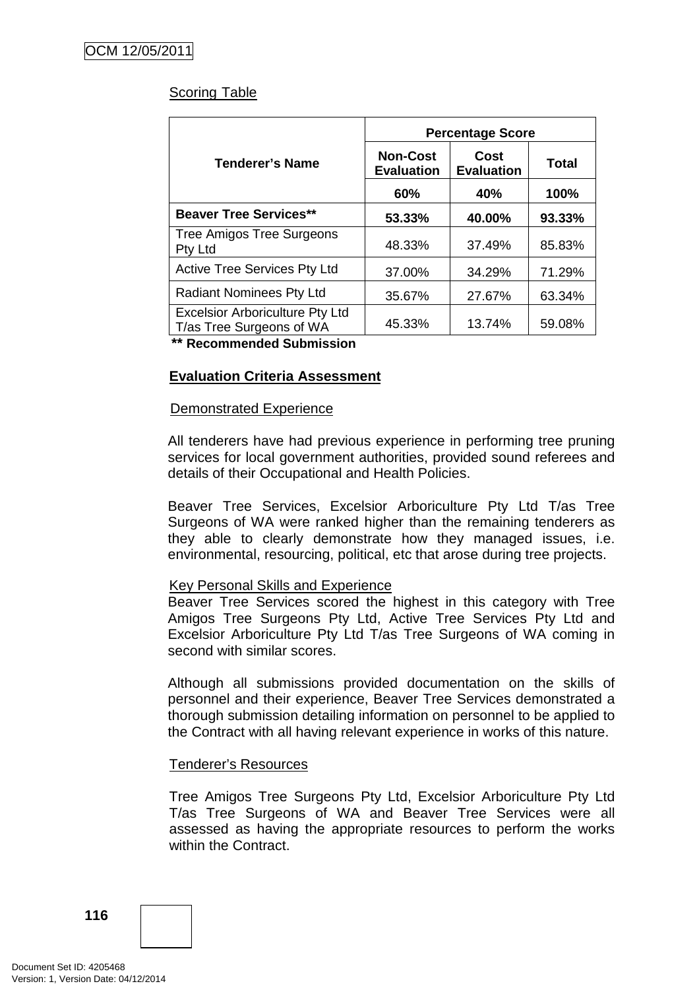## Scoring Table

|                                                                    | <b>Percentage Score</b>              |                           |              |  |
|--------------------------------------------------------------------|--------------------------------------|---------------------------|--------------|--|
| <b>Tenderer's Name</b>                                             | <b>Non-Cost</b><br><b>Evaluation</b> | Cost<br><b>Evaluation</b> | <b>Total</b> |  |
|                                                                    | 60%                                  | 40%                       | 100%         |  |
| <b>Beaver Tree Services**</b>                                      | 53.33%                               | 40.00%                    | 93.33%       |  |
| <b>Tree Amigos Tree Surgeons</b><br>Pty Ltd                        | 48.33%                               | 37.49%                    | 85.83%       |  |
| <b>Active Tree Services Pty Ltd</b>                                | 37.00%                               | 34.29%                    | 71.29%       |  |
| <b>Radiant Nominees Pty Ltd</b>                                    | 35.67%                               | 27.67%                    | 63.34%       |  |
| <b>Excelsior Arboriculture Pty Ltd</b><br>T/as Tree Surgeons of WA | 45.33%                               | 13.74%                    | 59.08%       |  |

**\*\* Recommended Submission** 

## **Evaluation Criteria Assessment**

## Demonstrated Experience

All tenderers have had previous experience in performing tree pruning services for local government authorities, provided sound referees and details of their Occupational and Health Policies.

Beaver Tree Services, Excelsior Arboriculture Pty Ltd T/as Tree Surgeons of WA were ranked higher than the remaining tenderers as they able to clearly demonstrate how they managed issues, i.e. environmental, resourcing, political, etc that arose during tree projects.

## Key Personal Skills and Experience

Beaver Tree Services scored the highest in this category with Tree Amigos Tree Surgeons Pty Ltd, Active Tree Services Pty Ltd and Excelsior Arboriculture Pty Ltd T/as Tree Surgeons of WA coming in second with similar scores.

Although all submissions provided documentation on the skills of personnel and their experience, Beaver Tree Services demonstrated a thorough submission detailing information on personnel to be applied to the Contract with all having relevant experience in works of this nature.

## Tenderer's Resources

Tree Amigos Tree Surgeons Pty Ltd, Excelsior Arboriculture Pty Ltd T/as Tree Surgeons of WA and Beaver Tree Services were all assessed as having the appropriate resources to perform the works within the Contract.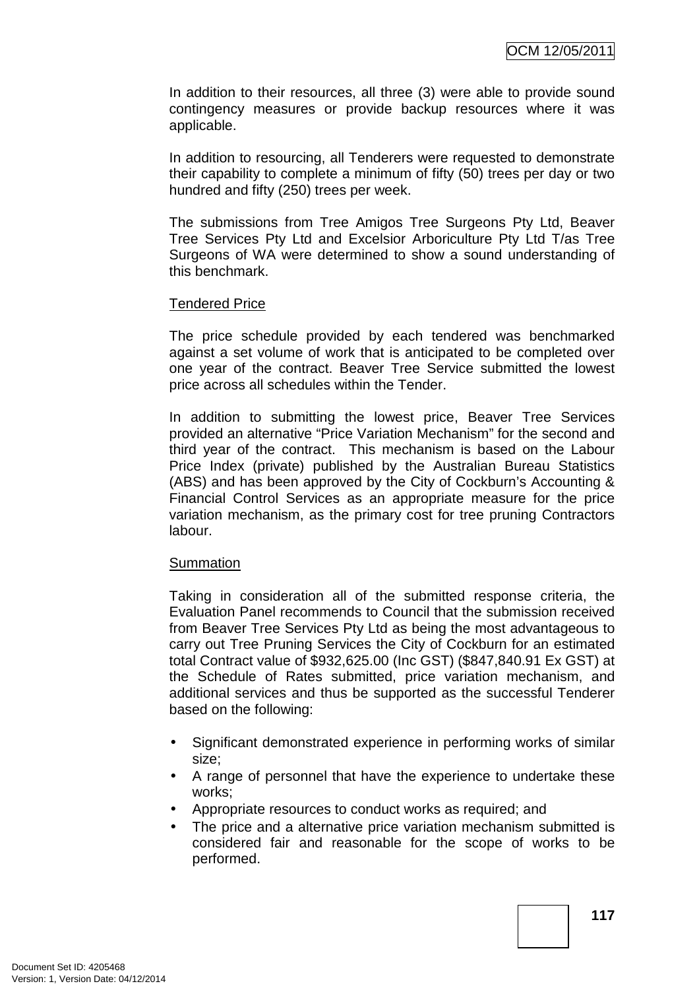In addition to their resources, all three (3) were able to provide sound contingency measures or provide backup resources where it was applicable.

In addition to resourcing, all Tenderers were requested to demonstrate their capability to complete a minimum of fifty (50) trees per day or two hundred and fifty (250) trees per week.

The submissions from Tree Amigos Tree Surgeons Pty Ltd, Beaver Tree Services Pty Ltd and Excelsior Arboriculture Pty Ltd T/as Tree Surgeons of WA were determined to show a sound understanding of this benchmark.

#### Tendered Price

The price schedule provided by each tendered was benchmarked against a set volume of work that is anticipated to be completed over one year of the contract. Beaver Tree Service submitted the lowest price across all schedules within the Tender.

In addition to submitting the lowest price, Beaver Tree Services provided an alternative "Price Variation Mechanism" for the second and third year of the contract. This mechanism is based on the Labour Price Index (private) published by the Australian Bureau Statistics (ABS) and has been approved by the City of Cockburn's Accounting & Financial Control Services as an appropriate measure for the price variation mechanism, as the primary cost for tree pruning Contractors labour.

#### **Summation**

Taking in consideration all of the submitted response criteria, the Evaluation Panel recommends to Council that the submission received from Beaver Tree Services Pty Ltd as being the most advantageous to carry out Tree Pruning Services the City of Cockburn for an estimated total Contract value of \$932,625.00 (Inc GST) (\$847,840.91 Ex GST) at the Schedule of Rates submitted, price variation mechanism, and additional services and thus be supported as the successful Tenderer based on the following:

- Significant demonstrated experience in performing works of similar size;
- A range of personnel that have the experience to undertake these works;
- Appropriate resources to conduct works as required; and
- The price and a alternative price variation mechanism submitted is considered fair and reasonable for the scope of works to be performed.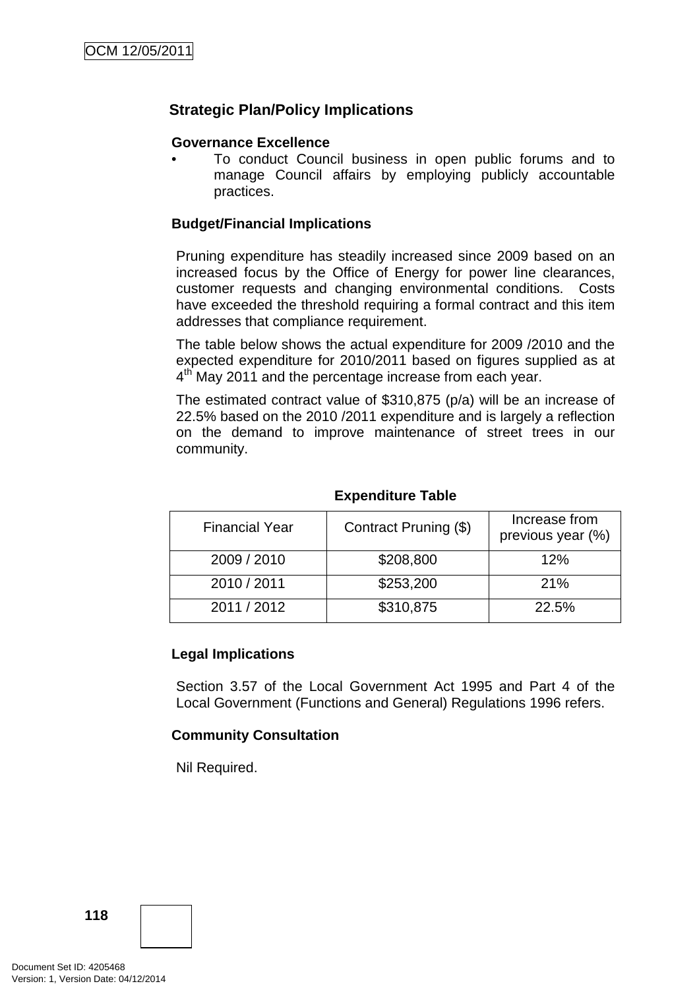## **Strategic Plan/Policy Implications**

## **Governance Excellence**

• To conduct Council business in open public forums and to manage Council affairs by employing publicly accountable practices.

## **Budget/Financial Implications**

Pruning expenditure has steadily increased since 2009 based on an increased focus by the Office of Energy for power line clearances, customer requests and changing environmental conditions. Costs have exceeded the threshold requiring a formal contract and this item addresses that compliance requirement.

The table below shows the actual expenditure for 2009 /2010 and the expected expenditure for 2010/2011 based on figures supplied as at  $4<sup>th</sup>$  May 2011 and the percentage increase from each year.

The estimated contract value of \$310,875 (p/a) will be an increase of 22.5% based on the 2010 /2011 expenditure and is largely a reflection on the demand to improve maintenance of street trees in our community.

| <b>Financial Year</b> | Contract Pruning (\$) | Increase from<br>previous year (%) |
|-----------------------|-----------------------|------------------------------------|
| 2009 / 2010           | \$208,800             | 12%                                |
| 2010 / 2011           | \$253,200             | <b>21%</b>                         |
| 2011 / 2012           | \$310,875             | 22.5%                              |

#### **Expenditure Table**

## **Legal Implications**

Section 3.57 of the Local Government Act 1995 and Part 4 of the Local Government (Functions and General) Regulations 1996 refers.

## **Community Consultation**

Nil Required.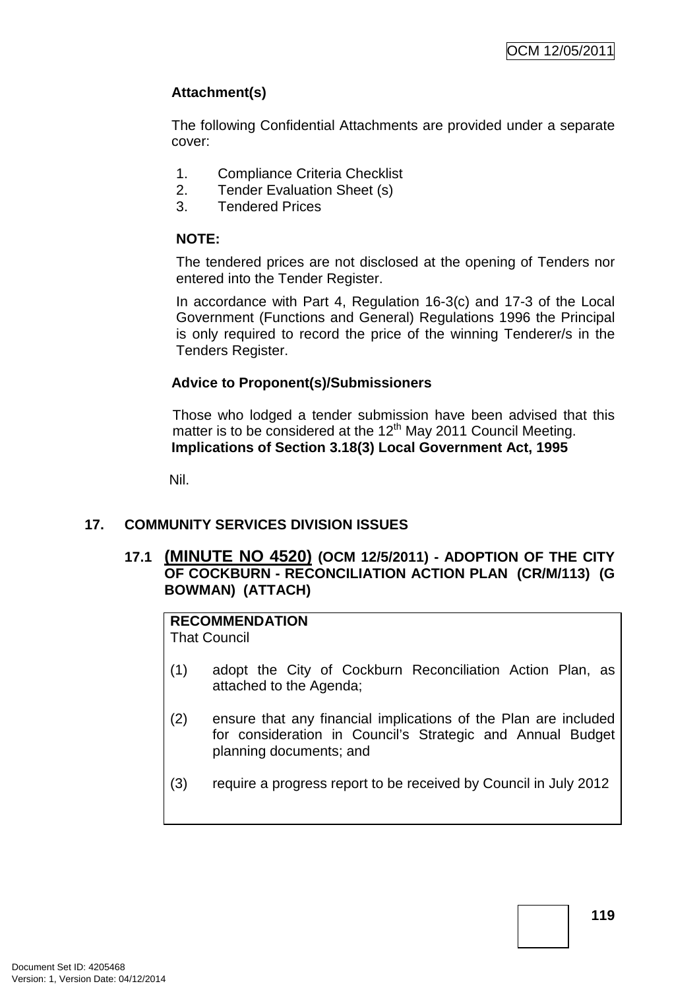## **Attachment(s)**

The following Confidential Attachments are provided under a separate cover:

- 1. Compliance Criteria Checklist
- 2. Tender Evaluation Sheet (s)
- 3. Tendered Prices

## **NOTE:**

The tendered prices are not disclosed at the opening of Tenders nor entered into the Tender Register.

In accordance with Part 4, Regulation 16-3(c) and 17-3 of the Local Government (Functions and General) Regulations 1996 the Principal is only required to record the price of the winning Tenderer/s in the Tenders Register.

## **Advice to Proponent(s)/Submissioners**

Those who lodged a tender submission have been advised that this matter is to be considered at the  $12<sup>th</sup>$  May 2011 Council Meeting. **Implications of Section 3.18(3) Local Government Act, 1995**

Nil.

## **17. COMMUNITY SERVICES DIVISION ISSUES**

## **17.1 (MINUTE NO 4520) (OCM 12/5/2011) - ADOPTION OF THE CITY OF COCKBURN - RECONCILIATION ACTION PLAN (CR/M/113) (G BOWMAN) (ATTACH)**

# **RECOMMENDATION**

That Council

- (1) adopt the City of Cockburn Reconciliation Action Plan, as attached to the Agenda;
- (2) ensure that any financial implications of the Plan are included for consideration in Council's Strategic and Annual Budget planning documents; and
- (3) require a progress report to be received by Council in July 2012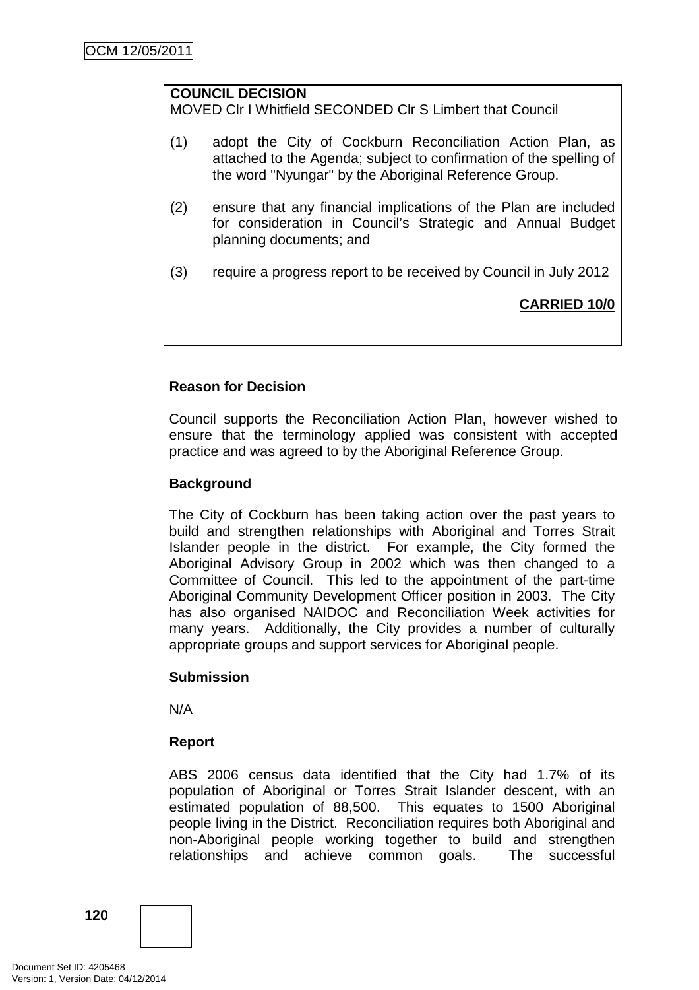## **COUNCIL DECISION**

MOVED Clr I Whitfield SECONDED Clr S Limbert that Council

- (1) adopt the City of Cockburn Reconciliation Action Plan, as attached to the Agenda; subject to confirmation of the spelling of the word "Nyungar" by the Aboriginal Reference Group.
- (2) ensure that any financial implications of the Plan are included for consideration in Council's Strategic and Annual Budget planning documents; and
- (3) require a progress report to be received by Council in July 2012

## **CARRIED 10/0**

## **Reason for Decision**

Council supports the Reconciliation Action Plan, however wished to ensure that the terminology applied was consistent with accepted practice and was agreed to by the Aboriginal Reference Group.

## **Background**

The City of Cockburn has been taking action over the past years to build and strengthen relationships with Aboriginal and Torres Strait Islander people in the district. For example, the City formed the Aboriginal Advisory Group in 2002 which was then changed to a Committee of Council. This led to the appointment of the part-time Aboriginal Community Development Officer position in 2003. The City has also organised NAIDOC and Reconciliation Week activities for many years. Additionally, the City provides a number of culturally appropriate groups and support services for Aboriginal people.

## **Submission**

N/A

## **Report**

ABS 2006 census data identified that the City had 1.7% of its population of Aboriginal or Torres Strait Islander descent, with an estimated population of 88,500. This equates to 1500 Aboriginal people living in the District. Reconciliation requires both Aboriginal and non-Aboriginal people working together to build and strengthen relationships and achieve common goals. The successful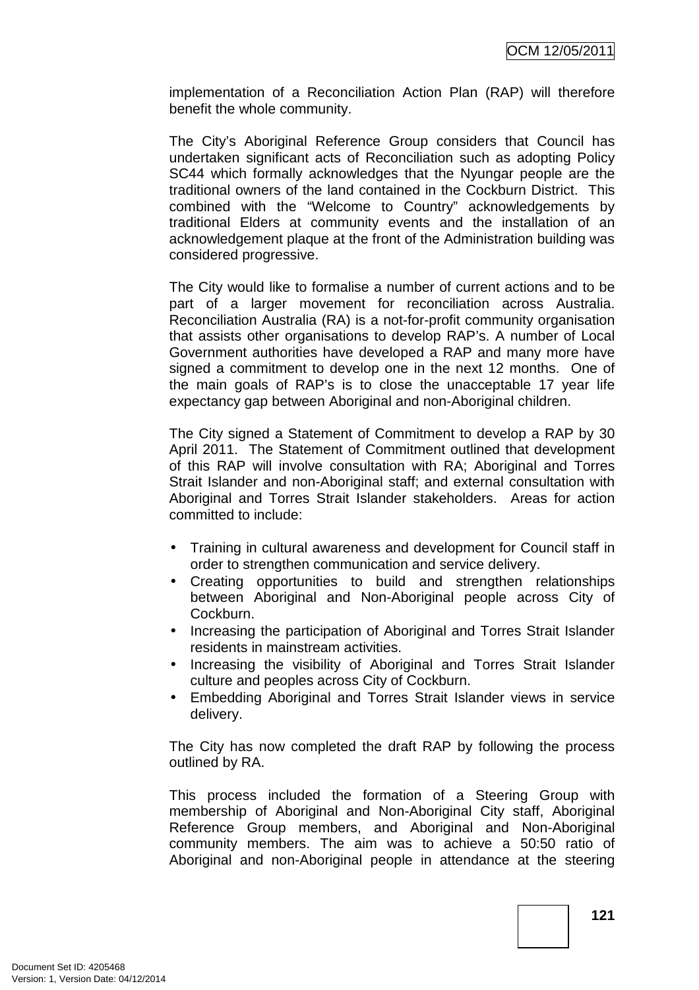implementation of a Reconciliation Action Plan (RAP) will therefore benefit the whole community.

The City's Aboriginal Reference Group considers that Council has undertaken significant acts of Reconciliation such as adopting Policy SC44 which formally acknowledges that the Nyungar people are the traditional owners of the land contained in the Cockburn District. This combined with the "Welcome to Country" acknowledgements by traditional Elders at community events and the installation of an acknowledgement plaque at the front of the Administration building was considered progressive.

The City would like to formalise a number of current actions and to be part of a larger movement for reconciliation across Australia. Reconciliation Australia (RA) is a not-for-profit community organisation that assists other organisations to develop RAP's. A number of Local Government authorities have developed a RAP and many more have signed a commitment to develop one in the next 12 months. One of the main goals of RAP's is to close the unacceptable 17 year life expectancy gap between Aboriginal and non-Aboriginal children.

The City signed a Statement of Commitment to develop a RAP by 30 April 2011. The Statement of Commitment outlined that development of this RAP will involve consultation with RA; Aboriginal and Torres Strait Islander and non-Aboriginal staff; and external consultation with Aboriginal and Torres Strait Islander stakeholders. Areas for action committed to include:

- Training in cultural awareness and development for Council staff in order to strengthen communication and service delivery.
- Creating opportunities to build and strengthen relationships between Aboriginal and Non-Aboriginal people across City of Cockburn.
- Increasing the participation of Aboriginal and Torres Strait Islander residents in mainstream activities.
- Increasing the visibility of Aboriginal and Torres Strait Islander culture and peoples across City of Cockburn.
- Embedding Aboriginal and Torres Strait Islander views in service delivery.

The City has now completed the draft RAP by following the process outlined by RA.

This process included the formation of a Steering Group with membership of Aboriginal and Non-Aboriginal City staff, Aboriginal Reference Group members, and Aboriginal and Non-Aboriginal community members. The aim was to achieve a 50:50 ratio of Aboriginal and non-Aboriginal people in attendance at the steering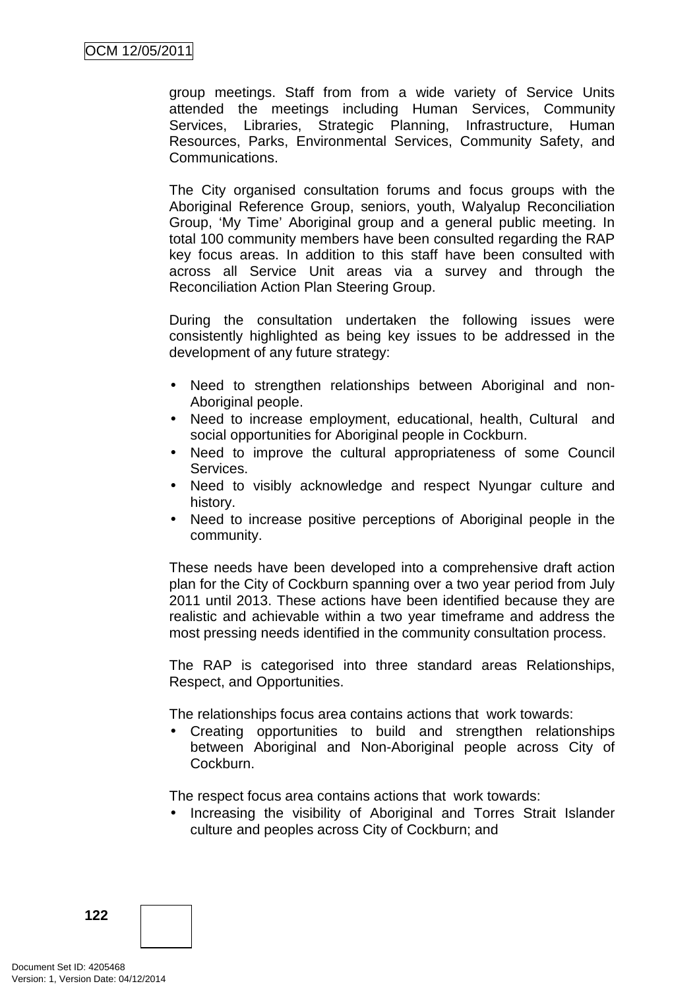group meetings. Staff from from a wide variety of Service Units attended the meetings including Human Services, Community Services, Libraries, Strategic Planning, Infrastructure, Human Resources, Parks, Environmental Services, Community Safety, and Communications.

The City organised consultation forums and focus groups with the Aboriginal Reference Group, seniors, youth, Walyalup Reconciliation Group, 'My Time' Aboriginal group and a general public meeting. In total 100 community members have been consulted regarding the RAP key focus areas. In addition to this staff have been consulted with across all Service Unit areas via a survey and through the Reconciliation Action Plan Steering Group.

During the consultation undertaken the following issues were consistently highlighted as being key issues to be addressed in the development of any future strategy:

- Need to strengthen relationships between Aboriginal and non-Aboriginal people.
- Need to increase employment, educational, health, Cultural and social opportunities for Aboriginal people in Cockburn.
- Need to improve the cultural appropriateness of some Council Services.
- Need to visibly acknowledge and respect Nyungar culture and history.
- Need to increase positive perceptions of Aboriginal people in the community.

These needs have been developed into a comprehensive draft action plan for the City of Cockburn spanning over a two year period from July 2011 until 2013. These actions have been identified because they are realistic and achievable within a two year timeframe and address the most pressing needs identified in the community consultation process.

The RAP is categorised into three standard areas Relationships, Respect, and Opportunities.

The relationships focus area contains actions that work towards:

• Creating opportunities to build and strengthen relationships between Aboriginal and Non-Aboriginal people across City of Cockburn.

The respect focus area contains actions that work towards:

• Increasing the visibility of Aboriginal and Torres Strait Islander culture and peoples across City of Cockburn; and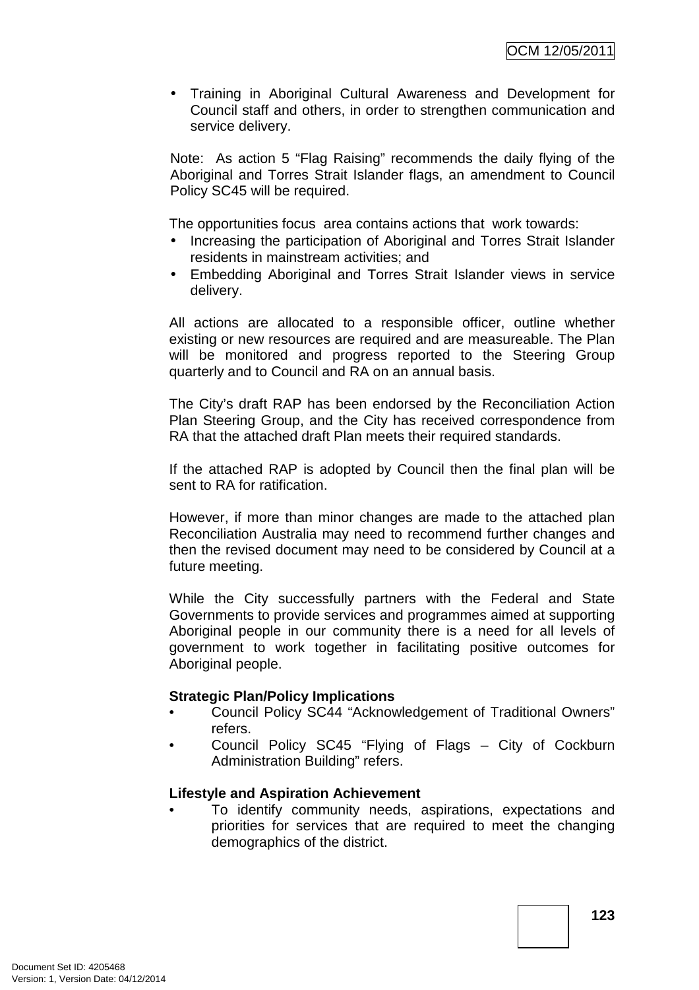• Training in Aboriginal Cultural Awareness and Development for Council staff and others, in order to strengthen communication and service delivery.

Note: As action 5 "Flag Raising" recommends the daily flying of the Aboriginal and Torres Strait Islander flags, an amendment to Council Policy SC45 will be required.

The opportunities focus area contains actions that work towards:

- Increasing the participation of Aboriginal and Torres Strait Islander residents in mainstream activities; and
- Embedding Aboriginal and Torres Strait Islander views in service delivery.

All actions are allocated to a responsible officer, outline whether existing or new resources are required and are measureable. The Plan will be monitored and progress reported to the Steering Group quarterly and to Council and RA on an annual basis.

The City's draft RAP has been endorsed by the Reconciliation Action Plan Steering Group, and the City has received correspondence from RA that the attached draft Plan meets their required standards.

If the attached RAP is adopted by Council then the final plan will be sent to RA for ratification.

However, if more than minor changes are made to the attached plan Reconciliation Australia may need to recommend further changes and then the revised document may need to be considered by Council at a future meeting.

While the City successfully partners with the Federal and State Governments to provide services and programmes aimed at supporting Aboriginal people in our community there is a need for all levels of government to work together in facilitating positive outcomes for Aboriginal people.

## **Strategic Plan/Policy Implications**

- Council Policy SC44 "Acknowledgement of Traditional Owners" refers.
- Council Policy SC45 "Flying of Flags City of Cockburn Administration Building" refers.

## **Lifestyle and Aspiration Achievement**

• To identify community needs, aspirations, expectations and priorities for services that are required to meet the changing demographics of the district.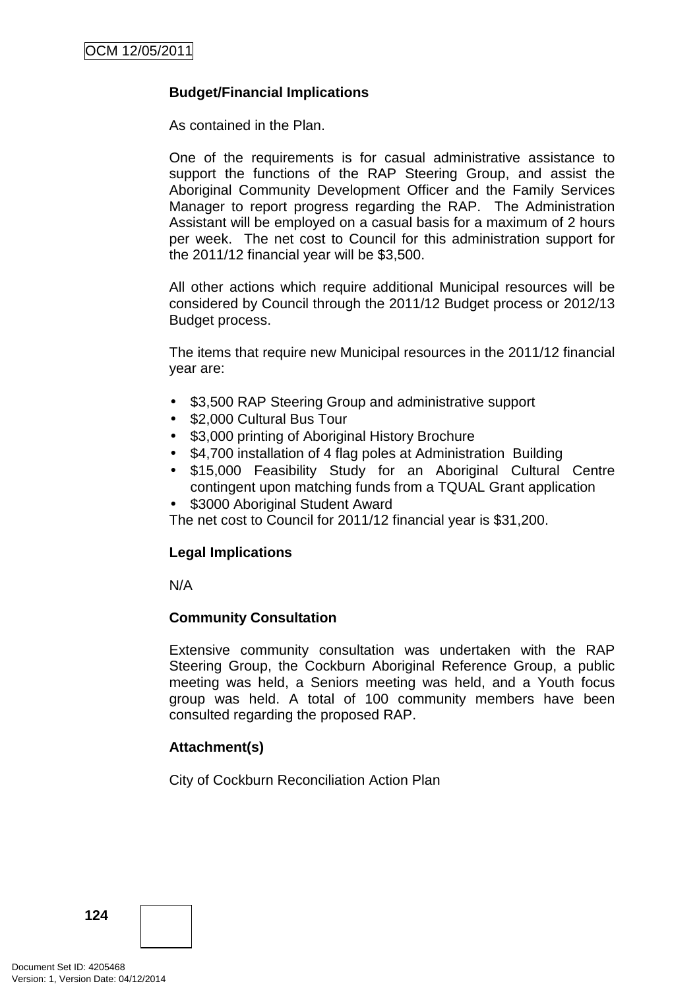## **Budget/Financial Implications**

As contained in the Plan.

One of the requirements is for casual administrative assistance to support the functions of the RAP Steering Group, and assist the Aboriginal Community Development Officer and the Family Services Manager to report progress regarding the RAP. The Administration Assistant will be employed on a casual basis for a maximum of 2 hours per week. The net cost to Council for this administration support for the 2011/12 financial year will be \$3,500.

All other actions which require additional Municipal resources will be considered by Council through the 2011/12 Budget process or 2012/13 Budget process.

The items that require new Municipal resources in the 2011/12 financial year are:

- \$3,500 RAP Steering Group and administrative support
- \$2,000 Cultural Bus Tour
- \$3,000 printing of Aboriginal History Brochure
- \$4,700 installation of 4 flag poles at Administration Building
- \$15,000 Feasibility Study for an Aboriginal Cultural Centre contingent upon matching funds from a TQUAL Grant application
- \$3000 Aboriginal Student Award

The net cost to Council for 2011/12 financial year is \$31,200.

## **Legal Implications**

N/A

## **Community Consultation**

Extensive community consultation was undertaken with the RAP Steering Group, the Cockburn Aboriginal Reference Group, a public meeting was held, a Seniors meeting was held, and a Youth focus group was held. A total of 100 community members have been consulted regarding the proposed RAP.

## **Attachment(s)**

City of Cockburn Reconciliation Action Plan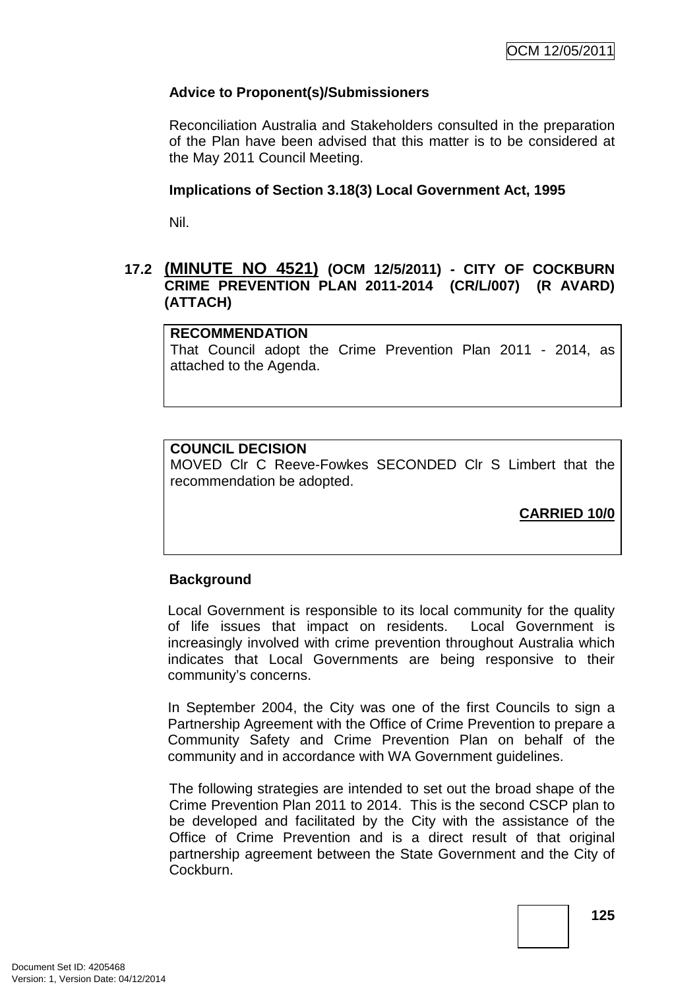## **Advice to Proponent(s)/Submissioners**

Reconciliation Australia and Stakeholders consulted in the preparation of the Plan have been advised that this matter is to be considered at the May 2011 Council Meeting.

## **Implications of Section 3.18(3) Local Government Act, 1995**

Nil.

## **17.2 (MINUTE NO 4521) (OCM 12/5/2011) - CITY OF COCKBURN CRIME PREVENTION PLAN 2011-2014 (CR/L/007) (R AVARD) (ATTACH)**

#### **RECOMMENDATION**

That Council adopt the Crime Prevention Plan 2011 - 2014, as attached to the Agenda.

## **COUNCIL DECISION**

MOVED Clr C Reeve-Fowkes SECONDED Clr S Limbert that the recommendation be adopted.

**CARRIED 10/0**

## **Background**

Local Government is responsible to its local community for the quality of life issues that impact on residents. Local Government is increasingly involved with crime prevention throughout Australia which indicates that Local Governments are being responsive to their community's concerns.

In September 2004, the City was one of the first Councils to sign a Partnership Agreement with the Office of Crime Prevention to prepare a Community Safety and Crime Prevention Plan on behalf of the community and in accordance with WA Government guidelines.

The following strategies are intended to set out the broad shape of the Crime Prevention Plan 2011 to 2014. This is the second CSCP plan to be developed and facilitated by the City with the assistance of the Office of Crime Prevention and is a direct result of that original partnership agreement between the State Government and the City of Cockburn.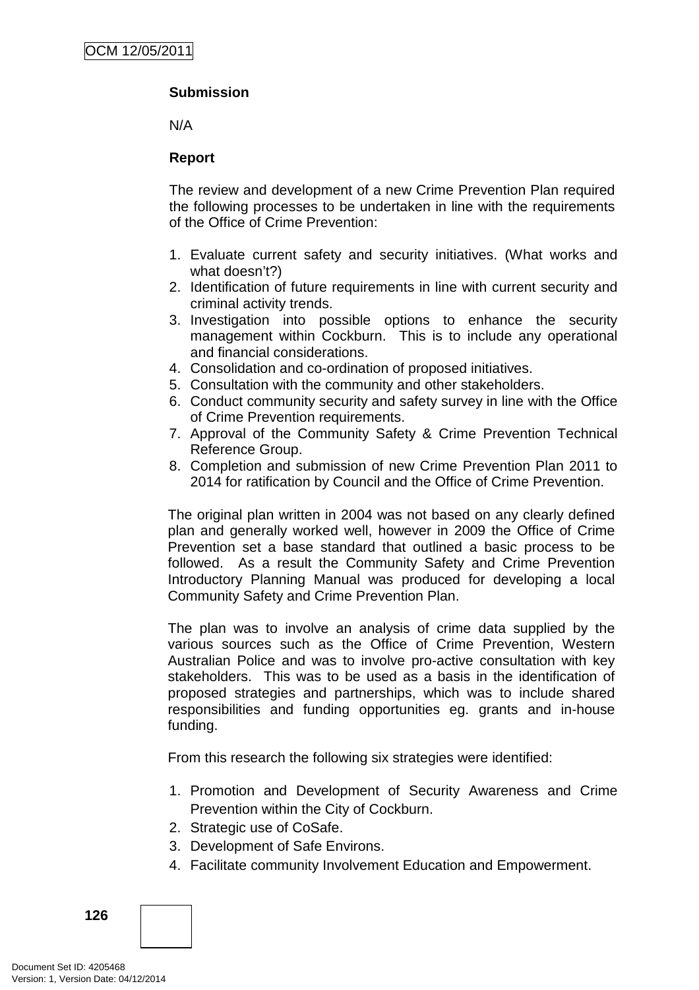## **Submission**

N/A

## **Report**

The review and development of a new Crime Prevention Plan required the following processes to be undertaken in line with the requirements of the Office of Crime Prevention:

- 1. Evaluate current safety and security initiatives. (What works and what doesn't?)
- 2. Identification of future requirements in line with current security and criminal activity trends.
- 3. Investigation into possible options to enhance the security management within Cockburn. This is to include any operational and financial considerations.
- 4. Consolidation and co-ordination of proposed initiatives.
- 5. Consultation with the community and other stakeholders.
- 6. Conduct community security and safety survey in line with the Office of Crime Prevention requirements.
- 7. Approval of the Community Safety & Crime Prevention Technical Reference Group.
- 8. Completion and submission of new Crime Prevention Plan 2011 to 2014 for ratification by Council and the Office of Crime Prevention.

The original plan written in 2004 was not based on any clearly defined plan and generally worked well, however in 2009 the Office of Crime Prevention set a base standard that outlined a basic process to be followed. As a result the Community Safety and Crime Prevention Introductory Planning Manual was produced for developing a local Community Safety and Crime Prevention Plan.

The plan was to involve an analysis of crime data supplied by the various sources such as the Office of Crime Prevention, Western Australian Police and was to involve pro-active consultation with key stakeholders. This was to be used as a basis in the identification of proposed strategies and partnerships, which was to include shared responsibilities and funding opportunities eg. grants and in-house funding.

From this research the following six strategies were identified:

- 1. Promotion and Development of Security Awareness and Crime Prevention within the City of Cockburn.
- 2. Strategic use of CoSafe.
- 3. Development of Safe Environs.
- 4. Facilitate community Involvement Education and Empowerment.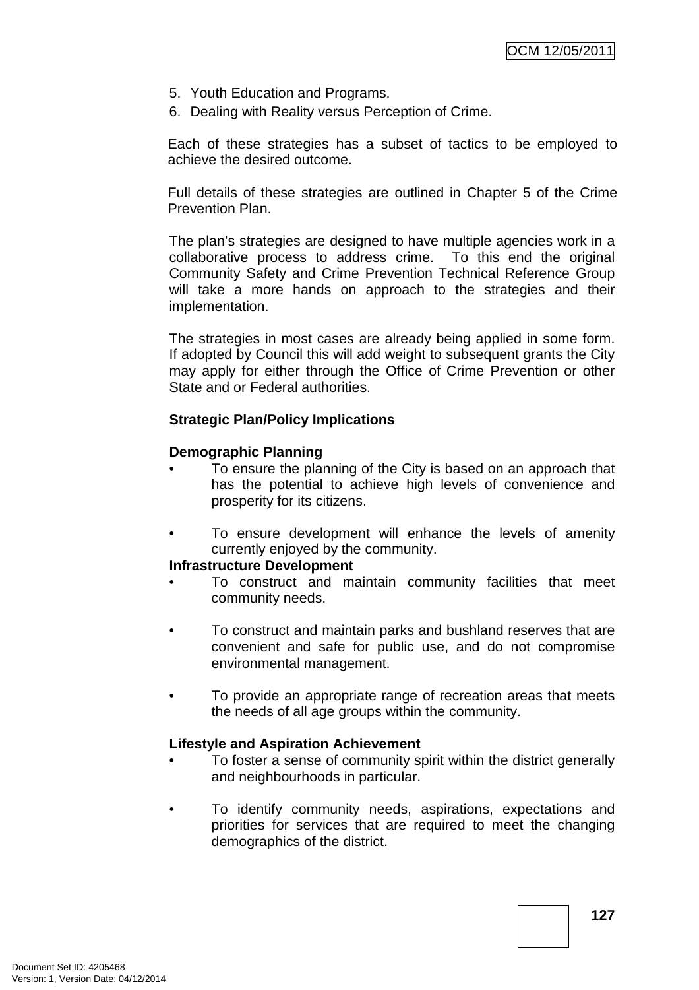- 5. Youth Education and Programs.
- 6. Dealing with Reality versus Perception of Crime.

Each of these strategies has a subset of tactics to be employed to achieve the desired outcome.

Full details of these strategies are outlined in Chapter 5 of the Crime Prevention Plan.

The plan's strategies are designed to have multiple agencies work in a collaborative process to address crime. To this end the original Community Safety and Crime Prevention Technical Reference Group will take a more hands on approach to the strategies and their implementation.

The strategies in most cases are already being applied in some form. If adopted by Council this will add weight to subsequent grants the City may apply for either through the Office of Crime Prevention or other State and or Federal authorities.

## **Strategic Plan/Policy Implications**

## **Demographic Planning**

- To ensure the planning of the City is based on an approach that has the potential to achieve high levels of convenience and prosperity for its citizens.
- To ensure development will enhance the levels of amenity currently enjoyed by the community.

## **Infrastructure Development**

- To construct and maintain community facilities that meet community needs.
- To construct and maintain parks and bushland reserves that are convenient and safe for public use, and do not compromise environmental management.
- To provide an appropriate range of recreation areas that meets the needs of all age groups within the community.

## **Lifestyle and Aspiration Achievement**

- To foster a sense of community spirit within the district generally and neighbourhoods in particular.
- To identify community needs, aspirations, expectations and priorities for services that are required to meet the changing demographics of the district.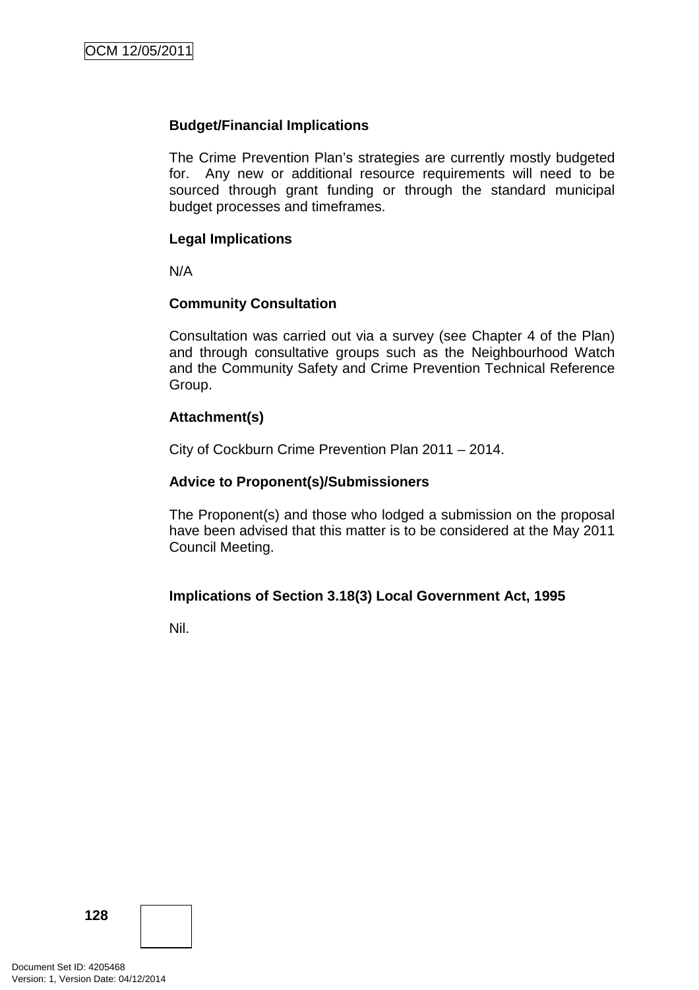## **Budget/Financial Implications**

The Crime Prevention Plan's strategies are currently mostly budgeted for. Any new or additional resource requirements will need to be sourced through grant funding or through the standard municipal budget processes and timeframes.

## **Legal Implications**

N/A

## **Community Consultation**

Consultation was carried out via a survey (see Chapter 4 of the Plan) and through consultative groups such as the Neighbourhood Watch and the Community Safety and Crime Prevention Technical Reference Group.

## **Attachment(s)**

City of Cockburn Crime Prevention Plan 2011 – 2014.

## **Advice to Proponent(s)/Submissioners**

The Proponent(s) and those who lodged a submission on the proposal have been advised that this matter is to be considered at the May 2011 Council Meeting.

## **Implications of Section 3.18(3) Local Government Act, 1995**

Nil.

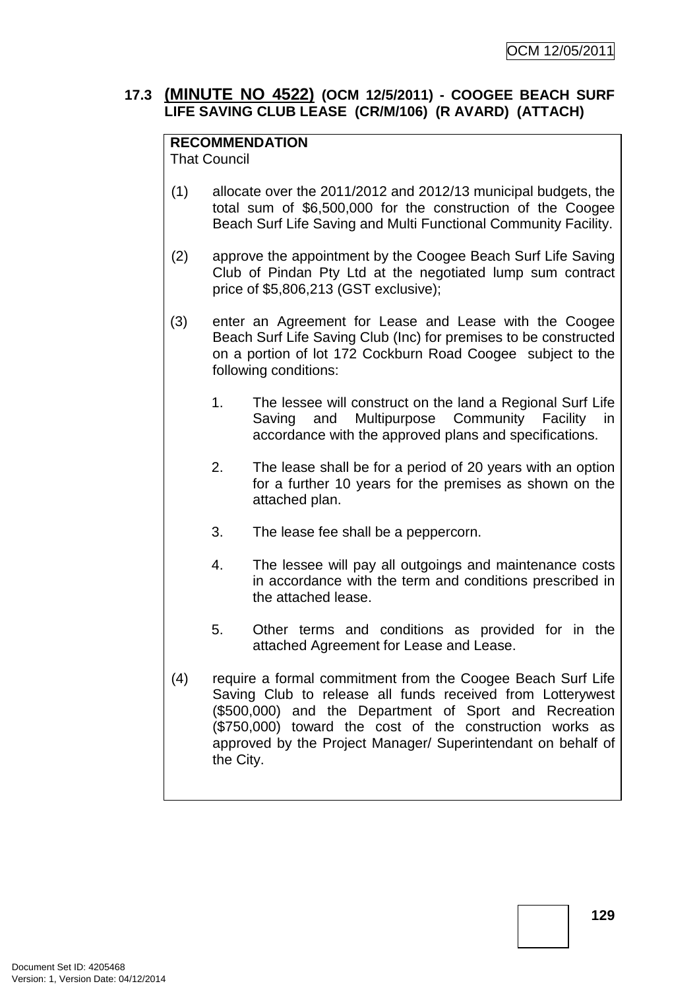## **17.3 (MINUTE NO 4522) (OCM 12/5/2011) - COOGEE BEACH SURF LIFE SAVING CLUB LEASE (CR/M/106) (R AVARD) (ATTACH)**

## **RECOMMENDATION**

That Council

- (1) allocate over the 2011/2012 and 2012/13 municipal budgets, the total sum of \$6,500,000 for the construction of the Coogee Beach Surf Life Saving and Multi Functional Community Facility.
- (2) approve the appointment by the Coogee Beach Surf Life Saving Club of Pindan Pty Ltd at the negotiated lump sum contract price of \$5,806,213 (GST exclusive);
- (3) enter an Agreement for Lease and Lease with the Coogee Beach Surf Life Saving Club (Inc) for premises to be constructed on a portion of lot 172 Cockburn Road Coogee subject to the following conditions:
	- 1. The lessee will construct on the land a Regional Surf Life Saving and Multipurpose Community Facility in accordance with the approved plans and specifications.
	- 2. The lease shall be for a period of 20 years with an option for a further 10 years for the premises as shown on the attached plan.
	- 3. The lease fee shall be a peppercorn.
	- 4. The lessee will pay all outgoings and maintenance costs in accordance with the term and conditions prescribed in the attached lease.
	- 5. Other terms and conditions as provided for in the attached Agreement for Lease and Lease.
- (4) require a formal commitment from the Coogee Beach Surf Life Saving Club to release all funds received from Lotterywest (\$500,000) and the Department of Sport and Recreation (\$750,000) toward the cost of the construction works as approved by the Project Manager/ Superintendant on behalf of the City.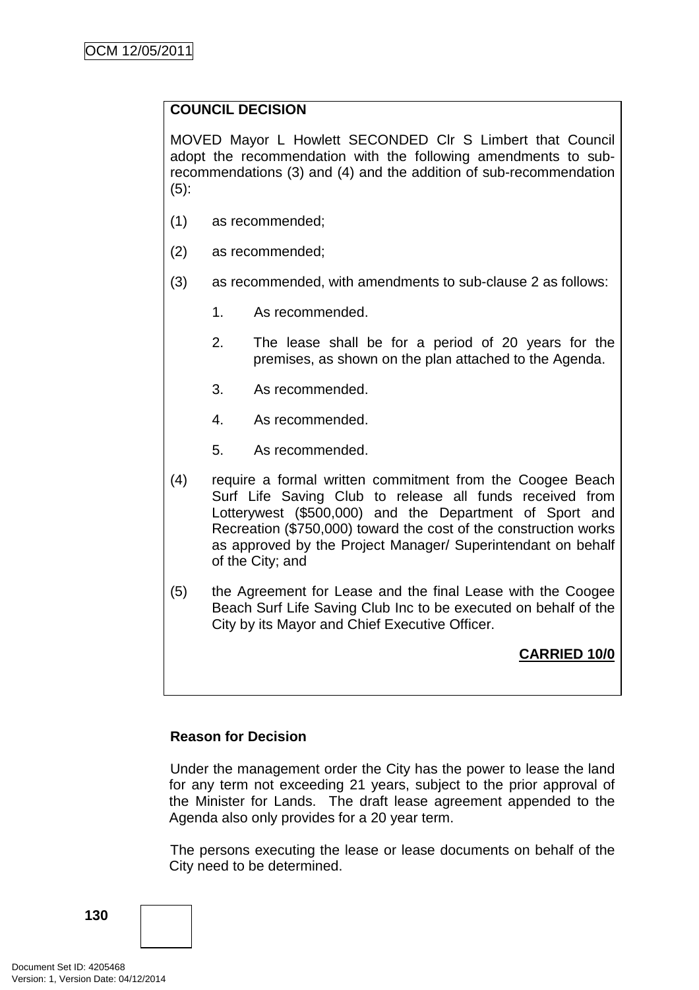## **COUNCIL DECISION**

MOVED Mayor L Howlett SECONDED Clr S Limbert that Council adopt the recommendation with the following amendments to subrecommendations (3) and (4) and the addition of sub-recommendation (5):

- (1) as recommended;
- (2) as recommended;
- (3) as recommended, with amendments to sub-clause 2 as follows:
	- 1. As recommended.
	- 2. The lease shall be for a period of 20 years for the premises, as shown on the plan attached to the Agenda.
	- 3. As recommended.
	- 4. As recommended.
	- 5. As recommended.
- (4) require a formal written commitment from the Coogee Beach Surf Life Saving Club to release all funds received from Lotterywest (\$500,000) and the Department of Sport and Recreation (\$750,000) toward the cost of the construction works as approved by the Project Manager/ Superintendant on behalf of the City; and
- (5) the Agreement for Lease and the final Lease with the Coogee Beach Surf Life Saving Club Inc to be executed on behalf of the City by its Mayor and Chief Executive Officer.

## **CARRIED 10/0**

## **Reason for Decision**

Under the management order the City has the power to lease the land for any term not exceeding 21 years, subject to the prior approval of the Minister for Lands. The draft lease agreement appended to the Agenda also only provides for a 20 year term.

The persons executing the lease or lease documents on behalf of the City need to be determined.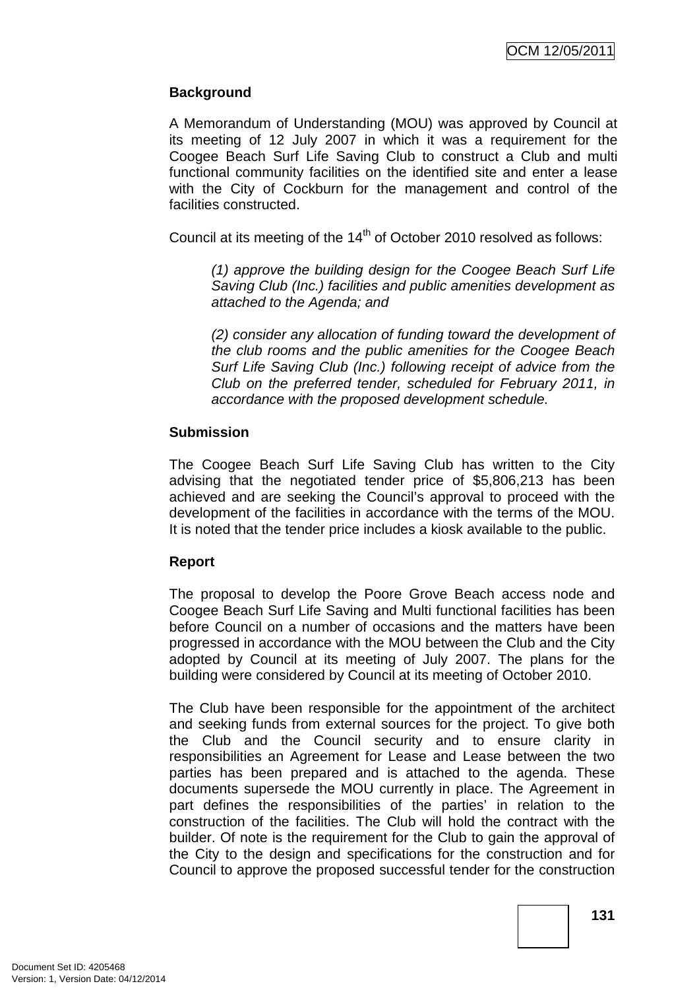## **Background**

A Memorandum of Understanding (MOU) was approved by Council at its meeting of 12 July 2007 in which it was a requirement for the Coogee Beach Surf Life Saving Club to construct a Club and multi functional community facilities on the identified site and enter a lease with the City of Cockburn for the management and control of the facilities constructed.

Council at its meeting of the 14<sup>th</sup> of October 2010 resolved as follows:

(1) approve the building design for the Coogee Beach Surf Life Saving Club (Inc.) facilities and public amenities development as attached to the Agenda; and

 (2) consider any allocation of funding toward the development of the club rooms and the public amenities for the Coogee Beach Surf Life Saving Club (Inc.) following receipt of advice from the Club on the preferred tender, scheduled for February 2011, in accordance with the proposed development schedule.

## **Submission**

The Coogee Beach Surf Life Saving Club has written to the City advising that the negotiated tender price of \$5,806,213 has been achieved and are seeking the Council's approval to proceed with the development of the facilities in accordance with the terms of the MOU. It is noted that the tender price includes a kiosk available to the public.

## **Report**

The proposal to develop the Poore Grove Beach access node and Coogee Beach Surf Life Saving and Multi functional facilities has been before Council on a number of occasions and the matters have been progressed in accordance with the MOU between the Club and the City adopted by Council at its meeting of July 2007. The plans for the building were considered by Council at its meeting of October 2010.

The Club have been responsible for the appointment of the architect and seeking funds from external sources for the project. To give both the Club and the Council security and to ensure clarity in responsibilities an Agreement for Lease and Lease between the two parties has been prepared and is attached to the agenda. These documents supersede the MOU currently in place. The Agreement in part defines the responsibilities of the parties' in relation to the construction of the facilities. The Club will hold the contract with the builder. Of note is the requirement for the Club to gain the approval of the City to the design and specifications for the construction and for Council to approve the proposed successful tender for the construction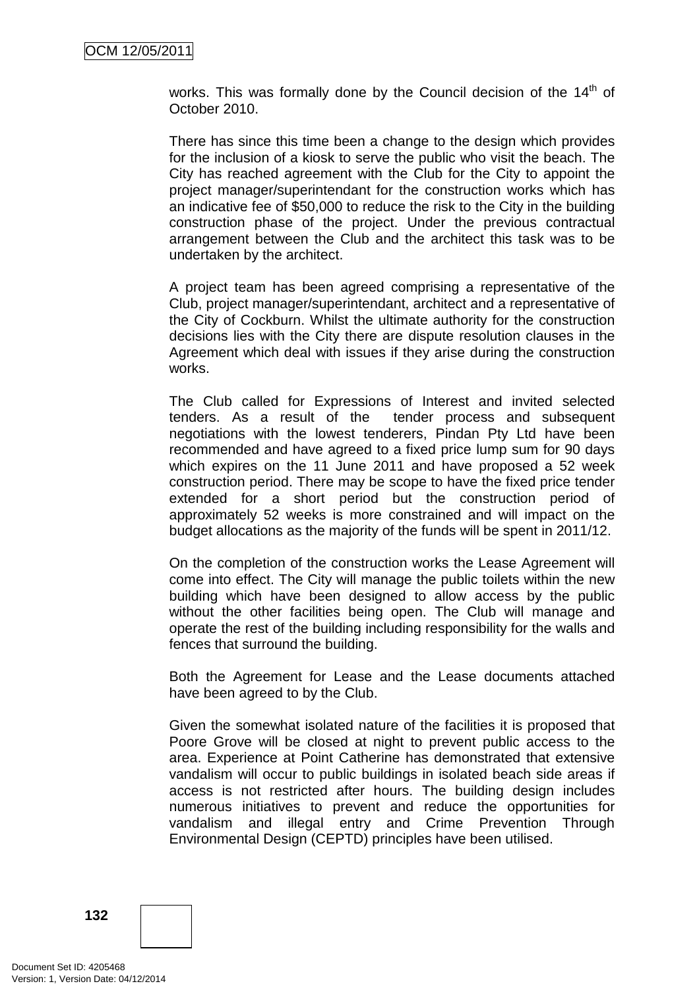works. This was formally done by the Council decision of the  $14<sup>th</sup>$  of October 2010.

There has since this time been a change to the design which provides for the inclusion of a kiosk to serve the public who visit the beach. The City has reached agreement with the Club for the City to appoint the project manager/superintendant for the construction works which has an indicative fee of \$50,000 to reduce the risk to the City in the building construction phase of the project. Under the previous contractual arrangement between the Club and the architect this task was to be undertaken by the architect.

A project team has been agreed comprising a representative of the Club, project manager/superintendant, architect and a representative of the City of Cockburn. Whilst the ultimate authority for the construction decisions lies with the City there are dispute resolution clauses in the Agreement which deal with issues if they arise during the construction works.

The Club called for Expressions of Interest and invited selected tenders. As a result of the tender process and subsequent negotiations with the lowest tenderers, Pindan Pty Ltd have been recommended and have agreed to a fixed price lump sum for 90 days which expires on the 11 June 2011 and have proposed a 52 week construction period. There may be scope to have the fixed price tender extended for a short period but the construction period of approximately 52 weeks is more constrained and will impact on the budget allocations as the majority of the funds will be spent in 2011/12.

On the completion of the construction works the Lease Agreement will come into effect. The City will manage the public toilets within the new building which have been designed to allow access by the public without the other facilities being open. The Club will manage and operate the rest of the building including responsibility for the walls and fences that surround the building.

Both the Agreement for Lease and the Lease documents attached have been agreed to by the Club.

Given the somewhat isolated nature of the facilities it is proposed that Poore Grove will be closed at night to prevent public access to the area. Experience at Point Catherine has demonstrated that extensive vandalism will occur to public buildings in isolated beach side areas if access is not restricted after hours. The building design includes numerous initiatives to prevent and reduce the opportunities for vandalism and illegal entry and Crime Prevention Through Environmental Design (CEPTD) principles have been utilised.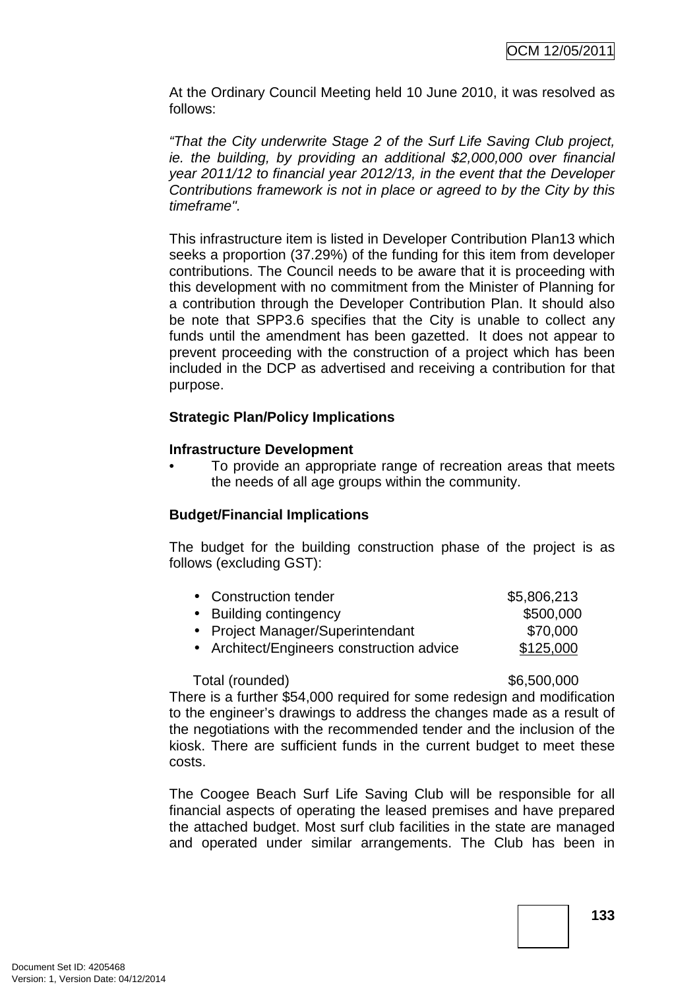At the Ordinary Council Meeting held 10 June 2010, it was resolved as follows:

"That the City underwrite Stage 2 of the Surf Life Saving Club project, ie. the building, by providing an additional \$2,000,000 over financial year 2011/12 to financial year 2012/13, in the event that the Developer Contributions framework is not in place or agreed to by the City by this timeframe".

This infrastructure item is listed in Developer Contribution Plan13 which seeks a proportion (37.29%) of the funding for this item from developer contributions. The Council needs to be aware that it is proceeding with this development with no commitment from the Minister of Planning for a contribution through the Developer Contribution Plan. It should also be note that SPP3.6 specifies that the City is unable to collect any funds until the amendment has been gazetted. It does not appear to prevent proceeding with the construction of a project which has been included in the DCP as advertised and receiving a contribution for that purpose.

## **Strategic Plan/Policy Implications**

## **Infrastructure Development**

• To provide an appropriate range of recreation areas that meets the needs of all age groups within the community.

## **Budget/Financial Implications**

The budget for the building construction phase of the project is as follows (excluding GST):

| • Construction tender                     | \$5,806,213 |
|-------------------------------------------|-------------|
| • Building contingency                    | \$500,000   |
| • Project Manager/Superintendant          | \$70,000    |
| • Architect/Engineers construction advice | \$125,000   |
|                                           |             |

## Total (rounded)  $$6,500,000$

There is a further \$54,000 required for some redesign and modification to the engineer's drawings to address the changes made as a result of the negotiations with the recommended tender and the inclusion of the kiosk. There are sufficient funds in the current budget to meet these costs.

The Coogee Beach Surf Life Saving Club will be responsible for all financial aspects of operating the leased premises and have prepared the attached budget. Most surf club facilities in the state are managed and operated under similar arrangements. The Club has been in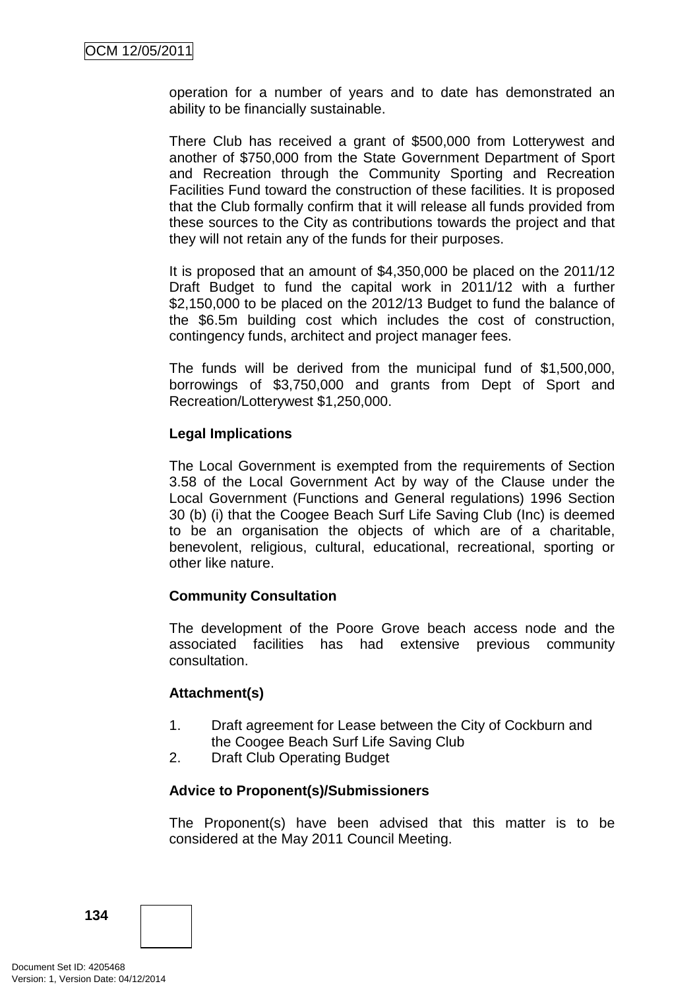operation for a number of years and to date has demonstrated an ability to be financially sustainable.

There Club has received a grant of \$500,000 from Lotterywest and another of \$750,000 from the State Government Department of Sport and Recreation through the Community Sporting and Recreation Facilities Fund toward the construction of these facilities. It is proposed that the Club formally confirm that it will release all funds provided from these sources to the City as contributions towards the project and that they will not retain any of the funds for their purposes.

It is proposed that an amount of \$4,350,000 be placed on the 2011/12 Draft Budget to fund the capital work in 2011/12 with a further \$2,150,000 to be placed on the 2012/13 Budget to fund the balance of the \$6.5m building cost which includes the cost of construction, contingency funds, architect and project manager fees.

The funds will be derived from the municipal fund of \$1,500,000, borrowings of \$3,750,000 and grants from Dept of Sport and Recreation/Lotterywest \$1,250,000.

## **Legal Implications**

The Local Government is exempted from the requirements of Section 3.58 of the Local Government Act by way of the Clause under the Local Government (Functions and General regulations) 1996 Section 30 (b) (i) that the Coogee Beach Surf Life Saving Club (Inc) is deemed to be an organisation the objects of which are of a charitable, benevolent, religious, cultural, educational, recreational, sporting or other like nature.

## **Community Consultation**

The development of the Poore Grove beach access node and the associated facilities has had extensive previous community consultation.

## **Attachment(s)**

- 1. Draft agreement for Lease between the City of Cockburn and the Coogee Beach Surf Life Saving Club
- 2. Draft Club Operating Budget

## **Advice to Proponent(s)/Submissioners**

The Proponent(s) have been advised that this matter is to be considered at the May 2011 Council Meeting.

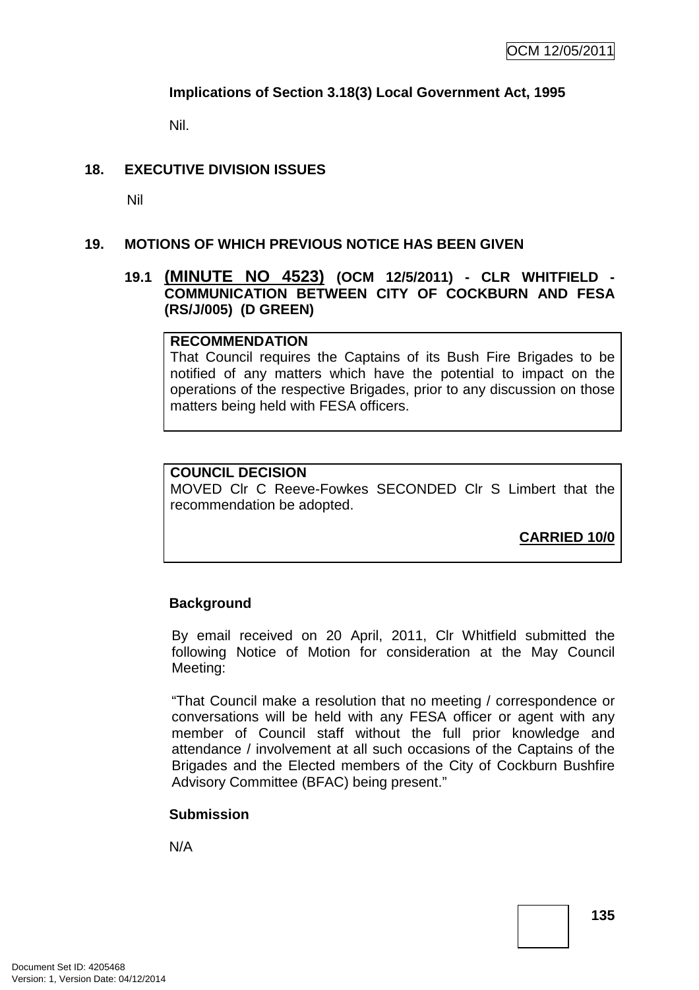## **Implications of Section 3.18(3) Local Government Act, 1995**

Nil.

## **18. EXECUTIVE DIVISION ISSUES**

Nil

## **19. MOTIONS OF WHICH PREVIOUS NOTICE HAS BEEN GIVEN**

## **19.1 (MINUTE NO 4523) (OCM 12/5/2011) - CLR WHITFIELD - COMMUNICATION BETWEEN CITY OF COCKBURN AND FESA (RS/J/005) (D GREEN)**

#### **RECOMMENDATION**

That Council requires the Captains of its Bush Fire Brigades to be notified of any matters which have the potential to impact on the operations of the respective Brigades, prior to any discussion on those matters being held with FESA officers.

## **COUNCIL DECISION**

MOVED Clr C Reeve-Fowkes SECONDED Clr S Limbert that the recommendation be adopted.

**CARRIED 10/0**

## **Background**

By email received on 20 April, 2011, Clr Whitfield submitted the following Notice of Motion for consideration at the May Council Meeting:

"That Council make a resolution that no meeting / correspondence or conversations will be held with any FESA officer or agent with any member of Council staff without the full prior knowledge and attendance / involvement at all such occasions of the Captains of the Brigades and the Elected members of the City of Cockburn Bushfire Advisory Committee (BFAC) being present."

## **Submission**

N/A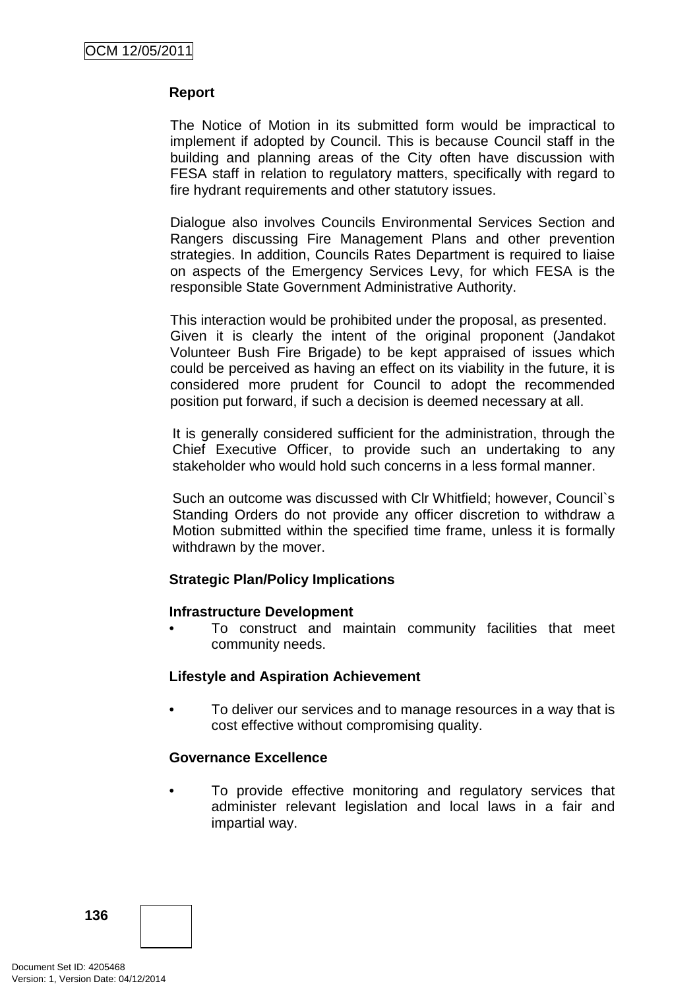## **Report**

The Notice of Motion in its submitted form would be impractical to implement if adopted by Council. This is because Council staff in the building and planning areas of the City often have discussion with FESA staff in relation to regulatory matters, specifically with regard to fire hydrant requirements and other statutory issues.

Dialogue also involves Councils Environmental Services Section and Rangers discussing Fire Management Plans and other prevention strategies. In addition, Councils Rates Department is required to liaise on aspects of the Emergency Services Levy, for which FESA is the responsible State Government Administrative Authority.

This interaction would be prohibited under the proposal, as presented. Given it is clearly the intent of the original proponent (Jandakot Volunteer Bush Fire Brigade) to be kept appraised of issues which could be perceived as having an effect on its viability in the future, it is considered more prudent for Council to adopt the recommended position put forward, if such a decision is deemed necessary at all.

It is generally considered sufficient for the administration, through the Chief Executive Officer, to provide such an undertaking to any stakeholder who would hold such concerns in a less formal manner.

Such an outcome was discussed with Clr Whitfield; however, Council`s Standing Orders do not provide any officer discretion to withdraw a Motion submitted within the specified time frame, unless it is formally withdrawn by the mover.

#### **Strategic Plan/Policy Implications**

#### **Infrastructure Development**

• To construct and maintain community facilities that meet community needs.

## **Lifestyle and Aspiration Achievement**

• To deliver our services and to manage resources in a way that is cost effective without compromising quality.

## **Governance Excellence**

To provide effective monitoring and regulatory services that administer relevant legislation and local laws in a fair and impartial way.

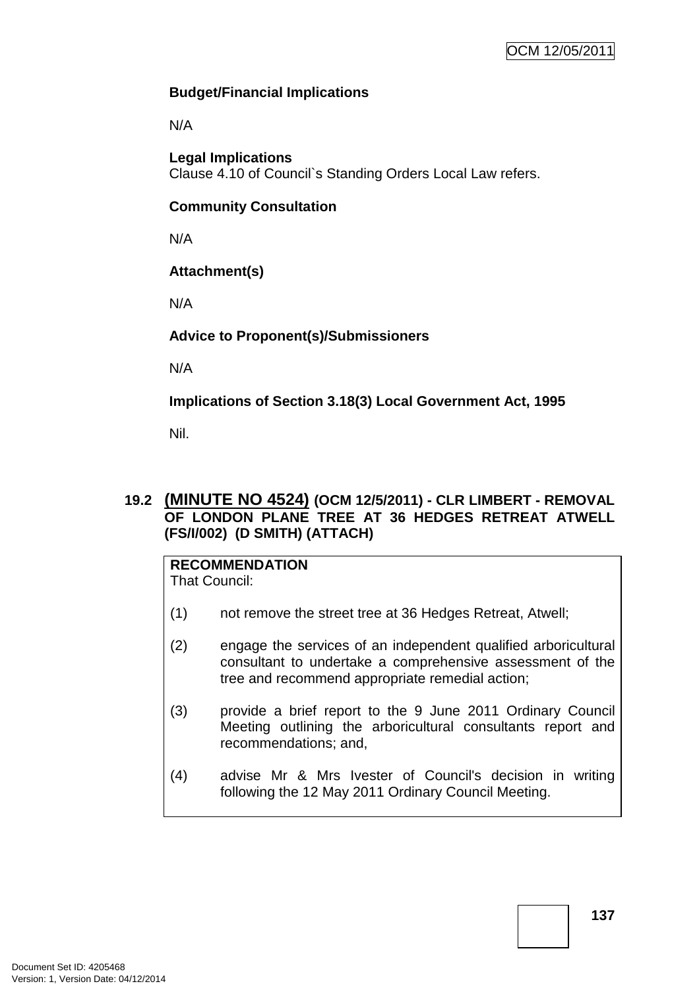## **Budget/Financial Implications**

N/A

**Legal Implications**  Clause 4.10 of Council`s Standing Orders Local Law refers.

## **Community Consultation**

N/A

## **Attachment(s)**

N/A

## **Advice to Proponent(s)/Submissioners**

N/A

**Implications of Section 3.18(3) Local Government Act, 1995**

Nil.

## **19.2 (MINUTE NO 4524) (OCM 12/5/2011) - CLR LIMBERT - REMOVAL OF LONDON PLANE TREE AT 36 HEDGES RETREAT ATWELL (FS/I/002) (D SMITH) (ATTACH)**

#### **RECOMMENDATION** That Council:

- (1) not remove the street tree at 36 Hedges Retreat, Atwell;
- (2) engage the services of an independent qualified arboricultural consultant to undertake a comprehensive assessment of the tree and recommend appropriate remedial action;
- (3) provide a brief report to the 9 June 2011 Ordinary Council Meeting outlining the arboricultural consultants report and recommendations; and,
- (4) advise Mr & Mrs Ivester of Council's decision in writing following the 12 May 2011 Ordinary Council Meeting.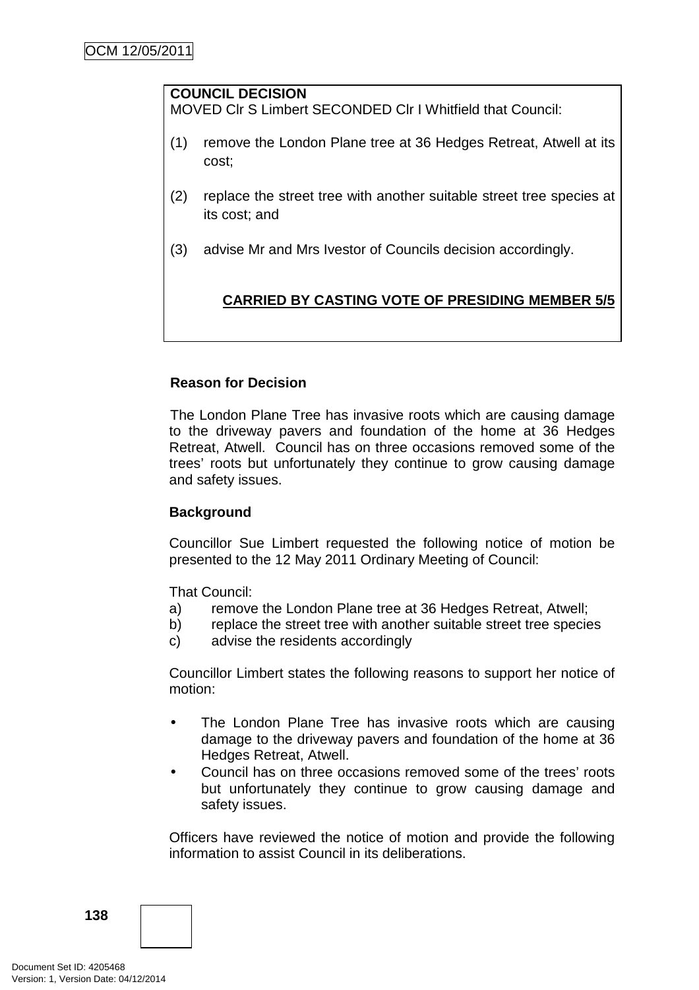## **COUNCIL DECISION**

MOVED Clr S Limbert SECONDED Clr I Whitfield that Council:

- (1) remove the London Plane tree at 36 Hedges Retreat, Atwell at its cost;
- (2) replace the street tree with another suitable street tree species at its cost; and
- (3) advise Mr and Mrs Ivestor of Councils decision accordingly.

## **CARRIED BY CASTING VOTE OF PRESIDING MEMBER 5/5**

## **Reason for Decision**

The London Plane Tree has invasive roots which are causing damage to the driveway pavers and foundation of the home at 36 Hedges Retreat, Atwell. Council has on three occasions removed some of the trees' roots but unfortunately they continue to grow causing damage and safety issues.

## **Background**

Councillor Sue Limbert requested the following notice of motion be presented to the 12 May 2011 Ordinary Meeting of Council:

That Council:

- a) remove the London Plane tree at 36 Hedges Retreat, Atwell;
- b) replace the street tree with another suitable street tree species
- c) advise the residents accordingly

Councillor Limbert states the following reasons to support her notice of motion:

- The London Plane Tree has invasive roots which are causing damage to the driveway pavers and foundation of the home at 36 Hedges Retreat, Atwell.
- Council has on three occasions removed some of the trees' roots but unfortunately they continue to grow causing damage and safety issues.

Officers have reviewed the notice of motion and provide the following information to assist Council in its deliberations.

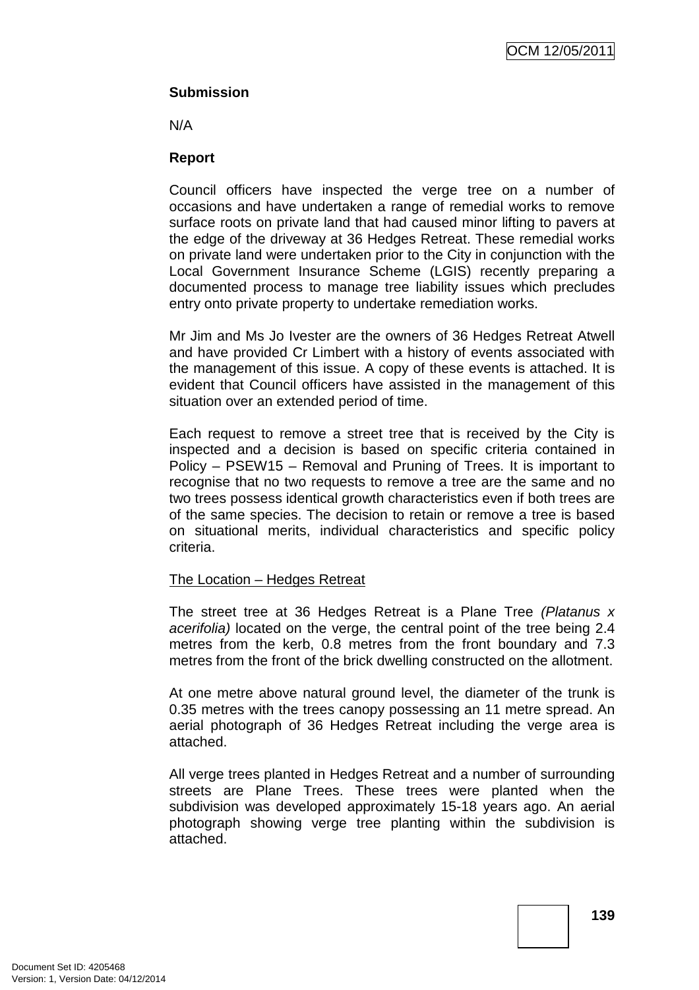## **Submission**

N/A

## **Report**

Council officers have inspected the verge tree on a number of occasions and have undertaken a range of remedial works to remove surface roots on private land that had caused minor lifting to pavers at the edge of the driveway at 36 Hedges Retreat. These remedial works on private land were undertaken prior to the City in conjunction with the Local Government Insurance Scheme (LGIS) recently preparing a documented process to manage tree liability issues which precludes entry onto private property to undertake remediation works.

Mr Jim and Ms Jo Ivester are the owners of 36 Hedges Retreat Atwell and have provided Cr Limbert with a history of events associated with the management of this issue. A copy of these events is attached. It is evident that Council officers have assisted in the management of this situation over an extended period of time.

Each request to remove a street tree that is received by the City is inspected and a decision is based on specific criteria contained in Policy – PSEW15 – Removal and Pruning of Trees. It is important to recognise that no two requests to remove a tree are the same and no two trees possess identical growth characteristics even if both trees are of the same species. The decision to retain or remove a tree is based on situational merits, individual characteristics and specific policy criteria.

## The Location – Hedges Retreat

The street tree at 36 Hedges Retreat is a Plane Tree (Platanus x acerifolia) located on the verge, the central point of the tree being 2.4 metres from the kerb, 0.8 metres from the front boundary and 7.3 metres from the front of the brick dwelling constructed on the allotment.

At one metre above natural ground level, the diameter of the trunk is 0.35 metres with the trees canopy possessing an 11 metre spread. An aerial photograph of 36 Hedges Retreat including the verge area is attached.

All verge trees planted in Hedges Retreat and a number of surrounding streets are Plane Trees. These trees were planted when the subdivision was developed approximately 15-18 years ago. An aerial photograph showing verge tree planting within the subdivision is attached.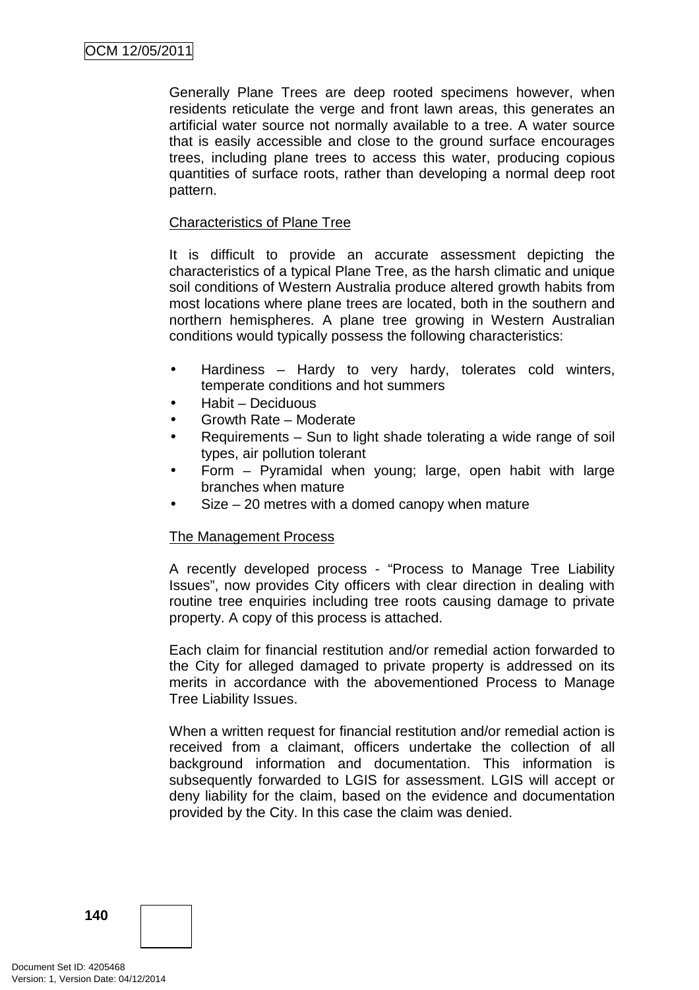Generally Plane Trees are deep rooted specimens however, when residents reticulate the verge and front lawn areas, this generates an artificial water source not normally available to a tree. A water source that is easily accessible and close to the ground surface encourages trees, including plane trees to access this water, producing copious quantities of surface roots, rather than developing a normal deep root pattern.

## Characteristics of Plane Tree

It is difficult to provide an accurate assessment depicting the characteristics of a typical Plane Tree, as the harsh climatic and unique soil conditions of Western Australia produce altered growth habits from most locations where plane trees are located, both in the southern and northern hemispheres. A plane tree growing in Western Australian conditions would typically possess the following characteristics:

- Hardiness Hardy to very hardy, tolerates cold winters, temperate conditions and hot summers
- Habit Deciduous
- Growth Rate Moderate
- Requirements Sun to light shade tolerating a wide range of soil types, air pollution tolerant
- Form Pyramidal when young; large, open habit with large branches when mature
- $Size 20$  metres with a domed canopy when mature

## The Management Process

A recently developed process - "Process to Manage Tree Liability Issues", now provides City officers with clear direction in dealing with routine tree enquiries including tree roots causing damage to private property. A copy of this process is attached.

Each claim for financial restitution and/or remedial action forwarded to the City for alleged damaged to private property is addressed on its merits in accordance with the abovementioned Process to Manage Tree Liability Issues.

When a written request for financial restitution and/or remedial action is received from a claimant, officers undertake the collection of all background information and documentation. This information is subsequently forwarded to LGIS for assessment. LGIS will accept or deny liability for the claim, based on the evidence and documentation provided by the City. In this case the claim was denied.

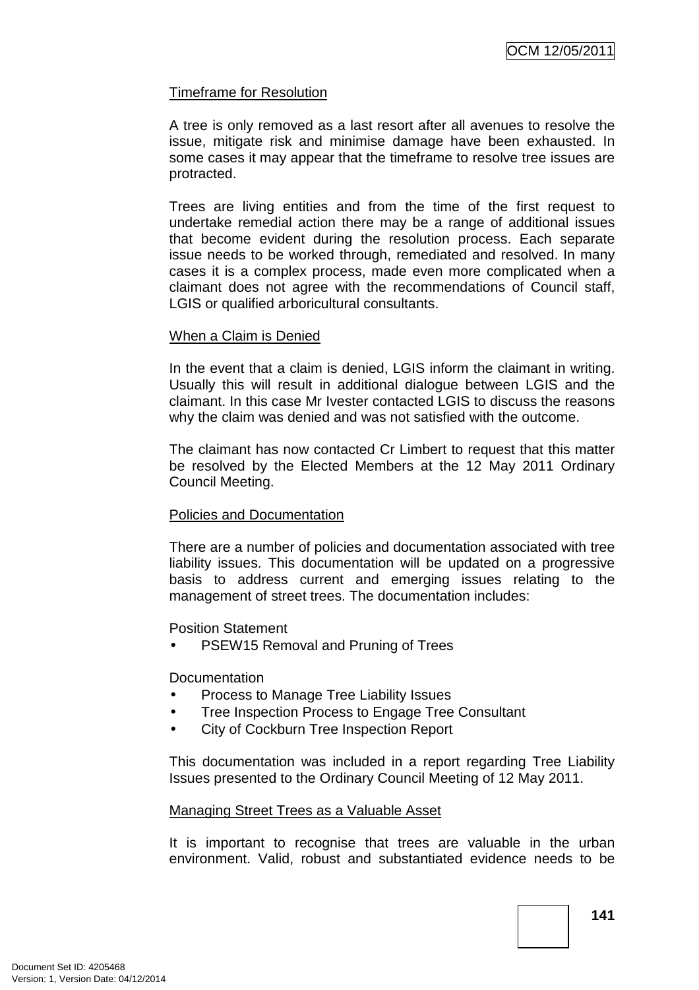### Timeframe for Resolution

A tree is only removed as a last resort after all avenues to resolve the issue, mitigate risk and minimise damage have been exhausted. In some cases it may appear that the timeframe to resolve tree issues are protracted.

Trees are living entities and from the time of the first request to undertake remedial action there may be a range of additional issues that become evident during the resolution process. Each separate issue needs to be worked through, remediated and resolved. In many cases it is a complex process, made even more complicated when a claimant does not agree with the recommendations of Council staff, LGIS or qualified arboricultural consultants.

#### When a Claim is Denied

In the event that a claim is denied, LGIS inform the claimant in writing. Usually this will result in additional dialogue between LGIS and the claimant. In this case Mr Ivester contacted LGIS to discuss the reasons why the claim was denied and was not satisfied with the outcome.

The claimant has now contacted Cr Limbert to request that this matter be resolved by the Elected Members at the 12 May 2011 Ordinary Council Meeting.

### Policies and Documentation

There are a number of policies and documentation associated with tree liability issues. This documentation will be updated on a progressive basis to address current and emerging issues relating to the management of street trees. The documentation includes:

Position Statement

PSEW15 Removal and Pruning of Trees

**Documentation** 

- Process to Manage Tree Liability Issues
- Tree Inspection Process to Engage Tree Consultant
- City of Cockburn Tree Inspection Report

This documentation was included in a report regarding Tree Liability Issues presented to the Ordinary Council Meeting of 12 May 2011.

### Managing Street Trees as a Valuable Asset

It is important to recognise that trees are valuable in the urban environment. Valid, robust and substantiated evidence needs to be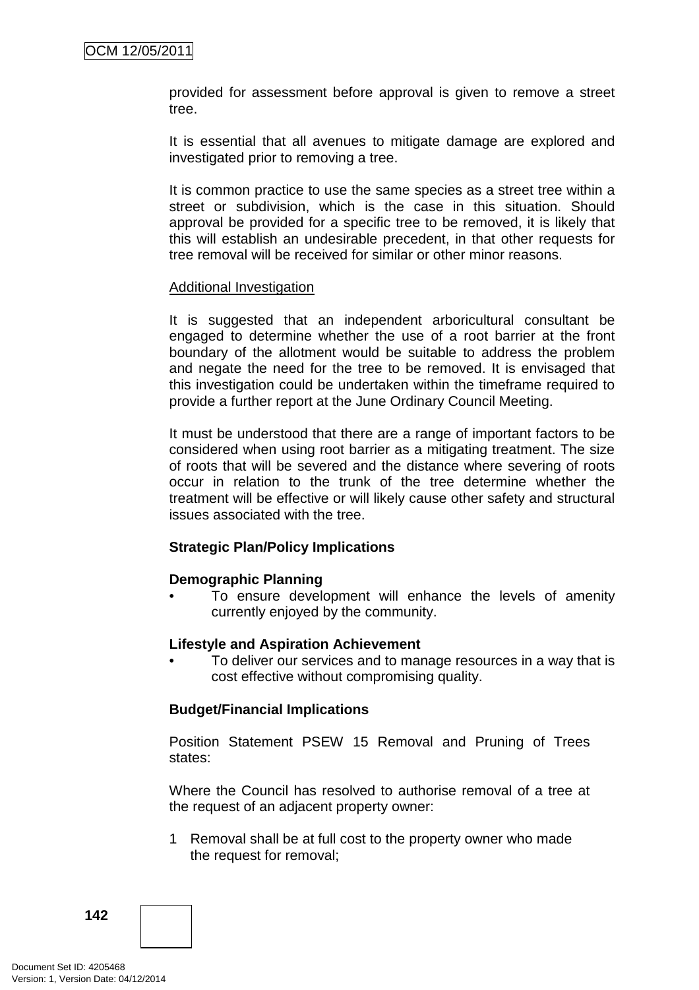provided for assessment before approval is given to remove a street tree.

It is essential that all avenues to mitigate damage are explored and investigated prior to removing a tree.

It is common practice to use the same species as a street tree within a street or subdivision, which is the case in this situation. Should approval be provided for a specific tree to be removed, it is likely that this will establish an undesirable precedent, in that other requests for tree removal will be received for similar or other minor reasons.

#### Additional Investigation

It is suggested that an independent arboricultural consultant be engaged to determine whether the use of a root barrier at the front boundary of the allotment would be suitable to address the problem and negate the need for the tree to be removed. It is envisaged that this investigation could be undertaken within the timeframe required to provide a further report at the June Ordinary Council Meeting.

It must be understood that there are a range of important factors to be considered when using root barrier as a mitigating treatment. The size of roots that will be severed and the distance where severing of roots occur in relation to the trunk of the tree determine whether the treatment will be effective or will likely cause other safety and structural issues associated with the tree.

#### **Strategic Plan/Policy Implications**

#### **Demographic Planning**

• To ensure development will enhance the levels of amenity currently enjoyed by the community.

#### **Lifestyle and Aspiration Achievement**

• To deliver our services and to manage resources in a way that is cost effective without compromising quality.

#### **Budget/Financial Implications**

Position Statement PSEW 15 Removal and Pruning of Trees states:

Where the Council has resolved to authorise removal of a tree at the request of an adjacent property owner:

1 Removal shall be at full cost to the property owner who made the request for removal;

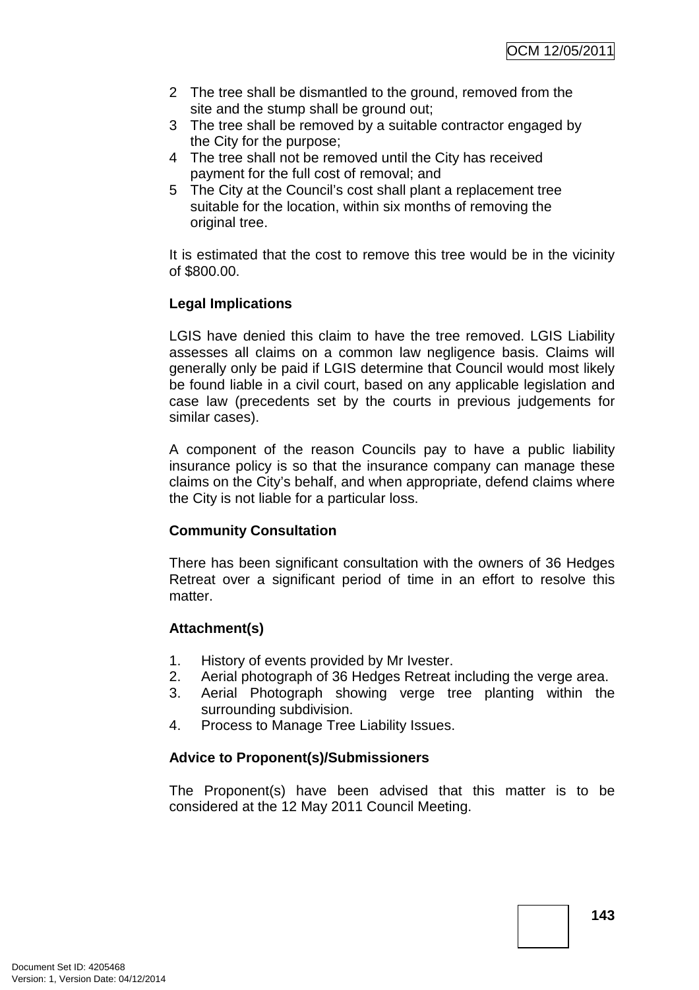- 2 The tree shall be dismantled to the ground, removed from the site and the stump shall be ground out;
- 3 The tree shall be removed by a suitable contractor engaged by the City for the purpose;
- 4 The tree shall not be removed until the City has received payment for the full cost of removal; and
- 5 The City at the Council's cost shall plant a replacement tree suitable for the location, within six months of removing the original tree.

It is estimated that the cost to remove this tree would be in the vicinity of \$800.00.

# **Legal Implications**

LGIS have denied this claim to have the tree removed. LGIS Liability assesses all claims on a common law negligence basis. Claims will generally only be paid if LGIS determine that Council would most likely be found liable in a civil court, based on any applicable legislation and case law (precedents set by the courts in previous judgements for similar cases).

A component of the reason Councils pay to have a public liability insurance policy is so that the insurance company can manage these claims on the City's behalf, and when appropriate, defend claims where the City is not liable for a particular loss.

# **Community Consultation**

There has been significant consultation with the owners of 36 Hedges Retreat over a significant period of time in an effort to resolve this matter.

# **Attachment(s)**

- 1. History of events provided by Mr Ivester.
- 2. Aerial photograph of 36 Hedges Retreat including the verge area.
- 3. Aerial Photograph showing verge tree planting within the surrounding subdivision.
- 4. Process to Manage Tree Liability Issues.

# **Advice to Proponent(s)/Submissioners**

The Proponent(s) have been advised that this matter is to be considered at the 12 May 2011 Council Meeting.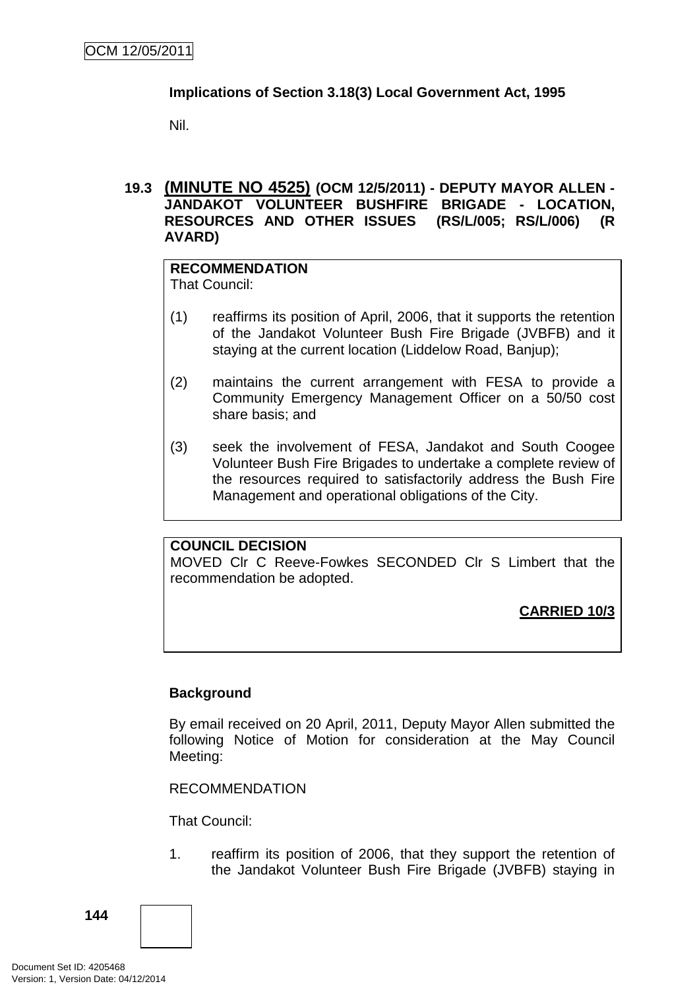### **Implications of Section 3.18(3) Local Government Act, 1995**

Nil.

### **19.3 (MINUTE NO 4525) (OCM 12/5/2011) - DEPUTY MAYOR ALLEN - JANDAKOT VOLUNTEER BUSHFIRE BRIGADE - LOCATION, RESOURCES AND OTHER ISSUES (RS/L/005; RS/L/006) (R AVARD)**

# **RECOMMENDATION**

That Council:

- (1) reaffirms its position of April, 2006, that it supports the retention of the Jandakot Volunteer Bush Fire Brigade (JVBFB) and it staying at the current location (Liddelow Road, Banjup);
- (2) maintains the current arrangement with FESA to provide a Community Emergency Management Officer on a 50/50 cost share basis; and
- (3) seek the involvement of FESA, Jandakot and South Coogee Volunteer Bush Fire Brigades to undertake a complete review of the resources required to satisfactorily address the Bush Fire Management and operational obligations of the City.

# **COUNCIL DECISION**

MOVED Clr C Reeve-Fowkes SECONDED Clr S Limbert that the recommendation be adopted.

**CARRIED 10/3**

# **Background**

By email received on 20 April, 2011, Deputy Mayor Allen submitted the following Notice of Motion for consideration at the May Council Meeting:

RECOMMENDATION

That Council:

1. reaffirm its position of 2006, that they support the retention of the Jandakot Volunteer Bush Fire Brigade (JVBFB) staying in

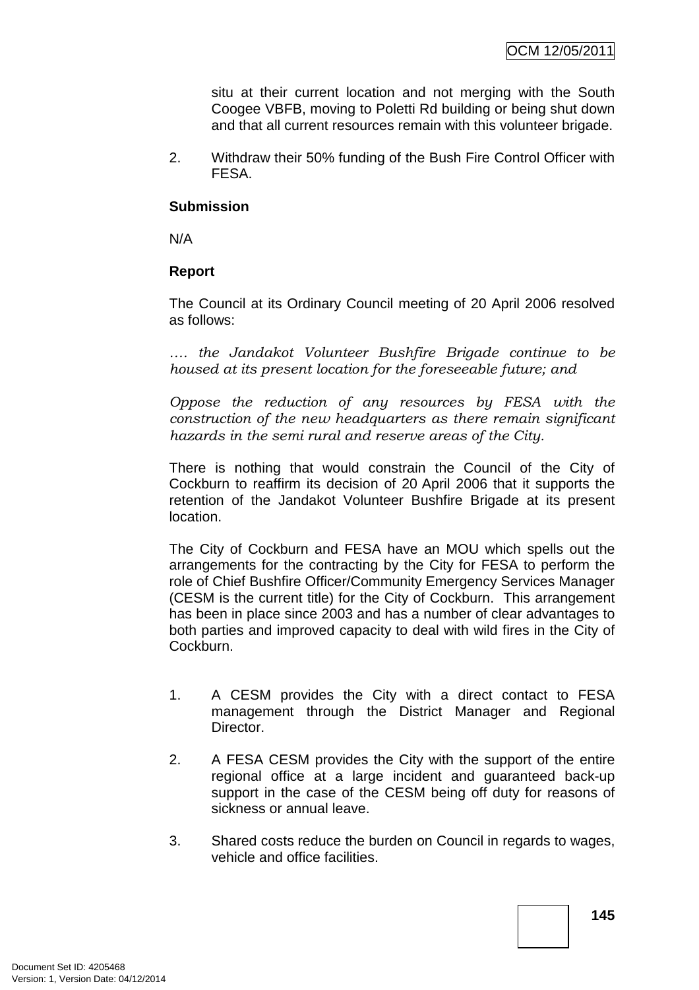situ at their current location and not merging with the South Coogee VBFB, moving to Poletti Rd building or being shut down and that all current resources remain with this volunteer brigade.

2. Withdraw their 50% funding of the Bush Fire Control Officer with FESA.

### **Submission**

N/A

### **Report**

The Council at its Ordinary Council meeting of 20 April 2006 resolved as follows:

*…. the Jandakot Volunteer Bushfire Brigade continue to be housed at its present location for the foreseeable future; and* 

*Oppose the reduction of any resources by FESA with the construction of the new headquarters as there remain significant hazards in the semi rural and reserve areas of the City.*

There is nothing that would constrain the Council of the City of Cockburn to reaffirm its decision of 20 April 2006 that it supports the retention of the Jandakot Volunteer Bushfire Brigade at its present location.

The City of Cockburn and FESA have an MOU which spells out the arrangements for the contracting by the City for FESA to perform the role of Chief Bushfire Officer/Community Emergency Services Manager (CESM is the current title) for the City of Cockburn. This arrangement has been in place since 2003 and has a number of clear advantages to both parties and improved capacity to deal with wild fires in the City of Cockburn.

- 1. A CESM provides the City with a direct contact to FESA management through the District Manager and Regional Director.
- 2. A FESA CESM provides the City with the support of the entire regional office at a large incident and guaranteed back-up support in the case of the CESM being off duty for reasons of sickness or annual leave.
- 3. Shared costs reduce the burden on Council in regards to wages, vehicle and office facilities.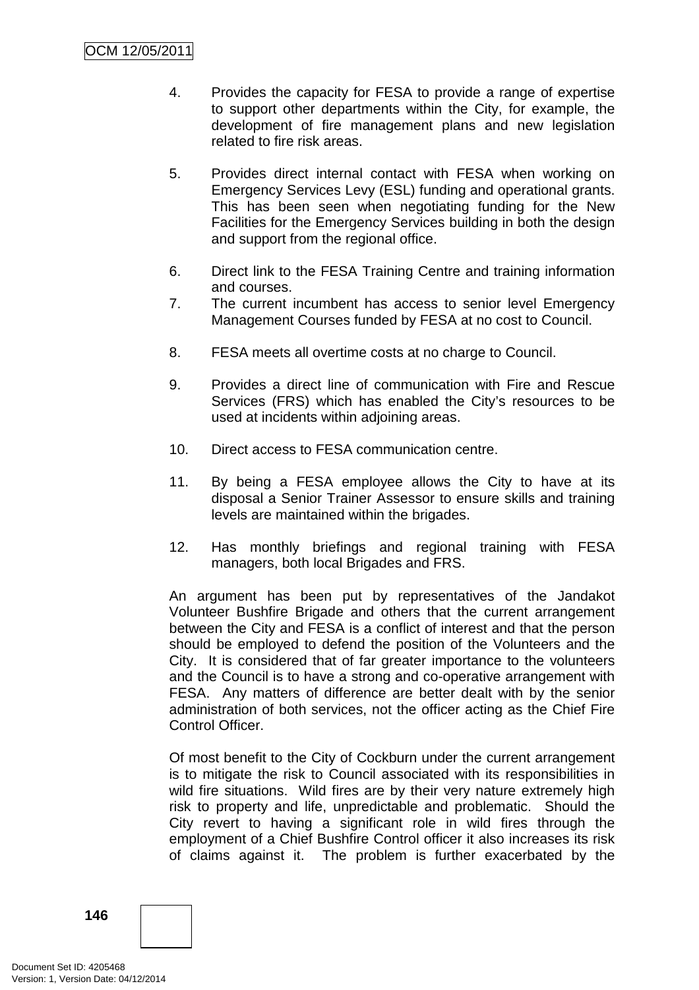- 4. Provides the capacity for FESA to provide a range of expertise to support other departments within the City, for example, the development of fire management plans and new legislation related to fire risk areas.
- 5. Provides direct internal contact with FESA when working on Emergency Services Levy (ESL) funding and operational grants. This has been seen when negotiating funding for the New Facilities for the Emergency Services building in both the design and support from the regional office.
- 6. Direct link to the FESA Training Centre and training information and courses.
- 7. The current incumbent has access to senior level Emergency Management Courses funded by FESA at no cost to Council.
- 8. FESA meets all overtime costs at no charge to Council.
- 9. Provides a direct line of communication with Fire and Rescue Services (FRS) which has enabled the City's resources to be used at incidents within adjoining areas.
- 10. Direct access to FESA communication centre.
- 11. By being a FESA employee allows the City to have at its disposal a Senior Trainer Assessor to ensure skills and training levels are maintained within the brigades.
- 12. Has monthly briefings and regional training with FESA managers, both local Brigades and FRS.

An argument has been put by representatives of the Jandakot Volunteer Bushfire Brigade and others that the current arrangement between the City and FESA is a conflict of interest and that the person should be employed to defend the position of the Volunteers and the City. It is considered that of far greater importance to the volunteers and the Council is to have a strong and co-operative arrangement with FESA. Any matters of difference are better dealt with by the senior administration of both services, not the officer acting as the Chief Fire Control Officer.

Of most benefit to the City of Cockburn under the current arrangement is to mitigate the risk to Council associated with its responsibilities in wild fire situations. Wild fires are by their very nature extremely high risk to property and life, unpredictable and problematic. Should the City revert to having a significant role in wild fires through the employment of a Chief Bushfire Control officer it also increases its risk of claims against it. The problem is further exacerbated by the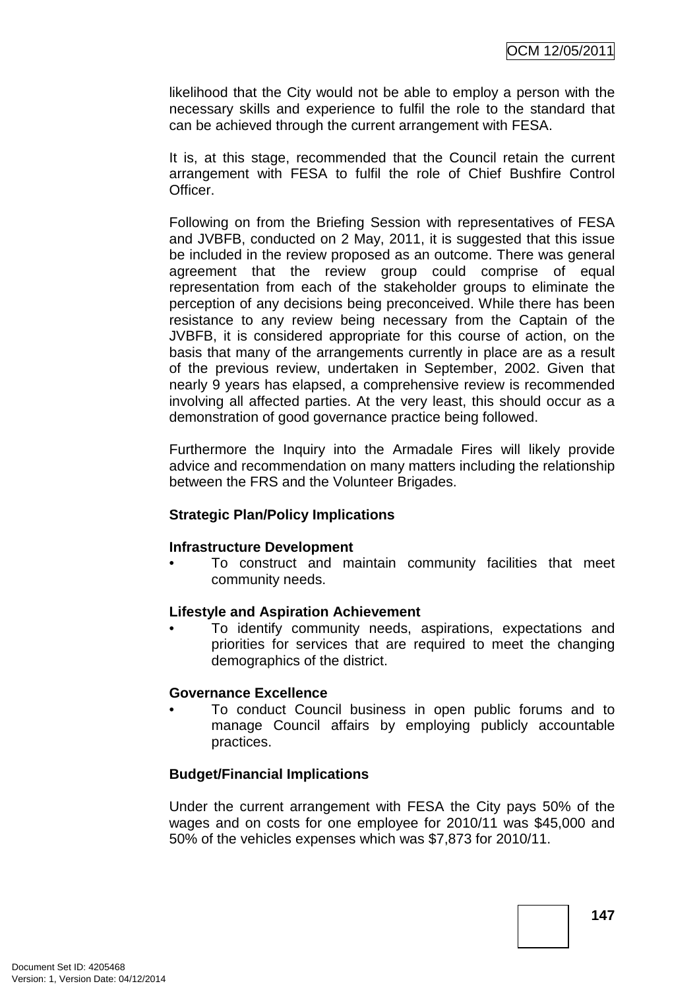likelihood that the City would not be able to employ a person with the necessary skills and experience to fulfil the role to the standard that can be achieved through the current arrangement with FESA.

It is, at this stage, recommended that the Council retain the current arrangement with FESA to fulfil the role of Chief Bushfire Control Officer.

Following on from the Briefing Session with representatives of FESA and JVBFB, conducted on 2 May, 2011, it is suggested that this issue be included in the review proposed as an outcome. There was general agreement that the review group could comprise of equal representation from each of the stakeholder groups to eliminate the perception of any decisions being preconceived. While there has been resistance to any review being necessary from the Captain of the JVBFB, it is considered appropriate for this course of action, on the basis that many of the arrangements currently in place are as a result of the previous review, undertaken in September, 2002. Given that nearly 9 years has elapsed, a comprehensive review is recommended involving all affected parties. At the very least, this should occur as a demonstration of good governance practice being followed.

Furthermore the Inquiry into the Armadale Fires will likely provide advice and recommendation on many matters including the relationship between the FRS and the Volunteer Brigades.

### **Strategic Plan/Policy Implications**

### **Infrastructure Development**

• To construct and maintain community facilities that meet community needs.

### **Lifestyle and Aspiration Achievement**

• To identify community needs, aspirations, expectations and priorities for services that are required to meet the changing demographics of the district.

### **Governance Excellence**

• To conduct Council business in open public forums and to manage Council affairs by employing publicly accountable practices.

### **Budget/Financial Implications**

Under the current arrangement with FESA the City pays 50% of the wages and on costs for one employee for 2010/11 was \$45,000 and 50% of the vehicles expenses which was \$7,873 for 2010/11.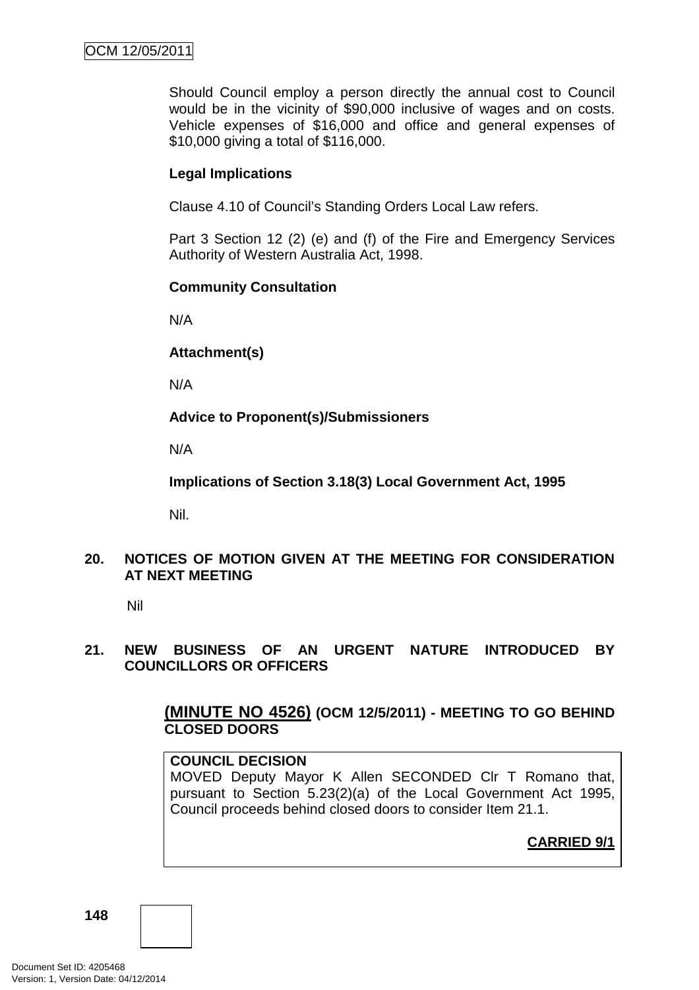Should Council employ a person directly the annual cost to Council would be in the vicinity of \$90,000 inclusive of wages and on costs. Vehicle expenses of \$16,000 and office and general expenses of \$10,000 giving a total of \$116,000.

### **Legal Implications**

Clause 4.10 of Council's Standing Orders Local Law refers.

Part 3 Section 12 (2) (e) and (f) of the Fire and Emergency Services Authority of Western Australia Act, 1998.

### **Community Consultation**

N/A

**Attachment(s)**

N/A

**Advice to Proponent(s)/Submissioners** 

N/A

**Implications of Section 3.18(3) Local Government Act, 1995**

Nil.

### **20. NOTICES OF MOTION GIVEN AT THE MEETING FOR CONSIDERATION AT NEXT MEETING**

Nil

### **21. NEW BUSINESS OF AN URGENT NATURE INTRODUCED BY COUNCILLORS OR OFFICERS**

# **(MINUTE NO 4526) (OCM 12/5/2011) - MEETING TO GO BEHIND CLOSED DOORS**

### **COUNCIL DECISION**

MOVED Deputy Mayor K Allen SECONDED Clr T Romano that, pursuant to Section 5.23(2)(a) of the Local Government Act 1995, Council proceeds behind closed doors to consider Item 21.1.

**CARRIED 9/1**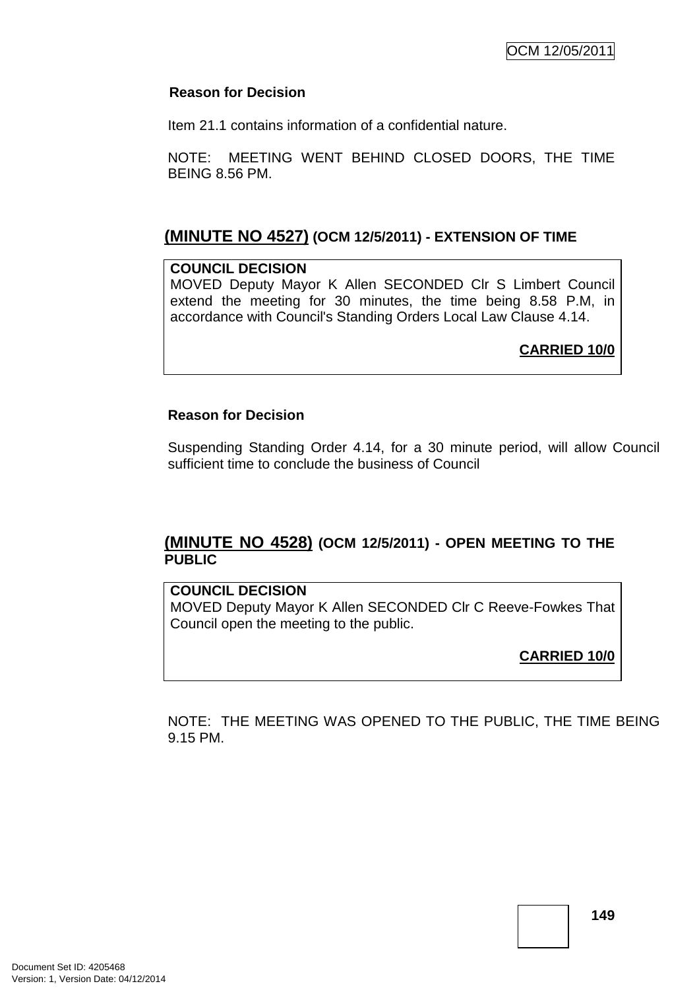### **Reason for Decision**

Item 21.1 contains information of a confidential nature.

NOTE: MEETING WENT BEHIND CLOSED DOORS, THE TIME BEING 8.56 PM.

# **(MINUTE NO 4527) (OCM 12/5/2011) - EXTENSION OF TIME**

### **COUNCIL DECISION**

MOVED Deputy Mayor K Allen SECONDED Clr S Limbert Council extend the meeting for 30 minutes, the time being 8.58 P.M, in accordance with Council's Standing Orders Local Law Clause 4.14.

**CARRIED 10/0**

### **Reason for Decision**

Suspending Standing Order 4.14, for a 30 minute period, will allow Council sufficient time to conclude the business of Council

# **(MINUTE NO 4528) (OCM 12/5/2011) - OPEN MEETING TO THE PUBLIC**

### **COUNCIL DECISION**

MOVED Deputy Mayor K Allen SECONDED Clr C Reeve-Fowkes That Council open the meeting to the public.

**CARRIED 10/0**

NOTE: THE MEETING WAS OPENED TO THE PUBLIC, THE TIME BEING 9.15 PM.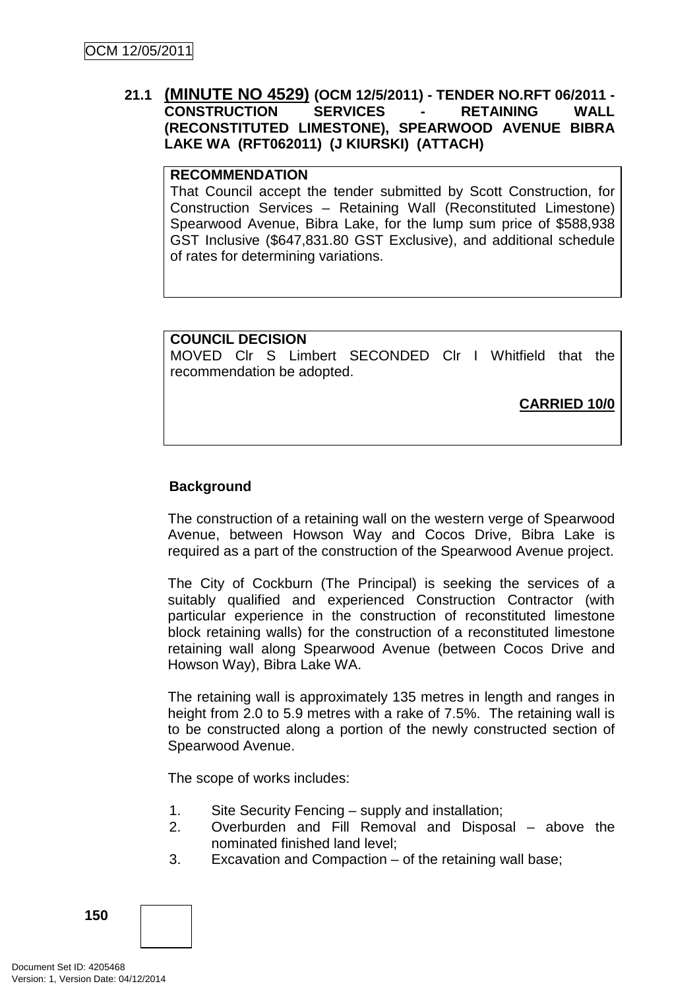### **21.1 (MINUTE NO 4529) (OCM 12/5/2011) - TENDER NO.RFT 06/2011 - CONSTRUCTION SERVICES - RETAINING WALL (RECONSTITUTED LIMESTONE), SPEARWOOD AVENUE BIBRA LAKE WA (RFT062011) (J KIURSKI) (ATTACH)**

#### **RECOMMENDATION**

That Council accept the tender submitted by Scott Construction, for Construction Services – Retaining Wall (Reconstituted Limestone) Spearwood Avenue, Bibra Lake, for the lump sum price of \$588,938 GST Inclusive (\$647,831.80 GST Exclusive), and additional schedule of rates for determining variations.

# **COUNCIL DECISION**

MOVED Clr S Limbert SECONDED Clr I Whitfield that the recommendation be adopted.

**CARRIED 10/0**

### **Background**

The construction of a retaining wall on the western verge of Spearwood Avenue, between Howson Way and Cocos Drive, Bibra Lake is required as a part of the construction of the Spearwood Avenue project.

The City of Cockburn (The Principal) is seeking the services of a suitably qualified and experienced Construction Contractor (with particular experience in the construction of reconstituted limestone block retaining walls) for the construction of a reconstituted limestone retaining wall along Spearwood Avenue (between Cocos Drive and Howson Way), Bibra Lake WA.

The retaining wall is approximately 135 metres in length and ranges in height from 2.0 to 5.9 metres with a rake of 7.5%. The retaining wall is to be constructed along a portion of the newly constructed section of Spearwood Avenue.

The scope of works includes:

- 1. Site Security Fencing supply and installation;
- 2. Overburden and Fill Removal and Disposal above the nominated finished land level;
- 3. Excavation and Compaction of the retaining wall base;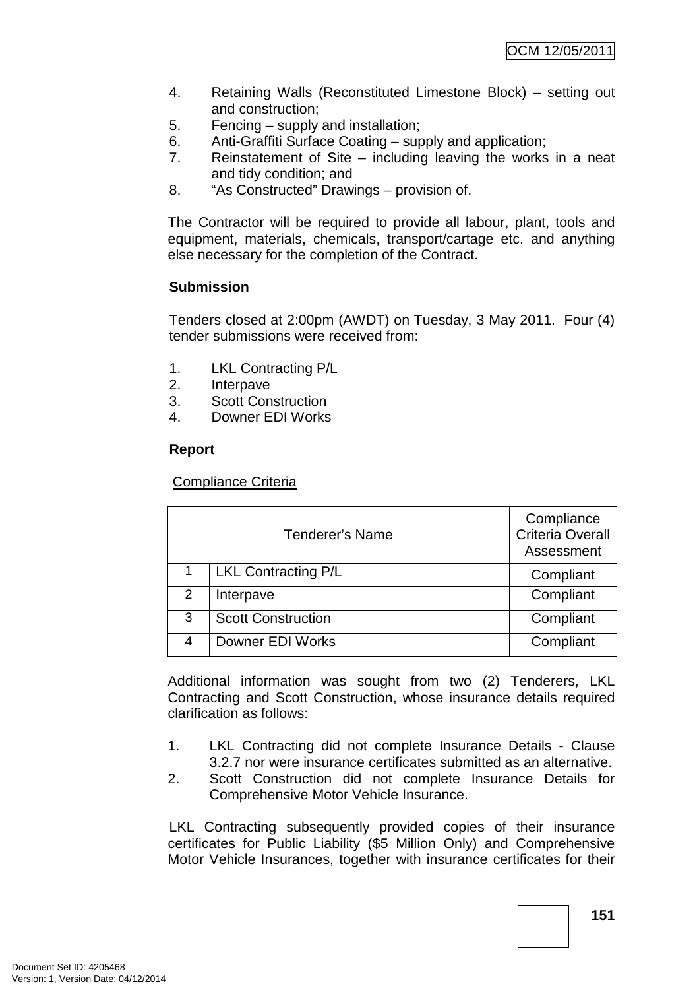- 4. Retaining Walls (Reconstituted Limestone Block) setting out and construction;
- 5. Fencing supply and installation;
- 6. Anti-Graffiti Surface Coating supply and application;
- 7. Reinstatement of Site including leaving the works in a neat and tidy condition; and
- 8. "As Constructed" Drawings provision of.

The Contractor will be required to provide all labour, plant, tools and equipment, materials, chemicals, transport/cartage etc. and anything else necessary for the completion of the Contract.

# **Submission**

Tenders closed at 2:00pm (AWDT) on Tuesday, 3 May 2011. Four (4) tender submissions were received from:

- 1. LKL Contracting P/L
- 2. Interpave
- 3. Scott Construction
- 4. Downer EDI Works

### **Report**

Compliance Criteria

| <b>Tenderer's Name</b> |                            | Compliance<br><b>Criteria Overall</b><br>Assessment |
|------------------------|----------------------------|-----------------------------------------------------|
|                        | <b>LKL Contracting P/L</b> | Compliant                                           |
| 2                      | Interpave                  | Compliant                                           |
| 3                      | <b>Scott Construction</b>  | Compliant                                           |
| 4                      | Downer EDI Works           | Compliant                                           |

Additional information was sought from two (2) Tenderers, LKL Contracting and Scott Construction, whose insurance details required clarification as follows:

- 1. LKL Contracting did not complete Insurance Details Clause 3.2.7 nor were insurance certificates submitted as an alternative.
- 2. Scott Construction did not complete Insurance Details for Comprehensive Motor Vehicle Insurance.

LKL Contracting subsequently provided copies of their insurance certificates for Public Liability (\$5 Million Only) and Comprehensive Motor Vehicle Insurances, together with insurance certificates for their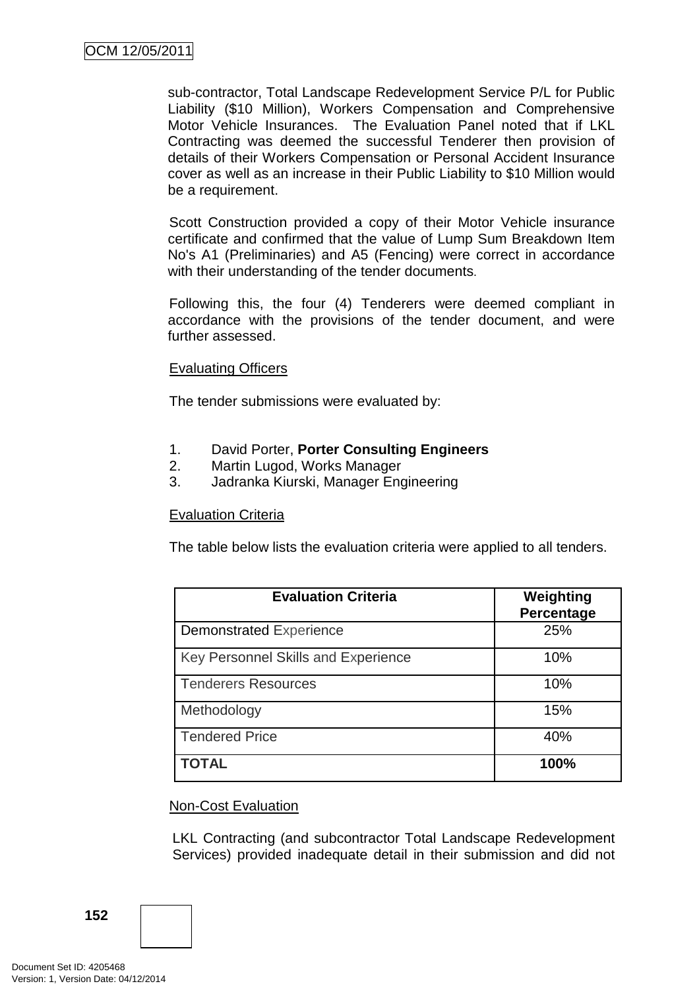sub-contractor, Total Landscape Redevelopment Service P/L for Public Liability (\$10 Million), Workers Compensation and Comprehensive Motor Vehicle Insurances. The Evaluation Panel noted that if LKL Contracting was deemed the successful Tenderer then provision of details of their Workers Compensation or Personal Accident Insurance cover as well as an increase in their Public Liability to \$10 Million would be a requirement.

Scott Construction provided a copy of their Motor Vehicle insurance certificate and confirmed that the value of Lump Sum Breakdown Item No's A1 (Preliminaries) and A5 (Fencing) were correct in accordance with their understanding of the tender documents.

Following this, the four (4) Tenderers were deemed compliant in accordance with the provisions of the tender document, and were further assessed.

### Evaluating Officers

The tender submissions were evaluated by:

- 1. David Porter, **Porter Consulting Engineers**
- 2. Martin Lugod, Works Manager
- 3. Jadranka Kiurski, Manager Engineering

### Evaluation Criteria

The table below lists the evaluation criteria were applied to all tenders.

| <b>Evaluation Criteria</b>          | Weighting<br>Percentage |
|-------------------------------------|-------------------------|
| <b>Demonstrated Experience</b>      | 25%                     |
| Key Personnel Skills and Experience | 10%                     |
| <b>Tenderers Resources</b>          | 10%                     |
| Methodology                         | 15%                     |
| <b>Tendered Price</b>               | 40%                     |
| <b>TOTAL</b>                        | 100%                    |

#### Non-Cost Evaluation

LKL Contracting (and subcontractor Total Landscape Redevelopment Services) provided inadequate detail in their submission and did not

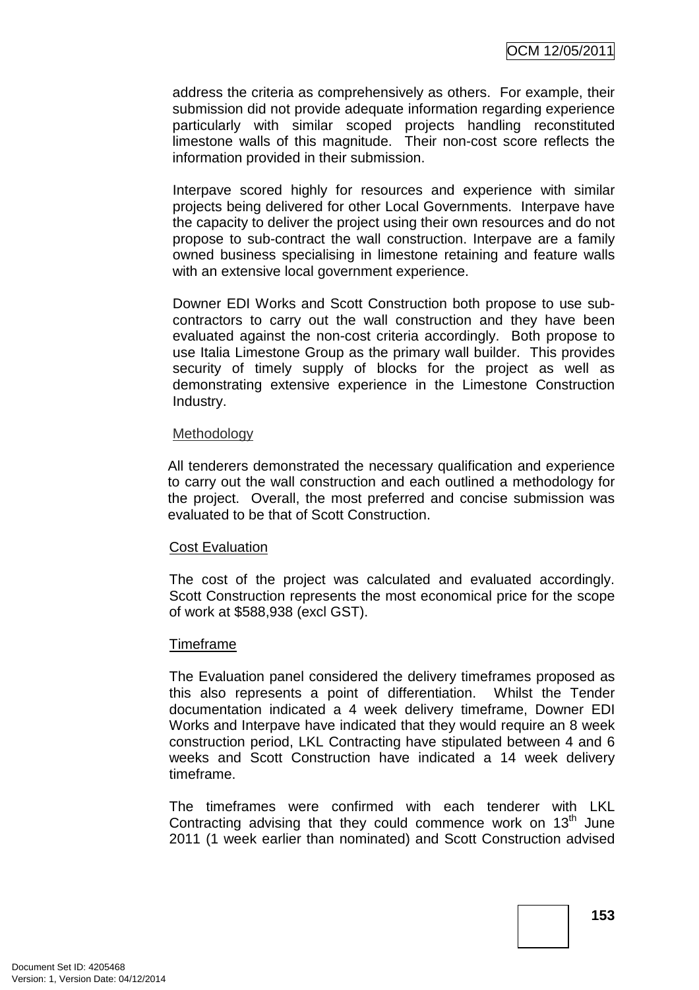address the criteria as comprehensively as others. For example, their submission did not provide adequate information regarding experience particularly with similar scoped projects handling reconstituted limestone walls of this magnitude. Their non-cost score reflects the information provided in their submission.

Interpave scored highly for resources and experience with similar projects being delivered for other Local Governments. Interpave have the capacity to deliver the project using their own resources and do not propose to sub-contract the wall construction. Interpave are a family owned business specialising in limestone retaining and feature walls with an extensive local government experience.

Downer EDI Works and Scott Construction both propose to use subcontractors to carry out the wall construction and they have been evaluated against the non-cost criteria accordingly. Both propose to use Italia Limestone Group as the primary wall builder. This provides security of timely supply of blocks for the project as well as demonstrating extensive experience in the Limestone Construction Industry.

#### **Methodology**

All tenderers demonstrated the necessary qualification and experience to carry out the wall construction and each outlined a methodology for the project. Overall, the most preferred and concise submission was evaluated to be that of Scott Construction.

#### Cost Evaluation

The cost of the project was calculated and evaluated accordingly. Scott Construction represents the most economical price for the scope of work at \$588,938 (excl GST).

### Timeframe

The Evaluation panel considered the delivery timeframes proposed as this also represents a point of differentiation. Whilst the Tender documentation indicated a 4 week delivery timeframe, Downer EDI Works and Interpave have indicated that they would require an 8 week construction period, LKL Contracting have stipulated between 4 and 6 weeks and Scott Construction have indicated a 14 week delivery timeframe.

The timeframes were confirmed with each tenderer with LKL Contracting advising that they could commence work on  $13<sup>th</sup>$  June 2011 (1 week earlier than nominated) and Scott Construction advised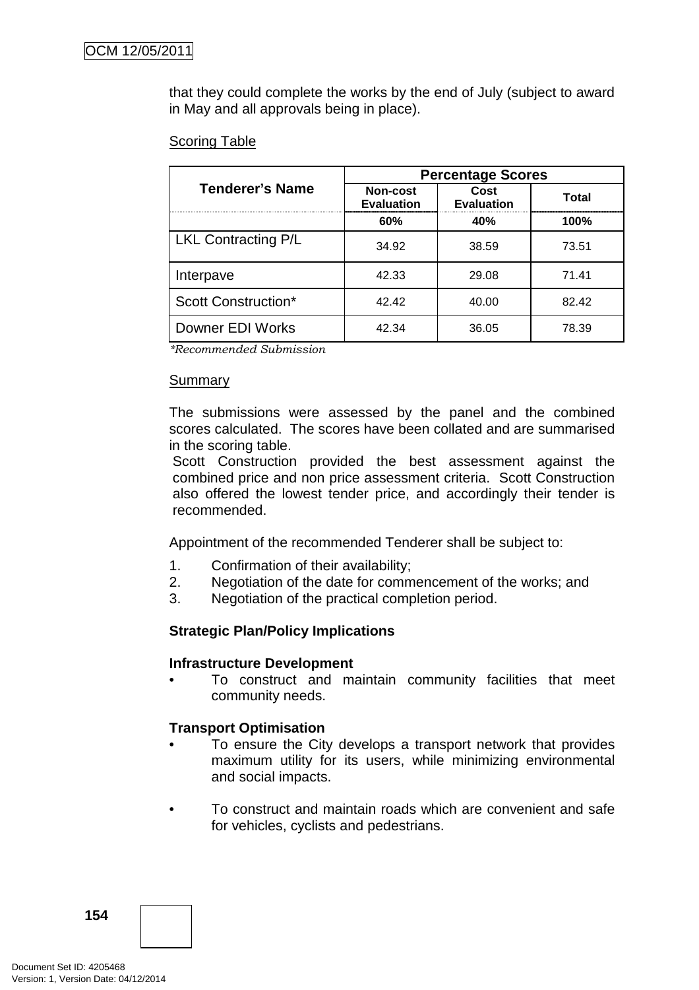that they could complete the works by the end of July (subject to award in May and all approvals being in place).

### Scoring Table

|                            | <b>Percentage Scores</b>      |                           |       |  |
|----------------------------|-------------------------------|---------------------------|-------|--|
| <b>Tenderer's Name</b>     | Non-cost<br><b>Evaluation</b> | Cost<br><b>Evaluation</b> | Total |  |
|                            | 60%                           | 40%                       | 100%  |  |
| <b>LKL Contracting P/L</b> | 34.92                         | 38.59                     | 73.51 |  |
| Interpave                  | 42.33                         | 29.08                     | 71.41 |  |
| <b>Scott Construction*</b> | 42.42                         | 40.00                     | 82.42 |  |
| Downer EDI Works           | 42.34                         | 36.05                     | 78.39 |  |

*\*Recommended Submission* 

### Summary

The submissions were assessed by the panel and the combined scores calculated. The scores have been collated and are summarised in the scoring table.

Scott Construction provided the best assessment against the combined price and non price assessment criteria. Scott Construction also offered the lowest tender price, and accordingly their tender is recommended.

Appointment of the recommended Tenderer shall be subject to:

- 1. Confirmation of their availability;
- 2. Negotiation of the date for commencement of the works; and
- 3. Negotiation of the practical completion period.

### **Strategic Plan/Policy Implications**

#### **Infrastructure Development**

• To construct and maintain community facilities that meet community needs.

### **Transport Optimisation**

- To ensure the City develops a transport network that provides maximum utility for its users, while minimizing environmental and social impacts.
- To construct and maintain roads which are convenient and safe for vehicles, cyclists and pedestrians.

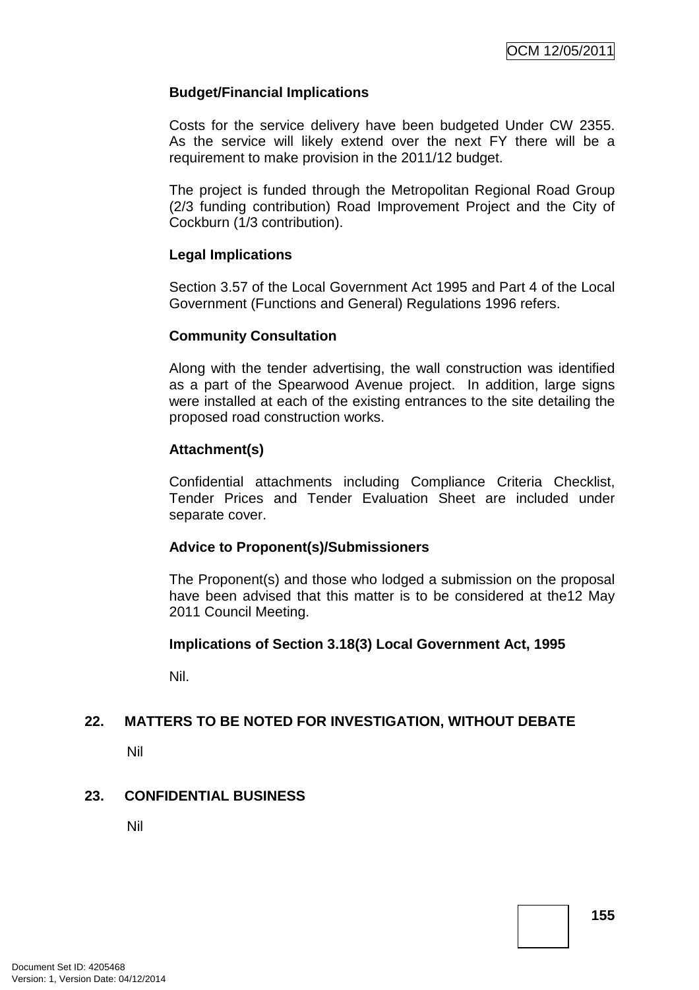### **Budget/Financial Implications**

Costs for the service delivery have been budgeted Under CW 2355. As the service will likely extend over the next FY there will be a requirement to make provision in the 2011/12 budget.

The project is funded through the Metropolitan Regional Road Group (2/3 funding contribution) Road Improvement Project and the City of Cockburn (1/3 contribution).

### **Legal Implications**

Section 3.57 of the Local Government Act 1995 and Part 4 of the Local Government (Functions and General) Regulations 1996 refers.

### **Community Consultation**

Along with the tender advertising, the wall construction was identified as a part of the Spearwood Avenue project. In addition, large signs were installed at each of the existing entrances to the site detailing the proposed road construction works.

### **Attachment(s)**

Confidential attachments including Compliance Criteria Checklist, Tender Prices and Tender Evaluation Sheet are included under separate cover.

### **Advice to Proponent(s)/Submissioners**

The Proponent(s) and those who lodged a submission on the proposal have been advised that this matter is to be considered at the12 May 2011 Council Meeting.

### **Implications of Section 3.18(3) Local Government Act, 1995**

Nil.

### **22. MATTERS TO BE NOTED FOR INVESTIGATION, WITHOUT DEBATE**

Nil

### **23. CONFIDENTIAL BUSINESS**

Nil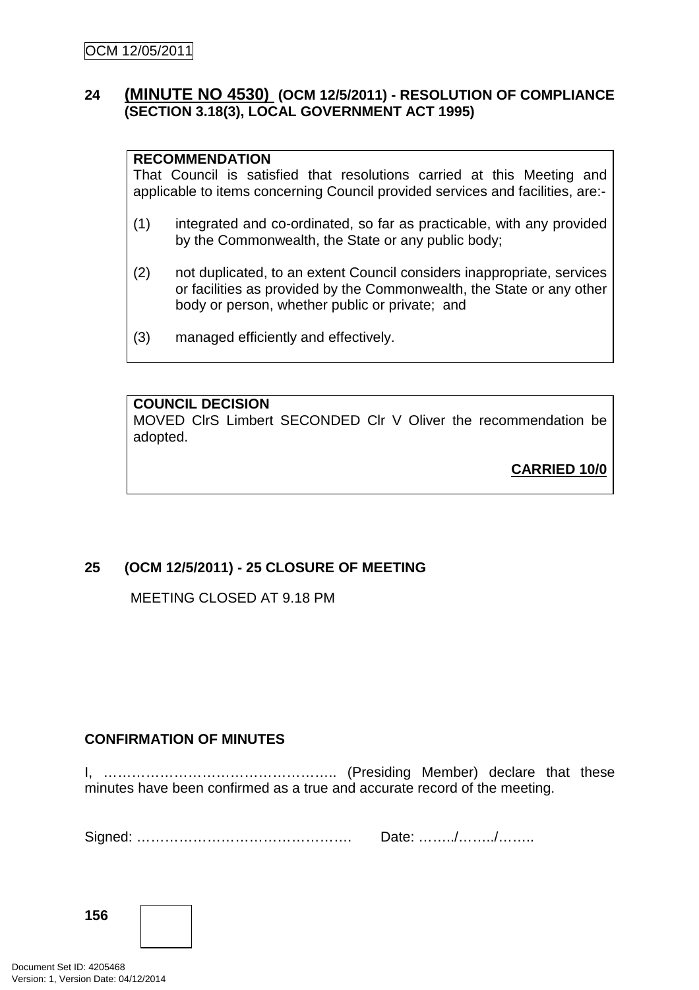### **24 (MINUTE NO 4530) (OCM 12/5/2011) - RESOLUTION OF COMPLIANCE (SECTION 3.18(3), LOCAL GOVERNMENT ACT 1995)**

### **RECOMMENDATION**

That Council is satisfied that resolutions carried at this Meeting and applicable to items concerning Council provided services and facilities, are:-

- (1) integrated and co-ordinated, so far as practicable, with any provided by the Commonwealth, the State or any public body;
- (2) not duplicated, to an extent Council considers inappropriate, services or facilities as provided by the Commonwealth, the State or any other body or person, whether public or private; and
- (3) managed efficiently and effectively.

### **COUNCIL DECISION**

MOVED ClrS Limbert SECONDED Clr V Oliver the recommendation be adopted.

**CARRIED 10/0**

# **25 (OCM 12/5/2011) - 25 CLOSURE OF MEETING**

MEETING CLOSED AT 9.18 PM

### **CONFIRMATION OF MINUTES**

I, ………………………………………….. (Presiding Member) declare that these minutes have been confirmed as a true and accurate record of the meeting.

Signed: ………………………………………. Date: ……../……../……..